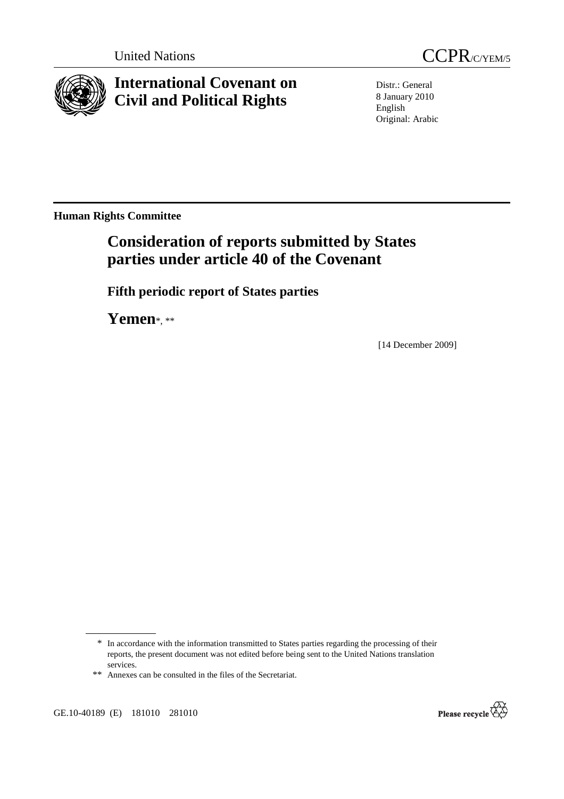



**International Covenant on Civil and Political Rights**

Distr.: General 8 January 2010 English Original: Arabic

**Human Rights Committee** 

# **Consideration of reports submitted by States parties under article 40 of the Covenant**

 **Fifth periodic report of States parties** 

 **Yemen**\*, \*\*

[14 December 2009]



<sup>\*</sup> In accordance with the information transmitted to States parties regarding the processing of their reports, the present document was not edited before being sent to the United Nations translation services.

<sup>\*\*</sup> Annexes can be consulted in the files of the Secretariat.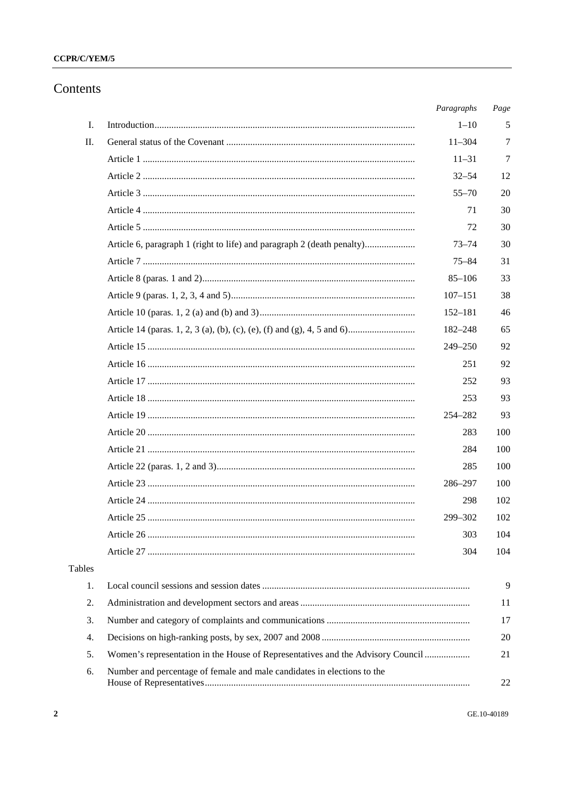## CCPR/C/YEM/5

## Contents

|        |                                                                                 | Paragraphs  | Page |
|--------|---------------------------------------------------------------------------------|-------------|------|
| I.     |                                                                                 | $1 - 10$    | 5    |
| Π.     |                                                                                 | $11 - 304$  | 7    |
|        |                                                                                 | $11 - 31$   | 7    |
|        |                                                                                 | $32 - 54$   | 12   |
|        |                                                                                 | $55 - 70$   | 20   |
|        |                                                                                 | 71          | 30   |
|        |                                                                                 | 72          | 30   |
|        | Article 6, paragraph 1 (right to life) and paragraph 2 (death penalty)          | $73 - 74$   | 30   |
|        |                                                                                 | $75 - 84$   | 31   |
|        |                                                                                 | $85 - 106$  | 33   |
|        |                                                                                 | $107 - 151$ | 38   |
|        |                                                                                 | $152 - 181$ | 46   |
|        |                                                                                 | 182-248     | 65   |
|        |                                                                                 | 249-250     | 92   |
|        |                                                                                 | 251         | 92   |
|        |                                                                                 | 252         | 93   |
|        |                                                                                 | 253         | 93   |
|        |                                                                                 | 254-282     | 93   |
|        |                                                                                 | 283         | 100  |
|        |                                                                                 | 284         | 100  |
|        |                                                                                 | 285         | 100  |
|        |                                                                                 | 286-297     | 100  |
|        |                                                                                 | 298         | 102  |
|        |                                                                                 | 299-302     | 102  |
|        |                                                                                 | 303         | 104  |
|        |                                                                                 | 304         | 104  |
| Tables |                                                                                 |             |      |
| 1.     |                                                                                 |             | 9    |
| 2.     |                                                                                 |             | 11   |
| 3.     |                                                                                 |             | 17   |
| 4.     |                                                                                 |             | 20   |
| 5.     | Women's representation in the House of Representatives and the Advisory Council |             | 21   |
| 6.     | Number and percentage of female and male candidates in elections to the         |             | 22   |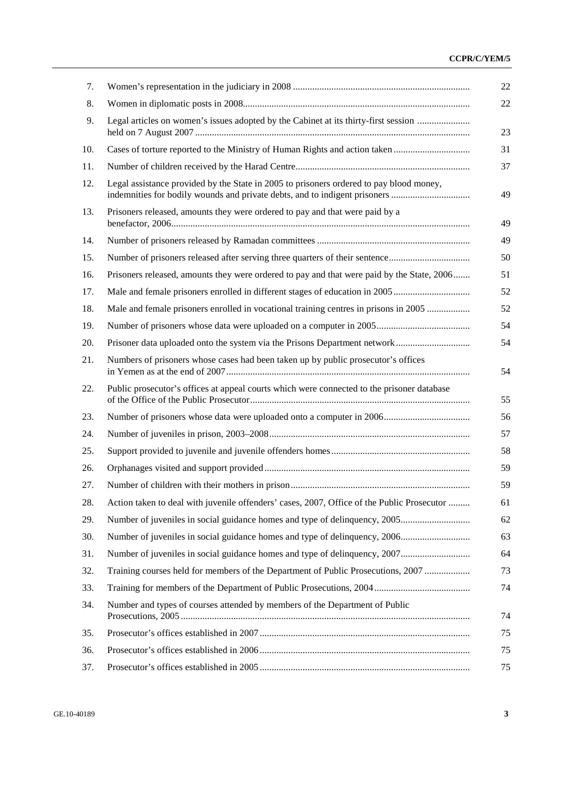## **CCPR/C/YEM/5**

| 7.  |                                                                                                                                                                       |
|-----|-----------------------------------------------------------------------------------------------------------------------------------------------------------------------|
| 8.  |                                                                                                                                                                       |
| 9.  | Legal articles on women's issues adopted by the Cabinet at its thirty-first session                                                                                   |
| 10. | Cases of torture reported to the Ministry of Human Rights and action taken                                                                                            |
| 11. |                                                                                                                                                                       |
| 12. | Legal assistance provided by the State in 2005 to prisoners ordered to pay blood money,<br>indemnities for bodily wounds and private debts, and to indigent prisoners |
| 13. | Prisoners released, amounts they were ordered to pay and that were paid by a                                                                                          |
| 14. |                                                                                                                                                                       |
| 15. |                                                                                                                                                                       |
| 16. | Prisoners released, amounts they were ordered to pay and that were paid by the State, 2006                                                                            |
| 17. |                                                                                                                                                                       |
| 18. | Male and female prisoners enrolled in vocational training centres in prisons in 2005                                                                                  |
| 19. |                                                                                                                                                                       |
| 20. |                                                                                                                                                                       |
| 21. | Numbers of prisoners whose cases had been taken up by public prosecutor's offices                                                                                     |
| 22. | Public prosecutor's offices at appeal courts which were connected to the prisoner database                                                                            |
| 23. |                                                                                                                                                                       |
| 24. |                                                                                                                                                                       |
| 25. |                                                                                                                                                                       |
| 26. |                                                                                                                                                                       |
| 27. |                                                                                                                                                                       |
| 28. | Action taken to deal with juvenile offenders' cases, 2007, Office of the Public Prosecutor                                                                            |
| 29. |                                                                                                                                                                       |
| 30. |                                                                                                                                                                       |
| 31. |                                                                                                                                                                       |
| 32. | Training courses held for members of the Department of Public Prosecutions, 2007                                                                                      |
| 33. |                                                                                                                                                                       |
| 34. | Number and types of courses attended by members of the Department of Public                                                                                           |
| 35. |                                                                                                                                                                       |
| 36. |                                                                                                                                                                       |
| 37. |                                                                                                                                                                       |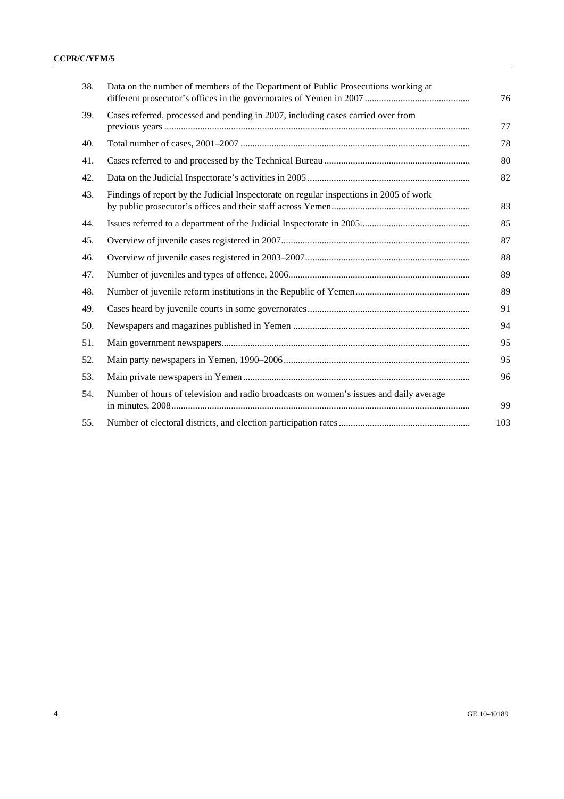| 38. | Data on the number of members of the Department of Public Prosecutions working at      | 76  |
|-----|----------------------------------------------------------------------------------------|-----|
| 39. | Cases referred, processed and pending in 2007, including cases carried over from       | 77  |
| 40. |                                                                                        | 78  |
| 41. |                                                                                        | 80  |
| 42. |                                                                                        | 82  |
| 43. | Findings of report by the Judicial Inspectorate on regular inspections in 2005 of work | 83  |
| 44. |                                                                                        | 85  |
| 45. |                                                                                        | 87  |
| 46. |                                                                                        | 88  |
| 47. |                                                                                        | 89  |
| 48. |                                                                                        | 89  |
| 49. |                                                                                        | 91  |
| 50. |                                                                                        | 94  |
| 51. |                                                                                        | 95  |
| 52. |                                                                                        | 95  |
| 53. |                                                                                        | 96  |
| 54. | Number of hours of television and radio broadcasts on women's issues and daily average | 99  |
| 55. |                                                                                        | 103 |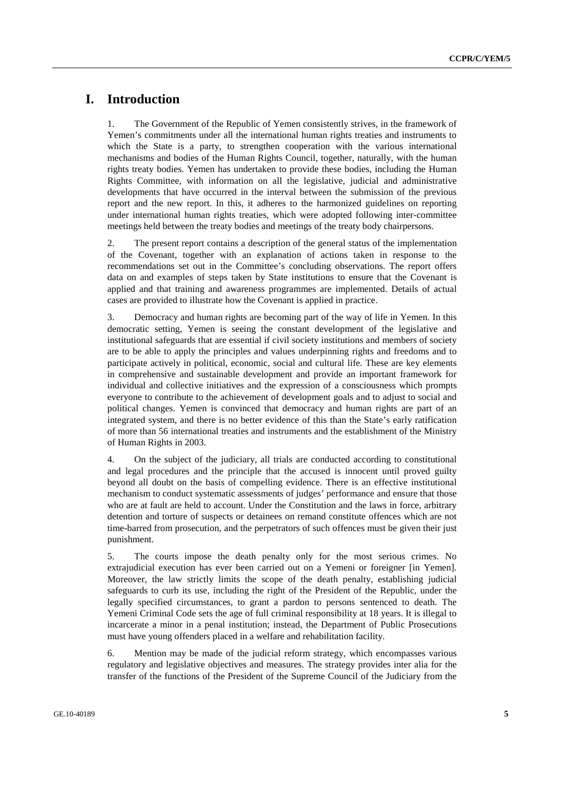## **I. Introduction**

1. The Government of the Republic of Yemen consistently strives, in the framework of Yemen's commitments under all the international human rights treaties and instruments to which the State is a party, to strengthen cooperation with the various international mechanisms and bodies of the Human Rights Council, together, naturally, with the human rights treaty bodies. Yemen has undertaken to provide these bodies, including the Human Rights Committee, with information on all the legislative, judicial and administrative developments that have occurred in the interval between the submission of the previous report and the new report. In this, it adheres to the harmonized guidelines on reporting under international human rights treaties, which were adopted following inter-committee meetings held between the treaty bodies and meetings of the treaty body chairpersons.

2. The present report contains a description of the general status of the implementation of the Covenant, together with an explanation of actions taken in response to the recommendations set out in the Committee's concluding observations. The report offers data on and examples of steps taken by State institutions to ensure that the Covenant is applied and that training and awareness programmes are implemented. Details of actual cases are provided to illustrate how the Covenant is applied in practice.

3. Democracy and human rights are becoming part of the way of life in Yemen. In this democratic setting, Yemen is seeing the constant development of the legislative and institutional safeguards that are essential if civil society institutions and members of society are to be able to apply the principles and values underpinning rights and freedoms and to participate actively in political, economic, social and cultural life. These are key elements in comprehensive and sustainable development and provide an important framework for individual and collective initiatives and the expression of a consciousness which prompts everyone to contribute to the achievement of development goals and to adjust to social and political changes. Yemen is convinced that democracy and human rights are part of an integrated system, and there is no better evidence of this than the State's early ratification of more than 56 international treaties and instruments and the establishment of the Ministry of Human Rights in 2003.

4. On the subject of the judiciary, all trials are conducted according to constitutional and legal procedures and the principle that the accused is innocent until proved guilty beyond all doubt on the basis of compelling evidence. There is an effective institutional mechanism to conduct systematic assessments of judges' performance and ensure that those who are at fault are held to account. Under the Constitution and the laws in force, arbitrary detention and torture of suspects or detainees on remand constitute offences which are not time-barred from prosecution, and the perpetrators of such offences must be given their just punishment.

5. The courts impose the death penalty only for the most serious crimes. No extrajudicial execution has ever been carried out on a Yemeni or foreigner [in Yemen]. Moreover, the law strictly limits the scope of the death penalty, establishing judicial safeguards to curb its use, including the right of the President of the Republic, under the legally specified circumstances, to grant a pardon to persons sentenced to death. The Yemeni Criminal Code sets the age of full criminal responsibility at 18 years. It is illegal to incarcerate a minor in a penal institution; instead, the Department of Public Prosecutions must have young offenders placed in a welfare and rehabilitation facility.

6. Mention may be made of the judicial reform strategy, which encompasses various regulatory and legislative objectives and measures. The strategy provides inter alia for the transfer of the functions of the President of the Supreme Council of the Judiciary from the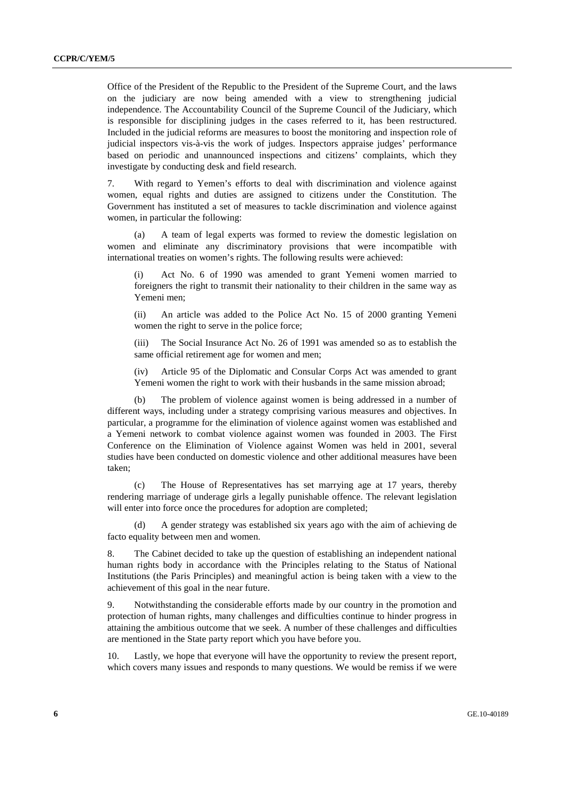Office of the President of the Republic to the President of the Supreme Court, and the laws on the judiciary are now being amended with a view to strengthening judicial independence. The Accountability Council of the Supreme Council of the Judiciary, which is responsible for disciplining judges in the cases referred to it, has been restructured. Included in the judicial reforms are measures to boost the monitoring and inspection role of judicial inspectors vis-à-vis the work of judges. Inspectors appraise judges' performance based on periodic and unannounced inspections and citizens' complaints, which they investigate by conducting desk and field research.

7. With regard to Yemen's efforts to deal with discrimination and violence against women, equal rights and duties are assigned to citizens under the Constitution. The Government has instituted a set of measures to tackle discrimination and violence against women, in particular the following:

(a) A team of legal experts was formed to review the domestic legislation on women and eliminate any discriminatory provisions that were incompatible with international treaties on women's rights. The following results were achieved:

Act No. 6 of 1990 was amended to grant Yemeni women married to foreigners the right to transmit their nationality to their children in the same way as Yemeni men;

 (ii) An article was added to the Police Act No. 15 of 2000 granting Yemeni women the right to serve in the police force;

 (iii) The Social Insurance Act No. 26 of 1991 was amended so as to establish the same official retirement age for women and men;

 (iv) Article 95 of the Diplomatic and Consular Corps Act was amended to grant Yemeni women the right to work with their husbands in the same mission abroad;

(b) The problem of violence against women is being addressed in a number of different ways, including under a strategy comprising various measures and objectives. In particular, a programme for the elimination of violence against women was established and a Yemeni network to combat violence against women was founded in 2003. The First Conference on the Elimination of Violence against Women was held in 2001, several studies have been conducted on domestic violence and other additional measures have been taken;

(c) The House of Representatives has set marrying age at 17 years, thereby rendering marriage of underage girls a legally punishable offence. The relevant legislation will enter into force once the procedures for adoption are completed;

A gender strategy was established six years ago with the aim of achieving de facto equality between men and women.

8. The Cabinet decided to take up the question of establishing an independent national human rights body in accordance with the Principles relating to the Status of National Institutions (the Paris Principles) and meaningful action is being taken with a view to the achievement of this goal in the near future.

9. Notwithstanding the considerable efforts made by our country in the promotion and protection of human rights, many challenges and difficulties continue to hinder progress in attaining the ambitious outcome that we seek. A number of these challenges and difficulties are mentioned in the State party report which you have before you.

10. Lastly, we hope that everyone will have the opportunity to review the present report, which covers many issues and responds to many questions. We would be remiss if we were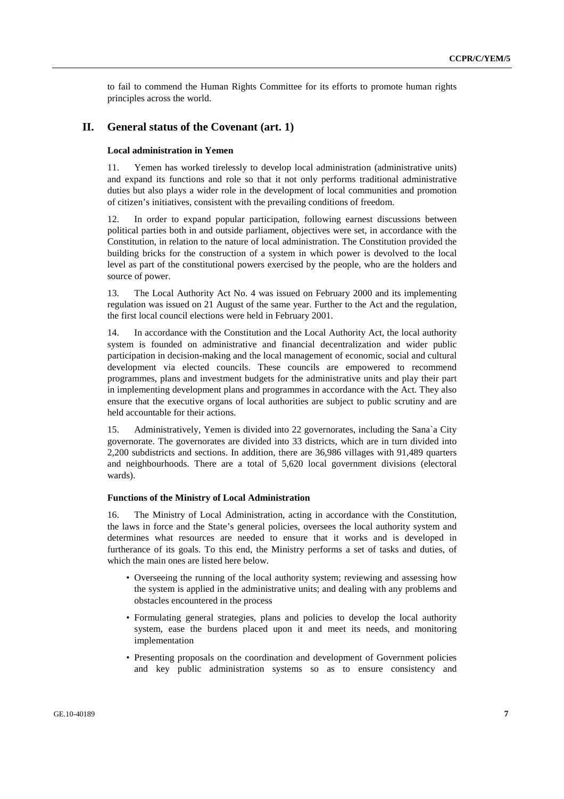to fail to commend the Human Rights Committee for its efforts to promote human rights principles across the world.

## **II. General status of the Covenant (art. 1)**

### **Local administration in Yemen**

11. Yemen has worked tirelessly to develop local administration (administrative units) and expand its functions and role so that it not only performs traditional administrative duties but also plays a wider role in the development of local communities and promotion of citizen's initiatives, consistent with the prevailing conditions of freedom.

12. In order to expand popular participation, following earnest discussions between political parties both in and outside parliament, objectives were set, in accordance with the Constitution, in relation to the nature of local administration. The Constitution provided the building bricks for the construction of a system in which power is devolved to the local level as part of the constitutional powers exercised by the people, who are the holders and source of power.

13. The Local Authority Act No. 4 was issued on February 2000 and its implementing regulation was issued on 21 August of the same year. Further to the Act and the regulation, the first local council elections were held in February 2001.

14. In accordance with the Constitution and the Local Authority Act, the local authority system is founded on administrative and financial decentralization and wider public participation in decision-making and the local management of economic, social and cultural development via elected councils. These councils are empowered to recommend programmes, plans and investment budgets for the administrative units and play their part in implementing development plans and programmes in accordance with the Act. They also ensure that the executive organs of local authorities are subject to public scrutiny and are held accountable for their actions.

15. Administratively, Yemen is divided into 22 governorates, including the Sana`a City governorate. The governorates are divided into 33 districts, which are in turn divided into 2,200 subdistricts and sections. In addition, there are 36,986 villages with 91,489 quarters and neighbourhoods. There are a total of 5,620 local government divisions (electoral wards).

#### **Functions of the Ministry of Local Administration**

16. The Ministry of Local Administration, acting in accordance with the Constitution, the laws in force and the State's general policies, oversees the local authority system and determines what resources are needed to ensure that it works and is developed in furtherance of its goals. To this end, the Ministry performs a set of tasks and duties, of which the main ones are listed here below.

- Overseeing the running of the local authority system; reviewing and assessing how the system is applied in the administrative units; and dealing with any problems and obstacles encountered in the process
- Formulating general strategies, plans and policies to develop the local authority system, ease the burdens placed upon it and meet its needs, and monitoring implementation
- Presenting proposals on the coordination and development of Government policies and key public administration systems so as to ensure consistency and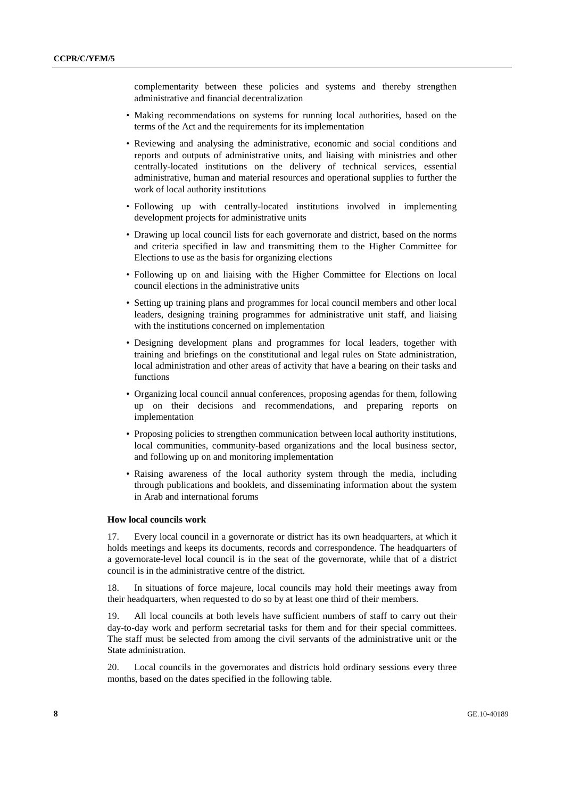complementarity between these policies and systems and thereby strengthen administrative and financial decentralization

- Making recommendations on systems for running local authorities, based on the terms of the Act and the requirements for its implementation
- Reviewing and analysing the administrative, economic and social conditions and reports and outputs of administrative units, and liaising with ministries and other centrally-located institutions on the delivery of technical services, essential administrative, human and material resources and operational supplies to further the work of local authority institutions
- Following up with centrally-located institutions involved in implementing development projects for administrative units
- Drawing up local council lists for each governorate and district, based on the norms and criteria specified in law and transmitting them to the Higher Committee for Elections to use as the basis for organizing elections
- Following up on and liaising with the Higher Committee for Elections on local council elections in the administrative units
- Setting up training plans and programmes for local council members and other local leaders, designing training programmes for administrative unit staff, and liaising with the institutions concerned on implementation
- Designing development plans and programmes for local leaders, together with training and briefings on the constitutional and legal rules on State administration, local administration and other areas of activity that have a bearing on their tasks and functions
- Organizing local council annual conferences, proposing agendas for them, following up on their decisions and recommendations, and preparing reports on implementation
- Proposing policies to strengthen communication between local authority institutions, local communities, community-based organizations and the local business sector, and following up on and monitoring implementation
- Raising awareness of the local authority system through the media, including through publications and booklets, and disseminating information about the system in Arab and international forums

#### **How local councils work**

17. Every local council in a governorate or district has its own headquarters, at which it holds meetings and keeps its documents, records and correspondence. The headquarters of a governorate-level local council is in the seat of the governorate, while that of a district council is in the administrative centre of the district.

18. In situations of force majeure, local councils may hold their meetings away from their headquarters, when requested to do so by at least one third of their members.

19. All local councils at both levels have sufficient numbers of staff to carry out their day-to-day work and perform secretarial tasks for them and for their special committees. The staff must be selected from among the civil servants of the administrative unit or the State administration.

20. Local councils in the governorates and districts hold ordinary sessions every three months, based on the dates specified in the following table.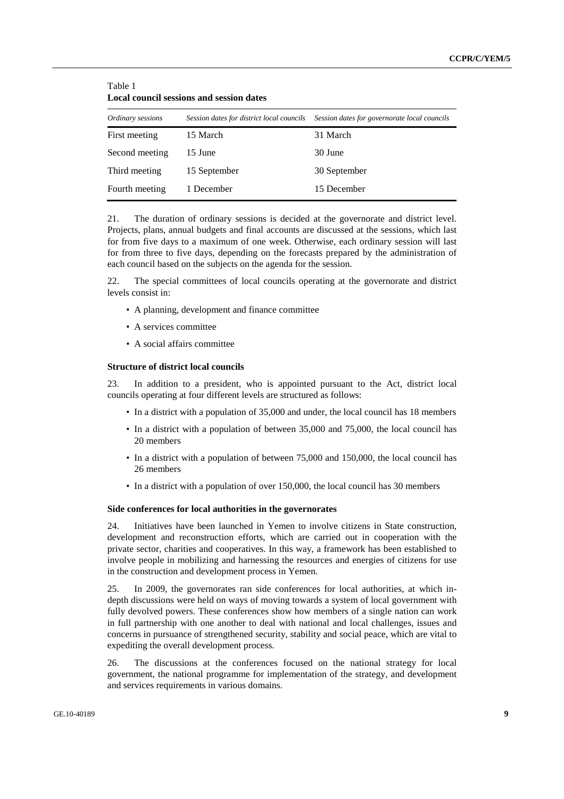| <b>Local council sessions and session dates</b> |                                           |                                              |  |  |  |  |
|-------------------------------------------------|-------------------------------------------|----------------------------------------------|--|--|--|--|
| Ordinary sessions                               | Session dates for district local councils | Session dates for governorate local councils |  |  |  |  |
| First meeting                                   | 15 March                                  | 31 March                                     |  |  |  |  |
| Second meeting                                  | 15 June                                   | 30 June                                      |  |  |  |  |
| Third meeting                                   | 15 September                              | 30 September                                 |  |  |  |  |
| Fourth meeting                                  | 1 December                                | 15 December                                  |  |  |  |  |

Table 1

21. The duration of ordinary sessions is decided at the governorate and district level. Projects, plans, annual budgets and final accounts are discussed at the sessions, which last for from five days to a maximum of one week. Otherwise, each ordinary session will last for from three to five days, depending on the forecasts prepared by the administration of each council based on the subjects on the agenda for the session.

22. The special committees of local councils operating at the governorate and district levels consist in:

- A planning, development and finance committee
- A services committee
- A social affairs committee

#### **Structure of district local councils**

23. In addition to a president, who is appointed pursuant to the Act, district local councils operating at four different levels are structured as follows:

- In a district with a population of 35,000 and under, the local council has 18 members
- In a district with a population of between 35,000 and 75,000, the local council has 20 members
- In a district with a population of between 75,000 and 150,000, the local council has 26 members
- In a district with a population of over 150,000, the local council has 30 members

#### **Side conferences for local authorities in the governorates**

24. Initiatives have been launched in Yemen to involve citizens in State construction, development and reconstruction efforts, which are carried out in cooperation with the private sector, charities and cooperatives. In this way, a framework has been established to involve people in mobilizing and harnessing the resources and energies of citizens for use in the construction and development process in Yemen.

25. In 2009, the governorates ran side conferences for local authorities, at which indepth discussions were held on ways of moving towards a system of local government with fully devolved powers. These conferences show how members of a single nation can work in full partnership with one another to deal with national and local challenges, issues and concerns in pursuance of strengthened security, stability and social peace, which are vital to expediting the overall development process.

26. The discussions at the conferences focused on the national strategy for local government, the national programme for implementation of the strategy, and development and services requirements in various domains.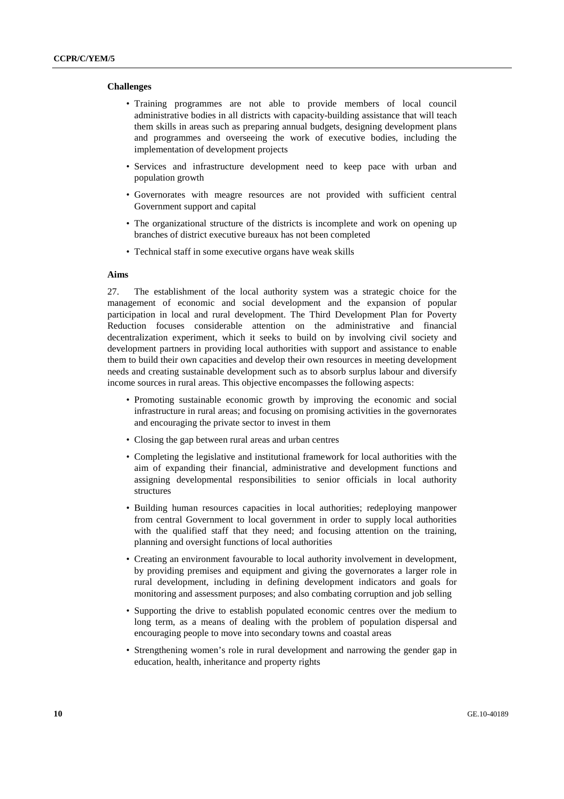#### **Challenges**

- Training programmes are not able to provide members of local council administrative bodies in all districts with capacity-building assistance that will teach them skills in areas such as preparing annual budgets, designing development plans and programmes and overseeing the work of executive bodies, including the implementation of development projects
- Services and infrastructure development need to keep pace with urban and population growth
- Governorates with meagre resources are not provided with sufficient central Government support and capital
- The organizational structure of the districts is incomplete and work on opening up branches of district executive bureaux has not been completed
- Technical staff in some executive organs have weak skills

## **Aims**

27. The establishment of the local authority system was a strategic choice for the management of economic and social development and the expansion of popular participation in local and rural development. The Third Development Plan for Poverty Reduction focuses considerable attention on the administrative and financial decentralization experiment, which it seeks to build on by involving civil society and development partners in providing local authorities with support and assistance to enable them to build their own capacities and develop their own resources in meeting development needs and creating sustainable development such as to absorb surplus labour and diversify income sources in rural areas. This objective encompasses the following aspects:

- Promoting sustainable economic growth by improving the economic and social infrastructure in rural areas; and focusing on promising activities in the governorates and encouraging the private sector to invest in them
- Closing the gap between rural areas and urban centres
- Completing the legislative and institutional framework for local authorities with the aim of expanding their financial, administrative and development functions and assigning developmental responsibilities to senior officials in local authority structures
- Building human resources capacities in local authorities; redeploying manpower from central Government to local government in order to supply local authorities with the qualified staff that they need; and focusing attention on the training, planning and oversight functions of local authorities
- Creating an environment favourable to local authority involvement in development, by providing premises and equipment and giving the governorates a larger role in rural development, including in defining development indicators and goals for monitoring and assessment purposes; and also combating corruption and job selling
- Supporting the drive to establish populated economic centres over the medium to long term, as a means of dealing with the problem of population dispersal and encouraging people to move into secondary towns and coastal areas
- Strengthening women's role in rural development and narrowing the gender gap in education, health, inheritance and property rights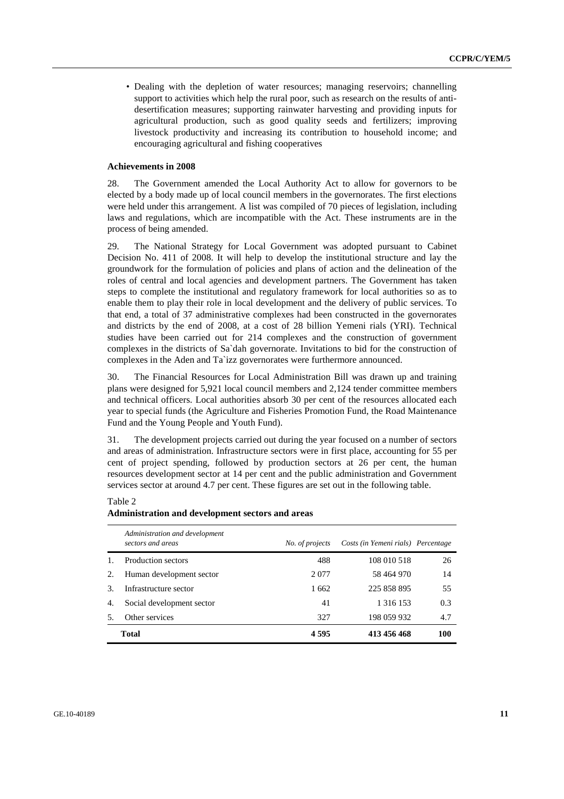• Dealing with the depletion of water resources; managing reservoirs; channelling support to activities which help the rural poor, such as research on the results of antidesertification measures; supporting rainwater harvesting and providing inputs for agricultural production, such as good quality seeds and fertilizers; improving livestock productivity and increasing its contribution to household income; and encouraging agricultural and fishing cooperatives

#### **Achievements in 2008**

28. The Government amended the Local Authority Act to allow for governors to be elected by a body made up of local council members in the governorates. The first elections were held under this arrangement. A list was compiled of 70 pieces of legislation, including laws and regulations, which are incompatible with the Act. These instruments are in the process of being amended.

29. The National Strategy for Local Government was adopted pursuant to Cabinet Decision No. 411 of 2008. It will help to develop the institutional structure and lay the groundwork for the formulation of policies and plans of action and the delineation of the roles of central and local agencies and development partners. The Government has taken steps to complete the institutional and regulatory framework for local authorities so as to enable them to play their role in local development and the delivery of public services. To that end, a total of 37 administrative complexes had been constructed in the governorates and districts by the end of 2008, at a cost of 28 billion Yemeni rials (YRI). Technical studies have been carried out for 214 complexes and the construction of government complexes in the districts of Sa`dah governorate. Invitations to bid for the construction of complexes in the Aden and Ta`izz governorates were furthermore announced.

30. The Financial Resources for Local Administration Bill was drawn up and training plans were designed for 5,921 local council members and 2,124 tender committee members and technical officers. Local authorities absorb 30 per cent of the resources allocated each year to special funds (the Agriculture and Fisheries Promotion Fund, the Road Maintenance Fund and the Young People and Youth Fund).

31. The development projects carried out during the year focused on a number of sectors and areas of administration. Infrastructure sectors were in first place, accounting for 55 per cent of project spending, followed by production sectors at 26 per cent, the human resources development sector at 14 per cent and the public administration and Government services sector at around 4.7 per cent. These figures are set out in the following table.

#### Table 2

#### **Administration and development sectors and areas**

|                | Administration and development<br>sectors and areas | No. of projects | Costs (in Yemeni rials) Percentage |     |
|----------------|-----------------------------------------------------|-----------------|------------------------------------|-----|
| $\mathbf{1}$ . | Production sectors                                  | 488             | 108 010 518                        | 26  |
| 2.             | Human development sector                            | 2 0 7 7         | 58 464 970                         | 14  |
| 3.             | Infrastructure sector                               | 1662            | 225 858 895                        | 55  |
| 4.             | Social development sector                           | 41              | 1 316 153                          | 0.3 |
| .5.            | Other services                                      | 327             | 198 059 932                        | 4.7 |
|                | <b>Total</b>                                        | 4595            | 413 456 468                        | 100 |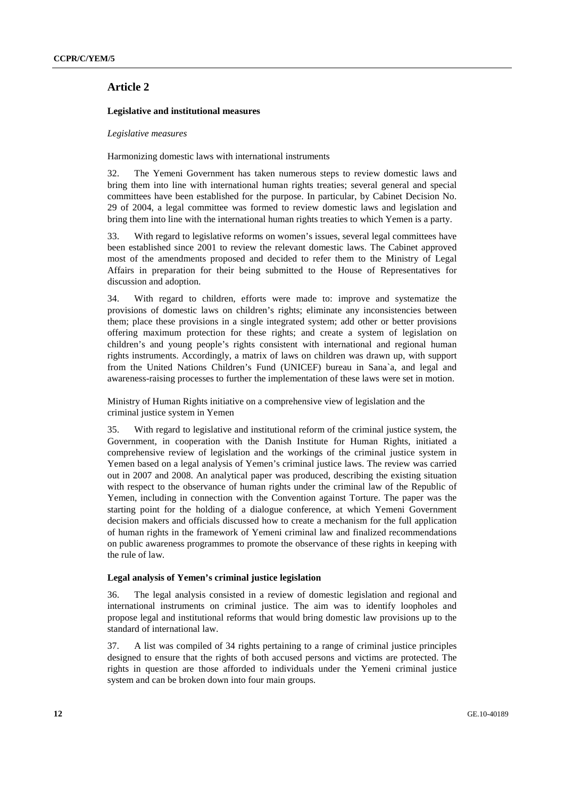## **Article 2**

#### **Legislative and institutional measures**

#### *Legislative measures*

Harmonizing domestic laws with international instruments

32. The Yemeni Government has taken numerous steps to review domestic laws and bring them into line with international human rights treaties; several general and special committees have been established for the purpose. In particular, by Cabinet Decision No. 29 of 2004, a legal committee was formed to review domestic laws and legislation and bring them into line with the international human rights treaties to which Yemen is a party.

33. With regard to legislative reforms on women's issues, several legal committees have been established since 2001 to review the relevant domestic laws. The Cabinet approved most of the amendments proposed and decided to refer them to the Ministry of Legal Affairs in preparation for their being submitted to the House of Representatives for discussion and adoption.

34. With regard to children, efforts were made to: improve and systematize the provisions of domestic laws on children's rights; eliminate any inconsistencies between them; place these provisions in a single integrated system; add other or better provisions offering maximum protection for these rights; and create a system of legislation on children's and young people's rights consistent with international and regional human rights instruments. Accordingly, a matrix of laws on children was drawn up, with support from the United Nations Children's Fund (UNICEF) bureau in Sana`a, and legal and awareness-raising processes to further the implementation of these laws were set in motion.

 Ministry of Human Rights initiative on a comprehensive view of legislation and the criminal justice system in Yemen

35. With regard to legislative and institutional reform of the criminal justice system, the Government, in cooperation with the Danish Institute for Human Rights, initiated a comprehensive review of legislation and the workings of the criminal justice system in Yemen based on a legal analysis of Yemen's criminal justice laws. The review was carried out in 2007 and 2008. An analytical paper was produced, describing the existing situation with respect to the observance of human rights under the criminal law of the Republic of Yemen, including in connection with the Convention against Torture. The paper was the starting point for the holding of a dialogue conference, at which Yemeni Government decision makers and officials discussed how to create a mechanism for the full application of human rights in the framework of Yemeni criminal law and finalized recommendations on public awareness programmes to promote the observance of these rights in keeping with the rule of law.

#### **Legal analysis of Yemen's criminal justice legislation**

36. The legal analysis consisted in a review of domestic legislation and regional and international instruments on criminal justice. The aim was to identify loopholes and propose legal and institutional reforms that would bring domestic law provisions up to the standard of international law.

37. A list was compiled of 34 rights pertaining to a range of criminal justice principles designed to ensure that the rights of both accused persons and victims are protected. The rights in question are those afforded to individuals under the Yemeni criminal justice system and can be broken down into four main groups.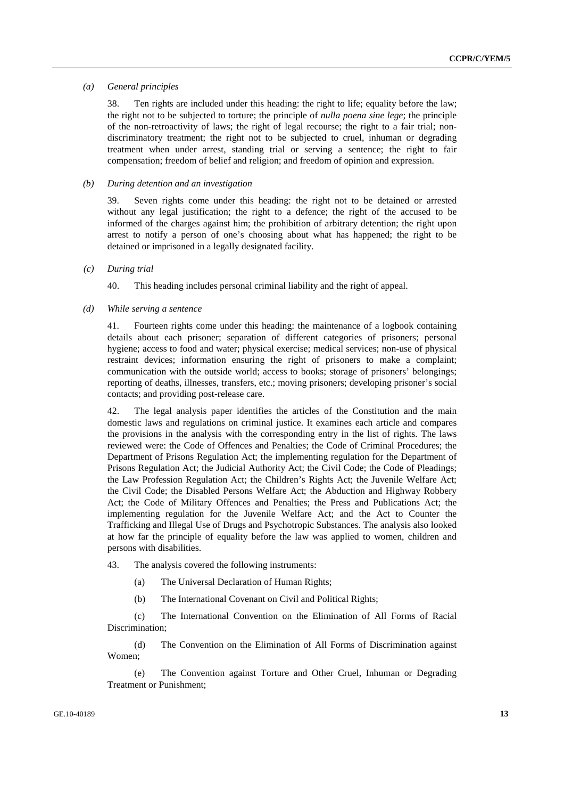#### *(a) General principles*

38. Ten rights are included under this heading: the right to life; equality before the law; the right not to be subjected to torture; the principle of *nulla poena sine lege*; the principle of the non-retroactivity of laws; the right of legal recourse; the right to a fair trial; nondiscriminatory treatment; the right not to be subjected to cruel, inhuman or degrading treatment when under arrest, standing trial or serving a sentence; the right to fair compensation; freedom of belief and religion; and freedom of opinion and expression.

#### *(b) During detention and an investigation*

39. Seven rights come under this heading: the right not to be detained or arrested without any legal justification; the right to a defence; the right of the accused to be informed of the charges against him; the prohibition of arbitrary detention; the right upon arrest to notify a person of one's choosing about what has happened; the right to be detained or imprisoned in a legally designated facility.

#### *(c) During trial*

40. This heading includes personal criminal liability and the right of appeal.

#### *(d) While serving a sentence*

41. Fourteen rights come under this heading: the maintenance of a logbook containing details about each prisoner; separation of different categories of prisoners; personal hygiene; access to food and water; physical exercise; medical services; non-use of physical restraint devices; information ensuring the right of prisoners to make a complaint; communication with the outside world; access to books; storage of prisoners' belongings; reporting of deaths, illnesses, transfers, etc.; moving prisoners; developing prisoner's social contacts; and providing post-release care.

42. The legal analysis paper identifies the articles of the Constitution and the main domestic laws and regulations on criminal justice. It examines each article and compares the provisions in the analysis with the corresponding entry in the list of rights. The laws reviewed were: the Code of Offences and Penalties; the Code of Criminal Procedures; the Department of Prisons Regulation Act; the implementing regulation for the Department of Prisons Regulation Act; the Judicial Authority Act; the Civil Code; the Code of Pleadings; the Law Profession Regulation Act; the Children's Rights Act; the Juvenile Welfare Act; the Civil Code; the Disabled Persons Welfare Act; the Abduction and Highway Robbery Act; the Code of Military Offences and Penalties; the Press and Publications Act; the implementing regulation for the Juvenile Welfare Act; and the Act to Counter the Trafficking and Illegal Use of Drugs and Psychotropic Substances. The analysis also looked at how far the principle of equality before the law was applied to women, children and persons with disabilities.

43. The analysis covered the following instruments:

- (a) The Universal Declaration of Human Rights;
- (b) The International Covenant on Civil and Political Rights;

 (c) The International Convention on the Elimination of All Forms of Racial Discrimination;

 (d) The Convention on the Elimination of All Forms of Discrimination against Women;

 (e) The Convention against Torture and Other Cruel, Inhuman or Degrading Treatment or Punishment;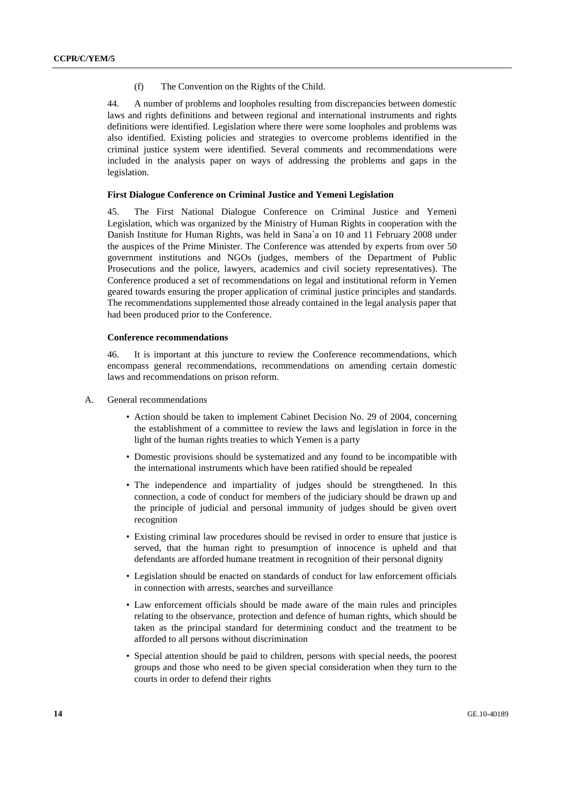(f) The Convention on the Rights of the Child.

44. A number of problems and loopholes resulting from discrepancies between domestic laws and rights definitions and between regional and international instruments and rights definitions were identified. Legislation where there were some loopholes and problems was also identified. Existing policies and strategies to overcome problems identified in the criminal justice system were identified. Several comments and recommendations were included in the analysis paper on ways of addressing the problems and gaps in the legislation.

#### **First Dialogue Conference on Criminal Justice and Yemeni Legislation**

45. The First National Dialogue Conference on Criminal Justice and Yemeni Legislation, which was organized by the Ministry of Human Rights in cooperation with the Danish Institute for Human Rights, was held in Sana`a on 10 and 11 February 2008 under the auspices of the Prime Minister. The Conference was attended by experts from over 50 government institutions and NGOs (judges, members of the Department of Public Prosecutions and the police, lawyers, academics and civil society representatives). The Conference produced a set of recommendations on legal and institutional reform in Yemen geared towards ensuring the proper application of criminal justice principles and standards. The recommendations supplemented those already contained in the legal analysis paper that had been produced prior to the Conference.

### **Conference recommendations**

46. It is important at this juncture to review the Conference recommendations, which encompass general recommendations, recommendations on amending certain domestic laws and recommendations on prison reform.

#### A. General recommendations

- Action should be taken to implement Cabinet Decision No. 29 of 2004, concerning the establishment of a committee to review the laws and legislation in force in the light of the human rights treaties to which Yemen is a party
- Domestic provisions should be systematized and any found to be incompatible with the international instruments which have been ratified should be repealed
- The independence and impartiality of judges should be strengthened. In this connection, a code of conduct for members of the judiciary should be drawn up and the principle of judicial and personal immunity of judges should be given overt recognition
- Existing criminal law procedures should be revised in order to ensure that justice is served, that the human right to presumption of innocence is upheld and that defendants are afforded humane treatment in recognition of their personal dignity
- Legislation should be enacted on standards of conduct for law enforcement officials in connection with arrests, searches and surveillance
- Law enforcement officials should be made aware of the main rules and principles relating to the observance, protection and defence of human rights, which should be taken as the principal standard for determining conduct and the treatment to be afforded to all persons without discrimination
- Special attention should be paid to children, persons with special needs, the poorest groups and those who need to be given special consideration when they turn to the courts in order to defend their rights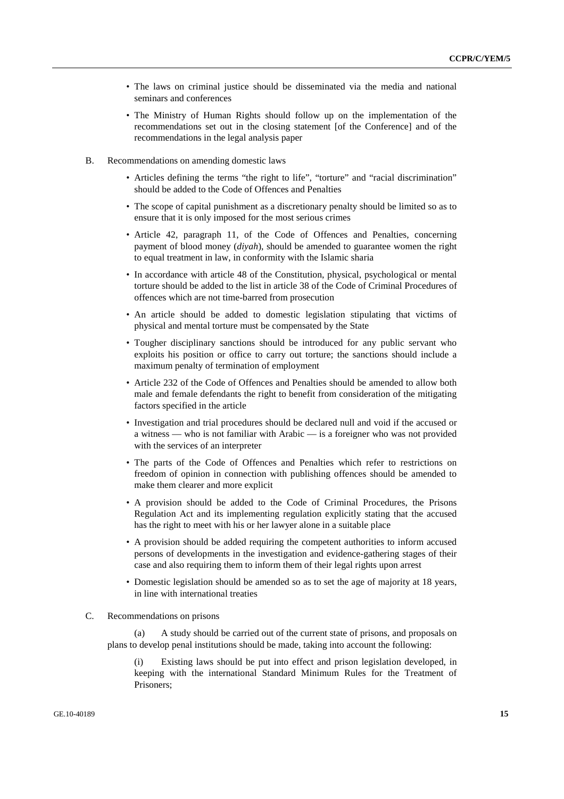- The laws on criminal justice should be disseminated via the media and national seminars and conferences
- The Ministry of Human Rights should follow up on the implementation of the recommendations set out in the closing statement [of the Conference] and of the recommendations in the legal analysis paper
- B. Recommendations on amending domestic laws
	- Articles defining the terms "the right to life", "torture" and "racial discrimination" should be added to the Code of Offences and Penalties
	- The scope of capital punishment as a discretionary penalty should be limited so as to ensure that it is only imposed for the most serious crimes
	- Article 42, paragraph 11, of the Code of Offences and Penalties, concerning payment of blood money (*diyah*), should be amended to guarantee women the right to equal treatment in law, in conformity with the Islamic sharia
	- In accordance with article 48 of the Constitution, physical, psychological or mental torture should be added to the list in article 38 of the Code of Criminal Procedures of offences which are not time-barred from prosecution
	- An article should be added to domestic legislation stipulating that victims of physical and mental torture must be compensated by the State
	- Tougher disciplinary sanctions should be introduced for any public servant who exploits his position or office to carry out torture; the sanctions should include a maximum penalty of termination of employment
	- Article 232 of the Code of Offences and Penalties should be amended to allow both male and female defendants the right to benefit from consideration of the mitigating factors specified in the article
	- Investigation and trial procedures should be declared null and void if the accused or a witness — who is not familiar with Arabic — is a foreigner who was not provided with the services of an interpreter
	- The parts of the Code of Offences and Penalties which refer to restrictions on freedom of opinion in connection with publishing offences should be amended to make them clearer and more explicit
	- A provision should be added to the Code of Criminal Procedures, the Prisons Regulation Act and its implementing regulation explicitly stating that the accused has the right to meet with his or her lawyer alone in a suitable place
	- A provision should be added requiring the competent authorities to inform accused persons of developments in the investigation and evidence-gathering stages of their case and also requiring them to inform them of their legal rights upon arrest
	- Domestic legislation should be amended so as to set the age of majority at 18 years, in line with international treaties

#### C. Recommendations on prisons

 (a) A study should be carried out of the current state of prisons, and proposals on plans to develop penal institutions should be made, taking into account the following:

 (i) Existing laws should be put into effect and prison legislation developed, in keeping with the international Standard Minimum Rules for the Treatment of Prisoners;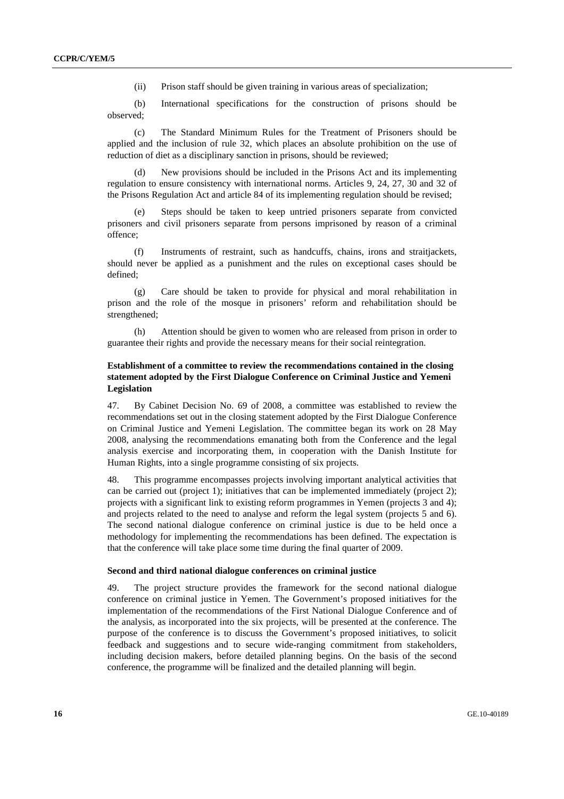(ii) Prison staff should be given training in various areas of specialization;

 (b) International specifications for the construction of prisons should be observed;

 (c) The Standard Minimum Rules for the Treatment of Prisoners should be applied and the inclusion of rule 32, which places an absolute prohibition on the use of reduction of diet as a disciplinary sanction in prisons, should be reviewed;

 (d) New provisions should be included in the Prisons Act and its implementing regulation to ensure consistency with international norms. Articles 9, 24, 27, 30 and 32 of the Prisons Regulation Act and article 84 of its implementing regulation should be revised;

Steps should be taken to keep untried prisoners separate from convicted prisoners and civil prisoners separate from persons imprisoned by reason of a criminal offence;

 (f) Instruments of restraint, such as handcuffs, chains, irons and straitjackets, should never be applied as a punishment and the rules on exceptional cases should be defined;

 (g) Care should be taken to provide for physical and moral rehabilitation in prison and the role of the mosque in prisoners' reform and rehabilitation should be strengthened;

 (h) Attention should be given to women who are released from prison in order to guarantee their rights and provide the necessary means for their social reintegration.

### **Establishment of a committee to review the recommendations contained in the closing statement adopted by the First Dialogue Conference on Criminal Justice and Yemeni Legislation**

47. By Cabinet Decision No. 69 of 2008, a committee was established to review the recommendations set out in the closing statement adopted by the First Dialogue Conference on Criminal Justice and Yemeni Legislation. The committee began its work on 28 May 2008, analysing the recommendations emanating both from the Conference and the legal analysis exercise and incorporating them, in cooperation with the Danish Institute for Human Rights, into a single programme consisting of six projects.

48. This programme encompasses projects involving important analytical activities that can be carried out (project 1); initiatives that can be implemented immediately (project 2); projects with a significant link to existing reform programmes in Yemen (projects 3 and 4); and projects related to the need to analyse and reform the legal system (projects 5 and 6). The second national dialogue conference on criminal justice is due to be held once a methodology for implementing the recommendations has been defined. The expectation is that the conference will take place some time during the final quarter of 2009.

#### **Second and third national dialogue conferences on criminal justice**

49. The project structure provides the framework for the second national dialogue conference on criminal justice in Yemen. The Government's proposed initiatives for the implementation of the recommendations of the First National Dialogue Conference and of the analysis, as incorporated into the six projects, will be presented at the conference. The purpose of the conference is to discuss the Government's proposed initiatives, to solicit feedback and suggestions and to secure wide-ranging commitment from stakeholders, including decision makers, before detailed planning begins. On the basis of the second conference, the programme will be finalized and the detailed planning will begin.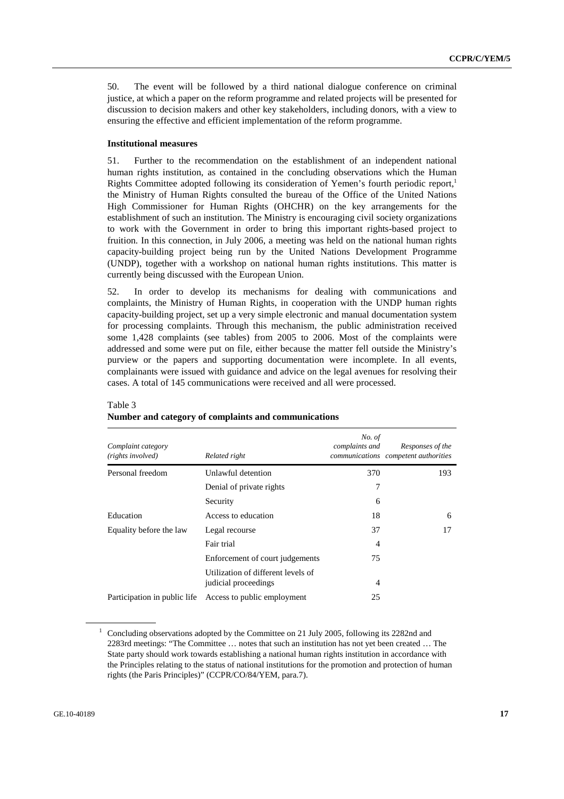50. The event will be followed by a third national dialogue conference on criminal justice, at which a paper on the reform programme and related projects will be presented for discussion to decision makers and other key stakeholders, including donors, with a view to ensuring the effective and efficient implementation of the reform programme.

#### **Institutional measures**

51. Further to the recommendation on the establishment of an independent national human rights institution, as contained in the concluding observations which the Human Rights Committee adopted following its consideration of Yemen's fourth periodic report,<sup>1</sup> the Ministry of Human Rights consulted the bureau of the Office of the United Nations High Commissioner for Human Rights (OHCHR) on the key arrangements for the establishment of such an institution. The Ministry is encouraging civil society organizations to work with the Government in order to bring this important rights-based project to fruition. In this connection, in July 2006, a meeting was held on the national human rights capacity-building project being run by the United Nations Development Programme (UNDP), together with a workshop on national human rights institutions. This matter is currently being discussed with the European Union.

52. In order to develop its mechanisms for dealing with communications and complaints, the Ministry of Human Rights, in cooperation with the UNDP human rights capacity-building project, set up a very simple electronic and manual documentation system for processing complaints. Through this mechanism, the public administration received some 1,428 complaints (see tables) from 2005 to 2006. Most of the complaints were addressed and some were put on file, either because the matter fell outside the Ministry's purview or the papers and supporting documentation were incomplete. In all events, complainants were issued with guidance and advice on the legal avenues for resolving their cases. A total of 145 communications were received and all were processed.

| Complaint category<br>(rights involved) | Related right                                              | No. of<br>complaints and | Responses of the<br>communications competent authorities |
|-----------------------------------------|------------------------------------------------------------|--------------------------|----------------------------------------------------------|
| Personal freedom                        | Unlawful detention                                         | 370                      | 193                                                      |
|                                         | Denial of private rights                                   |                          |                                                          |
|                                         | Security                                                   | 6                        |                                                          |
| Education                               | Access to education                                        | 18                       | 6                                                        |
| Equality before the law                 | Legal recourse                                             | 37                       | 17                                                       |
|                                         | Fair trial                                                 | 4                        |                                                          |
|                                         | Enforcement of court judgements                            | 75                       |                                                          |
|                                         | Utilization of different levels of<br>judicial proceedings | 4                        |                                                          |
| Participation in public life.           | Access to public employment                                | 25                       |                                                          |

## Table 3 **Number and category of complaints and communications**

<sup>&</sup>lt;sup>1</sup> Concluding observations adopted by the Committee on 21 July 2005, following its 2282nd and 2283rd meetings: "The Committee … notes that such an institution has not yet been created … The State party should work towards establishing a national human rights institution in accordance with the Principles relating to the status of national institutions for the promotion and protection of human rights (the Paris Principles)" (CCPR/CO/84/YEM, para.7).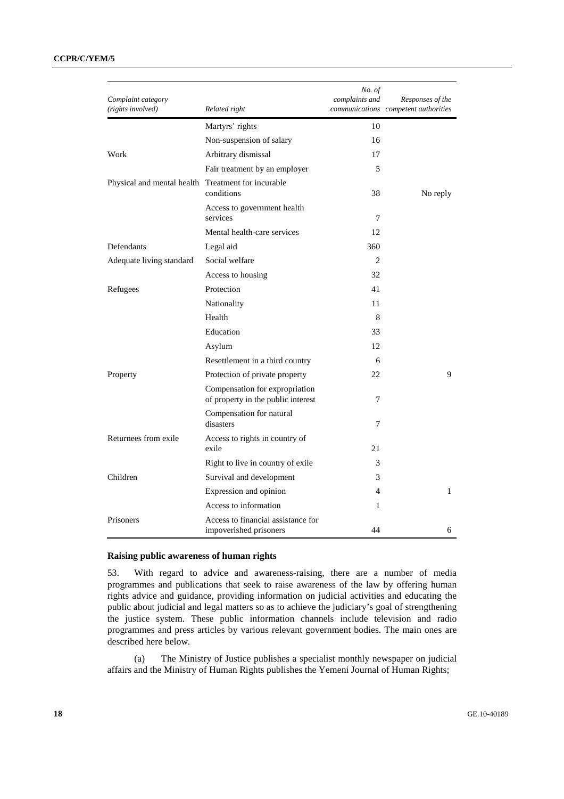## **CCPR/C/YEM/5**

| Complaint category                                 |                                                                      | No. of<br>complaints and | Responses of the                     |
|----------------------------------------------------|----------------------------------------------------------------------|--------------------------|--------------------------------------|
| (rights involved)                                  | Related right                                                        |                          | communications competent authorities |
|                                                    | Martyrs' rights                                                      | 10                       |                                      |
|                                                    | Non-suspension of salary                                             | 16                       |                                      |
| Work                                               | Arbitrary dismissal                                                  | 17                       |                                      |
|                                                    | Fair treatment by an employer                                        | 5                        |                                      |
| Physical and mental health Treatment for incurable | conditions                                                           | 38                       | No reply                             |
|                                                    | Access to government health<br>services                              | 7                        |                                      |
|                                                    | Mental health-care services                                          | 12                       |                                      |
| Defendants                                         | Legal aid                                                            | 360                      |                                      |
| Adequate living standard                           | Social welfare                                                       | 2                        |                                      |
|                                                    | Access to housing                                                    | 32                       |                                      |
| Refugees                                           | Protection                                                           | 41                       |                                      |
|                                                    | Nationality                                                          | 11                       |                                      |
|                                                    | Health                                                               | 8                        |                                      |
|                                                    | Education                                                            | 33                       |                                      |
|                                                    | Asylum                                                               | 12                       |                                      |
|                                                    | Resettlement in a third country                                      | 6                        |                                      |
| Property                                           | Protection of private property                                       | 22                       | 9                                    |
|                                                    | Compensation for expropriation<br>of property in the public interest | 7                        |                                      |
|                                                    | Compensation for natural<br>disasters                                | 7                        |                                      |
| Returnees from exile                               | Access to rights in country of<br>exile                              | 21                       |                                      |
|                                                    | Right to live in country of exile                                    | 3                        |                                      |
| Children                                           | Survival and development                                             | 3                        |                                      |
|                                                    | Expression and opinion                                               | $\overline{4}$           | $\mathbf{1}$                         |
|                                                    | Access to information                                                | 1                        |                                      |
| Prisoners                                          | Access to financial assistance for<br>impoverished prisoners         | 44                       | 6                                    |

#### **Raising public awareness of human rights**

53. With regard to advice and awareness-raising, there are a number of media programmes and publications that seek to raise awareness of the law by offering human rights advice and guidance, providing information on judicial activities and educating the public about judicial and legal matters so as to achieve the judiciary's goal of strengthening the justice system. These public information channels include television and radio programmes and press articles by various relevant government bodies. The main ones are described here below.

 (a) The Ministry of Justice publishes a specialist monthly newspaper on judicial affairs and the Ministry of Human Rights publishes the Yemeni Journal of Human Rights;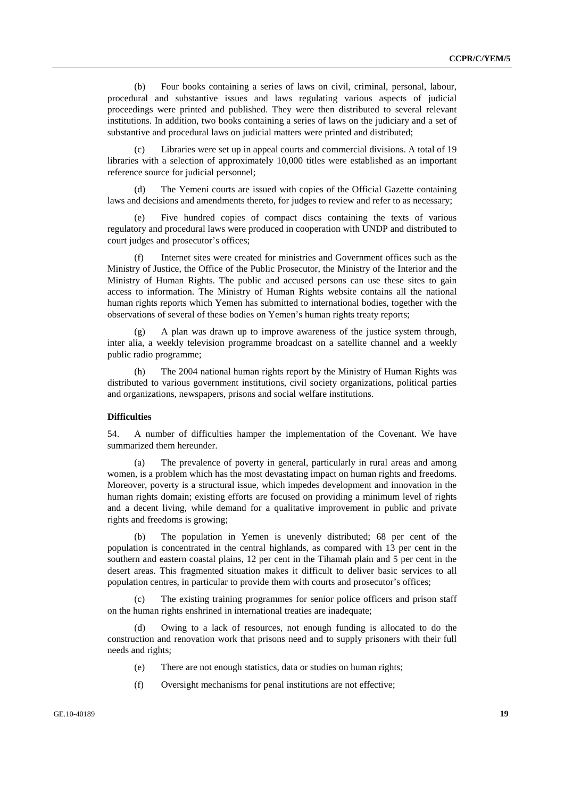(b) Four books containing a series of laws on civil, criminal, personal, labour, procedural and substantive issues and laws regulating various aspects of judicial proceedings were printed and published. They were then distributed to several relevant institutions. In addition, two books containing a series of laws on the judiciary and a set of substantive and procedural laws on judicial matters were printed and distributed;

 (c) Libraries were set up in appeal courts and commercial divisions. A total of 19 libraries with a selection of approximately 10,000 titles were established as an important reference source for judicial personnel;

The Yemeni courts are issued with copies of the Official Gazette containing laws and decisions and amendments thereto, for judges to review and refer to as necessary;

 (e) Five hundred copies of compact discs containing the texts of various regulatory and procedural laws were produced in cooperation with UNDP and distributed to court judges and prosecutor's offices;

 (f) Internet sites were created for ministries and Government offices such as the Ministry of Justice, the Office of the Public Prosecutor, the Ministry of the Interior and the Ministry of Human Rights. The public and accused persons can use these sites to gain access to information. The Ministry of Human Rights website contains all the national human rights reports which Yemen has submitted to international bodies, together with the observations of several of these bodies on Yemen's human rights treaty reports;

 (g) A plan was drawn up to improve awareness of the justice system through, inter alia, a weekly television programme broadcast on a satellite channel and a weekly public radio programme;

 (h) The 2004 national human rights report by the Ministry of Human Rights was distributed to various government institutions, civil society organizations, political parties and organizations, newspapers, prisons and social welfare institutions.

#### **Difficulties**

54. A number of difficulties hamper the implementation of the Covenant. We have summarized them hereunder.

 (a) The prevalence of poverty in general, particularly in rural areas and among women, is a problem which has the most devastating impact on human rights and freedoms. Moreover, poverty is a structural issue, which impedes development and innovation in the human rights domain; existing efforts are focused on providing a minimum level of rights and a decent living, while demand for a qualitative improvement in public and private rights and freedoms is growing;

 (b) The population in Yemen is unevenly distributed; 68 per cent of the population is concentrated in the central highlands, as compared with 13 per cent in the southern and eastern coastal plains, 12 per cent in the Tihamah plain and 5 per cent in the desert areas. This fragmented situation makes it difficult to deliver basic services to all population centres, in particular to provide them with courts and prosecutor's offices;

 (c) The existing training programmes for senior police officers and prison staff on the human rights enshrined in international treaties are inadequate;

Owing to a lack of resources, not enough funding is allocated to do the construction and renovation work that prisons need and to supply prisoners with their full needs and rights;

- (e) There are not enough statistics, data or studies on human rights;
- (f) Oversight mechanisms for penal institutions are not effective;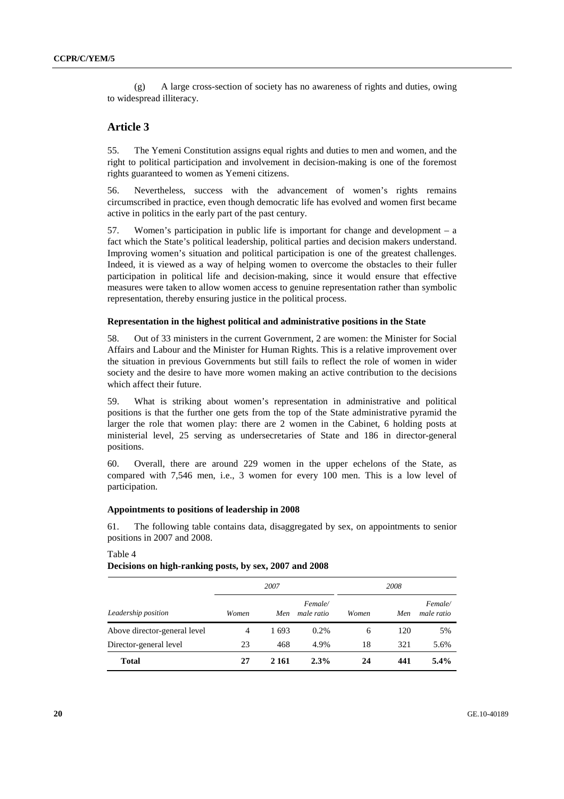(g) A large cross-section of society has no awareness of rights and duties, owing to widespread illiteracy.

## **Article 3**

55. The Yemeni Constitution assigns equal rights and duties to men and women, and the right to political participation and involvement in decision-making is one of the foremost rights guaranteed to women as Yemeni citizens.

56. Nevertheless, success with the advancement of women's rights remains circumscribed in practice, even though democratic life has evolved and women first became active in politics in the early part of the past century.

57. Women's participation in public life is important for change and development – a fact which the State's political leadership, political parties and decision makers understand. Improving women's situation and political participation is one of the greatest challenges. Indeed, it is viewed as a way of helping women to overcome the obstacles to their fuller participation in political life and decision-making, since it would ensure that effective measures were taken to allow women access to genuine representation rather than symbolic representation, thereby ensuring justice in the political process.

#### **Representation in the highest political and administrative positions in the State**

58. Out of 33 ministers in the current Government, 2 are women: the Minister for Social Affairs and Labour and the Minister for Human Rights. This is a relative improvement over the situation in previous Governments but still fails to reflect the role of women in wider society and the desire to have more women making an active contribution to the decisions which affect their future.

59. What is striking about women's representation in administrative and political positions is that the further one gets from the top of the State administrative pyramid the larger the role that women play: there are 2 women in the Cabinet, 6 holding posts at ministerial level, 25 serving as undersecretaries of State and 186 in director-general positions.

60. Overall, there are around 229 women in the upper echelons of the State, as compared with 7,546 men, i.e., 3 women for every 100 men. This is a low level of participation.

#### **Appointments to positions of leadership in 2008**

61. The following table contains data, disaggregated by sex, on appointments to senior positions in 2007 and 2008.

*2007 2008 Leadership position Women Men Female/ male ratio Women Men Female/ male ratio*  Above director-general level  $\begin{array}{ccc} 4 & 1693 & 0.2\% \\ 4 & 1693 & 0.2\% \end{array}$  6 120 5% Director-general level 23 468 4.9% 18 321 5.6% **Total 27 2 161 2.3% 24 441 5.4%** 

#### Table 4

#### **Decisions on high-ranking posts, by sex, 2007 and 2008**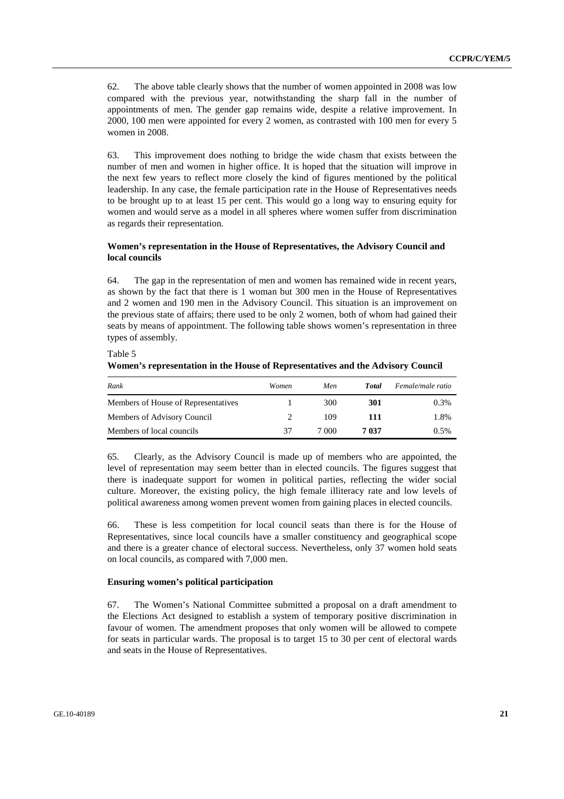62. The above table clearly shows that the number of women appointed in 2008 was low compared with the previous year, notwithstanding the sharp fall in the number of appointments of men. The gender gap remains wide, despite a relative improvement. In 2000, 100 men were appointed for every 2 women, as contrasted with 100 men for every 5 women in 2008.

63. This improvement does nothing to bridge the wide chasm that exists between the number of men and women in higher office. It is hoped that the situation will improve in the next few years to reflect more closely the kind of figures mentioned by the political leadership. In any case, the female participation rate in the House of Representatives needs to be brought up to at least 15 per cent. This would go a long way to ensuring equity for women and would serve as a model in all spheres where women suffer from discrimination as regards their representation.

## **Women's representation in the House of Representatives, the Advisory Council and local councils**

64. The gap in the representation of men and women has remained wide in recent years, as shown by the fact that there is 1 woman but 300 men in the House of Representatives and 2 women and 190 men in the Advisory Council. This situation is an improvement on the previous state of affairs; there used to be only 2 women, both of whom had gained their seats by means of appointment. The following table shows women's representation in three types of assembly.

**Women's representation in the House of Representatives and the Advisory Council**  *Rank Women Men Total Female/male ratio* 

| капк                                | women | Men   | 1 otal | <i>Female/male ratio</i> |
|-------------------------------------|-------|-------|--------|--------------------------|
| Members of House of Representatives |       | 300   | 301    | 0.3%                     |
| Members of Advisory Council         |       | 109   | 111    | 1.8%                     |
| Members of local councils           | 37    | 7 000 | 7 037  | $0.5\%$                  |
|                                     |       |       |        |                          |

65. Clearly, as the Advisory Council is made up of members who are appointed, the level of representation may seem better than in elected councils. The figures suggest that there is inadequate support for women in political parties, reflecting the wider social culture. Moreover, the existing policy, the high female illiteracy rate and low levels of political awareness among women prevent women from gaining places in elected councils.

66. These is less competition for local council seats than there is for the House of Representatives, since local councils have a smaller constituency and geographical scope and there is a greater chance of electoral success. Nevertheless, only 37 women hold seats on local councils, as compared with 7,000 men.

#### **Ensuring women's political participation**

Table 5

67. The Women's National Committee submitted a proposal on a draft amendment to the Elections Act designed to establish a system of temporary positive discrimination in favour of women. The amendment proposes that only women will be allowed to compete for seats in particular wards. The proposal is to target 15 to 30 per cent of electoral wards and seats in the House of Representatives.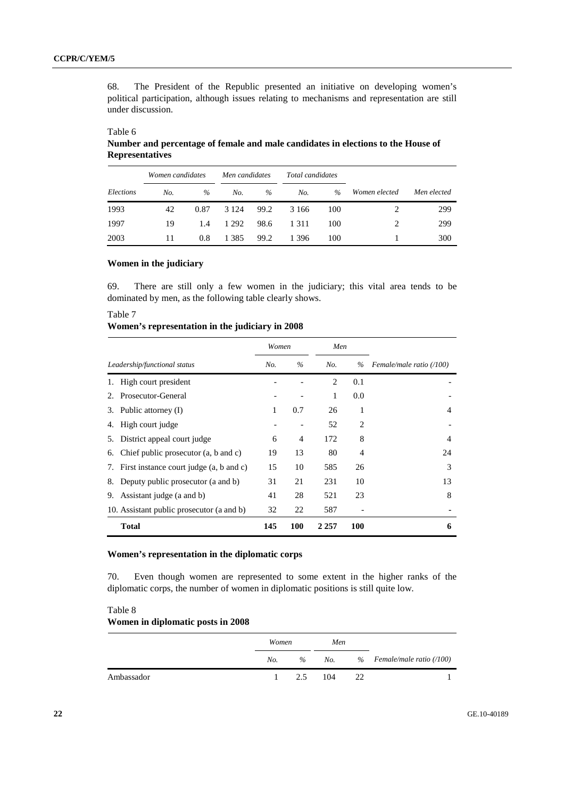68. The President of the Republic presented an initiative on developing women's political participation, although issues relating to mechanisms and representation are still under discussion.

## Table 6

Table 7

**Number and percentage of female and male candidates in elections to the House of Representatives** 

|           |     | Women candidates<br>Men candidates<br>Total candidates |         |      |         |      |               |             |
|-----------|-----|--------------------------------------------------------|---------|------|---------|------|---------------|-------------|
| Elections | No. | $\%$                                                   | No.     | $\%$ | No.     | $\%$ | Women elected | Men elected |
| 1993      | 42  | 0.87                                                   | 3 1 2 4 | 99.2 | 3 166   | 100  |               | 299         |
| 1997      | 19  | 1.4                                                    | 1 2 9 2 | 98.6 | 1 3 1 1 | 100  | 2             | 299         |
| 2003      | 11  | 0.8                                                    | 1 3 8 5 | 99.2 | 1 3 9 6 | 100  |               | 300         |

### **Women in the judiciary**

69. There are still only a few women in the judiciary; this vital area tends to be dominated by men, as the following table clearly shows.

| Leadership/functional status      |                                           | Women |      | Men            |                |                          |
|-----------------------------------|-------------------------------------------|-------|------|----------------|----------------|--------------------------|
|                                   |                                           | No.   | $\%$ | No.            | $\%$           | Female/male ratio (/100) |
| High court president              |                                           |       |      | $\overline{c}$ | 0.1            |                          |
| Prosecutor-General<br>2.          |                                           |       |      | 1              | 0.0            |                          |
| 3. Public attorney (I)            |                                           | 1     | 0.7  | 26             | 1              | $\overline{4}$           |
| High court judge<br>4.            |                                           |       |      | 52             | $\overline{c}$ |                          |
| District appeal court judge<br>5. |                                           | 6     | 4    | 172            | 8              | $\overline{4}$           |
| 6.                                | Chief public prosecutor (a, b and c)      | 19    | 13   | 80             | 4              | 24                       |
| 7.                                | First instance court judge (a, b and c)   | 15    | 10   | 585            | 26             | 3                        |
| 8.                                | Deputy public prosecutor (a and b)        | 31    | 21   | 231            | 10             | 13                       |
| Assistant judge (a and b)<br>9.   |                                           | 41    | 28   | 521            | 23             | 8                        |
|                                   | 10. Assistant public prosecutor (a and b) | 32    | 22   | 587            |                |                          |
| <b>Total</b>                      |                                           | 145   | 100  | 2 2 5 7        | 100            | 6                        |

## **Women's representation in the judiciary in 2008**

### **Women's representation in the diplomatic corps**

70. Even though women are represented to some extent in the higher ranks of the diplomatic corps, the number of women in diplomatic positions is still quite low.

#### Table 8

## **Women in diplomatic posts in 2008**

|            | Women        |  | Men     |    |                                        |
|------------|--------------|--|---------|----|----------------------------------------|
|            | No.          |  |         |    | $\%$ No. $\%$ Female/male ratio (/100) |
| Ambassador | $\mathbf{1}$ |  | 2.5 104 | 22 |                                        |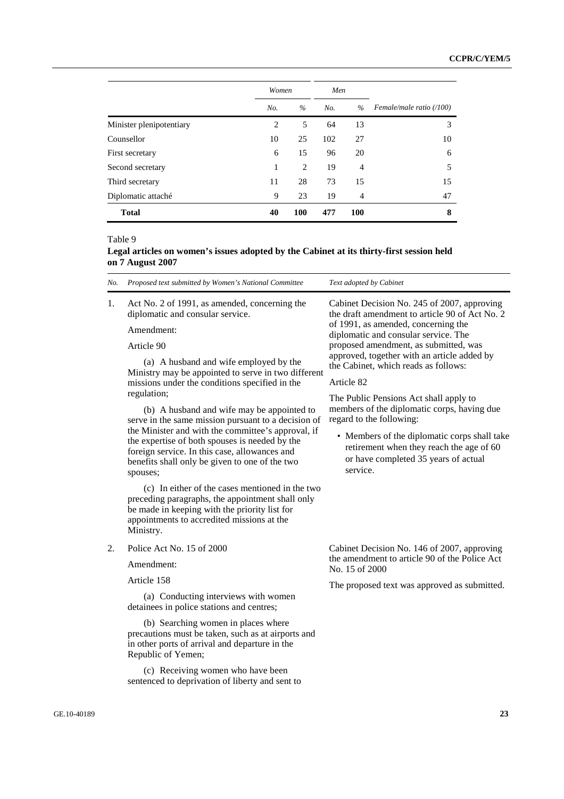|                          | Women | Men           |     |            |                          |  |
|--------------------------|-------|---------------|-----|------------|--------------------------|--|
|                          | No.   | $\frac{0}{0}$ | No. | $\%$       | Female/male ratio (/100) |  |
| Minister plenipotentiary | 2     | 5             | 64  | 13         | 3                        |  |
| Counsellor               | 10    | 25            | 102 | 27         | 10                       |  |
| First secretary          | 6     | 15            | 96  | 20         | 6                        |  |
| Second secretary         | 1     | 2             | 19  | 4          | 5                        |  |
| Third secretary          | 11    | 28            | 73  | 15         | 15                       |  |
| Diplomatic attaché       | 9     | 23            | 19  | 4          | 47                       |  |
| <b>Total</b>             | 40    | <b>100</b>    | 477 | <b>100</b> | 8                        |  |

Table 9

## **Legal articles on women's issues adopted by the Cabinet at its thirty-first session held on 7 August 2007**

| No.              | Proposed text submitted by Women's National Committee                                                                                                                                                                                                               | Text adopted by Cabinet                                                                                                                      |  |
|------------------|---------------------------------------------------------------------------------------------------------------------------------------------------------------------------------------------------------------------------------------------------------------------|----------------------------------------------------------------------------------------------------------------------------------------------|--|
| 1.               | Act No. 2 of 1991, as amended, concerning the<br>diplomatic and consular service.<br>Amendment:                                                                                                                                                                     | Cabinet Decision No. 245 of 2007, approving<br>the draft amendment to article 90 of Act No. 2<br>of 1991, as amended, concerning the         |  |
|                  | Article 90                                                                                                                                                                                                                                                          | diplomatic and consular service. The<br>proposed amendment, as submitted, was                                                                |  |
|                  | (a) A husband and wife employed by the<br>Ministry may be appointed to serve in two different<br>missions under the conditions specified in the<br>regulation;<br>(b) A husband and wife may be appointed to<br>serve in the same mission pursuant to a decision of | approved, together with an article added by<br>the Cabinet, which reads as follows:                                                          |  |
|                  |                                                                                                                                                                                                                                                                     | Article 82                                                                                                                                   |  |
|                  |                                                                                                                                                                                                                                                                     | The Public Pensions Act shall apply to<br>members of the diplomatic corps, having due<br>regard to the following:                            |  |
|                  | the Minister and with the committee's approval, if<br>the expertise of both spouses is needed by the<br>foreign service. In this case, allowances and<br>benefits shall only be given to one of the two<br>spouses;                                                 | • Members of the diplomatic corps shall take<br>retirement when they reach the age of 60<br>or have completed 35 years of actual<br>service. |  |
|                  | (c) In either of the cases mentioned in the two<br>preceding paragraphs, the appointment shall only<br>be made in keeping with the priority list for<br>appointments to accredited missions at the<br>Ministry.                                                     |                                                                                                                                              |  |
| $\overline{2}$ . | Police Act No. 15 of 2000                                                                                                                                                                                                                                           | Cabinet Decision No. 146 of 2007, approving                                                                                                  |  |
|                  | Amendment:                                                                                                                                                                                                                                                          | the amendment to article 90 of the Police Act<br>No. 15 of 2000                                                                              |  |
|                  | Article 158                                                                                                                                                                                                                                                         | The proposed text was approved as submitted.                                                                                                 |  |
|                  | (a) Conducting interviews with women<br>detainees in police stations and centres;                                                                                                                                                                                   |                                                                                                                                              |  |
|                  | (b) Searching women in places where<br>precautions must be taken, such as at airports and<br>in other ports of arrival and departure in the<br>Republic of Yemen;                                                                                                   |                                                                                                                                              |  |
|                  | (c) Receiving women who have been<br>sentenced to deprivation of liberty and sent to                                                                                                                                                                                |                                                                                                                                              |  |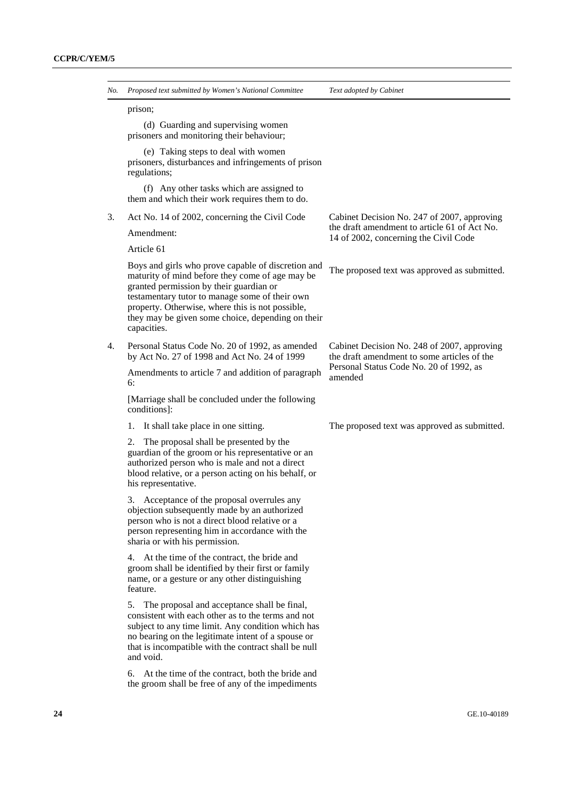| No. | Proposed text submitted by Women's National Committee                                                                                                                                                                                                                                                                      | Text adopted by Cabinet                                                                                                              |  |
|-----|----------------------------------------------------------------------------------------------------------------------------------------------------------------------------------------------------------------------------------------------------------------------------------------------------------------------------|--------------------------------------------------------------------------------------------------------------------------------------|--|
|     | prison;                                                                                                                                                                                                                                                                                                                    |                                                                                                                                      |  |
|     | (d) Guarding and supervising women<br>prisoners and monitoring their behaviour;                                                                                                                                                                                                                                            |                                                                                                                                      |  |
|     | (e) Taking steps to deal with women<br>prisoners, disturbances and infringements of prison<br>regulations;                                                                                                                                                                                                                 |                                                                                                                                      |  |
|     | (f) Any other tasks which are assigned to<br>them and which their work requires them to do.                                                                                                                                                                                                                                |                                                                                                                                      |  |
| 3.  | Act No. 14 of 2002, concerning the Civil Code                                                                                                                                                                                                                                                                              | Cabinet Decision No. 247 of 2007, approving<br>the draft amendment to article 61 of Act No.<br>14 of 2002, concerning the Civil Code |  |
|     | Amendment:                                                                                                                                                                                                                                                                                                                 |                                                                                                                                      |  |
|     | Article 61                                                                                                                                                                                                                                                                                                                 |                                                                                                                                      |  |
|     | Boys and girls who prove capable of discretion and<br>maturity of mind before they come of age may be<br>granted permission by their guardian or<br>testamentary tutor to manage some of their own<br>property. Otherwise, where this is not possible,<br>they may be given some choice, depending on their<br>capacities. | The proposed text was approved as submitted.                                                                                         |  |
| 4.  | Personal Status Code No. 20 of 1992, as amended<br>by Act No. 27 of 1998 and Act No. 24 of 1999                                                                                                                                                                                                                            | Cabinet Decision No. 248 of 2007, approving<br>the draft amendment to some articles of the                                           |  |
|     | Amendments to article 7 and addition of paragraph<br>6:                                                                                                                                                                                                                                                                    | Personal Status Code No. 20 of 1992, as<br>amended                                                                                   |  |
|     | [Marriage shall be concluded under the following<br>conditions]:                                                                                                                                                                                                                                                           |                                                                                                                                      |  |
|     | It shall take place in one sitting.<br>ı.                                                                                                                                                                                                                                                                                  | The proposed text was approved as submitted.                                                                                         |  |
|     | The proposal shall be presented by the<br>2.<br>guardian of the groom or his representative or an<br>authorized person who is male and not a direct<br>blood relative, or a person acting on his behalf, or<br>his representative.                                                                                         |                                                                                                                                      |  |
|     | Acceptance of the proposal overrules any<br>3.<br>objection subsequently made by an authorized<br>person who is not a direct blood relative or a<br>person representing him in accordance with the<br>sharia or with his permission.                                                                                       |                                                                                                                                      |  |
|     | 4. At the time of the contract, the bride and<br>groom shall be identified by their first or family<br>name, or a gesture or any other distinguishing<br>feature.                                                                                                                                                          |                                                                                                                                      |  |
|     | 5.<br>The proposal and acceptance shall be final,<br>consistent with each other as to the terms and not<br>subject to any time limit. Any condition which has<br>no bearing on the legitimate intent of a spouse or<br>that is incompatible with the contract shall be null<br>and void.                                   |                                                                                                                                      |  |
|     | 6. At the time of the contract, both the bride and<br>the groom shall be free of any of the impediments                                                                                                                                                                                                                    |                                                                                                                                      |  |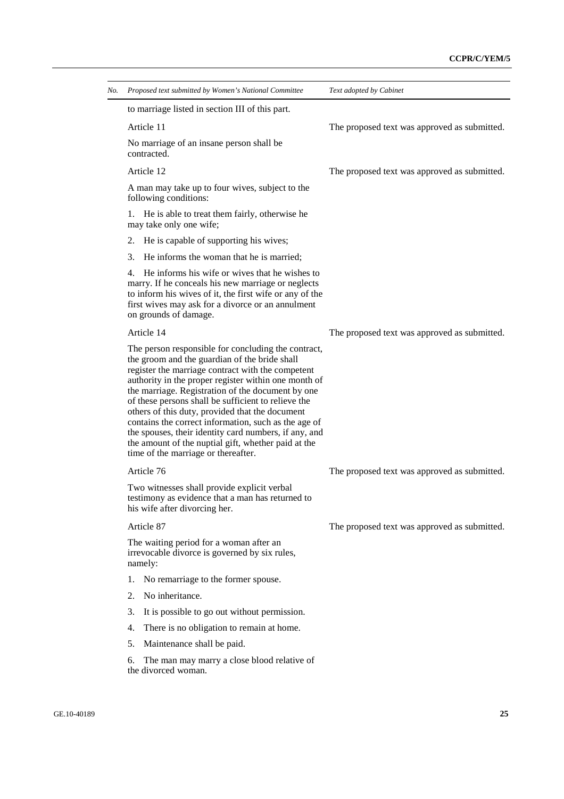| No. Proposed text submitted by Women's National Committee                                                                                                                                                                                                                                                                                                                                                                                                                                                                                                                                       | Text adopted by Cabinet                      |
|-------------------------------------------------------------------------------------------------------------------------------------------------------------------------------------------------------------------------------------------------------------------------------------------------------------------------------------------------------------------------------------------------------------------------------------------------------------------------------------------------------------------------------------------------------------------------------------------------|----------------------------------------------|
| to marriage listed in section III of this part.                                                                                                                                                                                                                                                                                                                                                                                                                                                                                                                                                 |                                              |
| Article 11                                                                                                                                                                                                                                                                                                                                                                                                                                                                                                                                                                                      | The proposed text was approved as submitted. |
| No marriage of an insane person shall be<br>contracted.                                                                                                                                                                                                                                                                                                                                                                                                                                                                                                                                         |                                              |
| Article 12                                                                                                                                                                                                                                                                                                                                                                                                                                                                                                                                                                                      | The proposed text was approved as submitted. |
| A man may take up to four wives, subject to the<br>following conditions:                                                                                                                                                                                                                                                                                                                                                                                                                                                                                                                        |                                              |
| 1. He is able to treat them fairly, otherwise he<br>may take only one wife;                                                                                                                                                                                                                                                                                                                                                                                                                                                                                                                     |                                              |
| He is capable of supporting his wives;<br>2.                                                                                                                                                                                                                                                                                                                                                                                                                                                                                                                                                    |                                              |
| He informs the woman that he is married;<br>3.                                                                                                                                                                                                                                                                                                                                                                                                                                                                                                                                                  |                                              |
| He informs his wife or wives that he wishes to<br>4.<br>marry. If he conceals his new marriage or neglects<br>to inform his wives of it, the first wife or any of the<br>first wives may ask for a divorce or an annulment<br>on grounds of damage.                                                                                                                                                                                                                                                                                                                                             |                                              |
| Article 14                                                                                                                                                                                                                                                                                                                                                                                                                                                                                                                                                                                      | The proposed text was approved as submitted. |
| The person responsible for concluding the contract,<br>the groom and the guardian of the bride shall<br>register the marriage contract with the competent<br>authority in the proper register within one month of<br>the marriage. Registration of the document by one<br>of these persons shall be sufficient to relieve the<br>others of this duty, provided that the document<br>contains the correct information, such as the age of<br>the spouses, their identity card numbers, if any, and<br>the amount of the nuptial gift, whether paid at the<br>time of the marriage or thereafter. |                                              |
| Article 76                                                                                                                                                                                                                                                                                                                                                                                                                                                                                                                                                                                      | The proposed text was approved as submitted. |
| Two witnesses shall provide explicit verbal<br>testimony as evidence that a man has returned to<br>his wife after divorcing her.                                                                                                                                                                                                                                                                                                                                                                                                                                                                |                                              |
| Article 87                                                                                                                                                                                                                                                                                                                                                                                                                                                                                                                                                                                      | The proposed text was approved as submitted. |
| The waiting period for a woman after an<br>irrevocable divorce is governed by six rules,<br>namely:                                                                                                                                                                                                                                                                                                                                                                                                                                                                                             |                                              |
| No remarriage to the former spouse.<br>1.                                                                                                                                                                                                                                                                                                                                                                                                                                                                                                                                                       |                                              |
| No inheritance.<br>2.                                                                                                                                                                                                                                                                                                                                                                                                                                                                                                                                                                           |                                              |
| It is possible to go out without permission.<br>3.                                                                                                                                                                                                                                                                                                                                                                                                                                                                                                                                              |                                              |
| There is no obligation to remain at home.<br>4.                                                                                                                                                                                                                                                                                                                                                                                                                                                                                                                                                 |                                              |
|                                                                                                                                                                                                                                                                                                                                                                                                                                                                                                                                                                                                 |                                              |
| 5.<br>Maintenance shall be paid.                                                                                                                                                                                                                                                                                                                                                                                                                                                                                                                                                                |                                              |
|                                                                                                                                                                                                                                                                                                                                                                                                                                                                                                                                                                                                 |                                              |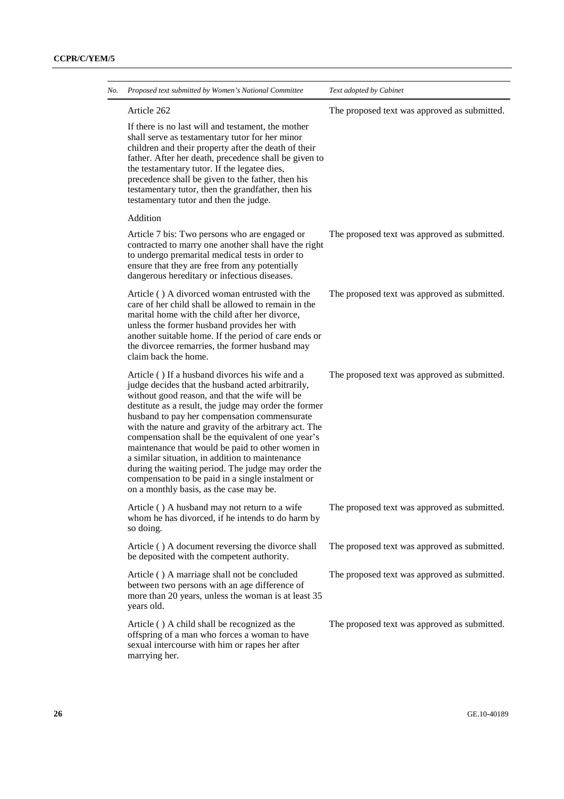| Proposed text submitted by Women's National Committee                                                                                                                                                                                                                                                                                                                                                                                                                                                                                                                                                                                       | Text adopted by Cabinet                      |
|---------------------------------------------------------------------------------------------------------------------------------------------------------------------------------------------------------------------------------------------------------------------------------------------------------------------------------------------------------------------------------------------------------------------------------------------------------------------------------------------------------------------------------------------------------------------------------------------------------------------------------------------|----------------------------------------------|
| Article 262                                                                                                                                                                                                                                                                                                                                                                                                                                                                                                                                                                                                                                 | The proposed text was approved as submitted. |
| If there is no last will and testament, the mother<br>shall serve as testamentary tutor for her minor<br>children and their property after the death of their<br>father. After her death, precedence shall be given to<br>the testamentary tutor. If the legatee dies,<br>precedence shall be given to the father, then his<br>testamentary tutor, then the grandfather, then his<br>testamentary tutor and then the judge.                                                                                                                                                                                                                 |                                              |
| Addition                                                                                                                                                                                                                                                                                                                                                                                                                                                                                                                                                                                                                                    |                                              |
| Article 7 bis: Two persons who are engaged or<br>contracted to marry one another shall have the right<br>to undergo premarital medical tests in order to<br>ensure that they are free from any potentially<br>dangerous hereditary or infectious diseases.                                                                                                                                                                                                                                                                                                                                                                                  | The proposed text was approved as submitted. |
| Article () A divorced woman entrusted with the<br>care of her child shall be allowed to remain in the<br>marital home with the child after her divorce,<br>unless the former husband provides her with<br>another suitable home. If the period of care ends or<br>the divorcee remarries, the former husband may<br>claim back the home.                                                                                                                                                                                                                                                                                                    | The proposed text was approved as submitted. |
| Article () If a husband divorces his wife and a<br>judge decides that the husband acted arbitrarily,<br>without good reason, and that the wife will be<br>destitute as a result, the judge may order the former<br>husband to pay her compensation commensurate<br>with the nature and gravity of the arbitrary act. The<br>compensation shall be the equivalent of one year's<br>maintenance that would be paid to other women in<br>a similar situation, in addition to maintenance<br>during the waiting period. The judge may order the<br>compensation to be paid in a single instalment or<br>on a monthly basis, as the case may be. | The proposed text was approved as submitted. |
| Article () A husband may not return to a wife<br>whom he has divorced, if he intends to do harm by<br>so doing.                                                                                                                                                                                                                                                                                                                                                                                                                                                                                                                             | The proposed text was approved as submitted. |
| Article () A document reversing the divorce shall<br>be deposited with the competent authority.                                                                                                                                                                                                                                                                                                                                                                                                                                                                                                                                             | The proposed text was approved as submitted. |
| Article () A marriage shall not be concluded<br>between two persons with an age difference of<br>more than 20 years, unless the woman is at least 35<br>years old.                                                                                                                                                                                                                                                                                                                                                                                                                                                                          | The proposed text was approved as submitted. |
| Article () A child shall be recognized as the<br>offspring of a man who forces a woman to have<br>sexual intercourse with him or rapes her after<br>marrying her.                                                                                                                                                                                                                                                                                                                                                                                                                                                                           | The proposed text was approved as submitted. |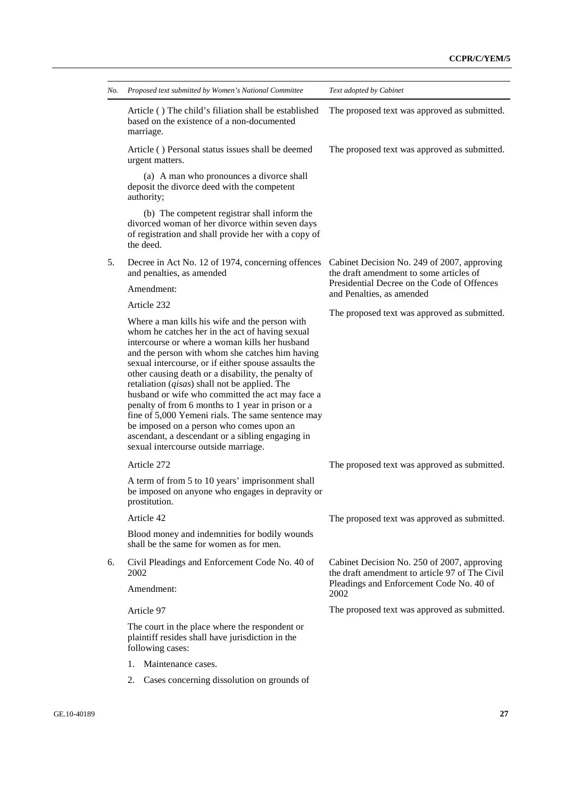| No. | Proposed text submitted by Women's National Committee                                                                                                                                                                                                                                                                                                                                                                                                                                                                                                                                                                                                                          | Text adopted by Cabinet                                                                                                               |
|-----|--------------------------------------------------------------------------------------------------------------------------------------------------------------------------------------------------------------------------------------------------------------------------------------------------------------------------------------------------------------------------------------------------------------------------------------------------------------------------------------------------------------------------------------------------------------------------------------------------------------------------------------------------------------------------------|---------------------------------------------------------------------------------------------------------------------------------------|
|     | Article () The child's filiation shall be established<br>based on the existence of a non-documented<br>marriage.                                                                                                                                                                                                                                                                                                                                                                                                                                                                                                                                                               | The proposed text was approved as submitted.                                                                                          |
|     | Article () Personal status issues shall be deemed<br>urgent matters.                                                                                                                                                                                                                                                                                                                                                                                                                                                                                                                                                                                                           | The proposed text was approved as submitted.                                                                                          |
|     | (a) A man who pronounces a divorce shall<br>deposit the divorce deed with the competent<br>authority;                                                                                                                                                                                                                                                                                                                                                                                                                                                                                                                                                                          |                                                                                                                                       |
|     | (b) The competent registrar shall inform the<br>divorced woman of her divorce within seven days<br>of registration and shall provide her with a copy of<br>the deed.                                                                                                                                                                                                                                                                                                                                                                                                                                                                                                           |                                                                                                                                       |
| 5.  | Decree in Act No. 12 of 1974, concerning offences<br>and penalties, as amended                                                                                                                                                                                                                                                                                                                                                                                                                                                                                                                                                                                                 | Cabinet Decision No. 249 of 2007, approving<br>the draft amendment to some articles of<br>Presidential Decree on the Code of Offences |
|     | Amendment:                                                                                                                                                                                                                                                                                                                                                                                                                                                                                                                                                                                                                                                                     | and Penalties, as amended                                                                                                             |
|     | Article 232                                                                                                                                                                                                                                                                                                                                                                                                                                                                                                                                                                                                                                                                    | The proposed text was approved as submitted.                                                                                          |
|     | Where a man kills his wife and the person with<br>whom he catches her in the act of having sexual<br>intercourse or where a woman kills her husband<br>and the person with whom she catches him having<br>sexual intercourse, or if either spouse assaults the<br>other causing death or a disability, the penalty of<br>retaliation $(qisas)$ shall not be applied. The<br>husband or wife who committed the act may face a<br>penalty of from 6 months to 1 year in prison or a<br>fine of 5,000 Yemeni rials. The same sentence may<br>be imposed on a person who comes upon an<br>ascendant, a descendant or a sibling engaging in<br>sexual intercourse outside marriage. |                                                                                                                                       |
|     | Article 272                                                                                                                                                                                                                                                                                                                                                                                                                                                                                                                                                                                                                                                                    | The proposed text was approved as submitted.                                                                                          |
|     | A term of from 5 to 10 years' imprisonment shall<br>be imposed on anyone who engages in depravity or<br>prostitution.                                                                                                                                                                                                                                                                                                                                                                                                                                                                                                                                                          |                                                                                                                                       |
|     | Article 42                                                                                                                                                                                                                                                                                                                                                                                                                                                                                                                                                                                                                                                                     | The proposed text was approved as submitted.                                                                                          |
|     | Blood money and indemnities for bodily wounds<br>shall be the same for women as for men.                                                                                                                                                                                                                                                                                                                                                                                                                                                                                                                                                                                       |                                                                                                                                       |
| 6.  | Civil Pleadings and Enforcement Code No. 40 of<br>2002                                                                                                                                                                                                                                                                                                                                                                                                                                                                                                                                                                                                                         | Cabinet Decision No. 250 of 2007, approving<br>the draft amendment to article 97 of The Civil                                         |
|     | Amendment:                                                                                                                                                                                                                                                                                                                                                                                                                                                                                                                                                                                                                                                                     | Pleadings and Enforcement Code No. 40 of<br>2002                                                                                      |
|     | Article 97                                                                                                                                                                                                                                                                                                                                                                                                                                                                                                                                                                                                                                                                     | The proposed text was approved as submitted.                                                                                          |
|     | The court in the place where the respondent or<br>plaintiff resides shall have jurisdiction in the<br>following cases:                                                                                                                                                                                                                                                                                                                                                                                                                                                                                                                                                         |                                                                                                                                       |
|     | Maintenance cases.<br>1.                                                                                                                                                                                                                                                                                                                                                                                                                                                                                                                                                                                                                                                       |                                                                                                                                       |
|     | Cases concerning dissolution on grounds of                                                                                                                                                                                                                                                                                                                                                                                                                                                                                                                                                                                                                                     |                                                                                                                                       |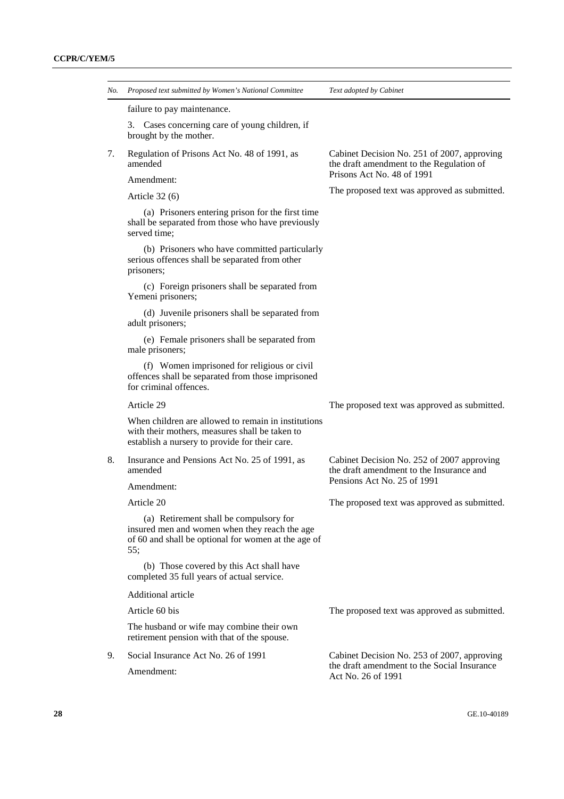| No. | Proposed text submitted by Women's National Committee                                                                                                   | Text adopted by Cabinet                                                                 |  |
|-----|---------------------------------------------------------------------------------------------------------------------------------------------------------|-----------------------------------------------------------------------------------------|--|
|     | failure to pay maintenance.                                                                                                                             |                                                                                         |  |
|     | 3. Cases concerning care of young children, if<br>brought by the mother.                                                                                |                                                                                         |  |
| 7.  | Regulation of Prisons Act No. 48 of 1991, as<br>amended                                                                                                 | Cabinet Decision No. 251 of 2007, approving<br>the draft amendment to the Regulation of |  |
|     | Amendment:                                                                                                                                              | Prisons Act No. 48 of 1991                                                              |  |
|     | Article $32(6)$                                                                                                                                         | The proposed text was approved as submitted.                                            |  |
|     | (a) Prisoners entering prison for the first time<br>shall be separated from those who have previously<br>served time;                                   |                                                                                         |  |
|     | (b) Prisoners who have committed particularly<br>serious offences shall be separated from other<br>prisoners;                                           |                                                                                         |  |
|     | (c) Foreign prisoners shall be separated from<br>Yemeni prisoners;                                                                                      |                                                                                         |  |
|     | (d) Juvenile prisoners shall be separated from<br>adult prisoners;                                                                                      |                                                                                         |  |
|     | (e) Female prisoners shall be separated from<br>male prisoners;                                                                                         |                                                                                         |  |
|     | (f) Women imprisoned for religious or civil<br>offences shall be separated from those imprisoned<br>for criminal offences.                              |                                                                                         |  |
|     | Article 29                                                                                                                                              | The proposed text was approved as submitted.                                            |  |
|     | When children are allowed to remain in institutions<br>with their mothers, measures shall be taken to<br>establish a nursery to provide for their care. |                                                                                         |  |
| 8.  | Insurance and Pensions Act No. 25 of 1991, as<br>amended                                                                                                | Cabinet Decision No. 252 of 2007 approving<br>the draft amendment to the Insurance and  |  |
|     | Amendment:                                                                                                                                              | Pensions Act No. 25 of 1991                                                             |  |
|     | Article 20                                                                                                                                              | The proposed text was approved as submitted.                                            |  |
|     | (a) Retirement shall be compulsory for<br>insured men and women when they reach the age<br>of 60 and shall be optional for women at the age of<br>55:   |                                                                                         |  |
|     | (b) Those covered by this Act shall have<br>completed 35 full years of actual service.                                                                  |                                                                                         |  |
|     | Additional article                                                                                                                                      |                                                                                         |  |
|     | Article 60 bis                                                                                                                                          | The proposed text was approved as submitted.                                            |  |
|     | The husband or wife may combine their own<br>retirement pension with that of the spouse.                                                                |                                                                                         |  |
| 9.  | Social Insurance Act No. 26 of 1991                                                                                                                     | Cabinet Decision No. 253 of 2007, approving                                             |  |
|     | Amendment:                                                                                                                                              | the draft amendment to the Social Insurance<br>Act No. 26 of 1991                       |  |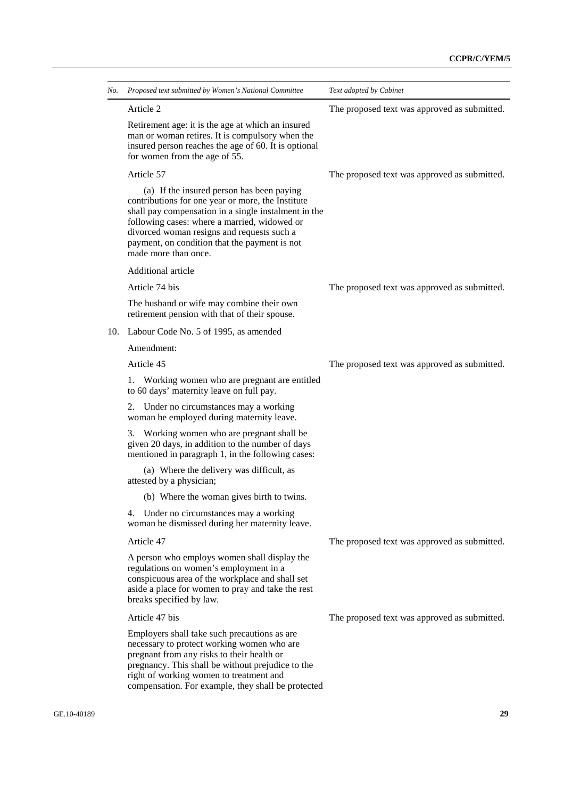| Article 2<br>Retirement age: it is the age at which an insured<br>man or woman retires. It is compulsory when the<br>insured person reaches the age of 60. It is optional<br>for women from the age of 55.<br>Article 57<br>(a) If the insured person has been paying<br>contributions for one year or more, the Institute<br>shall pay compensation in a single instalment in the<br>following cases: where a married, widowed or<br>divorced woman resigns and requests such a<br>payment, on condition that the payment is not<br>made more than once.<br>Additional article<br>Article 74 bis<br>The husband or wife may combine their own<br>retirement pension with that of their spouse.<br>Labour Code No. 5 of 1995, as amended<br>10.<br>Amendment:<br>Article 45<br>1.<br>Working women who are pregnant are entitled<br>to 60 days' maternity leave on full pay.<br>2.<br>Under no circumstances may a working<br>woman be employed during maternity leave.<br>Working women who are pregnant shall be<br>3.<br>given 20 days, in addition to the number of days<br>mentioned in paragraph 1, in the following cases:<br>(a) Where the delivery was difficult, as<br>attested by a physician;<br>(b) Where the woman gives birth to twins.<br>4. Under no circumstances may a working<br>woman be dismissed during her maternity leave.<br>Article 47<br>A person who employs women shall display the<br>regulations on women's employment in a<br>conspicuous area of the workplace and shall set<br>aside a place for women to pray and take the rest<br>breaks specified by law.<br>Article 47 bis<br>Employers shall take such precautions as are<br>necessary to protect working women who are<br>pregnant from any risks to their health or<br>pregnancy. This shall be without prejudice to the | Text adopted by Cabinet                      |
|--------------------------------------------------------------------------------------------------------------------------------------------------------------------------------------------------------------------------------------------------------------------------------------------------------------------------------------------------------------------------------------------------------------------------------------------------------------------------------------------------------------------------------------------------------------------------------------------------------------------------------------------------------------------------------------------------------------------------------------------------------------------------------------------------------------------------------------------------------------------------------------------------------------------------------------------------------------------------------------------------------------------------------------------------------------------------------------------------------------------------------------------------------------------------------------------------------------------------------------------------------------------------------------------------------------------------------------------------------------------------------------------------------------------------------------------------------------------------------------------------------------------------------------------------------------------------------------------------------------------------------------------------------------------------------------------------------------------------------------------------------------------------------------------------------------------|----------------------------------------------|
|                                                                                                                                                                                                                                                                                                                                                                                                                                                                                                                                                                                                                                                                                                                                                                                                                                                                                                                                                                                                                                                                                                                                                                                                                                                                                                                                                                                                                                                                                                                                                                                                                                                                                                                                                                                                                    | The proposed text was approved as submitted. |
|                                                                                                                                                                                                                                                                                                                                                                                                                                                                                                                                                                                                                                                                                                                                                                                                                                                                                                                                                                                                                                                                                                                                                                                                                                                                                                                                                                                                                                                                                                                                                                                                                                                                                                                                                                                                                    |                                              |
|                                                                                                                                                                                                                                                                                                                                                                                                                                                                                                                                                                                                                                                                                                                                                                                                                                                                                                                                                                                                                                                                                                                                                                                                                                                                                                                                                                                                                                                                                                                                                                                                                                                                                                                                                                                                                    | The proposed text was approved as submitted. |
|                                                                                                                                                                                                                                                                                                                                                                                                                                                                                                                                                                                                                                                                                                                                                                                                                                                                                                                                                                                                                                                                                                                                                                                                                                                                                                                                                                                                                                                                                                                                                                                                                                                                                                                                                                                                                    |                                              |
|                                                                                                                                                                                                                                                                                                                                                                                                                                                                                                                                                                                                                                                                                                                                                                                                                                                                                                                                                                                                                                                                                                                                                                                                                                                                                                                                                                                                                                                                                                                                                                                                                                                                                                                                                                                                                    |                                              |
|                                                                                                                                                                                                                                                                                                                                                                                                                                                                                                                                                                                                                                                                                                                                                                                                                                                                                                                                                                                                                                                                                                                                                                                                                                                                                                                                                                                                                                                                                                                                                                                                                                                                                                                                                                                                                    | The proposed text was approved as submitted. |
|                                                                                                                                                                                                                                                                                                                                                                                                                                                                                                                                                                                                                                                                                                                                                                                                                                                                                                                                                                                                                                                                                                                                                                                                                                                                                                                                                                                                                                                                                                                                                                                                                                                                                                                                                                                                                    |                                              |
|                                                                                                                                                                                                                                                                                                                                                                                                                                                                                                                                                                                                                                                                                                                                                                                                                                                                                                                                                                                                                                                                                                                                                                                                                                                                                                                                                                                                                                                                                                                                                                                                                                                                                                                                                                                                                    |                                              |
|                                                                                                                                                                                                                                                                                                                                                                                                                                                                                                                                                                                                                                                                                                                                                                                                                                                                                                                                                                                                                                                                                                                                                                                                                                                                                                                                                                                                                                                                                                                                                                                                                                                                                                                                                                                                                    |                                              |
|                                                                                                                                                                                                                                                                                                                                                                                                                                                                                                                                                                                                                                                                                                                                                                                                                                                                                                                                                                                                                                                                                                                                                                                                                                                                                                                                                                                                                                                                                                                                                                                                                                                                                                                                                                                                                    | The proposed text was approved as submitted. |
|                                                                                                                                                                                                                                                                                                                                                                                                                                                                                                                                                                                                                                                                                                                                                                                                                                                                                                                                                                                                                                                                                                                                                                                                                                                                                                                                                                                                                                                                                                                                                                                                                                                                                                                                                                                                                    |                                              |
|                                                                                                                                                                                                                                                                                                                                                                                                                                                                                                                                                                                                                                                                                                                                                                                                                                                                                                                                                                                                                                                                                                                                                                                                                                                                                                                                                                                                                                                                                                                                                                                                                                                                                                                                                                                                                    |                                              |
|                                                                                                                                                                                                                                                                                                                                                                                                                                                                                                                                                                                                                                                                                                                                                                                                                                                                                                                                                                                                                                                                                                                                                                                                                                                                                                                                                                                                                                                                                                                                                                                                                                                                                                                                                                                                                    |                                              |
|                                                                                                                                                                                                                                                                                                                                                                                                                                                                                                                                                                                                                                                                                                                                                                                                                                                                                                                                                                                                                                                                                                                                                                                                                                                                                                                                                                                                                                                                                                                                                                                                                                                                                                                                                                                                                    |                                              |
|                                                                                                                                                                                                                                                                                                                                                                                                                                                                                                                                                                                                                                                                                                                                                                                                                                                                                                                                                                                                                                                                                                                                                                                                                                                                                                                                                                                                                                                                                                                                                                                                                                                                                                                                                                                                                    |                                              |
|                                                                                                                                                                                                                                                                                                                                                                                                                                                                                                                                                                                                                                                                                                                                                                                                                                                                                                                                                                                                                                                                                                                                                                                                                                                                                                                                                                                                                                                                                                                                                                                                                                                                                                                                                                                                                    |                                              |
|                                                                                                                                                                                                                                                                                                                                                                                                                                                                                                                                                                                                                                                                                                                                                                                                                                                                                                                                                                                                                                                                                                                                                                                                                                                                                                                                                                                                                                                                                                                                                                                                                                                                                                                                                                                                                    | The proposed text was approved as submitted. |
|                                                                                                                                                                                                                                                                                                                                                                                                                                                                                                                                                                                                                                                                                                                                                                                                                                                                                                                                                                                                                                                                                                                                                                                                                                                                                                                                                                                                                                                                                                                                                                                                                                                                                                                                                                                                                    |                                              |
|                                                                                                                                                                                                                                                                                                                                                                                                                                                                                                                                                                                                                                                                                                                                                                                                                                                                                                                                                                                                                                                                                                                                                                                                                                                                                                                                                                                                                                                                                                                                                                                                                                                                                                                                                                                                                    | The proposed text was approved as submitted. |
| right of working women to treatment and<br>compensation. For example, they shall be protected                                                                                                                                                                                                                                                                                                                                                                                                                                                                                                                                                                                                                                                                                                                                                                                                                                                                                                                                                                                                                                                                                                                                                                                                                                                                                                                                                                                                                                                                                                                                                                                                                                                                                                                      |                                              |
|                                                                                                                                                                                                                                                                                                                                                                                                                                                                                                                                                                                                                                                                                                                                                                                                                                                                                                                                                                                                                                                                                                                                                                                                                                                                                                                                                                                                                                                                                                                                                                                                                                                                                                                                                                                                                    | 29                                           |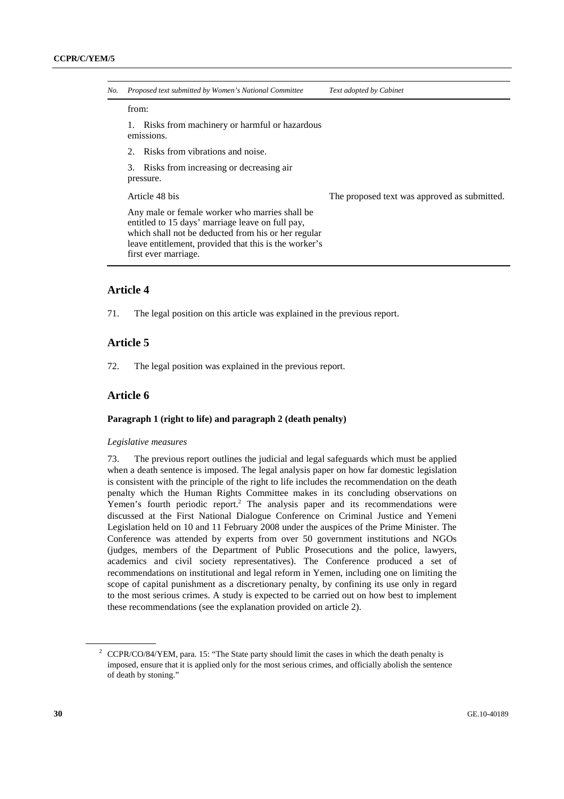| No. | Proposed text submitted by Women's National Committee                                                                                                                                                                                      | Text adopted by Cabinet                      |
|-----|--------------------------------------------------------------------------------------------------------------------------------------------------------------------------------------------------------------------------------------------|----------------------------------------------|
|     | from:                                                                                                                                                                                                                                      |                                              |
|     | Risks from machinery or harmful or hazardous<br>emissions.                                                                                                                                                                                 |                                              |
|     | Risks from vibrations and noise.<br>$2_{1}$                                                                                                                                                                                                |                                              |
|     | 3.<br>Risks from increasing or decreasing air<br>pressure.                                                                                                                                                                                 |                                              |
|     | Article 48 bis                                                                                                                                                                                                                             | The proposed text was approved as submitted. |
|     | Any male or female worker who marries shall be<br>entitled to 15 days' marriage leave on full pay,<br>which shall not be deducted from his or her regular<br>leave entitlement, provided that this is the worker's<br>first ever marriage. |                                              |

## **Article 4**

71. The legal position on this article was explained in the previous report.

## **Article 5**

72. The legal position was explained in the previous report.

## **Article 6**

#### **Paragraph 1 (right to life) and paragraph 2 (death penalty)**

#### *Legislative measures*

73. The previous report outlines the judicial and legal safeguards which must be applied when a death sentence is imposed. The legal analysis paper on how far domestic legislation is consistent with the principle of the right to life includes the recommendation on the death penalty which the Human Rights Committee makes in its concluding observations on Yemen's fourth periodic report.<sup>2</sup> The analysis paper and its recommendations were discussed at the First National Dialogue Conference on Criminal Justice and Yemeni Legislation held on 10 and 11 February 2008 under the auspices of the Prime Minister. The Conference was attended by experts from over 50 government institutions and NGOs (judges, members of the Department of Public Prosecutions and the police, lawyers, academics and civil society representatives). The Conference produced a set of recommendations on institutional and legal reform in Yemen, including one on limiting the scope of capital punishment as a discretionary penalty, by confining its use only in regard to the most serious crimes. A study is expected to be carried out on how best to implement these recommendations (see the explanation provided on article 2).

<sup>&</sup>lt;sup>2</sup> CCPR/CO/84/YEM, para. 15: "The State party should limit the cases in which the death penalty is imposed, ensure that it is applied only for the most serious crimes, and officially abolish the sentence of death by stoning."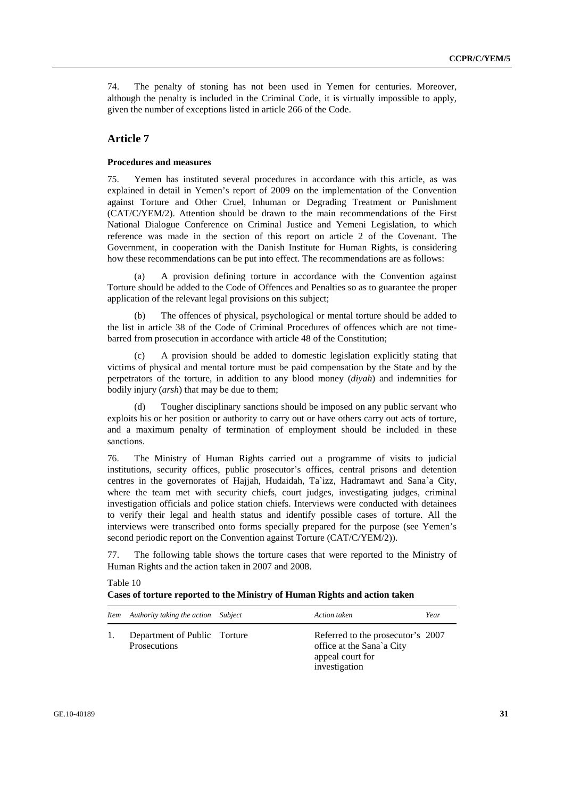74. The penalty of stoning has not been used in Yemen for centuries. Moreover, although the penalty is included in the Criminal Code, it is virtually impossible to apply, given the number of exceptions listed in article 266 of the Code.

## **Article 7**

#### **Procedures and measures**

75. Yemen has instituted several procedures in accordance with this article, as was explained in detail in Yemen's report of 2009 on the implementation of the Convention against Torture and Other Cruel, Inhuman or Degrading Treatment or Punishment (CAT/C/YEM/2). Attention should be drawn to the main recommendations of the First National Dialogue Conference on Criminal Justice and Yemeni Legislation, to which reference was made in the section of this report on article 2 of the Covenant. The Government, in cooperation with the Danish Institute for Human Rights, is considering how these recommendations can be put into effect. The recommendations are as follows:

A provision defining torture in accordance with the Convention against Torture should be added to the Code of Offences and Penalties so as to guarantee the proper application of the relevant legal provisions on this subject;

 (b) The offences of physical, psychological or mental torture should be added to the list in article 38 of the Code of Criminal Procedures of offences which are not timebarred from prosecution in accordance with article 48 of the Constitution;

 (c) A provision should be added to domestic legislation explicitly stating that victims of physical and mental torture must be paid compensation by the State and by the perpetrators of the torture, in addition to any blood money (*diyah*) and indemnities for bodily injury (*arsh*) that may be due to them;

 (d) Tougher disciplinary sanctions should be imposed on any public servant who exploits his or her position or authority to carry out or have others carry out acts of torture, and a maximum penalty of termination of employment should be included in these sanctions.

76. The Ministry of Human Rights carried out a programme of visits to judicial institutions, security offices, public prosecutor's offices, central prisons and detention centres in the governorates of Hajjah, Hudaidah, Ta`izz, Hadramawt and Sana`a City, where the team met with security chiefs, court judges, investigating judges, criminal investigation officials and police station chiefs. Interviews were conducted with detainees to verify their legal and health status and identify possible cases of torture. All the interviews were transcribed onto forms specially prepared for the purpose (see Yemen's second periodic report on the Convention against Torture (CAT/C/YEM/2)).

77. The following table shows the torture cases that were reported to the Ministry of Human Rights and the action taken in 2007 and 2008.

| Item Authority taking the action Subject     | Action taken                                                                                        | Year |
|----------------------------------------------|-----------------------------------------------------------------------------------------------------|------|
| Department of Public Torture<br>Prosecutions | Referred to the prosecutor's 2007<br>office at the Sana`a City<br>appeal court for<br>investigation |      |

#### Table 10 **Cases of torture reported to the Ministry of Human Rights and action taken**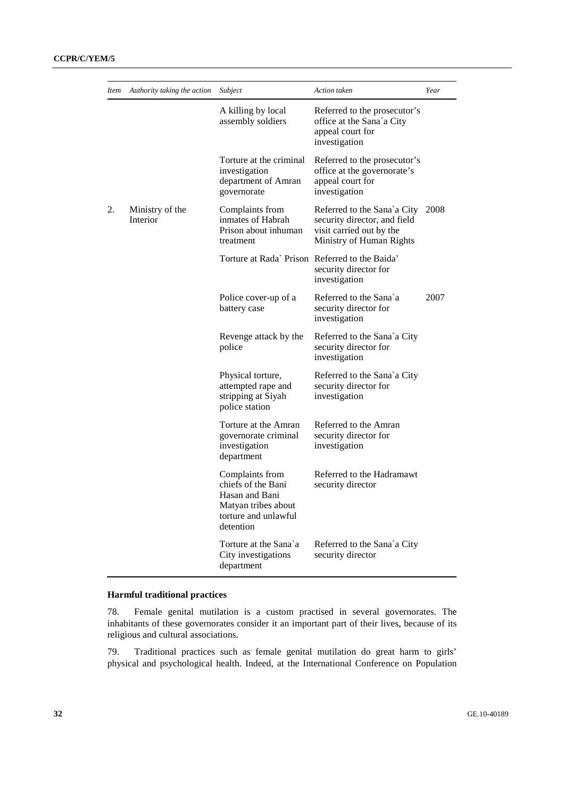| <i>Item</i> | Authority taking the action | Subject                                                                                                             | Action taken                                                                                                        | Year |
|-------------|-----------------------------|---------------------------------------------------------------------------------------------------------------------|---------------------------------------------------------------------------------------------------------------------|------|
|             |                             | A killing by local<br>assembly soldiers                                                                             | Referred to the prosecutor's<br>office at the Sana`a City<br>appeal court for<br>investigation                      |      |
|             |                             | Torture at the criminal<br>investigation<br>department of Amran<br>governorate                                      | Referred to the prosecutor's<br>office at the governorate's<br>appeal court for<br>investigation                    |      |
| 2.          | Ministry of the<br>Interior | Complaints from<br>inmates of Habrah<br>Prison about inhuman<br>treatment                                           | Referred to the Sana`a City<br>security director, and field<br>visit carried out by the<br>Ministry of Human Rights | 2008 |
|             |                             | Torture at Rada' Prison Referred to the Baida'                                                                      | security director for<br>investigation                                                                              |      |
|             |                             | Police cover-up of a<br>battery case                                                                                | Referred to the Sana'a<br>security director for<br>investigation                                                    | 2007 |
|             |                             | Revenge attack by the<br>police                                                                                     | Referred to the Sana`a City<br>security director for<br>investigation                                               |      |
|             |                             | Physical torture,<br>attempted rape and<br>stripping at Siyah<br>police station                                     | Referred to the Sana`a City<br>security director for<br>investigation                                               |      |
|             |                             | Torture at the Amran<br>governorate criminal<br>investigation<br>department                                         | Referred to the Amran<br>security director for<br>investigation                                                     |      |
|             |                             | Complaints from<br>chiefs of the Bani<br>Hasan and Bani<br>Matyan tribes about<br>torture and unlawful<br>detention | Referred to the Hadramawt<br>security director                                                                      |      |
|             |                             | Torture at the Sana'a<br>City investigations<br>department                                                          | Referred to the Sana`a City<br>security director                                                                    |      |

## **Harmful traditional practices**

78. Female genital mutilation is a custom practised in several governorates. The inhabitants of these governorates consider it an important part of their lives, because of its religious and cultural associations.

79. Traditional practices such as female genital mutilation do great harm to girls' physical and psychological health. Indeed, at the International Conference on Population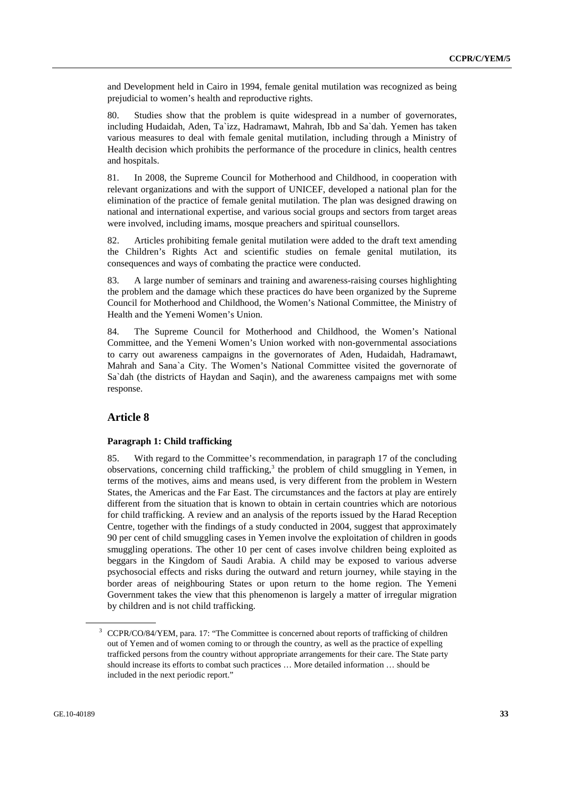and Development held in Cairo in 1994, female genital mutilation was recognized as being prejudicial to women's health and reproductive rights.

80. Studies show that the problem is quite widespread in a number of governorates, including Hudaidah, Aden, Ta`izz, Hadramawt, Mahrah, Ibb and Sa`dah. Yemen has taken various measures to deal with female genital mutilation, including through a Ministry of Health decision which prohibits the performance of the procedure in clinics, health centres and hospitals.

81. In 2008, the Supreme Council for Motherhood and Childhood, in cooperation with relevant organizations and with the support of UNICEF, developed a national plan for the elimination of the practice of female genital mutilation. The plan was designed drawing on national and international expertise, and various social groups and sectors from target areas were involved, including imams, mosque preachers and spiritual counsellors.

82. Articles prohibiting female genital mutilation were added to the draft text amending the Children's Rights Act and scientific studies on female genital mutilation, its consequences and ways of combating the practice were conducted.

83. A large number of seminars and training and awareness-raising courses highlighting the problem and the damage which these practices do have been organized by the Supreme Council for Motherhood and Childhood, the Women's National Committee, the Ministry of Health and the Yemeni Women's Union.

84. The Supreme Council for Motherhood and Childhood, the Women's National Committee, and the Yemeni Women's Union worked with non-governmental associations to carry out awareness campaigns in the governorates of Aden, Hudaidah, Hadramawt, Mahrah and Sana`a City. The Women's National Committee visited the governorate of Sa`dah (the districts of Haydan and Saqin), and the awareness campaigns met with some response.

## **Article 8**

#### **Paragraph 1: Child trafficking**

85. With regard to the Committee's recommendation, in paragraph 17 of the concluding observations, concerning child trafficking,<sup>3</sup> the problem of child smuggling in Yemen, in terms of the motives, aims and means used, is very different from the problem in Western States, the Americas and the Far East. The circumstances and the factors at play are entirely different from the situation that is known to obtain in certain countries which are notorious for child trafficking. A review and an analysis of the reports issued by the Harad Reception Centre, together with the findings of a study conducted in 2004, suggest that approximately 90 per cent of child smuggling cases in Yemen involve the exploitation of children in goods smuggling operations. The other 10 per cent of cases involve children being exploited as beggars in the Kingdom of Saudi Arabia. A child may be exposed to various adverse psychosocial effects and risks during the outward and return journey, while staying in the border areas of neighbouring States or upon return to the home region. The Yemeni Government takes the view that this phenomenon is largely a matter of irregular migration by children and is not child trafficking.

<sup>&</sup>lt;sup>3</sup> CCPR/CO/84/YEM, para. 17: "The Committee is concerned about reports of trafficking of children out of Yemen and of women coming to or through the country, as well as the practice of expelling trafficked persons from the country without appropriate arrangements for their care. The State party should increase its efforts to combat such practices … More detailed information … should be included in the next periodic report."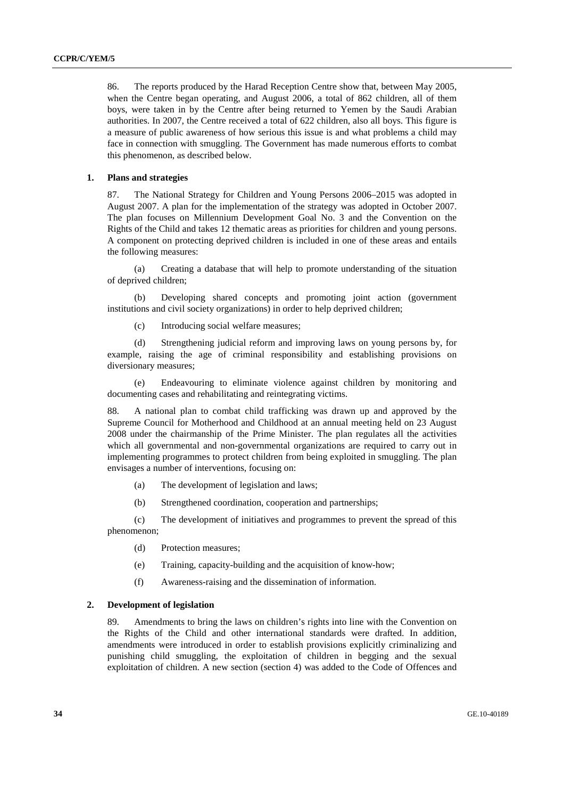86. The reports produced by the Harad Reception Centre show that, between May 2005, when the Centre began operating, and August 2006, a total of 862 children, all of them boys, were taken in by the Centre after being returned to Yemen by the Saudi Arabian authorities. In 2007, the Centre received a total of 622 children, also all boys. This figure is a measure of public awareness of how serious this issue is and what problems a child may face in connection with smuggling. The Government has made numerous efforts to combat this phenomenon, as described below.

#### **1. Plans and strategies**

87. The National Strategy for Children and Young Persons 2006–2015 was adopted in August 2007. A plan for the implementation of the strategy was adopted in October 2007. The plan focuses on Millennium Development Goal No. 3 and the Convention on the Rights of the Child and takes 12 thematic areas as priorities for children and young persons. A component on protecting deprived children is included in one of these areas and entails the following measures:

 (a) Creating a database that will help to promote understanding of the situation of deprived children;

 (b) Developing shared concepts and promoting joint action (government institutions and civil society organizations) in order to help deprived children;

(c) Introducing social welfare measures;

 (d) Strengthening judicial reform and improving laws on young persons by, for example, raising the age of criminal responsibility and establishing provisions on diversionary measures;

 (e) Endeavouring to eliminate violence against children by monitoring and documenting cases and rehabilitating and reintegrating victims.

88. A national plan to combat child trafficking was drawn up and approved by the Supreme Council for Motherhood and Childhood at an annual meeting held on 23 August 2008 under the chairmanship of the Prime Minister. The plan regulates all the activities which all governmental and non-governmental organizations are required to carry out in implementing programmes to protect children from being exploited in smuggling. The plan envisages a number of interventions, focusing on:

- (a) The development of legislation and laws;
- (b) Strengthened coordination, cooperation and partnerships;

 (c) The development of initiatives and programmes to prevent the spread of this phenomenon;

- (d) Protection measures;
- (e) Training, capacity-building and the acquisition of know-how;
- (f) Awareness-raising and the dissemination of information.

#### **2. Development of legislation**

89. Amendments to bring the laws on children's rights into line with the Convention on the Rights of the Child and other international standards were drafted. In addition, amendments were introduced in order to establish provisions explicitly criminalizing and punishing child smuggling, the exploitation of children in begging and the sexual exploitation of children. A new section (section 4) was added to the Code of Offences and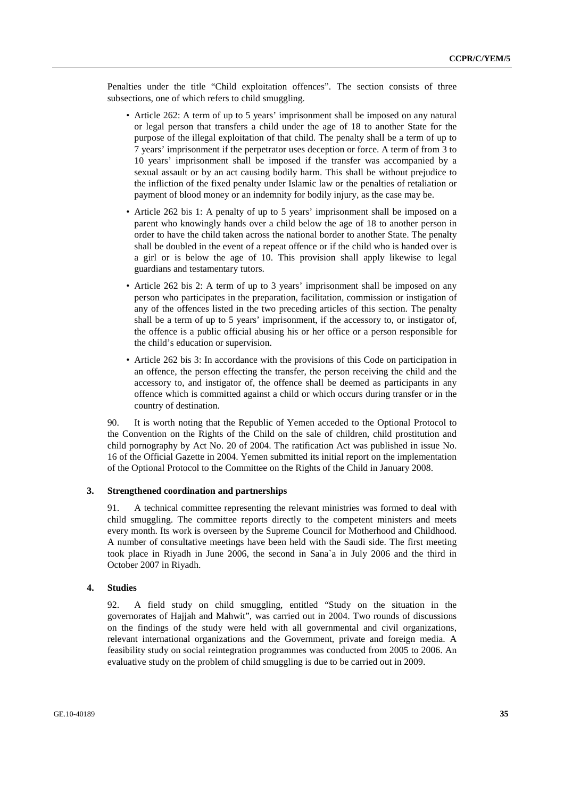Penalties under the title "Child exploitation offences". The section consists of three subsections, one of which refers to child smuggling.

- Article 262: A term of up to 5 years' imprisonment shall be imposed on any natural or legal person that transfers a child under the age of 18 to another State for the purpose of the illegal exploitation of that child. The penalty shall be a term of up to 7 years' imprisonment if the perpetrator uses deception or force. A term of from 3 to 10 years' imprisonment shall be imposed if the transfer was accompanied by a sexual assault or by an act causing bodily harm. This shall be without prejudice to the infliction of the fixed penalty under Islamic law or the penalties of retaliation or payment of blood money or an indemnity for bodily injury, as the case may be.
- Article 262 bis 1: A penalty of up to 5 years' imprisonment shall be imposed on a parent who knowingly hands over a child below the age of 18 to another person in order to have the child taken across the national border to another State. The penalty shall be doubled in the event of a repeat offence or if the child who is handed over is a girl or is below the age of 10. This provision shall apply likewise to legal guardians and testamentary tutors.
- Article 262 bis 2: A term of up to 3 years' imprisonment shall be imposed on any person who participates in the preparation, facilitation, commission or instigation of any of the offences listed in the two preceding articles of this section. The penalty shall be a term of up to 5 years' imprisonment, if the accessory to, or instigator of, the offence is a public official abusing his or her office or a person responsible for the child's education or supervision.
- Article 262 bis 3: In accordance with the provisions of this Code on participation in an offence, the person effecting the transfer, the person receiving the child and the accessory to, and instigator of, the offence shall be deemed as participants in any offence which is committed against a child or which occurs during transfer or in the country of destination.

90. It is worth noting that the Republic of Yemen acceded to the Optional Protocol to the Convention on the Rights of the Child on the sale of children, child prostitution and child pornography by Act No. 20 of 2004. The ratification Act was published in issue No. 16 of the Official Gazette in 2004. Yemen submitted its initial report on the implementation of the Optional Protocol to the Committee on the Rights of the Child in January 2008.

#### **3. Strengthened coordination and partnerships**

91. A technical committee representing the relevant ministries was formed to deal with child smuggling. The committee reports directly to the competent ministers and meets every month. Its work is overseen by the Supreme Council for Motherhood and Childhood. A number of consultative meetings have been held with the Saudi side. The first meeting took place in Riyadh in June 2006, the second in Sana`a in July 2006 and the third in October 2007 in Riyadh.

#### **4. Studies**

92. A field study on child smuggling, entitled "Study on the situation in the governorates of Hajjah and Mahwit", was carried out in 2004. Two rounds of discussions on the findings of the study were held with all governmental and civil organizations, relevant international organizations and the Government, private and foreign media. A feasibility study on social reintegration programmes was conducted from 2005 to 2006. An evaluative study on the problem of child smuggling is due to be carried out in 2009.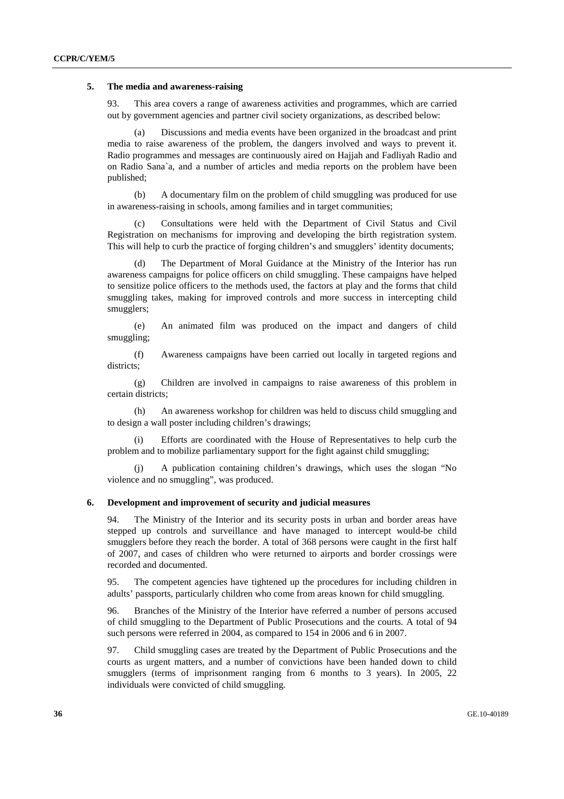#### **5. The media and awareness-raising**

93. This area covers a range of awareness activities and programmes, which are carried out by government agencies and partner civil society organizations, as described below:

 (a) Discussions and media events have been organized in the broadcast and print media to raise awareness of the problem, the dangers involved and ways to prevent it. Radio programmes and messages are continuously aired on Hajjah and Fadliyah Radio and on Radio Sana`a, and a number of articles and media reports on the problem have been published;

 (b) A documentary film on the problem of child smuggling was produced for use in awareness-raising in schools, among families and in target communities;

 (c) Consultations were held with the Department of Civil Status and Civil Registration on mechanisms for improving and developing the birth registration system. This will help to curb the practice of forging children's and smugglers' identity documents;

 (d) The Department of Moral Guidance at the Ministry of the Interior has run awareness campaigns for police officers on child smuggling. These campaigns have helped to sensitize police officers to the methods used, the factors at play and the forms that child smuggling takes, making for improved controls and more success in intercepting child smugglers;

 (e) An animated film was produced on the impact and dangers of child smuggling;

 (f) Awareness campaigns have been carried out locally in targeted regions and districts;

 (g) Children are involved in campaigns to raise awareness of this problem in certain districts;

 (h) An awareness workshop for children was held to discuss child smuggling and to design a wall poster including children's drawings;

Efforts are coordinated with the House of Representatives to help curb the problem and to mobilize parliamentary support for the fight against child smuggling;

 (j) A publication containing children's drawings, which uses the slogan "No violence and no smuggling", was produced.

#### **6. Development and improvement of security and judicial measures**

94. The Ministry of the Interior and its security posts in urban and border areas have stepped up controls and surveillance and have managed to intercept would-be child smugglers before they reach the border. A total of 368 persons were caught in the first half of 2007, and cases of children who were returned to airports and border crossings were recorded and documented.

95. The competent agencies have tightened up the procedures for including children in adults' passports, particularly children who come from areas known for child smuggling.

96. Branches of the Ministry of the Interior have referred a number of persons accused of child smuggling to the Department of Public Prosecutions and the courts. A total of 94 such persons were referred in 2004, as compared to 154 in 2006 and 6 in 2007.

97. Child smuggling cases are treated by the Department of Public Prosecutions and the courts as urgent matters, and a number of convictions have been handed down to child smugglers (terms of imprisonment ranging from 6 months to 3 years). In 2005, 22 individuals were convicted of child smuggling.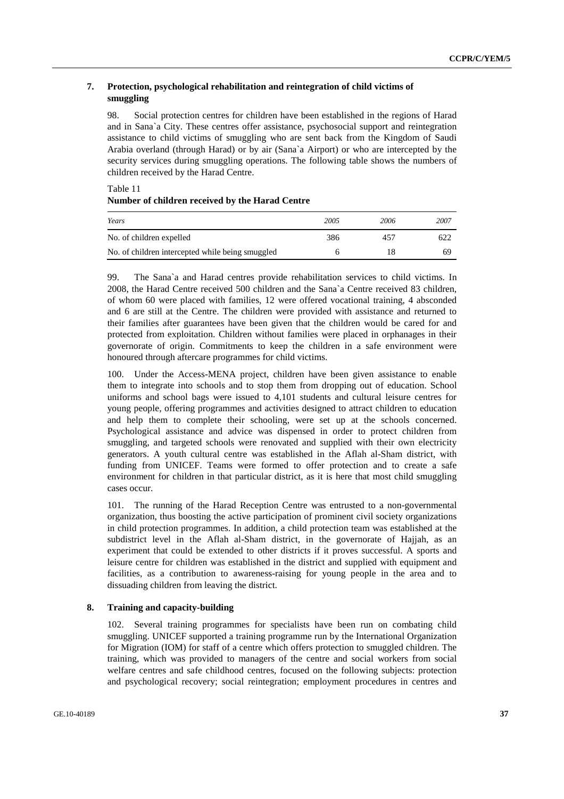# **7. Protection, psychological rehabilitation and reintegration of child victims of smuggling**

98. Social protection centres for children have been established in the regions of Harad and in Sana`a City. These centres offer assistance, psychosocial support and reintegration assistance to child victims of smuggling who are sent back from the Kingdom of Saudi Arabia overland (through Harad) or by air (Sana`a Airport) or who are intercepted by the security services during smuggling operations. The following table shows the numbers of children received by the Harad Centre.

Table 11 **Number of children received by the Harad Centre** 

| Years                                            | 2005 | 2006 | 2007 |
|--------------------------------------------------|------|------|------|
| No. of children expelled                         | 386  | 457  | 622  |
| No. of children intercepted while being smuggled |      |      | 69   |

99. The Sana`a and Harad centres provide rehabilitation services to child victims. In 2008, the Harad Centre received 500 children and the Sana`a Centre received 83 children, of whom 60 were placed with families, 12 were offered vocational training, 4 absconded and 6 are still at the Centre. The children were provided with assistance and returned to their families after guarantees have been given that the children would be cared for and protected from exploitation. Children without families were placed in orphanages in their governorate of origin. Commitments to keep the children in a safe environment were honoured through aftercare programmes for child victims.

100. Under the Access-MENA project, children have been given assistance to enable them to integrate into schools and to stop them from dropping out of education. School uniforms and school bags were issued to 4,101 students and cultural leisure centres for young people, offering programmes and activities designed to attract children to education and help them to complete their schooling, were set up at the schools concerned. Psychological assistance and advice was dispensed in order to protect children from smuggling, and targeted schools were renovated and supplied with their own electricity generators. A youth cultural centre was established in the Aflah al-Sham district, with funding from UNICEF. Teams were formed to offer protection and to create a safe environment for children in that particular district, as it is here that most child smuggling cases occur.

101. The running of the Harad Reception Centre was entrusted to a non-governmental organization, thus boosting the active participation of prominent civil society organizations in child protection programmes. In addition, a child protection team was established at the subdistrict level in the Aflah al-Sham district, in the governorate of Hajjah, as an experiment that could be extended to other districts if it proves successful. A sports and leisure centre for children was established in the district and supplied with equipment and facilities, as a contribution to awareness-raising for young people in the area and to dissuading children from leaving the district.

# **8. Training and capacity-building**

102. Several training programmes for specialists have been run on combating child smuggling. UNICEF supported a training programme run by the International Organization for Migration (IOM) for staff of a centre which offers protection to smuggled children. The training, which was provided to managers of the centre and social workers from social welfare centres and safe childhood centres, focused on the following subjects: protection and psychological recovery; social reintegration; employment procedures in centres and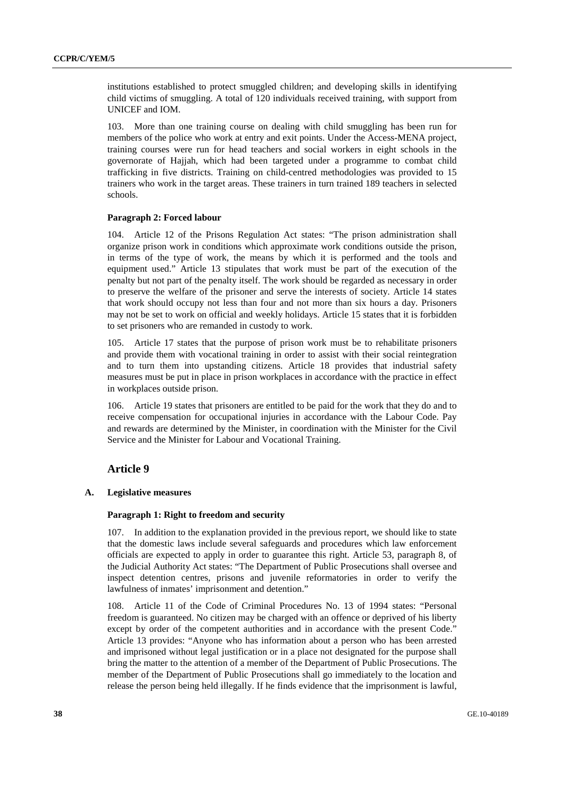institutions established to protect smuggled children; and developing skills in identifying child victims of smuggling. A total of 120 individuals received training, with support from UNICEF and IOM.

103. More than one training course on dealing with child smuggling has been run for members of the police who work at entry and exit points. Under the Access-MENA project, training courses were run for head teachers and social workers in eight schools in the governorate of Hajjah, which had been targeted under a programme to combat child trafficking in five districts. Training on child-centred methodologies was provided to 15 trainers who work in the target areas. These trainers in turn trained 189 teachers in selected schools.

#### **Paragraph 2: Forced labour**

104. Article 12 of the Prisons Regulation Act states: "The prison administration shall organize prison work in conditions which approximate work conditions outside the prison, in terms of the type of work, the means by which it is performed and the tools and equipment used." Article 13 stipulates that work must be part of the execution of the penalty but not part of the penalty itself. The work should be regarded as necessary in order to preserve the welfare of the prisoner and serve the interests of society. Article 14 states that work should occupy not less than four and not more than six hours a day. Prisoners may not be set to work on official and weekly holidays. Article 15 states that it is forbidden to set prisoners who are remanded in custody to work.

105. Article 17 states that the purpose of prison work must be to rehabilitate prisoners and provide them with vocational training in order to assist with their social reintegration and to turn them into upstanding citizens. Article 18 provides that industrial safety measures must be put in place in prison workplaces in accordance with the practice in effect in workplaces outside prison.

106. Article 19 states that prisoners are entitled to be paid for the work that they do and to receive compensation for occupational injuries in accordance with the Labour Code. Pay and rewards are determined by the Minister, in coordination with the Minister for the Civil Service and the Minister for Labour and Vocational Training.

# **Article 9**

## **A. Legislative measures**

## **Paragraph 1: Right to freedom and security**

107. In addition to the explanation provided in the previous report, we should like to state that the domestic laws include several safeguards and procedures which law enforcement officials are expected to apply in order to guarantee this right. Article 53, paragraph 8, of the Judicial Authority Act states: "The Department of Public Prosecutions shall oversee and inspect detention centres, prisons and juvenile reformatories in order to verify the lawfulness of inmates' imprisonment and detention."

108. Article 11 of the Code of Criminal Procedures No. 13 of 1994 states: "Personal freedom is guaranteed. No citizen may be charged with an offence or deprived of his liberty except by order of the competent authorities and in accordance with the present Code." Article 13 provides: "Anyone who has information about a person who has been arrested and imprisoned without legal justification or in a place not designated for the purpose shall bring the matter to the attention of a member of the Department of Public Prosecutions. The member of the Department of Public Prosecutions shall go immediately to the location and release the person being held illegally. If he finds evidence that the imprisonment is lawful,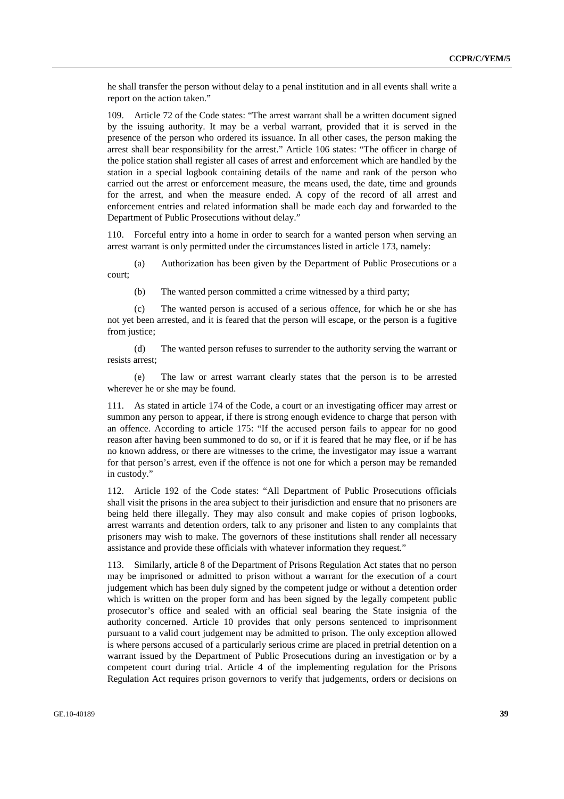he shall transfer the person without delay to a penal institution and in all events shall write a report on the action taken."

109. Article 72 of the Code states: "The arrest warrant shall be a written document signed by the issuing authority. It may be a verbal warrant, provided that it is served in the presence of the person who ordered its issuance. In all other cases, the person making the arrest shall bear responsibility for the arrest." Article 106 states: "The officer in charge of the police station shall register all cases of arrest and enforcement which are handled by the station in a special logbook containing details of the name and rank of the person who carried out the arrest or enforcement measure, the means used, the date, time and grounds for the arrest, and when the measure ended. A copy of the record of all arrest and enforcement entries and related information shall be made each day and forwarded to the Department of Public Prosecutions without delay."

110. Forceful entry into a home in order to search for a wanted person when serving an arrest warrant is only permitted under the circumstances listed in article 173, namely:

 (a) Authorization has been given by the Department of Public Prosecutions or a court;

(b) The wanted person committed a crime witnessed by a third party;

 (c) The wanted person is accused of a serious offence, for which he or she has not yet been arrested, and it is feared that the person will escape, or the person is a fugitive from justice:

 (d) The wanted person refuses to surrender to the authority serving the warrant or resists arrest;

 (e) The law or arrest warrant clearly states that the person is to be arrested wherever he or she may be found.

111. As stated in article 174 of the Code, a court or an investigating officer may arrest or summon any person to appear, if there is strong enough evidence to charge that person with an offence. According to article 175: "If the accused person fails to appear for no good reason after having been summoned to do so, or if it is feared that he may flee, or if he has no known address, or there are witnesses to the crime, the investigator may issue a warrant for that person's arrest, even if the offence is not one for which a person may be remanded in custody."

112. Article 192 of the Code states: "All Department of Public Prosecutions officials shall visit the prisons in the area subject to their jurisdiction and ensure that no prisoners are being held there illegally. They may also consult and make copies of prison logbooks, arrest warrants and detention orders, talk to any prisoner and listen to any complaints that prisoners may wish to make. The governors of these institutions shall render all necessary assistance and provide these officials with whatever information they request."

113. Similarly, article 8 of the Department of Prisons Regulation Act states that no person may be imprisoned or admitted to prison without a warrant for the execution of a court judgement which has been duly signed by the competent judge or without a detention order which is written on the proper form and has been signed by the legally competent public prosecutor's office and sealed with an official seal bearing the State insignia of the authority concerned. Article 10 provides that only persons sentenced to imprisonment pursuant to a valid court judgement may be admitted to prison. The only exception allowed is where persons accused of a particularly serious crime are placed in pretrial detention on a warrant issued by the Department of Public Prosecutions during an investigation or by a competent court during trial. Article 4 of the implementing regulation for the Prisons Regulation Act requires prison governors to verify that judgements, orders or decisions on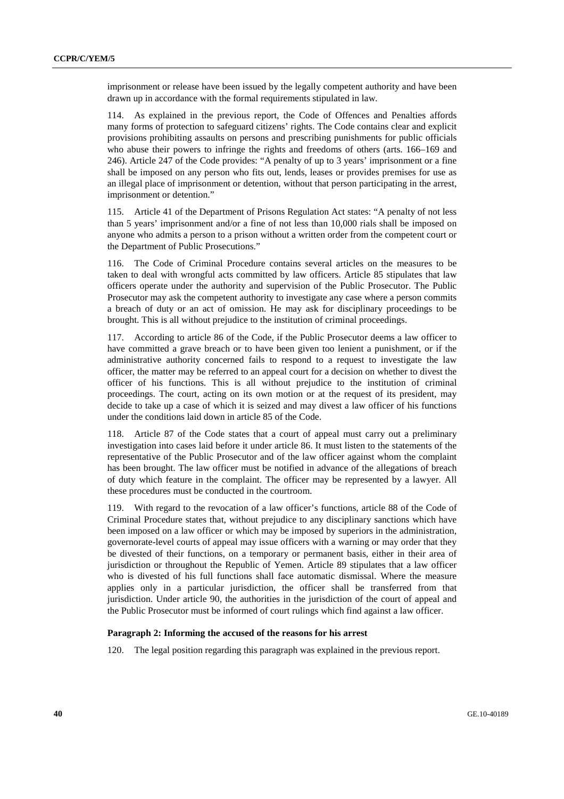imprisonment or release have been issued by the legally competent authority and have been drawn up in accordance with the formal requirements stipulated in law.

114. As explained in the previous report, the Code of Offences and Penalties affords many forms of protection to safeguard citizens' rights. The Code contains clear and explicit provisions prohibiting assaults on persons and prescribing punishments for public officials who abuse their powers to infringe the rights and freedoms of others (arts. 166–169 and 246). Article 247 of the Code provides: "A penalty of up to 3 years' imprisonment or a fine shall be imposed on any person who fits out, lends, leases or provides premises for use as an illegal place of imprisonment or detention, without that person participating in the arrest, imprisonment or detention."

115. Article 41 of the Department of Prisons Regulation Act states: "A penalty of not less than 5 years' imprisonment and/or a fine of not less than 10,000 rials shall be imposed on anyone who admits a person to a prison without a written order from the competent court or the Department of Public Prosecutions."

116. The Code of Criminal Procedure contains several articles on the measures to be taken to deal with wrongful acts committed by law officers. Article 85 stipulates that law officers operate under the authority and supervision of the Public Prosecutor. The Public Prosecutor may ask the competent authority to investigate any case where a person commits a breach of duty or an act of omission. He may ask for disciplinary proceedings to be brought. This is all without prejudice to the institution of criminal proceedings.

117. According to article 86 of the Code, if the Public Prosecutor deems a law officer to have committed a grave breach or to have been given too lenient a punishment, or if the administrative authority concerned fails to respond to a request to investigate the law officer, the matter may be referred to an appeal court for a decision on whether to divest the officer of his functions. This is all without prejudice to the institution of criminal proceedings. The court, acting on its own motion or at the request of its president, may decide to take up a case of which it is seized and may divest a law officer of his functions under the conditions laid down in article 85 of the Code.

118. Article 87 of the Code states that a court of appeal must carry out a preliminary investigation into cases laid before it under article 86. It must listen to the statements of the representative of the Public Prosecutor and of the law officer against whom the complaint has been brought. The law officer must be notified in advance of the allegations of breach of duty which feature in the complaint. The officer may be represented by a lawyer. All these procedures must be conducted in the courtroom.

119. With regard to the revocation of a law officer's functions, article 88 of the Code of Criminal Procedure states that, without prejudice to any disciplinary sanctions which have been imposed on a law officer or which may be imposed by superiors in the administration, governorate-level courts of appeal may issue officers with a warning or may order that they be divested of their functions, on a temporary or permanent basis, either in their area of jurisdiction or throughout the Republic of Yemen. Article 89 stipulates that a law officer who is divested of his full functions shall face automatic dismissal. Where the measure applies only in a particular jurisdiction, the officer shall be transferred from that jurisdiction. Under article 90, the authorities in the jurisdiction of the court of appeal and the Public Prosecutor must be informed of court rulings which find against a law officer.

## **Paragraph 2: Informing the accused of the reasons for his arrest**

120. The legal position regarding this paragraph was explained in the previous report.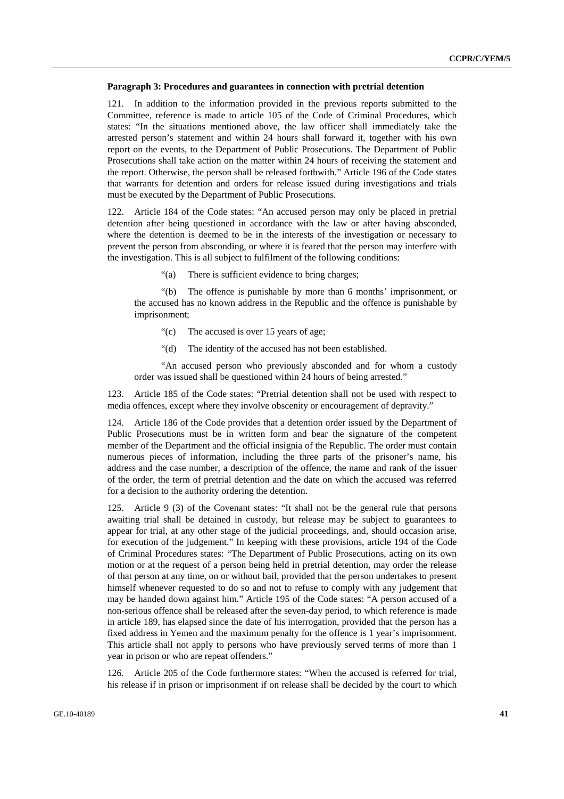#### **Paragraph 3: Procedures and guarantees in connection with pretrial detention**

In addition to the information provided in the previous reports submitted to the Committee, reference is made to article 105 of the Code of Criminal Procedures, which states: "In the situations mentioned above, the law officer shall immediately take the arrested person's statement and within 24 hours shall forward it, together with his own report on the events, to the Department of Public Prosecutions. The Department of Public Prosecutions shall take action on the matter within 24 hours of receiving the statement and the report. Otherwise, the person shall be released forthwith." Article 196 of the Code states that warrants for detention and orders for release issued during investigations and trials must be executed by the Department of Public Prosecutions.

122. Article 184 of the Code states: "An accused person may only be placed in pretrial detention after being questioned in accordance with the law or after having absconded, where the detention is deemed to be in the interests of the investigation or necessary to prevent the person from absconding, or where it is feared that the person may interfere with the investigation. This is all subject to fulfilment of the following conditions:

"(a) There is sufficient evidence to bring charges;

 "(b) The offence is punishable by more than 6 months' imprisonment, or the accused has no known address in the Republic and the offence is punishable by imprisonment;

- "(c) The accused is over 15 years of age;
- "(d) The identity of the accused has not been established.

 "An accused person who previously absconded and for whom a custody order was issued shall be questioned within 24 hours of being arrested."

123. Article 185 of the Code states: "Pretrial detention shall not be used with respect to media offences, except where they involve obscenity or encouragement of depravity."

124. Article 186 of the Code provides that a detention order issued by the Department of Public Prosecutions must be in written form and bear the signature of the competent member of the Department and the official insignia of the Republic. The order must contain numerous pieces of information, including the three parts of the prisoner's name, his address and the case number, a description of the offence, the name and rank of the issuer of the order, the term of pretrial detention and the date on which the accused was referred for a decision to the authority ordering the detention.

125. Article 9 (3) of the Covenant states: "It shall not be the general rule that persons awaiting trial shall be detained in custody, but release may be subject to guarantees to appear for trial, at any other stage of the judicial proceedings, and, should occasion arise, for execution of the judgement." In keeping with these provisions, article 194 of the Code of Criminal Procedures states: "The Department of Public Prosecutions, acting on its own motion or at the request of a person being held in pretrial detention, may order the release of that person at any time, on or without bail, provided that the person undertakes to present himself whenever requested to do so and not to refuse to comply with any judgement that may be handed down against him." Article 195 of the Code states: "A person accused of a non-serious offence shall be released after the seven-day period, to which reference is made in article 189, has elapsed since the date of his interrogation, provided that the person has a fixed address in Yemen and the maximum penalty for the offence is 1 year's imprisonment. This article shall not apply to persons who have previously served terms of more than 1 year in prison or who are repeat offenders."

126. Article 205 of the Code furthermore states: "When the accused is referred for trial, his release if in prison or imprisonment if on release shall be decided by the court to which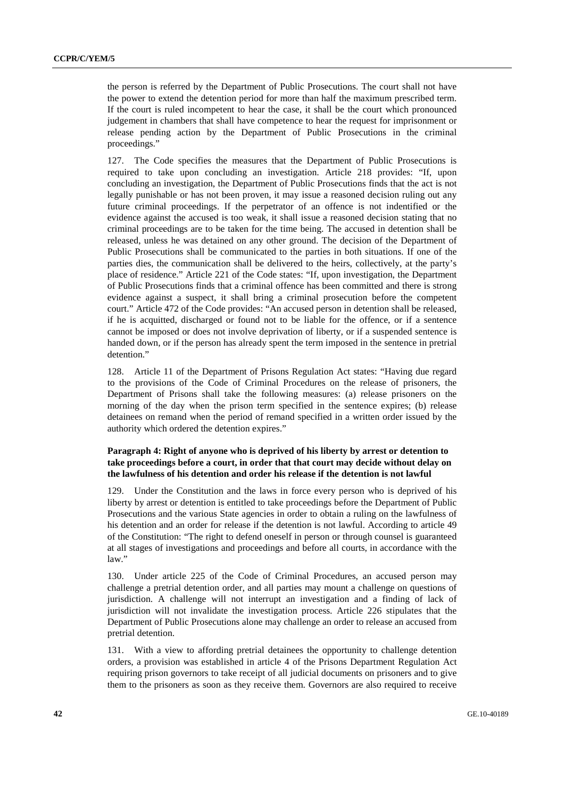the person is referred by the Department of Public Prosecutions. The court shall not have the power to extend the detention period for more than half the maximum prescribed term. If the court is ruled incompetent to hear the case, it shall be the court which pronounced judgement in chambers that shall have competence to hear the request for imprisonment or release pending action by the Department of Public Prosecutions in the criminal proceedings."

127. The Code specifies the measures that the Department of Public Prosecutions is required to take upon concluding an investigation. Article 218 provides: "If, upon concluding an investigation, the Department of Public Prosecutions finds that the act is not legally punishable or has not been proven, it may issue a reasoned decision ruling out any future criminal proceedings. If the perpetrator of an offence is not indentified or the evidence against the accused is too weak, it shall issue a reasoned decision stating that no criminal proceedings are to be taken for the time being. The accused in detention shall be released, unless he was detained on any other ground. The decision of the Department of Public Prosecutions shall be communicated to the parties in both situations. If one of the parties dies, the communication shall be delivered to the heirs, collectively, at the party's place of residence." Article 221 of the Code states: "If, upon investigation, the Department of Public Prosecutions finds that a criminal offence has been committed and there is strong evidence against a suspect, it shall bring a criminal prosecution before the competent court." Article 472 of the Code provides: "An accused person in detention shall be released, if he is acquitted, discharged or found not to be liable for the offence, or if a sentence cannot be imposed or does not involve deprivation of liberty, or if a suspended sentence is handed down, or if the person has already spent the term imposed in the sentence in pretrial detention."

128. Article 11 of the Department of Prisons Regulation Act states: "Having due regard to the provisions of the Code of Criminal Procedures on the release of prisoners, the Department of Prisons shall take the following measures: (a) release prisoners on the morning of the day when the prison term specified in the sentence expires; (b) release detainees on remand when the period of remand specified in a written order issued by the authority which ordered the detention expires."

# **Paragraph 4: Right of anyone who is deprived of his liberty by arrest or detention to take proceedings before a court, in order that that court may decide without delay on the lawfulness of his detention and order his release if the detention is not lawful**

129. Under the Constitution and the laws in force every person who is deprived of his liberty by arrest or detention is entitled to take proceedings before the Department of Public Prosecutions and the various State agencies in order to obtain a ruling on the lawfulness of his detention and an order for release if the detention is not lawful. According to article 49 of the Constitution: "The right to defend oneself in person or through counsel is guaranteed at all stages of investigations and proceedings and before all courts, in accordance with the law."

130. Under article 225 of the Code of Criminal Procedures, an accused person may challenge a pretrial detention order, and all parties may mount a challenge on questions of jurisdiction. A challenge will not interrupt an investigation and a finding of lack of jurisdiction will not invalidate the investigation process. Article 226 stipulates that the Department of Public Prosecutions alone may challenge an order to release an accused from pretrial detention.

131. With a view to affording pretrial detainees the opportunity to challenge detention orders, a provision was established in article 4 of the Prisons Department Regulation Act requiring prison governors to take receipt of all judicial documents on prisoners and to give them to the prisoners as soon as they receive them. Governors are also required to receive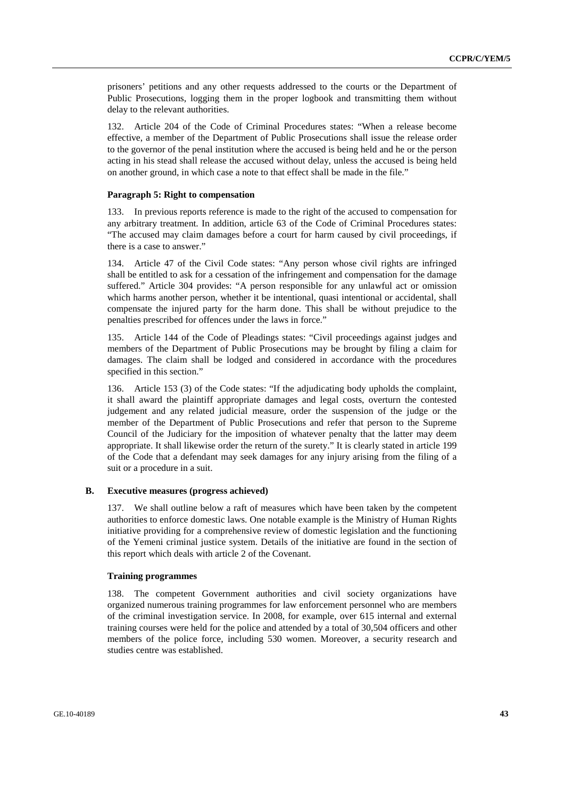prisoners' petitions and any other requests addressed to the courts or the Department of Public Prosecutions, logging them in the proper logbook and transmitting them without delay to the relevant authorities.

132. Article 204 of the Code of Criminal Procedures states: "When a release become effective, a member of the Department of Public Prosecutions shall issue the release order to the governor of the penal institution where the accused is being held and he or the person acting in his stead shall release the accused without delay, unless the accused is being held on another ground, in which case a note to that effect shall be made in the file."

#### **Paragraph 5: Right to compensation**

133. In previous reports reference is made to the right of the accused to compensation for any arbitrary treatment. In addition, article 63 of the Code of Criminal Procedures states: "The accused may claim damages before a court for harm caused by civil proceedings, if there is a case to answer."

134. Article 47 of the Civil Code states: "Any person whose civil rights are infringed shall be entitled to ask for a cessation of the infringement and compensation for the damage suffered." Article 304 provides: "A person responsible for any unlawful act or omission which harms another person, whether it be intentional, quasi intentional or accidental, shall compensate the injured party for the harm done. This shall be without prejudice to the penalties prescribed for offences under the laws in force."

135. Article 144 of the Code of Pleadings states: "Civil proceedings against judges and members of the Department of Public Prosecutions may be brought by filing a claim for damages. The claim shall be lodged and considered in accordance with the procedures specified in this section."

136. Article 153 (3) of the Code states: "If the adjudicating body upholds the complaint, it shall award the plaintiff appropriate damages and legal costs, overturn the contested judgement and any related judicial measure, order the suspension of the judge or the member of the Department of Public Prosecutions and refer that person to the Supreme Council of the Judiciary for the imposition of whatever penalty that the latter may deem appropriate. It shall likewise order the return of the surety." It is clearly stated in article 199 of the Code that a defendant may seek damages for any injury arising from the filing of a suit or a procedure in a suit.

#### **B. Executive measures (progress achieved)**

137. We shall outline below a raft of measures which have been taken by the competent authorities to enforce domestic laws. One notable example is the Ministry of Human Rights initiative providing for a comprehensive review of domestic legislation and the functioning of the Yemeni criminal justice system. Details of the initiative are found in the section of this report which deals with article 2 of the Covenant.

#### **Training programmes**

138. The competent Government authorities and civil society organizations have organized numerous training programmes for law enforcement personnel who are members of the criminal investigation service. In 2008, for example, over 615 internal and external training courses were held for the police and attended by a total of 30,504 officers and other members of the police force, including 530 women. Moreover, a security research and studies centre was established.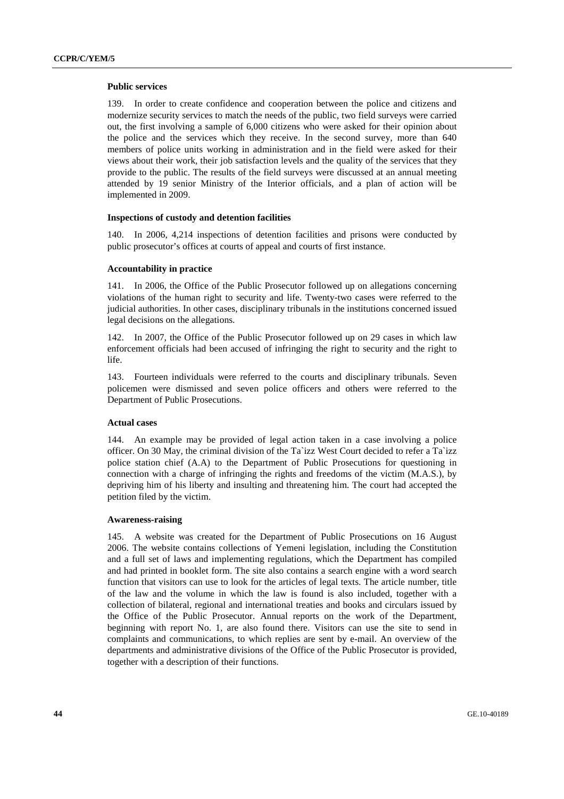#### **Public services**

139. In order to create confidence and cooperation between the police and citizens and modernize security services to match the needs of the public, two field surveys were carried out, the first involving a sample of 6,000 citizens who were asked for their opinion about the police and the services which they receive. In the second survey, more than 640 members of police units working in administration and in the field were asked for their views about their work, their job satisfaction levels and the quality of the services that they provide to the public. The results of the field surveys were discussed at an annual meeting attended by 19 senior Ministry of the Interior officials, and a plan of action will be implemented in 2009.

#### **Inspections of custody and detention facilities**

140. In 2006, 4,214 inspections of detention facilities and prisons were conducted by public prosecutor's offices at courts of appeal and courts of first instance.

#### **Accountability in practice**

141. In 2006, the Office of the Public Prosecutor followed up on allegations concerning violations of the human right to security and life. Twenty-two cases were referred to the judicial authorities. In other cases, disciplinary tribunals in the institutions concerned issued legal decisions on the allegations.

142. In 2007, the Office of the Public Prosecutor followed up on 29 cases in which law enforcement officials had been accused of infringing the right to security and the right to life.

143. Fourteen individuals were referred to the courts and disciplinary tribunals. Seven policemen were dismissed and seven police officers and others were referred to the Department of Public Prosecutions.

#### **Actual cases**

144. An example may be provided of legal action taken in a case involving a police officer. On 30 May, the criminal division of the Ta`izz West Court decided to refer a Ta`izz police station chief (A.A) to the Department of Public Prosecutions for questioning in connection with a charge of infringing the rights and freedoms of the victim (M.A.S.), by depriving him of his liberty and insulting and threatening him. The court had accepted the petition filed by the victim.

#### **Awareness-raising**

145. A website was created for the Department of Public Prosecutions on 16 August 2006. The website contains collections of Yemeni legislation, including the Constitution and a full set of laws and implementing regulations, which the Department has compiled and had printed in booklet form. The site also contains a search engine with a word search function that visitors can use to look for the articles of legal texts. The article number, title of the law and the volume in which the law is found is also included, together with a collection of bilateral, regional and international treaties and books and circulars issued by the Office of the Public Prosecutor. Annual reports on the work of the Department, beginning with report No. 1, are also found there. Visitors can use the site to send in complaints and communications, to which replies are sent by e-mail. An overview of the departments and administrative divisions of the Office of the Public Prosecutor is provided, together with a description of their functions.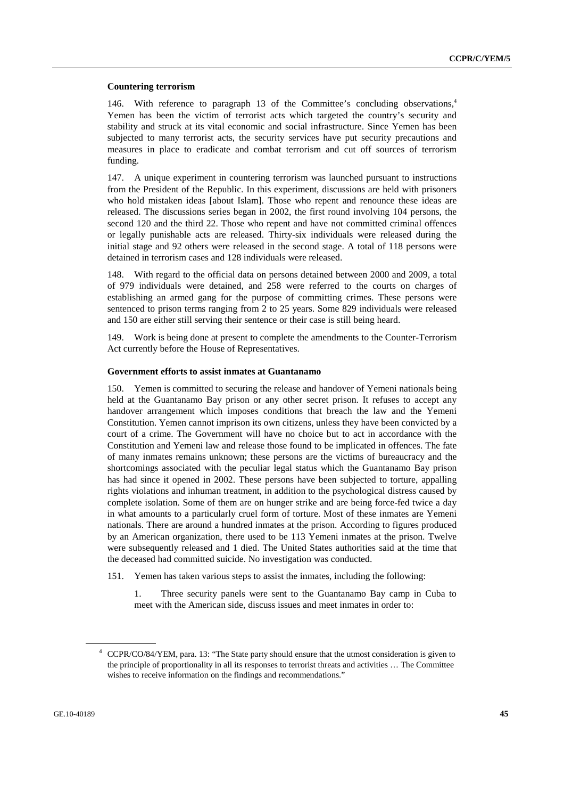#### **Countering terrorism**

146. With reference to paragraph 13 of the Committee's concluding observations,4 Yemen has been the victim of terrorist acts which targeted the country's security and stability and struck at its vital economic and social infrastructure. Since Yemen has been subjected to many terrorist acts, the security services have put security precautions and measures in place to eradicate and combat terrorism and cut off sources of terrorism funding.

147. A unique experiment in countering terrorism was launched pursuant to instructions from the President of the Republic. In this experiment, discussions are held with prisoners who hold mistaken ideas [about Islam]. Those who repent and renounce these ideas are released. The discussions series began in 2002, the first round involving 104 persons, the second 120 and the third 22. Those who repent and have not committed criminal offences or legally punishable acts are released. Thirty-six individuals were released during the initial stage and 92 others were released in the second stage. A total of 118 persons were detained in terrorism cases and 128 individuals were released.

148. With regard to the official data on persons detained between 2000 and 2009, a total of 979 individuals were detained, and 258 were referred to the courts on charges of establishing an armed gang for the purpose of committing crimes. These persons were sentenced to prison terms ranging from 2 to 25 years. Some 829 individuals were released and 150 are either still serving their sentence or their case is still being heard.

149. Work is being done at present to complete the amendments to the Counter-Terrorism Act currently before the House of Representatives.

## **Government efforts to assist inmates at Guantanamo**

150. Yemen is committed to securing the release and handover of Yemeni nationals being held at the Guantanamo Bay prison or any other secret prison. It refuses to accept any handover arrangement which imposes conditions that breach the law and the Yemeni Constitution. Yemen cannot imprison its own citizens, unless they have been convicted by a court of a crime. The Government will have no choice but to act in accordance with the Constitution and Yemeni law and release those found to be implicated in offences. The fate of many inmates remains unknown; these persons are the victims of bureaucracy and the shortcomings associated with the peculiar legal status which the Guantanamo Bay prison has had since it opened in 2002. These persons have been subjected to torture, appalling rights violations and inhuman treatment, in addition to the psychological distress caused by complete isolation. Some of them are on hunger strike and are being force-fed twice a day in what amounts to a particularly cruel form of torture. Most of these inmates are Yemeni nationals. There are around a hundred inmates at the prison. According to figures produced by an American organization, there used to be 113 Yemeni inmates at the prison. Twelve were subsequently released and 1 died. The United States authorities said at the time that the deceased had committed suicide. No investigation was conducted.

151. Yemen has taken various steps to assist the inmates, including the following:

1. Three security panels were sent to the Guantanamo Bay camp in Cuba to meet with the American side, discuss issues and meet inmates in order to:

<sup>4</sup> CCPR/CO/84/YEM, para. 13: "The State party should ensure that the utmost consideration is given to the principle of proportionality in all its responses to terrorist threats and activities … The Committee wishes to receive information on the findings and recommendations."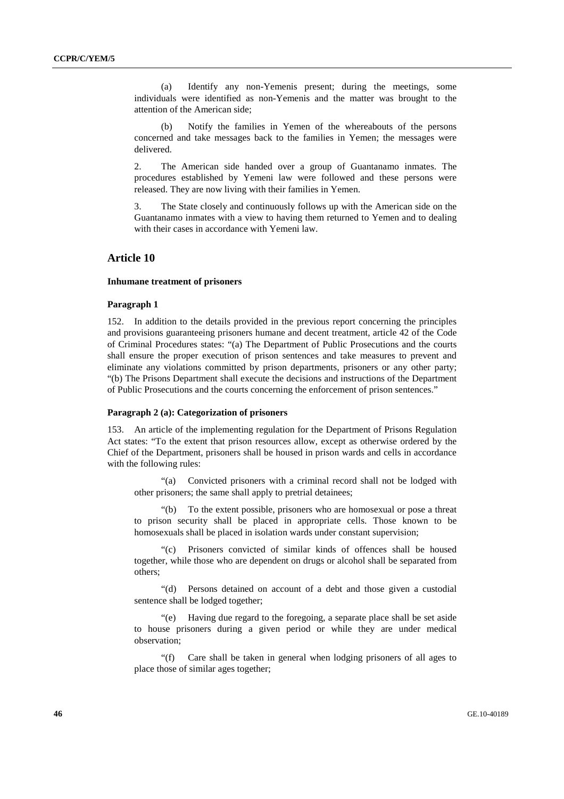(a) Identify any non-Yemenis present; during the meetings, some individuals were identified as non-Yemenis and the matter was brought to the attention of the American side;

 (b) Notify the families in Yemen of the whereabouts of the persons concerned and take messages back to the families in Yemen; the messages were delivered.

2. The American side handed over a group of Guantanamo inmates. The procedures established by Yemeni law were followed and these persons were released. They are now living with their families in Yemen.

3. The State closely and continuously follows up with the American side on the Guantanamo inmates with a view to having them returned to Yemen and to dealing with their cases in accordance with Yemeni law.

# **Article 10**

#### **Inhumane treatment of prisoners**

#### **Paragraph 1**

152. In addition to the details provided in the previous report concerning the principles and provisions guaranteeing prisoners humane and decent treatment, article 42 of the Code of Criminal Procedures states: "(a) The Department of Public Prosecutions and the courts shall ensure the proper execution of prison sentences and take measures to prevent and eliminate any violations committed by prison departments, prisoners or any other party; "(b) The Prisons Department shall execute the decisions and instructions of the Department of Public Prosecutions and the courts concerning the enforcement of prison sentences."

## **Paragraph 2 (a): Categorization of prisoners**

153. An article of the implementing regulation for the Department of Prisons Regulation Act states: "To the extent that prison resources allow, except as otherwise ordered by the Chief of the Department, prisoners shall be housed in prison wards and cells in accordance with the following rules:

 "(a) Convicted prisoners with a criminal record shall not be lodged with other prisoners; the same shall apply to pretrial detainees;

 "(b) To the extent possible, prisoners who are homosexual or pose a threat to prison security shall be placed in appropriate cells. Those known to be homosexuals shall be placed in isolation wards under constant supervision;

 "(c) Prisoners convicted of similar kinds of offences shall be housed together, while those who are dependent on drugs or alcohol shall be separated from others;

 "(d) Persons detained on account of a debt and those given a custodial sentence shall be lodged together;

 "(e) Having due regard to the foregoing, a separate place shall be set aside to house prisoners during a given period or while they are under medical observation;

 "(f) Care shall be taken in general when lodging prisoners of all ages to place those of similar ages together;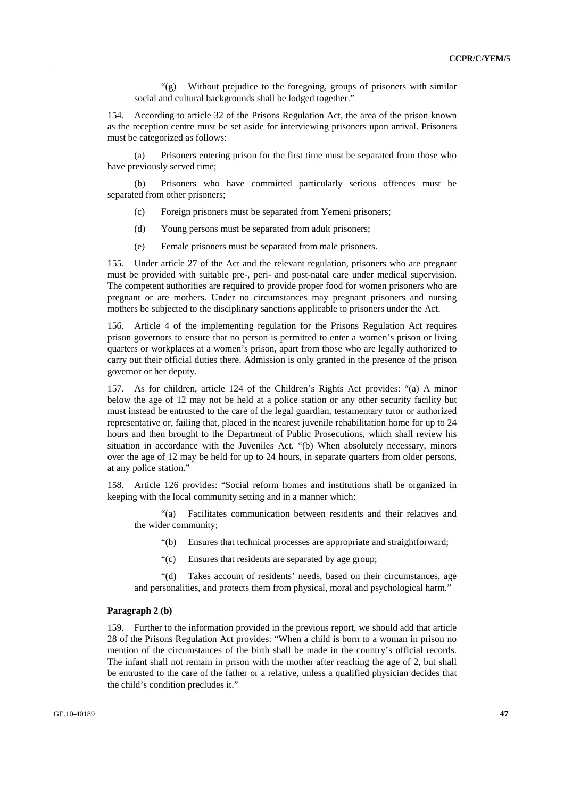"(g) Without prejudice to the foregoing, groups of prisoners with similar social and cultural backgrounds shall be lodged together."

154. According to article 32 of the Prisons Regulation Act, the area of the prison known as the reception centre must be set aside for interviewing prisoners upon arrival. Prisoners must be categorized as follows:

 (a) Prisoners entering prison for the first time must be separated from those who have previously served time;

 (b) Prisoners who have committed particularly serious offences must be separated from other prisoners;

- (c) Foreign prisoners must be separated from Yemeni prisoners;
- (d) Young persons must be separated from adult prisoners;
- (e) Female prisoners must be separated from male prisoners.

155. Under article 27 of the Act and the relevant regulation, prisoners who are pregnant must be provided with suitable pre-, peri- and post-natal care under medical supervision. The competent authorities are required to provide proper food for women prisoners who are pregnant or are mothers. Under no circumstances may pregnant prisoners and nursing mothers be subjected to the disciplinary sanctions applicable to prisoners under the Act.

156. Article 4 of the implementing regulation for the Prisons Regulation Act requires prison governors to ensure that no person is permitted to enter a women's prison or living quarters or workplaces at a women's prison, apart from those who are legally authorized to carry out their official duties there. Admission is only granted in the presence of the prison governor or her deputy.

157. As for children, article 124 of the Children's Rights Act provides: "(a) A minor below the age of 12 may not be held at a police station or any other security facility but must instead be entrusted to the care of the legal guardian, testamentary tutor or authorized representative or, failing that, placed in the nearest juvenile rehabilitation home for up to 24 hours and then brought to the Department of Public Prosecutions, which shall review his situation in accordance with the Juveniles Act. "(b) When absolutely necessary, minors over the age of 12 may be held for up to 24 hours, in separate quarters from older persons, at any police station."

158. Article 126 provides: "Social reform homes and institutions shall be organized in keeping with the local community setting and in a manner which:

 "(a) Facilitates communication between residents and their relatives and the wider community;

- "(b) Ensures that technical processes are appropriate and straightforward;
- "(c) Ensures that residents are separated by age group;

 "(d) Takes account of residents' needs, based on their circumstances, age and personalities, and protects them from physical, moral and psychological harm."

#### **Paragraph 2 (b)**

159. Further to the information provided in the previous report, we should add that article 28 of the Prisons Regulation Act provides: "When a child is born to a woman in prison no mention of the circumstances of the birth shall be made in the country's official records. The infant shall not remain in prison with the mother after reaching the age of 2, but shall be entrusted to the care of the father or a relative, unless a qualified physician decides that the child's condition precludes it."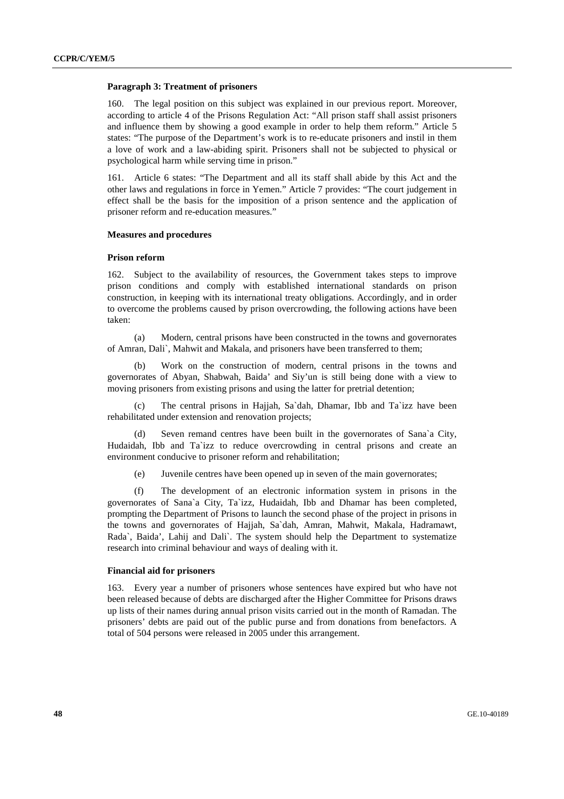#### **Paragraph 3: Treatment of prisoners**

160. The legal position on this subject was explained in our previous report. Moreover, according to article 4 of the Prisons Regulation Act: "All prison staff shall assist prisoners and influence them by showing a good example in order to help them reform." Article 5 states: "The purpose of the Department's work is to re-educate prisoners and instil in them a love of work and a law-abiding spirit. Prisoners shall not be subjected to physical or psychological harm while serving time in prison."

161. Article 6 states: "The Department and all its staff shall abide by this Act and the other laws and regulations in force in Yemen." Article 7 provides: "The court judgement in effect shall be the basis for the imposition of a prison sentence and the application of prisoner reform and re-education measures."

## **Measures and procedures**

#### **Prison reform**

162. Subject to the availability of resources, the Government takes steps to improve prison conditions and comply with established international standards on prison construction, in keeping with its international treaty obligations. Accordingly, and in order to overcome the problems caused by prison overcrowding, the following actions have been taken:

 (a) Modern, central prisons have been constructed in the towns and governorates of Amran, Dali`, Mahwit and Makala, and prisoners have been transferred to them;

 (b) Work on the construction of modern, central prisons in the towns and governorates of Abyan, Shabwah, Baida' and Siy'un is still being done with a view to moving prisoners from existing prisons and using the latter for pretrial detention;

 (c) The central prisons in Hajjah, Sa`dah, Dhamar, Ibb and Ta`izz have been rehabilitated under extension and renovation projects;

 (d) Seven remand centres have been built in the governorates of Sana`a City, Hudaidah, Ibb and Ta`izz to reduce overcrowding in central prisons and create an environment conducive to prisoner reform and rehabilitation;

(e) Juvenile centres have been opened up in seven of the main governorates;

 (f) The development of an electronic information system in prisons in the governorates of Sana`a City, Ta`izz, Hudaidah, Ibb and Dhamar has been completed, prompting the Department of Prisons to launch the second phase of the project in prisons in the towns and governorates of Hajjah, Sa`dah, Amran, Mahwit, Makala, Hadramawt, Rada`, Baida', Lahij and Dali`. The system should help the Department to systematize research into criminal behaviour and ways of dealing with it.

#### **Financial aid for prisoners**

163. Every year a number of prisoners whose sentences have expired but who have not been released because of debts are discharged after the Higher Committee for Prisons draws up lists of their names during annual prison visits carried out in the month of Ramadan. The prisoners' debts are paid out of the public purse and from donations from benefactors. A total of 504 persons were released in 2005 under this arrangement.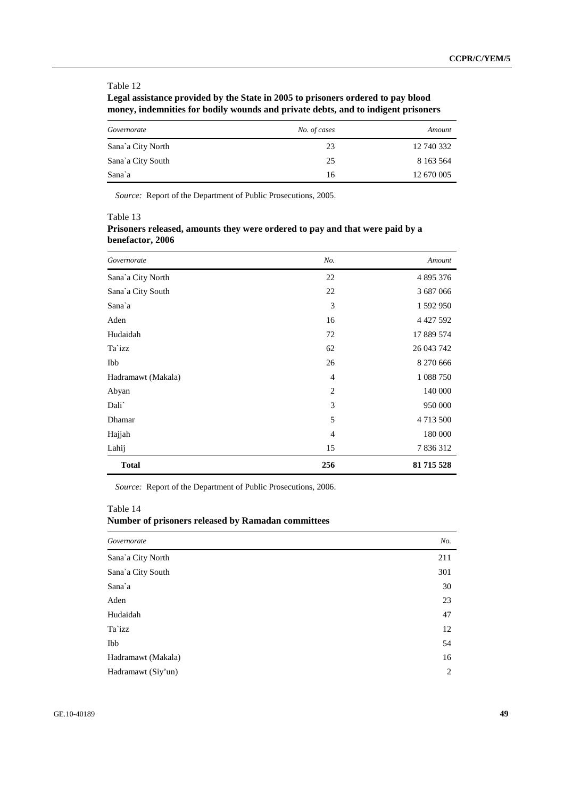# **Legal assistance provided by the State in 2005 to prisoners ordered to pay blood money, indemnities for bodily wounds and private debts, and to indigent prisoners**

| Governorate       | No. of cases | Amount        |
|-------------------|--------------|---------------|
| Sana`a City North | 23           | 12 740 332    |
| Sana`a City South | 25           | 8 1 6 3 5 6 4 |
| Sana`a            | 16           | 12 670 005    |

*Source:* Report of the Department of Public Prosecutions, 2005.

Table 13

|                  | Prisoners released, amounts they were ordered to pay and that were paid by a |  |  |
|------------------|------------------------------------------------------------------------------|--|--|
| benefactor, 2006 |                                                                              |  |  |

| Governorate        | No.            | Amount       |
|--------------------|----------------|--------------|
| Sana'a City North  | 22             | 4 895 376    |
| Sana`a City South  | 22             | 3 687 0 66   |
| Sana`a             | 3              | 1 592 950    |
| Aden               | 16             | 4 4 27 5 9 2 |
| Hudaidah           | 72             | 17 889 574   |
| Ta`izz             | 62             | 26 043 742   |
| Ibb                | 26             | 8 270 666    |
| Hadramawt (Makala) | $\overline{4}$ | 1 088 750    |
| Abyan              | $\overline{2}$ | 140 000      |
| Dali`              | 3              | 950 000      |
| Dhamar             | 5              | 4713500      |
| Hajjah             | $\overline{4}$ | 180 000      |
| Lahij              | 15             | 7836312      |
| <b>Total</b>       | 256            | 81 715 528   |

*Source:* Report of the Department of Public Prosecutions, 2006.

## Table 14

# **Number of prisoners released by Ramadan committees**

| Governorate        | No. |
|--------------------|-----|
| Sana'a City North  | 211 |
| Sana`a City South  | 301 |
| Sana`a             | 30  |
| Aden               | 23  |
| Hudaidah           | 47  |
| Ta`izz             | 12  |
| Ibb                | 54  |
| Hadramawt (Makala) | 16  |
| Hadramawt (Siy'un) | 2   |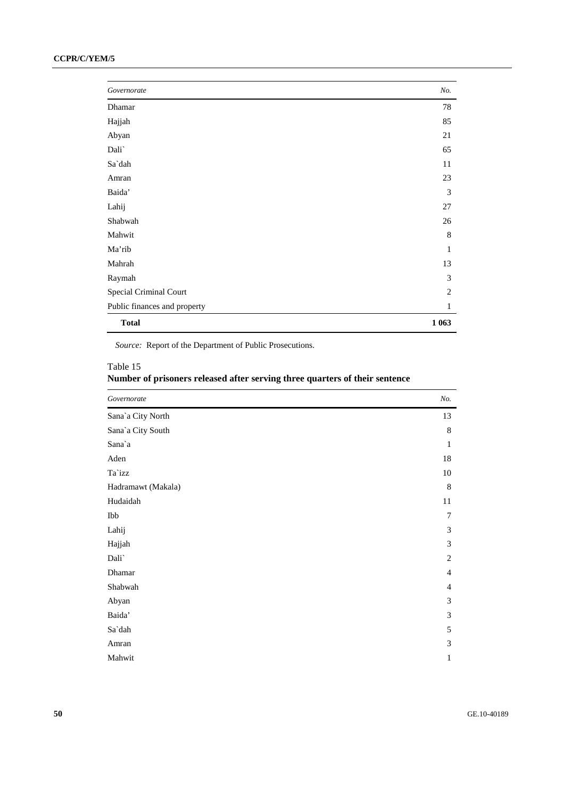# **CCPR/C/YEM/5**

| Governorate                  | No.            |
|------------------------------|----------------|
| Dhamar                       | 78             |
| Hajjah                       | 85             |
| Abyan                        | 21             |
| Dali`                        | 65             |
| Sa`dah                       | 11             |
| Amran                        | 23             |
| Baida'                       | 3              |
| Lahij                        | 27             |
| Shabwah                      | 26             |
| Mahwit                       | 8              |
| Ma'rib                       | 1              |
| Mahrah                       | 13             |
| Raymah                       | 3              |
| Special Criminal Court       | $\overline{2}$ |
| Public finances and property | 1              |
| <b>Total</b>                 | 1 0 6 3        |

*Source:* Report of the Department of Public Prosecutions.

# Table 15

| Number of prisoners released after serving three quarters of their sentence |  |  |
|-----------------------------------------------------------------------------|--|--|
|-----------------------------------------------------------------------------|--|--|

| Governorate        | No.            |
|--------------------|----------------|
| Sana'a City North  | 13             |
| Sana'a City South  | 8              |
| Sana`a             | 1              |
| Aden               | 18             |
| Ta`izz             | 10             |
| Hadramawt (Makala) | 8              |
| Hudaidah           | 11             |
| Ibb                | 7              |
| Lahij              | 3              |
| Hajjah             | 3              |
| Dali`              | 2              |
| Dhamar             | $\overline{4}$ |
| Shabwah            | $\overline{4}$ |
| Abyan              | 3              |
| Baida'             | 3              |
| Sa`dah             | 5              |
| Amran              | 3              |
| Mahwit             | 1              |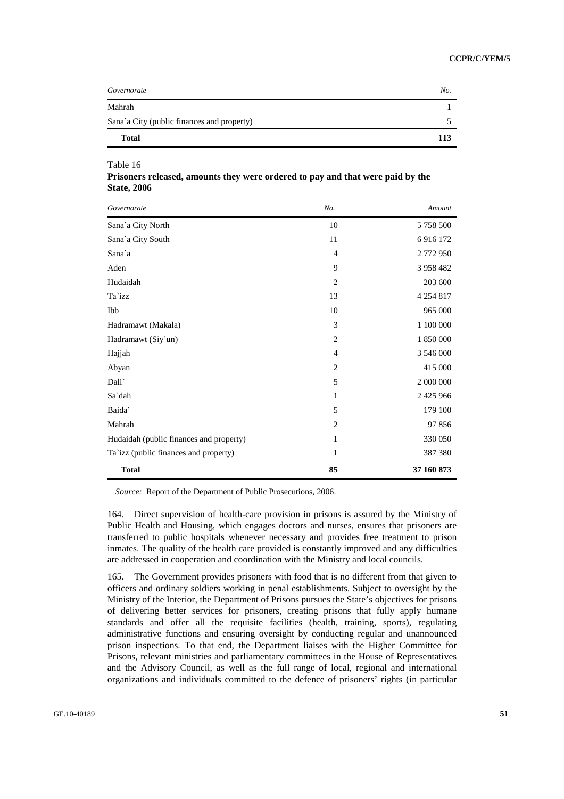| Governorate                                | No. |
|--------------------------------------------|-----|
| Mahrah                                     |     |
| Sana'a City (public finances and property) |     |
| <b>Total</b>                               | 113 |

**Prisoners released, amounts they were ordered to pay and that were paid by the State, 2006** 

| Governorate                             | No.            | Amount        |
|-----------------------------------------|----------------|---------------|
| Sana`a City North                       | 10             | 5 758 500     |
| Sana`a City South                       | 11             | 6916172       |
| Sana`a                                  | $\overline{4}$ | 2772950       |
| Aden                                    | 9              | 3 958 482     |
| Hudaidah                                | $\overline{2}$ | 203 600       |
| Ta`izz                                  | 13             | 4 2 5 4 8 1 7 |
| Ibb                                     | 10             | 965 000       |
| Hadramawt (Makala)                      | 3              | 1 100 000     |
| Hadramawt (Siy'un)                      | $\overline{c}$ | 1 850 000     |
| Hajjah                                  | $\overline{4}$ | 3 546 000     |
| Abyan                                   | $\overline{c}$ | 415 000       |
| Dali`                                   | 5              | 2 000 000     |
| Sa`dah                                  | 1              | 2 4 2 5 9 6 6 |
| Baida'                                  | 5              | 179 100       |
| Mahrah                                  | $\overline{c}$ | 97856         |
| Hudaidah (public finances and property) | 1              | 330 050       |
| Ta`izz (public finances and property)   | 1              | 387 380       |
| <b>Total</b>                            | 85             | 37 160 873    |

*Source:* Report of the Department of Public Prosecutions, 2006.

164. Direct supervision of health-care provision in prisons is assured by the Ministry of Public Health and Housing, which engages doctors and nurses, ensures that prisoners are transferred to public hospitals whenever necessary and provides free treatment to prison inmates. The quality of the health care provided is constantly improved and any difficulties are addressed in cooperation and coordination with the Ministry and local councils.

165. The Government provides prisoners with food that is no different from that given to officers and ordinary soldiers working in penal establishments. Subject to oversight by the Ministry of the Interior, the Department of Prisons pursues the State's objectives for prisons of delivering better services for prisoners, creating prisons that fully apply humane standards and offer all the requisite facilities (health, training, sports), regulating administrative functions and ensuring oversight by conducting regular and unannounced prison inspections. To that end, the Department liaises with the Higher Committee for Prisons, relevant ministries and parliamentary committees in the House of Representatives and the Advisory Council, as well as the full range of local, regional and international organizations and individuals committed to the defence of prisoners' rights (in particular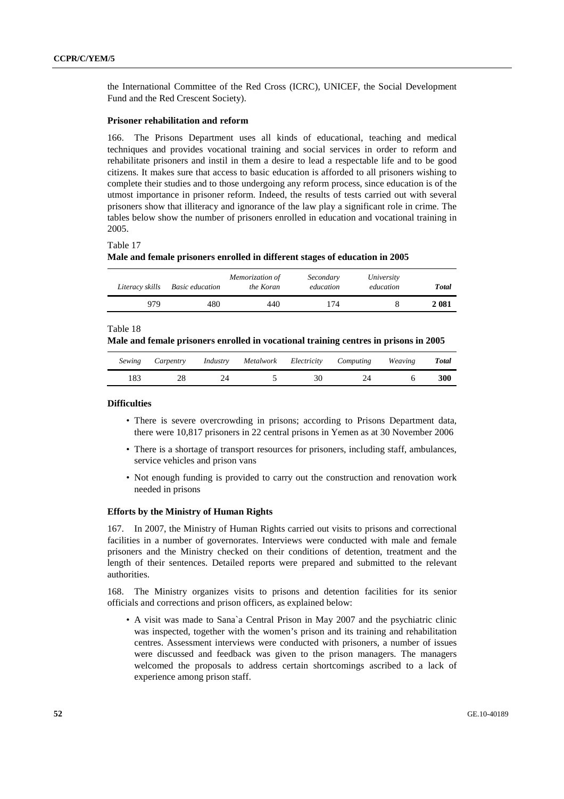the International Committee of the Red Cross (ICRC), UNICEF, the Social Development Fund and the Red Crescent Society).

## **Prisoner rehabilitation and reform**

166. The Prisons Department uses all kinds of educational, teaching and medical techniques and provides vocational training and social services in order to reform and rehabilitate prisoners and instil in them a desire to lead a respectable life and to be good citizens. It makes sure that access to basic education is afforded to all prisoners wishing to complete their studies and to those undergoing any reform process, since education is of the utmost importance in prisoner reform. Indeed, the results of tests carried out with several prisoners show that illiteracy and ignorance of the law play a significant role in crime. The tables below show the number of prisoners enrolled in education and vocational training in 2005.

#### Table 17

#### **Male and female prisoners enrolled in different stages of education in 2005**

| Literacy skills | Basic education | Memorization of<br>the Koran | Secondary<br>education | University<br>education | <b>Total</b> |
|-----------------|-----------------|------------------------------|------------------------|-------------------------|--------------|
| 979             | 480             | 440                          | 174                    |                         | 2 081        |

#### Table 18

#### **Male and female prisoners enrolled in vocational training centres in prisons in 2005**

| Sewing | Carpentry | Industry | Metalwork Electricity | Computing | Weaving | <b>Total</b> |
|--------|-----------|----------|-----------------------|-----------|---------|--------------|
| 183    |           |          | $30^{\circ}$          |           |         | 300          |

#### **Difficulties**

- There is severe overcrowding in prisons; according to Prisons Department data, there were 10,817 prisoners in 22 central prisons in Yemen as at 30 November 2006
- There is a shortage of transport resources for prisoners, including staff, ambulances, service vehicles and prison vans
- Not enough funding is provided to carry out the construction and renovation work needed in prisons

#### **Efforts by the Ministry of Human Rights**

167. In 2007, the Ministry of Human Rights carried out visits to prisons and correctional facilities in a number of governorates. Interviews were conducted with male and female prisoners and the Ministry checked on their conditions of detention, treatment and the length of their sentences. Detailed reports were prepared and submitted to the relevant authorities.

168. The Ministry organizes visits to prisons and detention facilities for its senior officials and corrections and prison officers, as explained below:

• A visit was made to Sana`a Central Prison in May 2007 and the psychiatric clinic was inspected, together with the women's prison and its training and rehabilitation centres. Assessment interviews were conducted with prisoners, a number of issues were discussed and feedback was given to the prison managers. The managers welcomed the proposals to address certain shortcomings ascribed to a lack of experience among prison staff.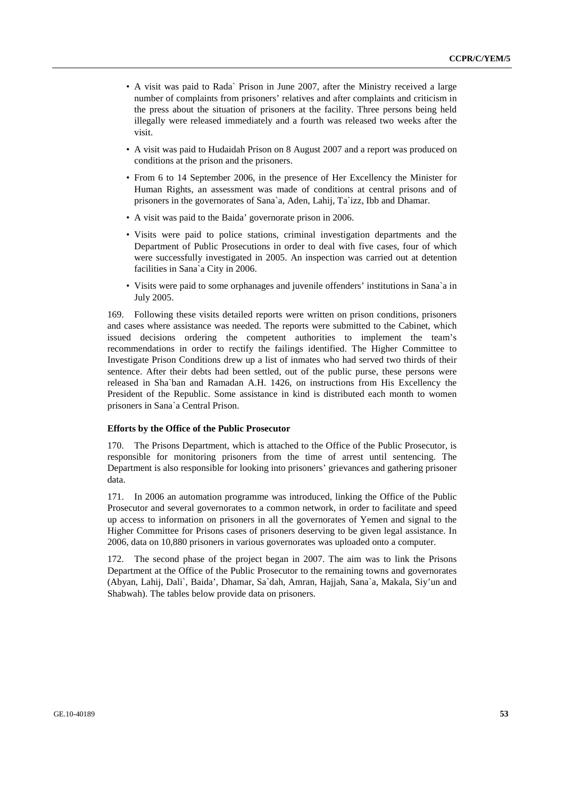- A visit was paid to Rada` Prison in June 2007, after the Ministry received a large number of complaints from prisoners' relatives and after complaints and criticism in the press about the situation of prisoners at the facility. Three persons being held illegally were released immediately and a fourth was released two weeks after the visit.
- A visit was paid to Hudaidah Prison on 8 August 2007 and a report was produced on conditions at the prison and the prisoners.
- From 6 to 14 September 2006, in the presence of Her Excellency the Minister for Human Rights, an assessment was made of conditions at central prisons and of prisoners in the governorates of Sana`a, Aden, Lahij, Ta`izz, Ibb and Dhamar.
- A visit was paid to the Baida' governorate prison in 2006.
- Visits were paid to police stations, criminal investigation departments and the Department of Public Prosecutions in order to deal with five cases, four of which were successfully investigated in 2005. An inspection was carried out at detention facilities in Sana`a City in 2006.
- Visits were paid to some orphanages and juvenile offenders' institutions in Sana`a in July 2005.

169. Following these visits detailed reports were written on prison conditions, prisoners and cases where assistance was needed. The reports were submitted to the Cabinet, which issued decisions ordering the competent authorities to implement the team's recommendations in order to rectify the failings identified. The Higher Committee to Investigate Prison Conditions drew up a list of inmates who had served two thirds of their sentence. After their debts had been settled, out of the public purse, these persons were released in Sha`ban and Ramadan A.H. 1426, on instructions from His Excellency the President of the Republic. Some assistance in kind is distributed each month to women prisoners in Sana`a Central Prison.

#### **Efforts by the Office of the Public Prosecutor**

170. The Prisons Department, which is attached to the Office of the Public Prosecutor, is responsible for monitoring prisoners from the time of arrest until sentencing. The Department is also responsible for looking into prisoners' grievances and gathering prisoner data.

171. In 2006 an automation programme was introduced, linking the Office of the Public Prosecutor and several governorates to a common network, in order to facilitate and speed up access to information on prisoners in all the governorates of Yemen and signal to the Higher Committee for Prisons cases of prisoners deserving to be given legal assistance. In 2006, data on 10,880 prisoners in various governorates was uploaded onto a computer.

172. The second phase of the project began in 2007. The aim was to link the Prisons Department at the Office of the Public Prosecutor to the remaining towns and governorates (Abyan, Lahij, Dali`, Baida', Dhamar, Sa`dah, Amran, Hajjah, Sana`a, Makala, Siy'un and Shabwah). The tables below provide data on prisoners.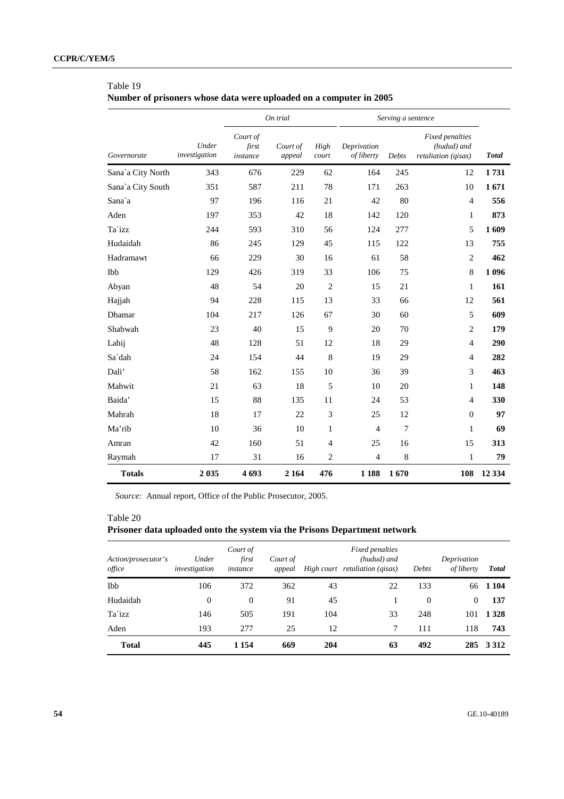**Number of prisoners whose data were uploaded on a computer in 2005** 

|                   |                        |                               | On trial           |                |                           | Serving a sentence |                                                       |              |
|-------------------|------------------------|-------------------------------|--------------------|----------------|---------------------------|--------------------|-------------------------------------------------------|--------------|
| Governorate       | Under<br>investigation | Court of<br>first<br>instance | Court of<br>appeal | High<br>court  | Deprivation<br>of liberty | Debts              | Fixed penalties<br>(hudud) and<br>retaliation (qisas) | <b>Total</b> |
| Sana'a City North | 343                    | 676                           | 229                | 62             | 164                       | 245                | 12                                                    | 1731         |
| Sana`a City South | 351                    | 587                           | 211                | 78             | 171                       | 263                | 10                                                    | 1671         |
| Sana`a            | 97                     | 196                           | 116                | 21             | 42                        | 80                 | $\overline{4}$                                        | 556          |
| Aden              | 197                    | 353                           | 42                 | 18             | 142                       | 120                | 1                                                     | 873          |
| Ta`izz            | 244                    | 593                           | 310                | 56             | 124                       | 277                | 5                                                     | 1609         |
| Hudaidah          | 86                     | 245                           | 129                | 45             | 115                       | 122                | 13                                                    | 755          |
| Hadramawt         | 66                     | 229                           | 30                 | 16             | 61                        | 58                 | $\overline{2}$                                        | 462          |
| Ibb               | 129                    | 426                           | 319                | 33             | 106                       | 75                 | 8                                                     | 1 0 9 6      |
| Abyan             | 48                     | 54                            | 20                 | $\overline{2}$ | 15                        | 21                 | 1                                                     | 161          |
| Hajjah            | 94                     | 228                           | 115                | 13             | 33                        | 66                 | 12                                                    | 561          |
| Dhamar            | 104                    | 217                           | 126                | 67             | 30                        | 60                 | 5                                                     | 609          |
| Shabwah           | 23                     | 40                            | 15                 | 9              | 20                        | 70                 | $\mathfrak{2}$                                        | 179          |
| Lahij             | 48                     | 128                           | 51                 | 12             | 18                        | 29                 | $\overline{4}$                                        | 290          |
| Sa`dah            | 24                     | 154                           | 44                 | 8              | 19                        | 29                 | $\overline{4}$                                        | 282          |
| Dali'             | 58                     | 162                           | 155                | 10             | 36                        | 39                 | 3                                                     | 463          |
| Mahwit            | 21                     | 63                            | 18                 | 5              | 10                        | 20                 | 1                                                     | 148          |
| Baida'            | 15                     | 88                            | 135                | 11             | 24                        | 53                 | $\overline{4}$                                        | 330          |
| Mahrah            | 18                     | 17                            | 22                 | 3              | 25                        | 12                 | $\overline{0}$                                        | 97           |
| Ma'rib            | 10                     | 36                            | 10                 | 1              | 4                         | 7                  | 1                                                     | 69           |
| Amran             | 42                     | 160                           | 51                 | $\overline{4}$ | 25                        | 16                 | 15                                                    | 313          |
| Raymah            | 17                     | 31                            | 16                 | $\mathfrak{2}$ | $\overline{4}$            | $\,$ 8 $\,$        | 1                                                     | 79           |
| <b>Totals</b>     | 2 0 3 5                | 4693                          | 2 1 6 4            | 476            | 1 1 8 8                   | 1670               | 108                                                   | 12 3 34      |

*Source:* Annual report, Office of the Public Prosecutor, 2005.

## Table 20

# **Prisoner data uploaded onto the system via the Prisons Department network**

| Action/prosecutor's<br>office | Under<br>investigation | Court of<br>first<br>instance | Court of<br>appeal |     | <i>Fixed penalties</i><br>(hudud) and<br>High court retaliation (gisas) | Debts    | Deprivation<br>of liberty | <b>Total</b> |
|-------------------------------|------------------------|-------------------------------|--------------------|-----|-------------------------------------------------------------------------|----------|---------------------------|--------------|
| Ibb                           | 106                    | 372                           | 362                | 43  | 22                                                                      | 133      | 66                        | 1 1 0 4      |
| Hudaidah                      | $\theta$               | $\mathbf{0}$                  | 91                 | 45  |                                                                         | $\theta$ | $\theta$                  | 137          |
| Ta`izz                        | 146                    | 505                           | 191                | 104 | 33                                                                      | 248      | 101                       | 1 3 2 8      |
| Aden                          | 193                    | 277                           | 25                 | 12  | 7                                                                       | 111      | 118                       | 743          |
| <b>Total</b>                  | 445                    | 1 1 5 4                       | 669                | 204 | 63                                                                      | 492      |                           | 285 3312     |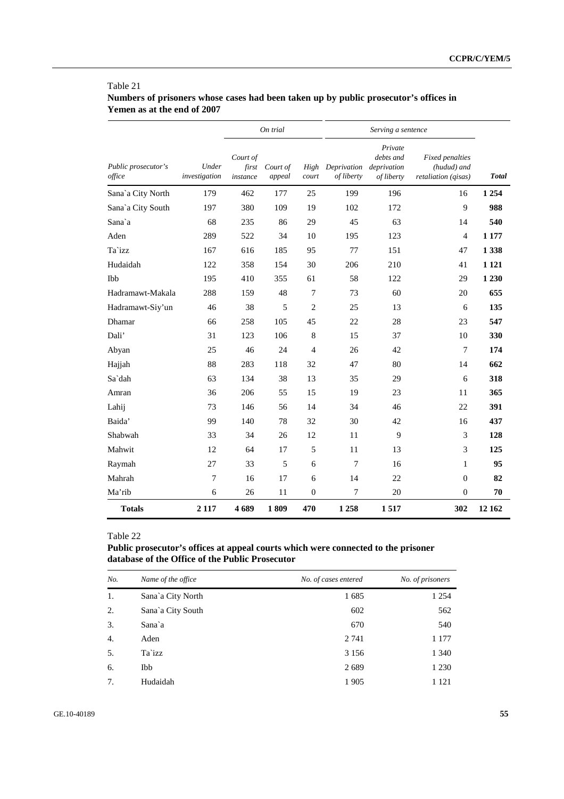| Table 21                                                                             |
|--------------------------------------------------------------------------------------|
| Numbers of prisoners whose cases had been taken up by public prosecutor's offices in |
| Yemen as at the end of 2007                                                          |

|                               |                        |                               | On trial           |                | Serving a sentence                    |                                    |                                                       |              |
|-------------------------------|------------------------|-------------------------------|--------------------|----------------|---------------------------------------|------------------------------------|-------------------------------------------------------|--------------|
| Public prosecutor's<br>office | Under<br>investigation | Court of<br>first<br>instance | Court of<br>appeal | High<br>court  | Deprivation deprivation<br>of liberty | Private<br>debts and<br>of liberty | Fixed penalties<br>(hudud) and<br>retaliation (gisas) | <b>Total</b> |
| Sana'a City North             | 179                    | 462                           | 177                | 25             | 199                                   | 196                                | 16                                                    | 1 2 5 4      |
| Sana`a City South             | 197                    | 380                           | 109                | 19             | 102                                   | 172                                | 9                                                     | 988          |
| Sana`a                        | 68                     | 235                           | 86                 | 29             | 45                                    | 63                                 | 14                                                    | 540          |
| Aden                          | 289                    | 522                           | 34                 | 10             | 195                                   | 123                                | $\overline{4}$                                        | 1 1 7 7      |
| Ta`izz                        | 167                    | 616                           | 185                | 95             | 77                                    | 151                                | 47                                                    | 1 3 3 8      |
| Hudaidah                      | 122                    | 358                           | 154                | 30             | 206                                   | 210                                | 41                                                    | 1 1 2 1      |
| <b>Ibb</b>                    | 195                    | 410                           | 355                | 61             | 58                                    | 122                                | 29                                                    | 1 2 3 0      |
| Hadramawt-Makala              | 288                    | 159                           | 48                 | $\overline{7}$ | 73                                    | 60                                 | 20                                                    | 655          |
| Hadramawt-Siy'un              | 46                     | 38                            | 5                  | $\overline{2}$ | 25                                    | 13                                 | 6                                                     | 135          |
| <b>Dhamar</b>                 | 66                     | 258                           | 105                | 45             | 22                                    | 28                                 | 23                                                    | 547          |
| Dali'                         | 31                     | 123                           | 106                | 8              | 15                                    | 37                                 | 10                                                    | 330          |
| Abyan                         | 25                     | 46                            | 24                 | $\overline{4}$ | 26                                    | 42                                 | 7                                                     | 174          |
| Hajjah                        | 88                     | 283                           | 118                | 32             | 47                                    | 80                                 | 14                                                    | 662          |
| Sa`dah                        | 63                     | 134                           | 38                 | 13             | 35                                    | 29                                 | 6                                                     | 318          |
| Amran                         | 36                     | 206                           | 55                 | 15             | 19                                    | 23                                 | 11                                                    | 365          |
| Lahij                         | 73                     | 146                           | 56                 | 14             | 34                                    | 46                                 | 22                                                    | 391          |
| Baida'                        | 99                     | 140                           | 78                 | 32             | 30                                    | 42                                 | 16                                                    | 437          |
| Shabwah                       | 33                     | 34                            | 26                 | 12             | 11                                    | 9                                  | 3                                                     | 128          |
| Mahwit                        | 12                     | 64                            | 17                 | 5              | 11                                    | 13                                 | 3                                                     | 125          |
| Raymah                        | 27                     | 33                            | 5                  | 6              | 7                                     | 16                                 | 1                                                     | 95           |
| Mahrah                        | 7                      | 16                            | 17                 | 6              | 14                                    | 22                                 | $\theta$                                              | 82           |
| Ma'rib                        | 6                      | 26                            | 11                 | $\mathbf{0}$   | 7                                     | 20                                 | $\theta$                                              | 70           |
| <b>Totals</b>                 | 2 1 1 7                | 4689                          | 1809               | 470            | 1 2 5 8                               | 1517                               | 302                                                   | 12 162       |

# **Public prosecutor's offices at appeal courts which were connected to the prisoner database of the Office of the Public Prosecutor**

| No. | Name of the office | No. of cases entered | No. of prisoners |
|-----|--------------------|----------------------|------------------|
| 1.  | Sana`a City North  | 1685                 | 1 2 5 4          |
| 2.  | Sana`a City South  | 602                  | 562              |
| 3.  | Sana`a             | 670                  | 540              |
| 4.  | Aden               | 2 7 4 1              | 1 1 7 7          |
| 5.  | Ta`izz             | 3 1 5 6              | 1 340            |
| 6.  | Ibb                | 2689                 | 1 2 3 0          |
| 7.  | Hudaidah           | 1 9 0 5              | 1 121            |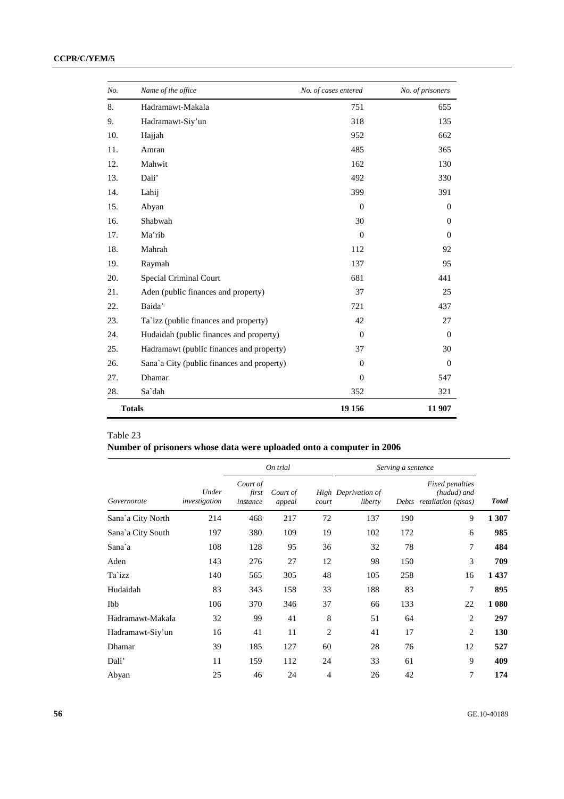| No. | Name of the office                         | No. of cases entered | No. of prisoners |
|-----|--------------------------------------------|----------------------|------------------|
| 8.  | Hadramawt-Makala                           | 751                  | 655              |
| 9.  | Hadramawt-Siy'un                           | 318                  | 135              |
| 10. | Hajjah                                     | 952                  | 662              |
| 11. | Amran                                      | 485                  | 365              |
| 12. | Mahwit                                     | 162                  | 130              |
| 13. | Dali'                                      | 492                  | 330              |
| 14. | Lahij                                      | 399                  | 391              |
| 15. | Abyan                                      | $\theta$             | $\theta$         |
| 16. | Shabwah                                    | 30                   | $\theta$         |
| 17. | Ma'rib                                     | $\Omega$             | $\Omega$         |
| 18. | Mahrah                                     | 112                  | 92               |
| 19. | Raymah                                     | 137                  | 95               |
| 20. | Special Criminal Court                     | 681                  | 441              |
| 21. | Aden (public finances and property)        | 37                   | 25               |
| 22. | Baida'                                     | 721                  | 437              |
| 23. | Ta`izz (public finances and property)      | 42                   | 27               |
| 24. | Hudaidah (public finances and property)    | $\theta$             | $\Omega$         |
| 25. | Hadramawt (public finances and property)   | 37                   | 30               |
| 26. | Sana'a City (public finances and property) | $\Omega$             | $\theta$         |
| 27. | Dhamar                                     | $\Omega$             | 547              |
| 28. | Sa`dah                                     | 352                  | 321              |
|     | <b>Totals</b>                              | 19 15 6              | 11 907           |

# **Number of prisoners whose data were uploaded onto a computer in 2006**

|                   |                        | On trial                      |                    |       | Serving a sentence             |     |                                                             |              |
|-------------------|------------------------|-------------------------------|--------------------|-------|--------------------------------|-----|-------------------------------------------------------------|--------------|
| Governorate       | Under<br>investigation | Court of<br>first<br>instance | Court of<br>appeal | court | High Deprivation of<br>liberty |     | Fixed penalties<br>(hudud) and<br>Debts retaliation (gisas) | <b>Total</b> |
| Sana`a City North | 214                    | 468                           | 217                | 72    | 137                            | 190 | 9                                                           | 1 307        |
| Sana`a City South | 197                    | 380                           | 109                | 19    | 102                            | 172 | 6                                                           | 985          |
| Sana`a            | 108                    | 128                           | 95                 | 36    | 32                             | 78  | 7                                                           | 484          |
| Aden              | 143                    | 276                           | 27                 | 12    | 98                             | 150 | 3                                                           | 709          |
| Ta`izz            | 140                    | 565                           | 305                | 48    | 105                            | 258 | 16                                                          | 1437         |
| Hudaidah          | 83                     | 343                           | 158                | 33    | 188                            | 83  | 7                                                           | 895          |
| <b>Ibb</b>        | 106                    | 370                           | 346                | 37    | 66                             | 133 | 22                                                          | 1 0 8 0      |
| Hadramawt-Makala  | 32                     | 99                            | 41                 | 8     | 51                             | 64  | $\overline{2}$                                              | 297          |
| Hadramawt-Siy'un  | 16                     | 41                            | 11                 | 2     | 41                             | 17  | $\overline{c}$                                              | 130          |
| Dhamar            | 39                     | 185                           | 127                | 60    | 28                             | 76  | 12                                                          | 527          |
| Dali'             | 11                     | 159                           | 112                | 24    | 33                             | 61  | 9                                                           | 409          |
| Abyan             | 25                     | 46                            | 24                 | 4     | 26                             | 42  | 7                                                           | 174          |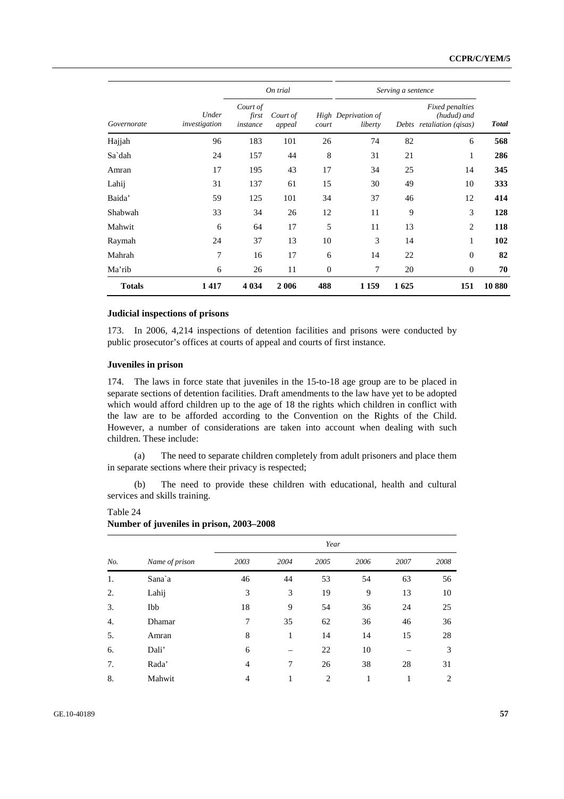|               |                        | On trial                      |                    |                | Serving a sentence             |      |                                                                    |              |
|---------------|------------------------|-------------------------------|--------------------|----------------|--------------------------------|------|--------------------------------------------------------------------|--------------|
| Governorate   | Under<br>investigation | Court of<br>first<br>instance | Court of<br>appeal | court          | High Deprivation of<br>liberty |      | <b>Fixed penalties</b><br>(hudud) and<br>Debts retaliation (gisas) | <b>Total</b> |
| Hajjah        | 96                     | 183                           | 101                | 26             | 74                             | 82   | 6                                                                  | 568          |
| Sa`dah        | 24                     | 157                           | 44                 | 8              | 31                             | 21   | 1                                                                  | 286          |
| Amran         | 17                     | 195                           | 43                 | 17             | 34                             | 25   | 14                                                                 | 345          |
| Lahij         | 31                     | 137                           | 61                 | 15             | 30                             | 49   | 10                                                                 | 333          |
| Baida'        | 59                     | 125                           | 101                | 34             | 37                             | 46   | 12                                                                 | 414          |
| Shabwah       | 33                     | 34                            | 26                 | 12             | 11                             | 9    | 3                                                                  | 128          |
| Mahwit        | 6                      | 64                            | 17                 | 5              | 11                             | 13   | 2                                                                  | 118          |
| Raymah        | 24                     | 37                            | 13                 | 10             | 3                              | 14   | 1                                                                  | 102          |
| Mahrah        | 7                      | 16                            | 17                 | 6              | 14                             | 22   | $\theta$                                                           | 82           |
| Ma'rib        | 6                      | 26                            | 11                 | $\overline{0}$ | 7                              | 20   | $\theta$                                                           | 70           |
| <b>Totals</b> | 1417                   | 4 0 34                        | 2006               | 488            | 1 1 5 9                        | 1625 | 151                                                                | 10880        |

#### **Judicial inspections of prisons**

173. In 2006, 4,214 inspections of detention facilities and prisons were conducted by public prosecutor's offices at courts of appeal and courts of first instance.

#### **Juveniles in prison**

Table 24

174. The laws in force state that juveniles in the 15-to-18 age group are to be placed in separate sections of detention facilities. Draft amendments to the law have yet to be adopted which would afford children up to the age of 18 the rights which children in conflict with the law are to be afforded according to the Convention on the Rights of the Child. However, a number of considerations are taken into account when dealing with such children. These include:

 (a) The need to separate children completely from adult prisoners and place them in separate sections where their privacy is respected;

 (b) The need to provide these children with educational, health and cultural services and skills training.

|     |                | Year           |      |      |      |      |      |
|-----|----------------|----------------|------|------|------|------|------|
| No. | Name of prison | 2003           | 2004 | 2005 | 2006 | 2007 | 2008 |
| 1.  | Sana`a         | 46             | 44   | 53   | 54   | 63   | 56   |
| 2.  | Lahij          | 3              | 3    | 19   | 9    | 13   | 10   |
| 3.  | Ibb            | 18             | 9    | 54   | 36   | 24   | 25   |
| 4.  | Dhamar         | 7              | 35   | 62   | 36   | 46   | 36   |
| 5.  | Amran          | 8              | 1    | 14   | 14   | 15   | 28   |
| 6.  | Dali'          | 6              |      | 22   | 10   |      | 3    |
| 7.  | Rada'          | $\overline{4}$ | 7    | 26   | 38   | 28   | 31   |
| 8.  | Mahwit         | $\overline{4}$ | 1    | 2    | 1    | 1    | 2    |

**Number of juveniles in prison, 2003–2008**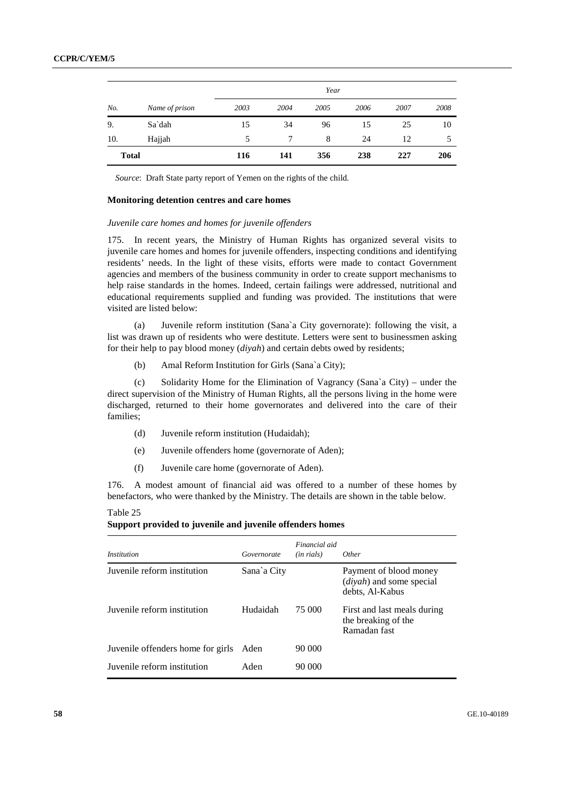|              |                | Year |      |      |      |      |      |
|--------------|----------------|------|------|------|------|------|------|
| No.          | Name of prison | 2003 | 2004 | 2005 | 2006 | 2007 | 2008 |
| 9.           | Sa`dah         | 15   | 34   | 96   | 15   | 25   | 10   |
| 10.          | Hajjah         | .5   |      | 8    | 24   | 12   | 5    |
| <b>Total</b> |                | 116  | 141  | 356  | 238  | 227  | 206  |

*Source*: Draft State party report of Yemen on the rights of the child.

#### **Monitoring detention centres and care homes**

#### *Juvenile care homes and homes for juvenile offenders*

175. In recent years, the Ministry of Human Rights has organized several visits to juvenile care homes and homes for juvenile offenders, inspecting conditions and identifying residents' needs. In the light of these visits, efforts were made to contact Government agencies and members of the business community in order to create support mechanisms to help raise standards in the homes. Indeed, certain failings were addressed, nutritional and educational requirements supplied and funding was provided. The institutions that were visited are listed below:

 (a) Juvenile reform institution (Sana`a City governorate): following the visit, a list was drawn up of residents who were destitute. Letters were sent to businessmen asking for their help to pay blood money (*diyah*) and certain debts owed by residents;

(b) Amal Reform Institution for Girls (Sana`a City);

 (c) Solidarity Home for the Elimination of Vagrancy (Sana`a City) – under the direct supervision of the Ministry of Human Rights, all the persons living in the home were discharged, returned to their home governorates and delivered into the care of their families;

- (d) Juvenile reform institution (Hudaidah);
- (e) Juvenile offenders home (governorate of Aden);
- (f) Juvenile care home (governorate of Aden).

176. A modest amount of financial aid was offered to a number of these homes by benefactors, who were thanked by the Ministry. The details are shown in the table below.

| <i>Institution</i>                | Governorate | Financial aid<br>(in rials) | <i>Other</i>                                                                              |
|-----------------------------------|-------------|-----------------------------|-------------------------------------------------------------------------------------------|
| Juvenile reform institution       | Sana`a City |                             | Payment of blood money<br>$\left(\text{divah}\right)$ and some special<br>debts, Al-Kabus |
| Juvenile reform institution       | Hudaidah    | 75 000                      | First and last meals during<br>the breaking of the<br>Ramadan fast                        |
| Juvenile offenders home for girls | Aden        | 90 000                      |                                                                                           |
| Juvenile reform institution       | Aden        | 90 000                      |                                                                                           |

| Support provided to juvenile and juvenile offenders homes |  |  |
|-----------------------------------------------------------|--|--|
|                                                           |  |  |

Table 25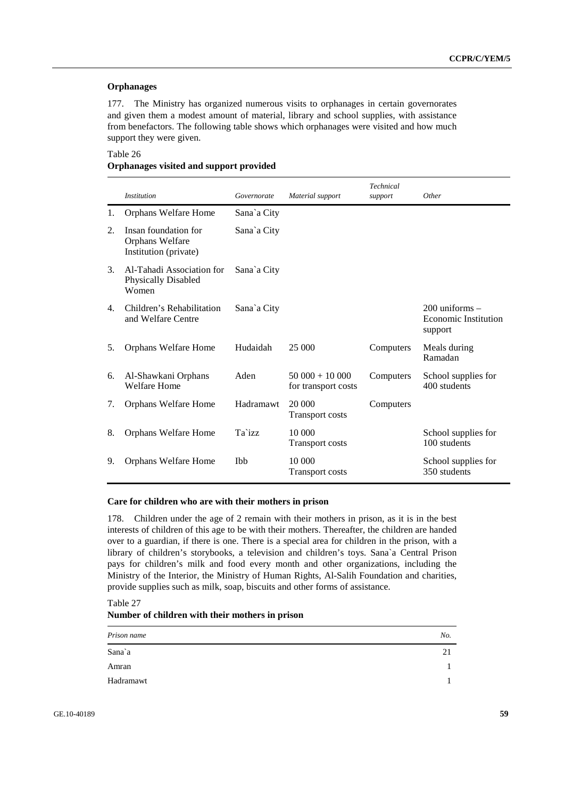## **Orphanages**

177. The Ministry has organized numerous visits to orphanages in certain governorates and given them a modest amount of material, library and school supplies, with assistance from benefactors. The following table shows which orphanages were visited and how much support they were given.

# Table 26 **Orphanages visited and support provided**

|    | <i>Institution</i>                                               | Governorate | Material support                       | <b>Technical</b><br>support | Other                                                        |
|----|------------------------------------------------------------------|-------------|----------------------------------------|-----------------------------|--------------------------------------------------------------|
| 1. | Orphans Welfare Home                                             | Sana`a City |                                        |                             |                                                              |
| 2. | Insan foundation for<br>Orphans Welfare<br>Institution (private) | Sana`a City |                                        |                             |                                                              |
| 3. | Al-Tahadi Association for<br><b>Physically Disabled</b><br>Women | Sana`a City |                                        |                             |                                                              |
| 4. | Children's Rehabilitation<br>and Welfare Centre                  | Sana`a City |                                        |                             | $200$ uniforms $-$<br><b>Economic Institution</b><br>support |
| 5. | Orphans Welfare Home                                             | Hudaidah    | 25 000                                 | Computers                   | Meals during<br>Ramadan                                      |
| 6. | Al-Shawkani Orphans<br>Welfare Home                              | Aden        | $50000 + 10000$<br>for transport costs | Computers                   | School supplies for<br>400 students                          |
| 7. | Orphans Welfare Home                                             | Hadramawt   | 20 000<br><b>Transport costs</b>       | Computers                   |                                                              |
| 8. | Orphans Welfare Home                                             | Ta`izz      | 10 000<br><b>Transport costs</b>       |                             | School supplies for<br>100 students                          |
| 9. | Orphans Welfare Home                                             | <b>Ibb</b>  | 10 000<br><b>Transport costs</b>       |                             | School supplies for<br>350 students                          |

#### **Care for children who are with their mothers in prison**

178. Children under the age of 2 remain with their mothers in prison, as it is in the best interests of children of this age to be with their mothers. Thereafter, the children are handed over to a guardian, if there is one. There is a special area for children in the prison, with a library of children's storybooks, a television and children's toys. Sana`a Central Prison pays for children's milk and food every month and other organizations, including the Ministry of the Interior, the Ministry of Human Rights, Al-Salih Foundation and charities, provide supplies such as milk, soap, biscuits and other forms of assistance.

Table 27 **Number of children with their mothers in prison** 

| Prison name | No. |
|-------------|-----|
| Sana`a      | 21  |
| Amran       |     |
| Hadramawt   |     |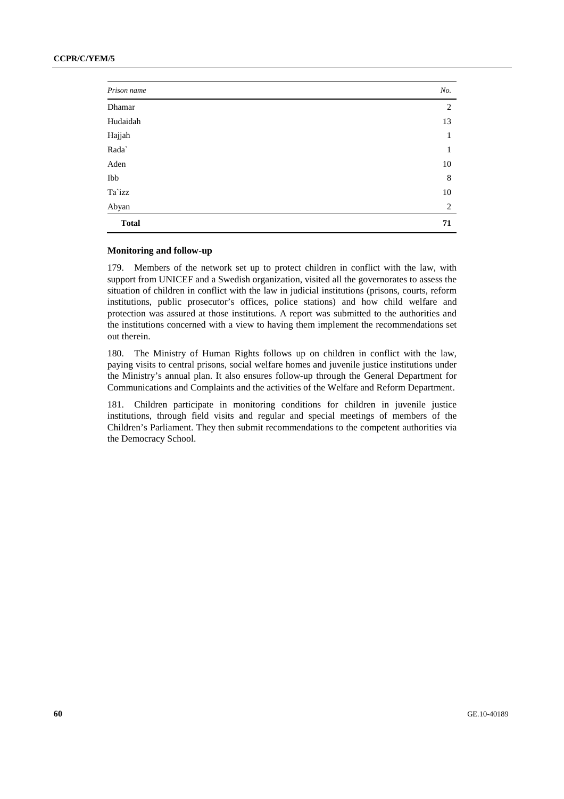# **CCPR/C/YEM/5**

| Prison name  | No. |
|--------------|-----|
| Dhamar       | 2   |
| Hudaidah     | 13  |
| Hajjah       | 1   |
| Rada`        | 1   |
| Aden         | 10  |
| Ibb          | 8   |
| Ta`izz       | 10  |
| Abyan        | 2   |
| <b>Total</b> | 71  |

## **Monitoring and follow-up**

179. Members of the network set up to protect children in conflict with the law, with support from UNICEF and a Swedish organization, visited all the governorates to assess the situation of children in conflict with the law in judicial institutions (prisons, courts, reform institutions, public prosecutor's offices, police stations) and how child welfare and protection was assured at those institutions. A report was submitted to the authorities and the institutions concerned with a view to having them implement the recommendations set out therein.

180. The Ministry of Human Rights follows up on children in conflict with the law, paying visits to central prisons, social welfare homes and juvenile justice institutions under the Ministry's annual plan. It also ensures follow-up through the General Department for Communications and Complaints and the activities of the Welfare and Reform Department.

181. Children participate in monitoring conditions for children in juvenile justice institutions, through field visits and regular and special meetings of members of the Children's Parliament. They then submit recommendations to the competent authorities via the Democracy School.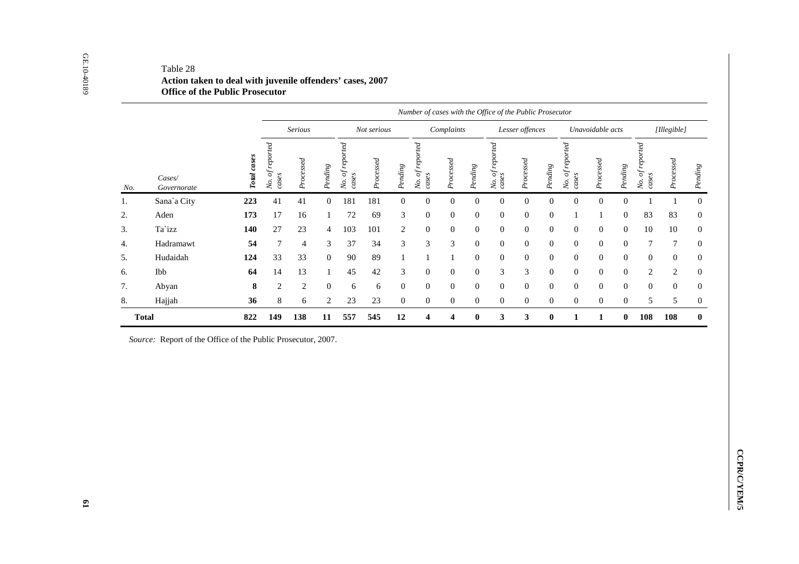|     |                                                              |             |                          |                |                  |                          |             |                  | Number of cases with the Office of the Public Prosecutor |                  |                  |                          |                  |                  |                          |                  |                  |                          |                  |
|-----|--------------------------------------------------------------|-------------|--------------------------|----------------|------------------|--------------------------|-------------|------------------|----------------------------------------------------------|------------------|------------------|--------------------------|------------------|------------------|--------------------------|------------------|------------------|--------------------------|------------------|
|     |                                                              |             |                          | <b>Serious</b> |                  |                          | Not serious |                  |                                                          | Complaints       |                  |                          | Lesser offences  |                  |                          | Unavoidable acts |                  |                          | [Illegible]      |
| No. | $\mathit{Cases}/$<br>Governorate                             | Total cases | No. of reported<br>cases | Processed      | $Pending$        | No. of reported<br>cases | Processed   | Pending          | No. of reported<br>cases                                 | Processed        | $Pending$        | No. of reported<br>cases | Processed        | $Pending$        | No. of reported<br>cases | Processed        | $Pending$        | No. of reported<br>cases | Processed        |
| 1.  | Sana'a City                                                  | 223         | 41                       | 41             | $\boldsymbol{0}$ | 181                      | 181         | $\boldsymbol{0}$ | $\boldsymbol{0}$                                         | $\boldsymbol{0}$ | $\boldsymbol{0}$ | $\boldsymbol{0}$         | $\boldsymbol{0}$ | $\boldsymbol{0}$ | $\boldsymbol{0}$         | $\boldsymbol{0}$ | $\boldsymbol{0}$ | $\,1\,$                  | $\mathbf{1}$     |
| 2.  | Aden                                                         | 173         | 17                       | 16             | $\mathbf{1}$     | 72                       | 69          | 3                | $\mathbf{0}$                                             | $\boldsymbol{0}$ | $\overline{0}$   | $\mathbf{0}$             | $\overline{0}$   | $\mathbf{0}$     | -1                       | 1                | $\mathbf{0}$     | 83                       | 83               |
| 3.  | Ta`izz                                                       | 140         | 27                       | $23\,$         | 4                | 103                      | 101         | $\sqrt{2}$       | $\boldsymbol{0}$                                         | $\boldsymbol{0}$ | $\mathbf{0}$     | $\boldsymbol{0}$         | $\mathbf{0}$     | $\boldsymbol{0}$ | $\mathbf{0}$             | $\boldsymbol{0}$ | $\boldsymbol{0}$ | 10                       | $10\,$           |
| 4.  | Hadramawt                                                    | 54          | $\tau$                   | $\overline{4}$ | 3                | 37                       | 34          | 3                | 3                                                        | 3                | $\overline{0}$   | $\mathbf{0}$             | $\overline{0}$   | $\boldsymbol{0}$ | $\mathbf{0}$             | $\boldsymbol{0}$ | $\mathbf{0}$     | 7                        | 7                |
| 5.  | Hudaidah                                                     | 124         | 33                       | 33             | $\boldsymbol{0}$ | 90                       | 89          | $\mathbf{1}$     | $\mathbf{1}$                                             | $\mathbf{1}$     | $\mathbf{0}$     | $\mathbf{0}$             | $\overline{0}$   | $\mathbf{0}$     | $\mathbf{0}$             | $\boldsymbol{0}$ | $\boldsymbol{0}$ | $\boldsymbol{0}$         | $\boldsymbol{0}$ |
| 6.  | Ibb                                                          | 64          | 14                       | 13             | $\mathbf{1}$     | 45                       | 42          | 3                | $\theta$                                                 | $\boldsymbol{0}$ | $\overline{0}$   | 3                        | 3                | $\mathbf{0}$     | $\mathbf{0}$             | $\mathbf{0}$     | $\mathbf{0}$     | $\overline{2}$           | 2                |
| 7.  | Abyan                                                        | ${\bf 8}$   | $\sqrt{2}$               | $\overline{c}$ | $\mathbf{0}$     | 6                        | 6           | $\boldsymbol{0}$ | $\boldsymbol{0}$                                         | $\boldsymbol{0}$ | $\overline{0}$   | $\mathbf{0}$             | $\overline{0}$   | $\mathbf{0}$     | $\boldsymbol{0}$         | $\boldsymbol{0}$ | $\mathbf{0}$     | $\boldsymbol{0}$         | $\boldsymbol{0}$ |
| 8.  | Hajjah                                                       | 36          | 8                        | 6              | 2                | $23\,$                   | 23          | $\mathbf{0}$     | $\boldsymbol{0}$                                         | $\overline{0}$   | $\mathbf{0}$     | $\overline{0}$           | $\overline{0}$   | $\overline{0}$   | $\mathbf{0}$             | $\mathbf{0}$     | $\mathbf{0}$     | 5                        | 5                |
|     | <b>Total</b>                                                 | 822         | 149                      | 138            | 11               | 557                      | 545         | 12               | $\overline{\mathbf{4}}$                                  | 4                | $\pmb{0}$        | $\mathbf{3}$             | $\mathbf{3}$     | $\pmb{0}$        | $\mathbf 1$              | $\mathbf{1}$     | $\pmb{0}$        | 108                      | 108              |
|     | Source: Report of the Office of the Public Prosecutor, 2007. |             |                          |                |                  |                          |             |                  |                                                          |                  |                  |                          |                  |                  |                          |                  |                  |                          |                  |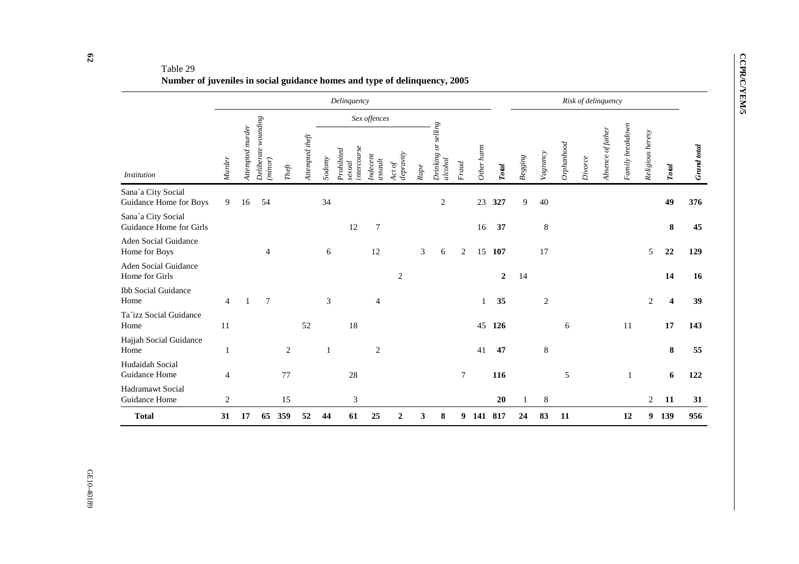# Table 29 **Number of juveniles in social guidance homes and type of delinquency, 2005**

|                                               |                |                  |                                |                              |                 |        | Delinquency                         |                             |                     |      |                                           |        |            |                  |         |                |              |         | Risk of delinquency |                  |                  |              |                    |
|-----------------------------------------------|----------------|------------------|--------------------------------|------------------------------|-----------------|--------|-------------------------------------|-----------------------------|---------------------|------|-------------------------------------------|--------|------------|------------------|---------|----------------|--------------|---------|---------------------|------------------|------------------|--------------|--------------------|
|                                               |                |                  |                                |                              |                 |        |                                     | Sex offences                |                     |      |                                           |        |            |                  |         |                |              |         |                     |                  |                  |              |                    |
| <b>Institution</b>                            | Murder         | Attempted murder | Deliberate wounding<br>(minor) | $The \ensuremath{\hat{\mu}}$ | Attempted theft | Sodomy | intercourse<br>Prohibited<br>sexual | Indecent<br>$as {\it null}$ | depravity<br>Act of | Rape | $\mathit{selling}$<br>Drinking<br>alcohol | Fraud  | Other harm | <b>Total</b>     | Begging | Vagrancy       | $Op$ hanhood | Divorce | Absence of father   | Family breakdown | Religious heresy | <b>Total</b> | <b>Grand</b> total |
| Sana`a City Social<br>Guidance Home for Boys  | 9              | 16               | 54                             |                              |                 | 34     |                                     |                             |                     |      | $\overline{c}$                            |        | 23         | 327              | 9       | 40             |              |         |                     |                  |                  | 49           | 376                |
| Sana`a City Social<br>Guidance Home for Girls |                |                  |                                |                              |                 |        | 12                                  | $\overline{7}$              |                     |      |                                           |        | 16         | 37               |         | 8              |              |         |                     |                  |                  | 8            | 45                 |
| Aden Social Guidance<br>Home for Boys         |                |                  | $\overline{4}$                 |                              |                 | 6      |                                     | 12                          |                     | 3    | 6                                         | 2      | 15         | 107              |         | 17             |              |         |                     |                  | 5                | 22           | 129                |
| <b>Aden Social Guidance</b><br>Home for Girls |                |                  |                                |                              |                 |        |                                     |                             | $\overline{c}$      |      |                                           |        |            | $\boldsymbol{2}$ | 14      |                |              |         |                     |                  |                  | 14           | 16                 |
| <b>Ibb Social Guidance</b><br>Home            | $\overline{4}$ |                  | $\overline{7}$                 |                              |                 | 3      |                                     | $\overline{4}$              |                     |      |                                           |        | 1          | 35               |         | $\overline{2}$ |              |         |                     |                  | 2                | 4            | 39                 |
| Ta'izz Social Guidance<br>Home                | 11             |                  |                                |                              | 52              |        | 18                                  |                             |                     |      |                                           |        | 45         | 126              |         |                | 6            |         |                     | 11               |                  | 17           | 143                |
| Hajjah Social Guidance<br>Home                | 1              |                  |                                | $\overline{2}$               |                 |        |                                     | $\overline{c}$              |                     |      |                                           |        | 41         | 47               |         | 8              |              |         |                     |                  |                  | 8            | 55                 |
| Hudaidah Social<br>Guidance Home              | 4              |                  |                                | 77                           |                 |        | $28\,$                              |                             |                     |      |                                           | $\tau$ |            | 116              |         |                | 5            |         |                     |                  |                  | 6            | 122                |
| Hadramawt Social<br>Guidance Home             | $\overline{c}$ |                  |                                | 15                           |                 |        | 3                                   |                             |                     |      |                                           |        |            | 20               |         | 8              |              |         |                     |                  | 2                | 11           | 31                 |
| <b>Total</b>                                  | 31             | 17               | 65                             | 359                          | 52              | 44     | 61                                  | 25                          | 2                   | 3    | 8                                         | 9      | 141 817    |                  | 24      | 83             | 11           |         |                     | 12               | 9                | 139          | 956                |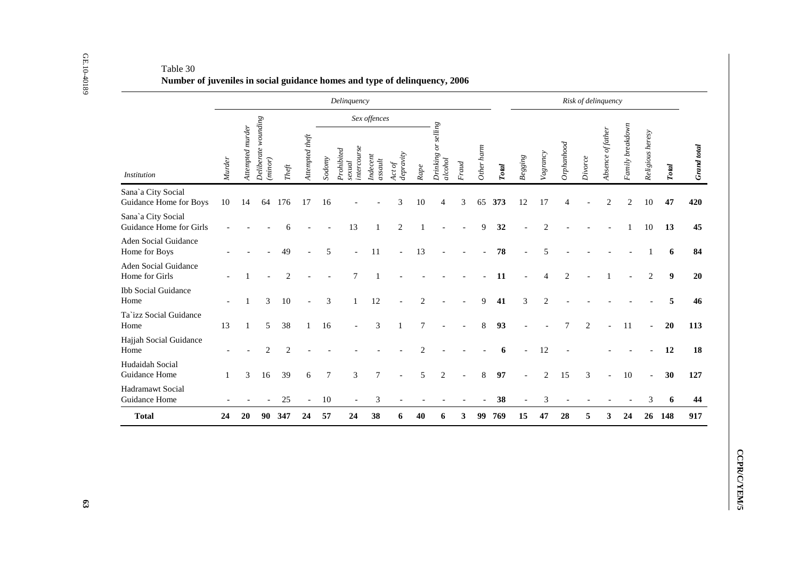|                                               |        |                  |                                |                                |                 |                  | Delinquency                        |                                                 |                                                       |                |                                |                |            |              | Risk of delinquency      |                |                |                |                   |                  |                          |                  |  |  |  |  |
|-----------------------------------------------|--------|------------------|--------------------------------|--------------------------------|-----------------|------------------|------------------------------------|-------------------------------------------------|-------------------------------------------------------|----------------|--------------------------------|----------------|------------|--------------|--------------------------|----------------|----------------|----------------|-------------------|------------------|--------------------------|------------------|--|--|--|--|
|                                               |        |                  |                                |                                |                 |                  |                                    | Sex offences                                    |                                                       |                |                                |                |            |              |                          |                |                |                |                   |                  |                          |                  |  |  |  |  |
| <i>Institution</i>                            |        | Attempted murder | Deliberate wounding<br>(minor) | $The \ensuremath{\mathit{ft}}$ | Attempted theft | Sodomy           | intercourse<br>Prohibited<br>scual | $\label{eq:indecent} Indecent$<br>as <i>aut</i> | $\begin{array}{l} Act\, of \\ de pravity \end{array}$ | Rape           | Drinking or selling<br>alcohol | Frand          | Other harm | <b>Total</b> | $Begging$                | Vagrancy       | Orphanhood     | Divorce        | Absence of father | Family breakdown | Religious heresy         | Total            |  |  |  |  |
| Sana'a City Social<br>Guidance Home for Boys  | 10     | 14               | 64                             | 176                            | 17              | 16               |                                    |                                                 | 3                                                     | 10             | $\overline{4}$                 | 3              | 65         | 373          | 12                       | 17             | $\overline{4}$ |                | $\overline{2}$    | $\mathbf{2}$     | 10                       | 47               |  |  |  |  |
| Sana'a City Social<br>Guidance Home for Girls |        |                  |                                | 6                              |                 |                  | 13                                 | $\mathbf{1}$                                    | $\sqrt{2}$                                            | $\mathbf{1}$   |                                |                | 9          | 32           |                          | $\overline{2}$ |                |                |                   | $\mathbf{1}$     | 10                       | 13               |  |  |  |  |
| Aden Social Guidance<br>Home for Boys         |        |                  |                                | 49                             |                 | 5                | $\overline{\phantom{a}}$           | 11                                              | $\overline{\phantom{a}}$                              | 13             |                                |                |            | 78           |                          | 5              |                |                |                   |                  |                          | 6                |  |  |  |  |
| Aden Social Guidance<br>Home for Girls        |        |                  |                                | $\overline{2}$                 |                 |                  | $\tau$                             | $\mathbf{1}$                                    |                                                       |                |                                |                |            | 11           |                          | $\overline{4}$ | 2              |                |                   |                  | $\overline{2}$           | $\boldsymbol{9}$ |  |  |  |  |
| <b>Ibb Social Guidance</b><br>Home            |        | -1               | 3                              | 10                             | $\bar{a}$       | $\mathfrak{Z}$   | 1                                  | 12                                              |                                                       | $\overline{2}$ |                                |                | 9          | 41           | $\mathfrak{Z}$           | 2              |                |                |                   |                  |                          | 5                |  |  |  |  |
| Ta'izz Social Guidance<br>Home                | 13     | $\mathbf{1}$     | 5                              | $38\,$                         | $\mathbf{1}$    | 16               |                                    | $\mathfrak{Z}$                                  | $\mathbf{1}$                                          | $\tau$         |                                |                | $8\,$      | 93           |                          |                | $\overline{7}$ | $\mathbf{2}$   |                   | 11               | $\overline{a}$           | 20               |  |  |  |  |
| Hajjah Social Guidance<br>Home                |        |                  | $\mathbf{2}$                   | $\overline{2}$                 |                 |                  |                                    |                                                 |                                                       | $\mathbf{2}$   |                                |                |            | 6            |                          | 12             |                |                |                   |                  |                          | 12               |  |  |  |  |
| Hudaidah Social<br>Guidance Home              | 1      | 3                | 16                             | 39                             | 6               | $\boldsymbol{7}$ | $\mathfrak{Z}$                     | $\boldsymbol{7}$                                | $\overline{a}$                                        | 5              | $\sqrt{2}$                     | $\overline{a}$ | $\,8\,$    | 97           |                          | $\sqrt{2}$     | 15             | $\mathfrak{Z}$ | $\overline{a}$    | $10\,$           | $\overline{\phantom{a}}$ | 30               |  |  |  |  |
| Hadramawt Social<br>Guidance Home             | $\sim$ |                  | $\overline{\phantom{a}}$       | 25                             | $\blacksquare$  | $10\,$           | $\overline{\phantom{a}}$           | 3                                               | $\sim$                                                | $\overline{a}$ |                                |                |            | 38           | $\overline{\phantom{a}}$ | $\mathfrak{Z}$ |                | $\sim$         |                   |                  | 3                        | 6                |  |  |  |  |
| <b>Total</b>                                  | 24     | 20               |                                | 90 347                         | 24              | 57               | 24                                 | 38                                              | 6                                                     | 40             | 6                              | 3              |            | 99 769       | 15                       | 47             | 28             | 5              | 3 <sup>1</sup>    | 24               |                          | 26 148           |  |  |  |  |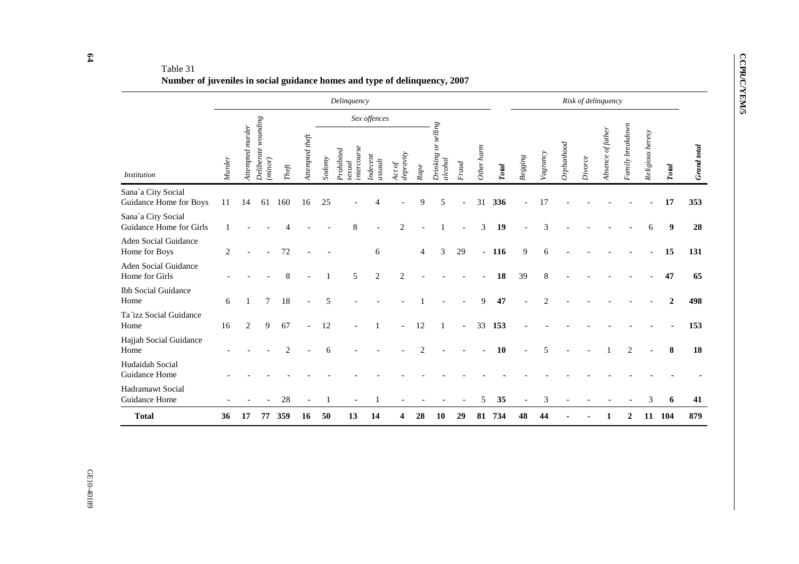# Table 31 **Number of juveniles in social guidance homes and type of delinquency, 2007**

|                                               |        |                  |                                |                                      |                 |        | Delinquency                         |                     |                     |                |                                      |                          |            |              |           |                |           |         | Risk of delinquency |                  |                  |              |                    |
|-----------------------------------------------|--------|------------------|--------------------------------|--------------------------------------|-----------------|--------|-------------------------------------|---------------------|---------------------|----------------|--------------------------------------|--------------------------|------------|--------------|-----------|----------------|-----------|---------|---------------------|------------------|------------------|--------------|--------------------|
|                                               |        |                  |                                |                                      |                 |        |                                     | Sex offences        |                     |                |                                      |                          |            |              |           |                |           |         |                     |                  |                  |              |                    |
| <b>Institution</b>                            | Murder | Attempted murder | Deliberate wounding<br>(minor) | $The \ensuremath{\hat{\mathcal{T}}}$ | Attempted theft | Sodomy | intercourse<br>Prohibited<br>sexual | Indecent<br>assault | depravity<br>Act of | $\it Range$    | $\it selling$<br>Drinking<br>alcohol | Fraud                    | Other harm | <b>Total</b> | $Begging$ | Vagrancy       | Ophanhood | Divorce | Absence of father   | Family breakdown | Religious heresy | <b>Total</b> | <b>Grand</b> total |
| Sana'a City Social<br>Guidance Home for Boys  | 11     | 14               | 61                             | 160                                  | 16              | 25     |                                     | 4                   |                     | 9              | 5                                    |                          | 31         | 336          |           | 17             |           |         |                     |                  |                  | 17           | 353                |
| Sana'a City Social<br>Guidance Home for Girls |        |                  |                                |                                      |                 |        | 8                                   |                     | $\overline{c}$      |                |                                      |                          | 3          | 19           |           | 3              |           |         |                     |                  | 6                | 9            | 28                 |
| Aden Social Guidance<br>Home for Boys         | 2      |                  |                                | 72                                   |                 |        |                                     | 6                   |                     | 4              | 3                                    | 29                       |            | $-116$       | 9         | 6              |           |         |                     |                  |                  | 15           | 131                |
| Aden Social Guidance<br>Home for Girls        |        |                  |                                | 8                                    |                 |        | 5                                   | $\mathfrak{2}$      | $\overline{2}$      |                |                                      |                          |            | 18           | 39        | 8              |           |         |                     |                  |                  | 47           | 65                 |
| <b>Ibb Social Guidance</b><br>Home            | 6      |                  | $\overline{7}$                 | 18                                   |                 | 5      |                                     |                     |                     |                |                                      |                          | 9          | 47           |           | $\overline{c}$ |           |         |                     |                  |                  | $\mathbf{2}$ | 498                |
| Ta'izz Social Guidance<br>Home                | 16     | 2                | 9                              | 67                                   |                 | 12     |                                     |                     |                     | 12             |                                      | $\overline{\phantom{a}}$ | 33         | 153          |           |                |           |         |                     |                  |                  |              | 153                |
| Hajjah Social Guidance<br>Home                |        |                  |                                | $\overline{c}$                       |                 | 6      |                                     |                     |                     | $\overline{2}$ |                                      |                          |            | 10           |           | 5              |           |         |                     | $\overline{2}$   |                  | 8            | 18                 |
| Hudaidah Social<br>Guidance Home              |        |                  |                                |                                      |                 |        |                                     |                     |                     |                |                                      |                          |            |              |           |                |           |         |                     |                  |                  |              |                    |
| Hadramawt Social<br>Guidance Home             |        |                  |                                | 28                                   |                 |        |                                     |                     |                     |                |                                      |                          | 5          | 35           |           | 3              |           |         |                     |                  | 3                | 6            | 41                 |
| <b>Total</b>                                  | 36     | 17               | 77                             | 359                                  | 16              | 50     | 13                                  | 14                  |                     | 28             | 10                                   | 29                       | 81         | 734          | 48        | 44             |           |         |                     | $\boldsymbol{2}$ | 11               | 104          | 879                |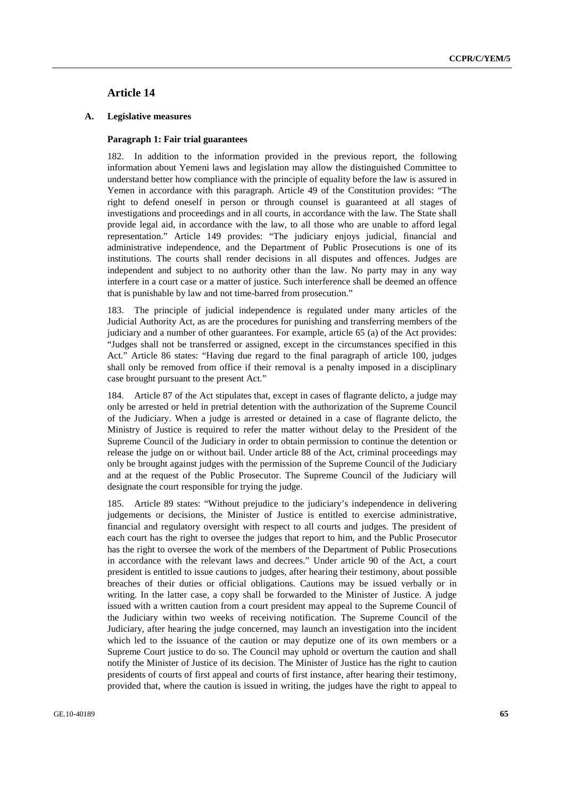# **Article 14**

## **A. Legislative measures**

## **Paragraph 1: Fair trial guarantees**

182. In addition to the information provided in the previous report, the following information about Yemeni laws and legislation may allow the distinguished Committee to understand better how compliance with the principle of equality before the law is assured in Yemen in accordance with this paragraph. Article 49 of the Constitution provides: "The right to defend oneself in person or through counsel is guaranteed at all stages of investigations and proceedings and in all courts, in accordance with the law. The State shall provide legal aid, in accordance with the law, to all those who are unable to afford legal representation." Article 149 provides: "The judiciary enjoys judicial, financial and administrative independence, and the Department of Public Prosecutions is one of its institutions. The courts shall render decisions in all disputes and offences. Judges are independent and subject to no authority other than the law. No party may in any way interfere in a court case or a matter of justice. Such interference shall be deemed an offence that is punishable by law and not time-barred from prosecution."

183. The principle of judicial independence is regulated under many articles of the Judicial Authority Act, as are the procedures for punishing and transferring members of the judiciary and a number of other guarantees. For example, article 65 (a) of the Act provides: "Judges shall not be transferred or assigned, except in the circumstances specified in this Act." Article 86 states: "Having due regard to the final paragraph of article 100, judges shall only be removed from office if their removal is a penalty imposed in a disciplinary case brought pursuant to the present Act."

184. Article 87 of the Act stipulates that, except in cases of flagrante delicto, a judge may only be arrested or held in pretrial detention with the authorization of the Supreme Council of the Judiciary. When a judge is arrested or detained in a case of flagrante delicto, the Ministry of Justice is required to refer the matter without delay to the President of the Supreme Council of the Judiciary in order to obtain permission to continue the detention or release the judge on or without bail. Under article 88 of the Act, criminal proceedings may only be brought against judges with the permission of the Supreme Council of the Judiciary and at the request of the Public Prosecutor. The Supreme Council of the Judiciary will designate the court responsible for trying the judge.

185. Article 89 states: "Without prejudice to the judiciary's independence in delivering judgements or decisions, the Minister of Justice is entitled to exercise administrative, financial and regulatory oversight with respect to all courts and judges. The president of each court has the right to oversee the judges that report to him, and the Public Prosecutor has the right to oversee the work of the members of the Department of Public Prosecutions in accordance with the relevant laws and decrees." Under article 90 of the Act, a court president is entitled to issue cautions to judges, after hearing their testimony, about possible breaches of their duties or official obligations. Cautions may be issued verbally or in writing. In the latter case, a copy shall be forwarded to the Minister of Justice. A judge issued with a written caution from a court president may appeal to the Supreme Council of the Judiciary within two weeks of receiving notification. The Supreme Council of the Judiciary, after hearing the judge concerned, may launch an investigation into the incident which led to the issuance of the caution or may deputize one of its own members or a Supreme Court justice to do so. The Council may uphold or overturn the caution and shall notify the Minister of Justice of its decision. The Minister of Justice has the right to caution presidents of courts of first appeal and courts of first instance, after hearing their testimony, provided that, where the caution is issued in writing, the judges have the right to appeal to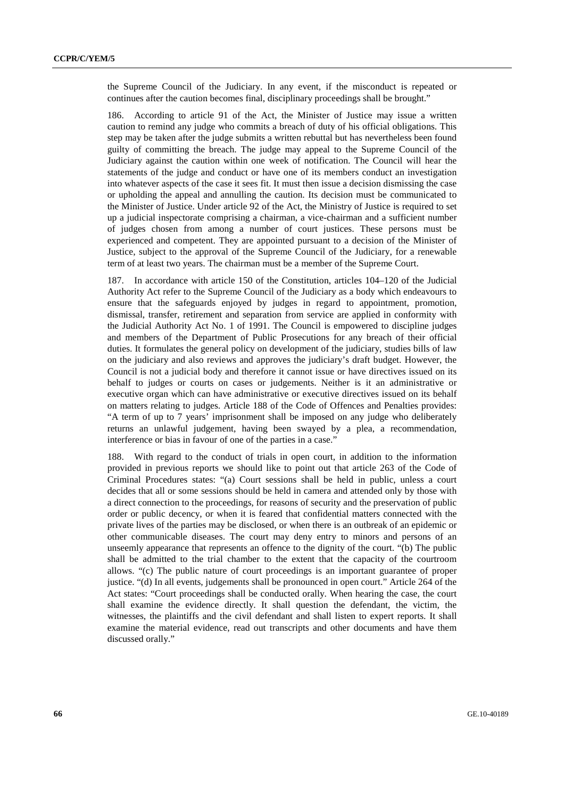the Supreme Council of the Judiciary. In any event, if the misconduct is repeated or continues after the caution becomes final, disciplinary proceedings shall be brought."

186. According to article 91 of the Act, the Minister of Justice may issue a written caution to remind any judge who commits a breach of duty of his official obligations. This step may be taken after the judge submits a written rebuttal but has nevertheless been found guilty of committing the breach. The judge may appeal to the Supreme Council of the Judiciary against the caution within one week of notification. The Council will hear the statements of the judge and conduct or have one of its members conduct an investigation into whatever aspects of the case it sees fit. It must then issue a decision dismissing the case or upholding the appeal and annulling the caution. Its decision must be communicated to the Minister of Justice. Under article 92 of the Act, the Ministry of Justice is required to set up a judicial inspectorate comprising a chairman, a vice-chairman and a sufficient number of judges chosen from among a number of court justices. These persons must be experienced and competent. They are appointed pursuant to a decision of the Minister of Justice, subject to the approval of the Supreme Council of the Judiciary, for a renewable term of at least two years. The chairman must be a member of the Supreme Court.

187. In accordance with article 150 of the Constitution, articles 104–120 of the Judicial Authority Act refer to the Supreme Council of the Judiciary as a body which endeavours to ensure that the safeguards enjoyed by judges in regard to appointment, promotion, dismissal, transfer, retirement and separation from service are applied in conformity with the Judicial Authority Act No. 1 of 1991. The Council is empowered to discipline judges and members of the Department of Public Prosecutions for any breach of their official duties. It formulates the general policy on development of the judiciary, studies bills of law on the judiciary and also reviews and approves the judiciary's draft budget. However, the Council is not a judicial body and therefore it cannot issue or have directives issued on its behalf to judges or courts on cases or judgements. Neither is it an administrative or executive organ which can have administrative or executive directives issued on its behalf on matters relating to judges. Article 188 of the Code of Offences and Penalties provides: "A term of up to 7 years' imprisonment shall be imposed on any judge who deliberately returns an unlawful judgement, having been swayed by a plea, a recommendation, interference or bias in favour of one of the parties in a case."

188. With regard to the conduct of trials in open court, in addition to the information provided in previous reports we should like to point out that article 263 of the Code of Criminal Procedures states: "(a) Court sessions shall be held in public, unless a court decides that all or some sessions should be held in camera and attended only by those with a direct connection to the proceedings, for reasons of security and the preservation of public order or public decency, or when it is feared that confidential matters connected with the private lives of the parties may be disclosed, or when there is an outbreak of an epidemic or other communicable diseases. The court may deny entry to minors and persons of an unseemly appearance that represents an offence to the dignity of the court. "(b) The public shall be admitted to the trial chamber to the extent that the capacity of the courtroom allows. "(c) The public nature of court proceedings is an important guarantee of proper justice. "(d) In all events, judgements shall be pronounced in open court." Article 264 of the Act states: "Court proceedings shall be conducted orally. When hearing the case, the court shall examine the evidence directly. It shall question the defendant, the victim, the witnesses, the plaintiffs and the civil defendant and shall listen to expert reports. It shall examine the material evidence, read out transcripts and other documents and have them discussed orally."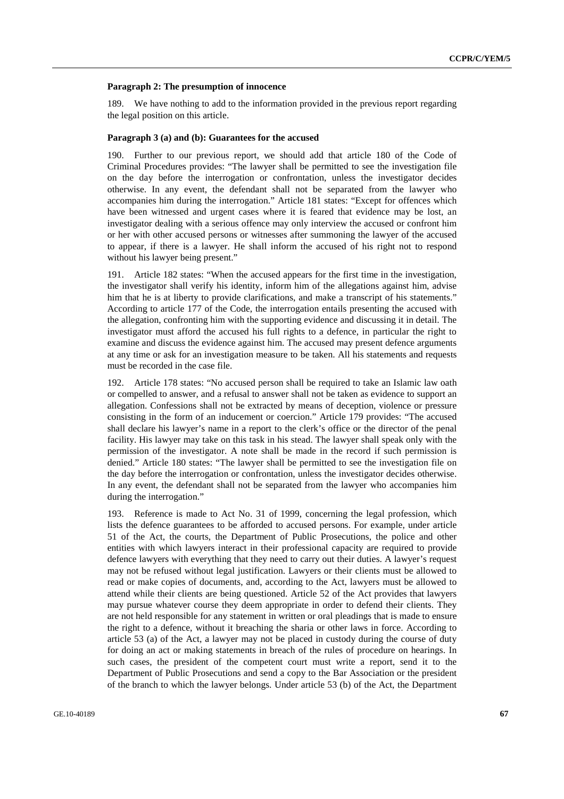#### **Paragraph 2: The presumption of innocence**

189. We have nothing to add to the information provided in the previous report regarding the legal position on this article.

#### **Paragraph 3 (a) and (b): Guarantees for the accused**

190. Further to our previous report, we should add that article 180 of the Code of Criminal Procedures provides: "The lawyer shall be permitted to see the investigation file on the day before the interrogation or confrontation, unless the investigator decides otherwise. In any event, the defendant shall not be separated from the lawyer who accompanies him during the interrogation." Article 181 states: "Except for offences which have been witnessed and urgent cases where it is feared that evidence may be lost, an investigator dealing with a serious offence may only interview the accused or confront him or her with other accused persons or witnesses after summoning the lawyer of the accused to appear, if there is a lawyer. He shall inform the accused of his right not to respond without his lawyer being present."

191. Article 182 states: "When the accused appears for the first time in the investigation, the investigator shall verify his identity, inform him of the allegations against him, advise him that he is at liberty to provide clarifications, and make a transcript of his statements." According to article 177 of the Code, the interrogation entails presenting the accused with the allegation, confronting him with the supporting evidence and discussing it in detail. The investigator must afford the accused his full rights to a defence, in particular the right to examine and discuss the evidence against him. The accused may present defence arguments at any time or ask for an investigation measure to be taken. All his statements and requests must be recorded in the case file.

192. Article 178 states: "No accused person shall be required to take an Islamic law oath or compelled to answer, and a refusal to answer shall not be taken as evidence to support an allegation. Confessions shall not be extracted by means of deception, violence or pressure consisting in the form of an inducement or coercion." Article 179 provides: "The accused shall declare his lawyer's name in a report to the clerk's office or the director of the penal facility. His lawyer may take on this task in his stead. The lawyer shall speak only with the permission of the investigator. A note shall be made in the record if such permission is denied." Article 180 states: "The lawyer shall be permitted to see the investigation file on the day before the interrogation or confrontation, unless the investigator decides otherwise. In any event, the defendant shall not be separated from the lawyer who accompanies him during the interrogation."

193. Reference is made to Act No. 31 of 1999, concerning the legal profession, which lists the defence guarantees to be afforded to accused persons. For example, under article 51 of the Act, the courts, the Department of Public Prosecutions, the police and other entities with which lawyers interact in their professional capacity are required to provide defence lawyers with everything that they need to carry out their duties. A lawyer's request may not be refused without legal justification. Lawyers or their clients must be allowed to read or make copies of documents, and, according to the Act, lawyers must be allowed to attend while their clients are being questioned. Article 52 of the Act provides that lawyers may pursue whatever course they deem appropriate in order to defend their clients. They are not held responsible for any statement in written or oral pleadings that is made to ensure the right to a defence, without it breaching the sharia or other laws in force. According to article 53 (a) of the Act, a lawyer may not be placed in custody during the course of duty for doing an act or making statements in breach of the rules of procedure on hearings. In such cases, the president of the competent court must write a report, send it to the Department of Public Prosecutions and send a copy to the Bar Association or the president of the branch to which the lawyer belongs. Under article 53 (b) of the Act, the Department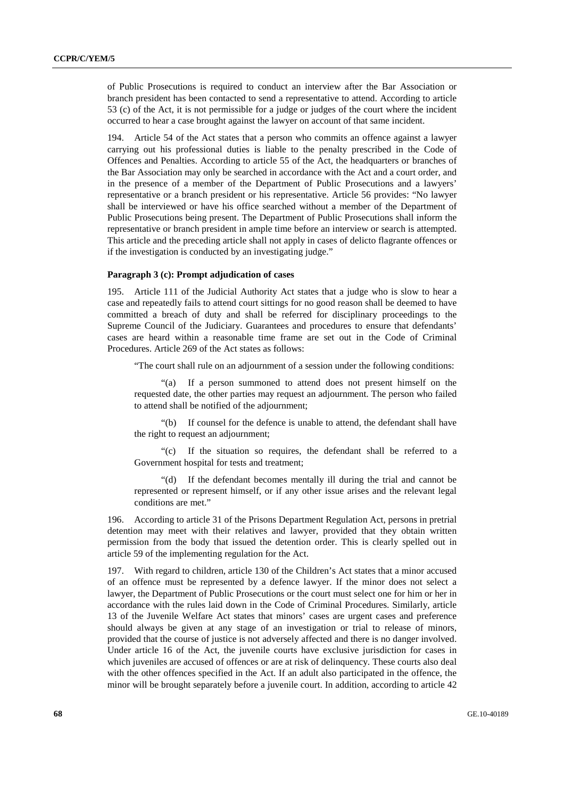of Public Prosecutions is required to conduct an interview after the Bar Association or branch president has been contacted to send a representative to attend. According to article 53 (c) of the Act, it is not permissible for a judge or judges of the court where the incident occurred to hear a case brought against the lawyer on account of that same incident.

194. Article 54 of the Act states that a person who commits an offence against a lawyer carrying out his professional duties is liable to the penalty prescribed in the Code of Offences and Penalties. According to article 55 of the Act, the headquarters or branches of the Bar Association may only be searched in accordance with the Act and a court order, and in the presence of a member of the Department of Public Prosecutions and a lawyers' representative or a branch president or his representative. Article 56 provides: "No lawyer shall be interviewed or have his office searched without a member of the Department of Public Prosecutions being present. The Department of Public Prosecutions shall inform the representative or branch president in ample time before an interview or search is attempted. This article and the preceding article shall not apply in cases of delicto flagrante offences or if the investigation is conducted by an investigating judge."

## **Paragraph 3 (c): Prompt adjudication of cases**

195. Article 111 of the Judicial Authority Act states that a judge who is slow to hear a case and repeatedly fails to attend court sittings for no good reason shall be deemed to have committed a breach of duty and shall be referred for disciplinary proceedings to the Supreme Council of the Judiciary. Guarantees and procedures to ensure that defendants' cases are heard within a reasonable time frame are set out in the Code of Criminal Procedures. Article 269 of the Act states as follows:

"The court shall rule on an adjournment of a session under the following conditions:

 "(a) If a person summoned to attend does not present himself on the requested date, the other parties may request an adjournment. The person who failed to attend shall be notified of the adjournment;

 "(b) If counsel for the defence is unable to attend, the defendant shall have the right to request an adjournment;

 "(c) If the situation so requires, the defendant shall be referred to a Government hospital for tests and treatment;

 "(d) If the defendant becomes mentally ill during the trial and cannot be represented or represent himself, or if any other issue arises and the relevant legal conditions are met."

196. According to article 31 of the Prisons Department Regulation Act, persons in pretrial detention may meet with their relatives and lawyer, provided that they obtain written permission from the body that issued the detention order. This is clearly spelled out in article 59 of the implementing regulation for the Act.

197. With regard to children, article 130 of the Children's Act states that a minor accused of an offence must be represented by a defence lawyer. If the minor does not select a lawyer, the Department of Public Prosecutions or the court must select one for him or her in accordance with the rules laid down in the Code of Criminal Procedures. Similarly, article 13 of the Juvenile Welfare Act states that minors' cases are urgent cases and preference should always be given at any stage of an investigation or trial to release of minors, provided that the course of justice is not adversely affected and there is no danger involved. Under article 16 of the Act, the juvenile courts have exclusive jurisdiction for cases in which juveniles are accused of offences or are at risk of delinquency. These courts also deal with the other offences specified in the Act. If an adult also participated in the offence, the minor will be brought separately before a juvenile court. In addition, according to article 42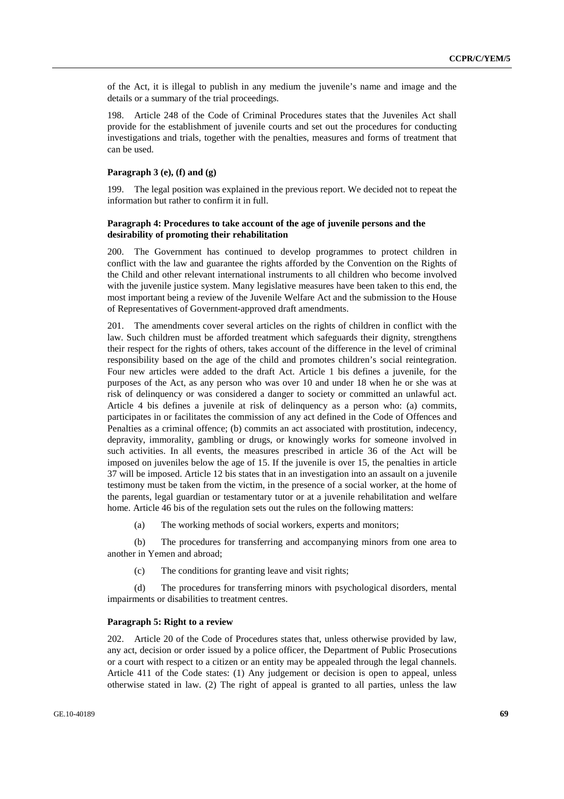of the Act, it is illegal to publish in any medium the juvenile's name and image and the details or a summary of the trial proceedings.

198. Article 248 of the Code of Criminal Procedures states that the Juveniles Act shall provide for the establishment of juvenile courts and set out the procedures for conducting investigations and trials, together with the penalties, measures and forms of treatment that can be used.

## **Paragraph 3 (e), (f) and (g)**

199. The legal position was explained in the previous report. We decided not to repeat the information but rather to confirm it in full.

## **Paragraph 4: Procedures to take account of the age of juvenile persons and the desirability of promoting their rehabilitation**

200. The Government has continued to develop programmes to protect children in conflict with the law and guarantee the rights afforded by the Convention on the Rights of the Child and other relevant international instruments to all children who become involved with the juvenile justice system. Many legislative measures have been taken to this end, the most important being a review of the Juvenile Welfare Act and the submission to the House of Representatives of Government-approved draft amendments.

201. The amendments cover several articles on the rights of children in conflict with the law. Such children must be afforded treatment which safeguards their dignity, strengthens their respect for the rights of others, takes account of the difference in the level of criminal responsibility based on the age of the child and promotes children's social reintegration. Four new articles were added to the draft Act. Article 1 bis defines a juvenile, for the purposes of the Act, as any person who was over 10 and under 18 when he or she was at risk of delinquency or was considered a danger to society or committed an unlawful act. Article 4 bis defines a juvenile at risk of delinquency as a person who: (a) commits, participates in or facilitates the commission of any act defined in the Code of Offences and Penalties as a criminal offence; (b) commits an act associated with prostitution, indecency, depravity, immorality, gambling or drugs, or knowingly works for someone involved in such activities. In all events, the measures prescribed in article 36 of the Act will be imposed on juveniles below the age of 15. If the juvenile is over 15, the penalties in article 37 will be imposed. Article 12 bis states that in an investigation into an assault on a juvenile testimony must be taken from the victim, in the presence of a social worker, at the home of the parents, legal guardian or testamentary tutor or at a juvenile rehabilitation and welfare home. Article 46 bis of the regulation sets out the rules on the following matters:

(a) The working methods of social workers, experts and monitors;

 (b) The procedures for transferring and accompanying minors from one area to another in Yemen and abroad;

(c) The conditions for granting leave and visit rights;

 (d) The procedures for transferring minors with psychological disorders, mental impairments or disabilities to treatment centres.

#### **Paragraph 5: Right to a review**

202. Article 20 of the Code of Procedures states that, unless otherwise provided by law, any act, decision or order issued by a police officer, the Department of Public Prosecutions or a court with respect to a citizen or an entity may be appealed through the legal channels. Article 411 of the Code states: (1) Any judgement or decision is open to appeal, unless otherwise stated in law. (2) The right of appeal is granted to all parties, unless the law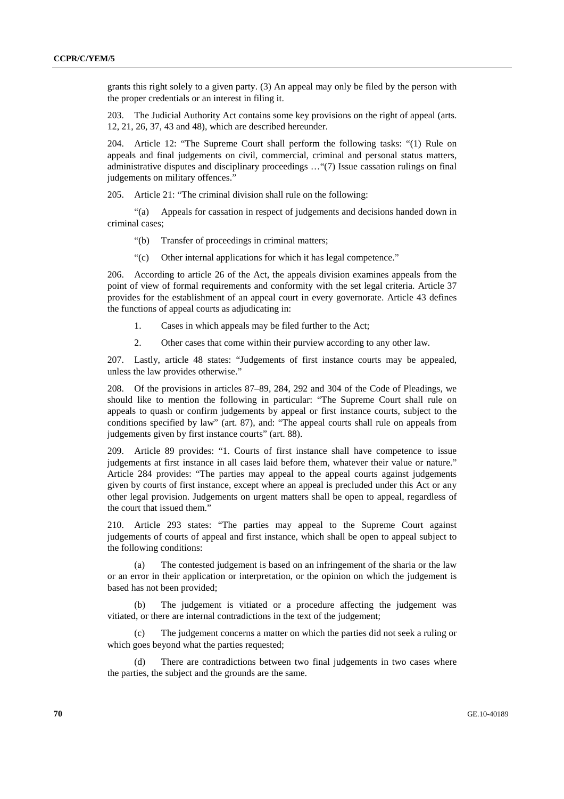grants this right solely to a given party. (3) An appeal may only be filed by the person with the proper credentials or an interest in filing it.

203. The Judicial Authority Act contains some key provisions on the right of appeal (arts. 12, 21, 26, 37, 43 and 48), which are described hereunder.

204. Article 12: "The Supreme Court shall perform the following tasks: "(1) Rule on appeals and final judgements on civil, commercial, criminal and personal status matters, administrative disputes and disciplinary proceedings …"(7) Issue cassation rulings on final judgements on military offences."

205. Article 21: "The criminal division shall rule on the following:

 "(a) Appeals for cassation in respect of judgements and decisions handed down in criminal cases;

- "(b) Transfer of proceedings in criminal matters;
- "(c) Other internal applications for which it has legal competence."

206. According to article 26 of the Act, the appeals division examines appeals from the point of view of formal requirements and conformity with the set legal criteria. Article 37 provides for the establishment of an appeal court in every governorate. Article 43 defines the functions of appeal courts as adjudicating in:

- 1. Cases in which appeals may be filed further to the Act;
- 2. Other cases that come within their purview according to any other law.

207. Lastly, article 48 states: "Judgements of first instance courts may be appealed, unless the law provides otherwise."

208. Of the provisions in articles 87–89, 284, 292 and 304 of the Code of Pleadings, we should like to mention the following in particular: "The Supreme Court shall rule on appeals to quash or confirm judgements by appeal or first instance courts, subject to the conditions specified by law" (art. 87), and: "The appeal courts shall rule on appeals from judgements given by first instance courts" (art. 88).

209. Article 89 provides: "1. Courts of first instance shall have competence to issue judgements at first instance in all cases laid before them, whatever their value or nature." Article 284 provides: "The parties may appeal to the appeal courts against judgements given by courts of first instance, except where an appeal is precluded under this Act or any other legal provision. Judgements on urgent matters shall be open to appeal, regardless of the court that issued them."

210. Article 293 states: "The parties may appeal to the Supreme Court against judgements of courts of appeal and first instance, which shall be open to appeal subject to the following conditions:

 (a) The contested judgement is based on an infringement of the sharia or the law or an error in their application or interpretation, or the opinion on which the judgement is based has not been provided;

 (b) The judgement is vitiated or a procedure affecting the judgement was vitiated, or there are internal contradictions in the text of the judgement;

 (c) The judgement concerns a matter on which the parties did not seek a ruling or which goes beyond what the parties requested;

 (d) There are contradictions between two final judgements in two cases where the parties, the subject and the grounds are the same.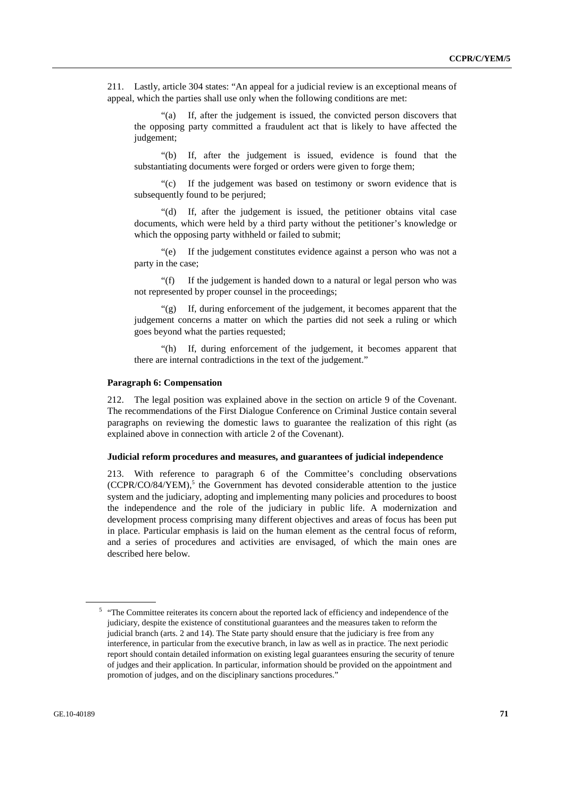211. Lastly, article 304 states: "An appeal for a judicial review is an exceptional means of appeal, which the parties shall use only when the following conditions are met:

 "(a) If, after the judgement is issued, the convicted person discovers that the opposing party committed a fraudulent act that is likely to have affected the judgement:

 "(b) If, after the judgement is issued, evidence is found that the substantiating documents were forged or orders were given to forge them;

 "(c) If the judgement was based on testimony or sworn evidence that is subsequently found to be periured;

 "(d) If, after the judgement is issued, the petitioner obtains vital case documents, which were held by a third party without the petitioner's knowledge or which the opposing party withheld or failed to submit;

 "(e) If the judgement constitutes evidence against a person who was not a party in the case;

 "(f) If the judgement is handed down to a natural or legal person who was not represented by proper counsel in the proceedings;

 "(g) If, during enforcement of the judgement, it becomes apparent that the judgement concerns a matter on which the parties did not seek a ruling or which goes beyond what the parties requested;

 "(h) If, during enforcement of the judgement, it becomes apparent that there are internal contradictions in the text of the judgement."

#### **Paragraph 6: Compensation**

212. The legal position was explained above in the section on article 9 of the Covenant. The recommendations of the First Dialogue Conference on Criminal Justice contain several paragraphs on reviewing the domestic laws to guarantee the realization of this right (as explained above in connection with article 2 of the Covenant).

#### **Judicial reform procedures and measures, and guarantees of judicial independence**

213. With reference to paragraph 6 of the Committee's concluding observations (CCPR/CO/84/YEM),<sup>5</sup> the Government has devoted considerable attention to the justice system and the judiciary, adopting and implementing many policies and procedures to boost the independence and the role of the judiciary in public life. A modernization and development process comprising many different objectives and areas of focus has been put in place. Particular emphasis is laid on the human element as the central focus of reform, and a series of procedures and activities are envisaged, of which the main ones are described here below.

<sup>&</sup>lt;sup>5</sup> "The Committee reiterates its concern about the reported lack of efficiency and independence of the judiciary, despite the existence of constitutional guarantees and the measures taken to reform the judicial branch (arts. 2 and 14). The State party should ensure that the judiciary is free from any interference, in particular from the executive branch, in law as well as in practice. The next periodic report should contain detailed information on existing legal guarantees ensuring the security of tenure of judges and their application. In particular, information should be provided on the appointment and promotion of judges, and on the disciplinary sanctions procedures."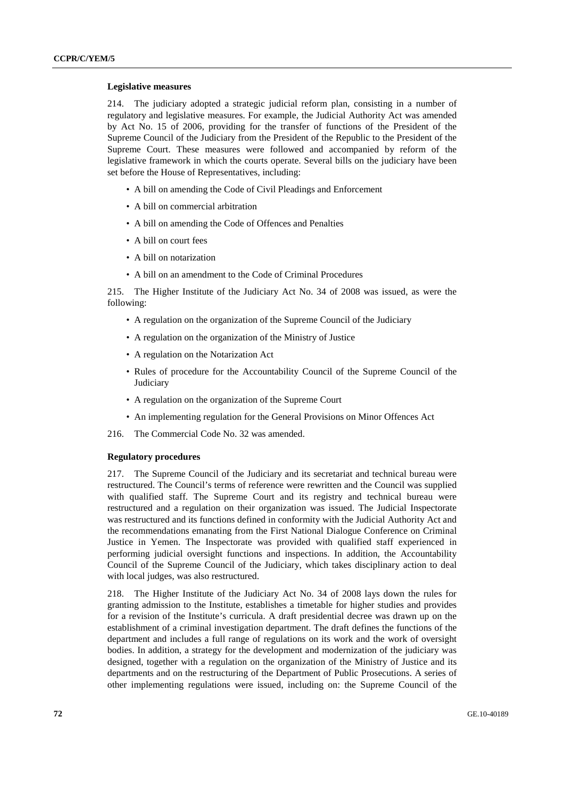#### **Legislative measures**

214. The judiciary adopted a strategic judicial reform plan, consisting in a number of regulatory and legislative measures. For example, the Judicial Authority Act was amended by Act No. 15 of 2006, providing for the transfer of functions of the President of the Supreme Council of the Judiciary from the President of the Republic to the President of the Supreme Court. These measures were followed and accompanied by reform of the legislative framework in which the courts operate. Several bills on the judiciary have been set before the House of Representatives, including:

- A bill on amending the Code of Civil Pleadings and Enforcement
- A bill on commercial arbitration
- A bill on amending the Code of Offences and Penalties
- A bill on court fees
- A bill on notarization
- A bill on an amendment to the Code of Criminal Procedures

215. The Higher Institute of the Judiciary Act No. 34 of 2008 was issued, as were the following:

- A regulation on the organization of the Supreme Council of the Judiciary
- A regulation on the organization of the Ministry of Justice
- A regulation on the Notarization Act
- Rules of procedure for the Accountability Council of the Supreme Council of the **Judiciary**
- A regulation on the organization of the Supreme Court
- An implementing regulation for the General Provisions on Minor Offences Act
- 216. The Commercial Code No. 32 was amended.

## **Regulatory procedures**

217. The Supreme Council of the Judiciary and its secretariat and technical bureau were restructured. The Council's terms of reference were rewritten and the Council was supplied with qualified staff. The Supreme Court and its registry and technical bureau were restructured and a regulation on their organization was issued. The Judicial Inspectorate was restructured and its functions defined in conformity with the Judicial Authority Act and the recommendations emanating from the First National Dialogue Conference on Criminal Justice in Yemen. The Inspectorate was provided with qualified staff experienced in performing judicial oversight functions and inspections. In addition, the Accountability Council of the Supreme Council of the Judiciary, which takes disciplinary action to deal with local judges, was also restructured.

218. The Higher Institute of the Judiciary Act No. 34 of 2008 lays down the rules for granting admission to the Institute, establishes a timetable for higher studies and provides for a revision of the Institute's curricula. A draft presidential decree was drawn up on the establishment of a criminal investigation department. The draft defines the functions of the department and includes a full range of regulations on its work and the work of oversight bodies. In addition, a strategy for the development and modernization of the judiciary was designed, together with a regulation on the organization of the Ministry of Justice and its departments and on the restructuring of the Department of Public Prosecutions. A series of other implementing regulations were issued, including on: the Supreme Council of the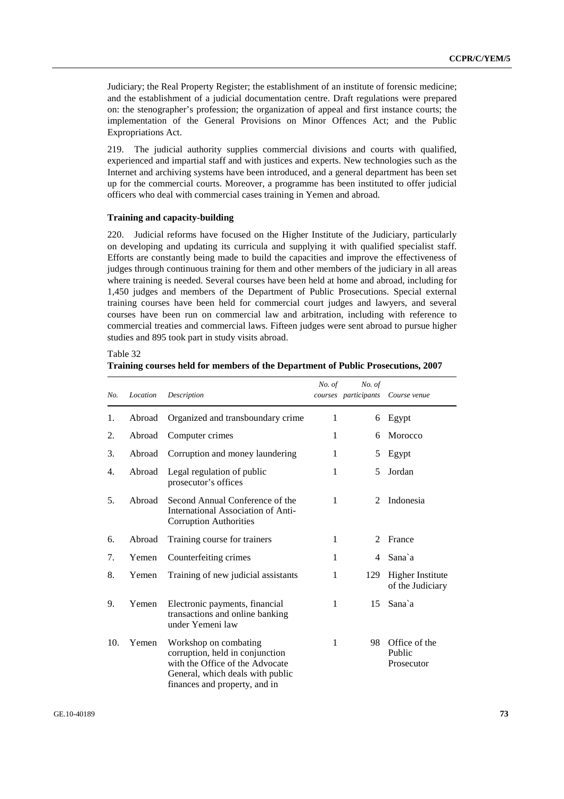Judiciary; the Real Property Register; the establishment of an institute of forensic medicine; and the establishment of a judicial documentation centre. Draft regulations were prepared on: the stenographer's profession; the organization of appeal and first instance courts; the implementation of the General Provisions on Minor Offences Act; and the Public Expropriations Act.

219. The judicial authority supplies commercial divisions and courts with qualified, experienced and impartial staff and with justices and experts. New technologies such as the Internet and archiving systems have been introduced, and a general department has been set up for the commercial courts. Moreover, a programme has been instituted to offer judicial officers who deal with commercial cases training in Yemen and abroad.

#### **Training and capacity-building**

 $T_{11}$  33

220. Judicial reforms have focused on the Higher Institute of the Judiciary, particularly on developing and updating its curricula and supplying it with qualified specialist staff. Efforts are constantly being made to build the capacities and improve the effectiveness of judges through continuous training for them and other members of the judiciary in all areas where training is needed. Several courses have been held at home and abroad, including for 1,450 judges and members of the Department of Public Prosecutions. Special external training courses have been held for commercial court judges and lawyers, and several courses have been run on commercial law and arbitration, including with reference to commercial treaties and commercial laws. Fifteen judges were sent abroad to pursue higher studies and 895 took part in study visits abroad.

| $1$ aple $32$                                                                    |  |
|----------------------------------------------------------------------------------|--|
| Training courses held for members of the Department of Public Prosecutions, 2007 |  |

| No. | Location | Description                                                                                                                                                      | No. of | No. of<br>courses participants | Course venue                                |
|-----|----------|------------------------------------------------------------------------------------------------------------------------------------------------------------------|--------|--------------------------------|---------------------------------------------|
| 1.  | Abroad   | Organized and transboundary crime                                                                                                                                | 1      | 6                              | Egypt                                       |
| 2.  | Abroad   | Computer crimes                                                                                                                                                  | 1      | 6                              | Morocco                                     |
| 3.  | Abroad   | Corruption and money laundering                                                                                                                                  | 1      | 5                              | Egypt                                       |
| 4.  | Abroad   | Legal regulation of public<br>prosecutor's offices                                                                                                               | 1      | 5                              | Jordan                                      |
| 5.  | Abroad   | Second Annual Conference of the<br>International Association of Anti-<br><b>Corruption Authorities</b>                                                           | 1      | 2                              | Indonesia                                   |
| 6.  | Abroad   | Training course for trainers                                                                                                                                     | 1      | $\mathfrak{D}$                 | France                                      |
| 7.  | Yemen    | Counterfeiting crimes                                                                                                                                            | 1      | 4                              | Sana`a                                      |
| 8.  | Yemen    | Training of new judicial assistants                                                                                                                              | 1      | 129                            | <b>Higher Institute</b><br>of the Judiciary |
| 9.  | Yemen    | Electronic payments, financial<br>transactions and online banking<br>under Yemeni law                                                                            | 1      | 15                             | Sana`a                                      |
| 10. | Yemen    | Workshop on combating<br>corruption, held in conjunction<br>with the Office of the Advocate<br>General, which deals with public<br>finances and property, and in | 1      | 98                             | Office of the<br>Public<br>Prosecutor       |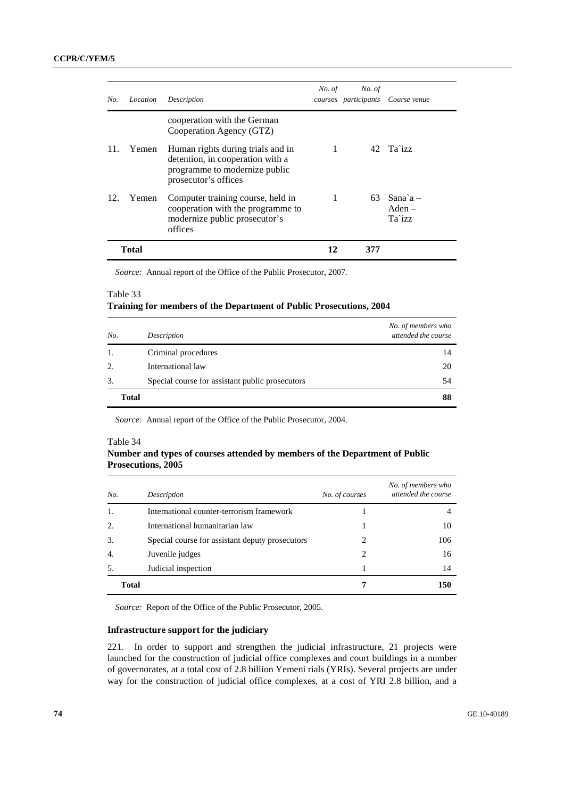| No. | Location | Description                                                                                                                    | No. of | No. of | courses participants Course venue     |
|-----|----------|--------------------------------------------------------------------------------------------------------------------------------|--------|--------|---------------------------------------|
|     |          | cooperation with the German<br>Cooperation Agency (GTZ)                                                                        |        |        |                                       |
| 11. | Yemen    | Human rights during trials and in<br>detention, in cooperation with a<br>programme to modernize public<br>prosecutor's offices |        |        | 42 Ta`izz                             |
| 12. | Yemen    | Computer training course, held in<br>cooperation with the programme to<br>modernize public prosecutor's<br>offices             | 1      |        | $63$ Sana $a -$<br>$Aden -$<br>Ta`izz |
|     | Total    |                                                                                                                                | 12     | 377    |                                       |

*Source:* Annual report of the Office of the Public Prosecutor, 2007.

#### Table 33

# **Training for members of the Department of Public Prosecutions, 2004**

| No.   | Description                                     | No. of members who<br>attended the course |
|-------|-------------------------------------------------|-------------------------------------------|
| 1.    | Criminal procedures                             | 14                                        |
| 2.    | International law                               | 20                                        |
| 3.    | Special course for assistant public prosecutors | 54                                        |
| Total |                                                 | 88                                        |

*Source:* Annual report of the Office of the Public Prosecutor, 2004.

#### Table 34

# **Number and types of courses attended by members of the Department of Public Prosecutions, 2005**

| No.              | Description                                     | No. of courses              | No. of members who<br>attended the course |
|------------------|-------------------------------------------------|-----------------------------|-------------------------------------------|
| 1.               | International counter-terrorism framework       |                             |                                           |
| 2.               | International humanitarian law                  |                             | 10                                        |
| 3.               | Special course for assistant deputy prosecutors | 2                           | 106                                       |
| $\overline{4}$ . | Juvenile judges                                 | $\mathcal{D}_{\mathcal{L}}$ | 16                                        |
| .5.              | Judicial inspection                             |                             | 14                                        |
| <b>Total</b>     |                                                 |                             | 150                                       |

*Source:* Report of the Office of the Public Prosecutor, 2005.

### **Infrastructure support for the judiciary**

221. In order to support and strengthen the judicial infrastructure, 21 projects were launched for the construction of judicial office complexes and court buildings in a number of governorates, at a total cost of 2.8 billion Yemeni rials (YRIs). Several projects are under way for the construction of judicial office complexes, at a cost of YRI 2.8 billion, and a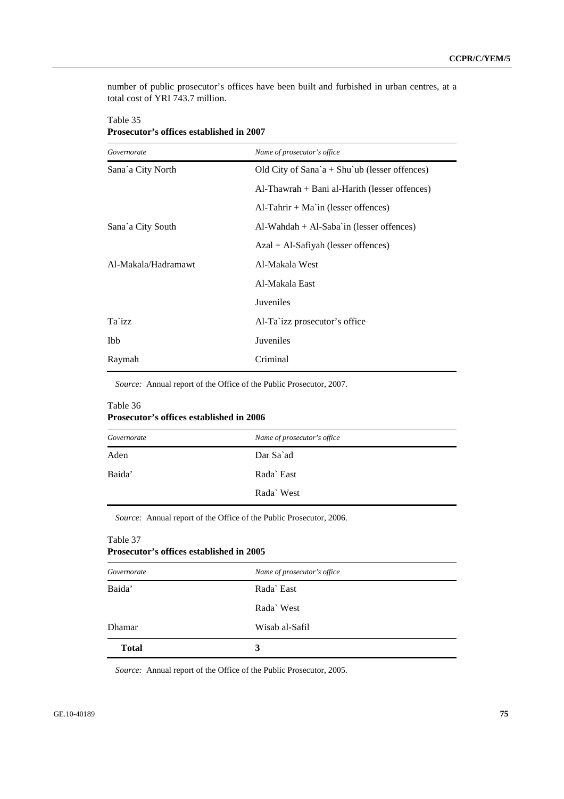number of public prosecutor's offices have been built and furbished in urban centres, at a total cost of YRI 743.7 million.

| Governorate         | Name of prosecutor's office                      |
|---------------------|--------------------------------------------------|
| Sana`a City North   | Old City of Sana'a + Shu'ub (lesser offences)    |
|                     | $Al$ -Thawrah + Bani al-Harith (lesser offences) |
|                     | $AI-Tahrir + Ma'in$ (lesser offences)            |
| Sana`a City South   | $Al-Wahdah + Al-Saba'in$ (lesser offences)       |
|                     | $Azal + Al-Safiyah$ (lesser offences)            |
| Al-Makala/Hadramawt | Al-Makala West                                   |
|                     | Al-Makala East                                   |
|                     | <b>Juveniles</b>                                 |
| Ta`izz              | Al-Ta`izz prosecutor's office                    |
| Ibb                 | Juveniles                                        |
| Raymah              | Criminal                                         |

# Table 35 **Prosecutor's offices established in 2007**

*Source:* Annual report of the Office of the Public Prosecutor, 2007.

# Table 36 **Prosecutor's offices established in 2006**

| Governorate | Name of prosecutor's office |
|-------------|-----------------------------|
| Aden        | Dar Sa`ad                   |
| Baida'      | Rada East                   |
|             | Rada West                   |

*Source:* Annual report of the Office of the Public Prosecutor, 2006.

| <b>Prosecutor's offices established in 2005</b> |                |  |  |  |  |
|-------------------------------------------------|----------------|--|--|--|--|
| Name of prosecutor's office<br>Governorate      |                |  |  |  |  |
| Baida'                                          | Rada East      |  |  |  |  |
|                                                 | Rada` West     |  |  |  |  |
| Dhamar                                          | Wisab al-Safil |  |  |  |  |
| <b>Total</b>                                    | 3              |  |  |  |  |

*Source:* Annual report of the Office of the Public Prosecutor, 2005.

Table 37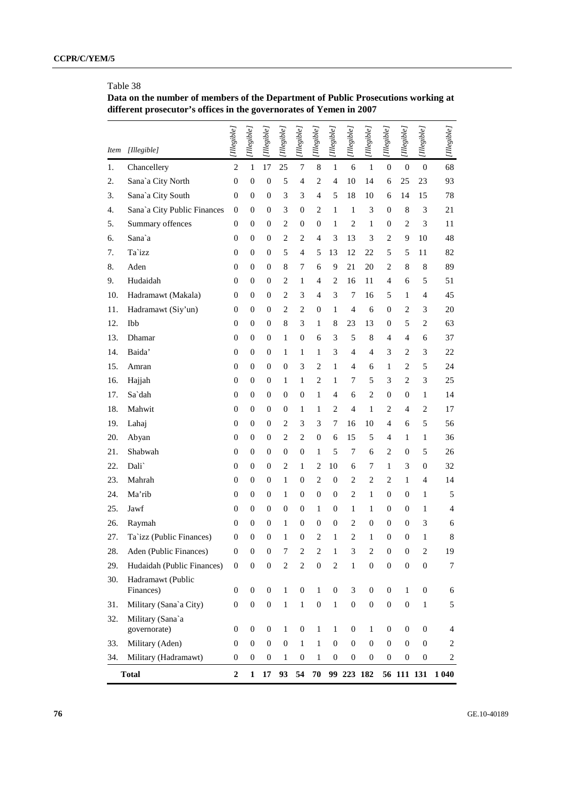# Table 38

**Data on the number of members of the Department of Public Prosecutions working at different prosecutor's offices in the governorates of Yemen in 2007** 

| <i>Item</i> | [Illegible]                      | [Illegible]      | [Illegible]      | [Illegible]      | [Illegible]      | [Ilegible]              | [Illegible]      | [Illegible]      | [Illegible]      | [Illegible]             | [Illegible]      | [Illegible]      | [Illegible]      | [Illegible]    |
|-------------|----------------------------------|------------------|------------------|------------------|------------------|-------------------------|------------------|------------------|------------------|-------------------------|------------------|------------------|------------------|----------------|
| 1.          | Chancellery                      | $\mathfrak{2}$   | 1                | 17               | 25               | $\boldsymbol{7}$        | 8                | $\mathbf{1}$     | 6                | $\mathbf{1}$            | $\boldsymbol{0}$ | $\boldsymbol{0}$ | $\mathbf{0}$     | 68             |
| 2.          | Sana'a City North                | $\boldsymbol{0}$ | $\boldsymbol{0}$ | $\mathbf{0}$     | 5                | 4                       | $\overline{2}$   | 4                | 10               | 14                      | 6                | 25               | 23               | 93             |
| 3.          | Sana'a City South                | $\mathbf{0}$     | 0                | $\boldsymbol{0}$ | 3                | 3                       | $\overline{4}$   | 5                | 18               | 10                      | 6                | 14               | 15               | 78             |
| 4.          | Sana'a City Public Finances      | $\mathbf{0}$     | $\overline{0}$   | 0                | 3                | $\boldsymbol{0}$        | $\overline{c}$   | 1                | $\mathbf{1}$     | 3                       | $\boldsymbol{0}$ | 8                | 3                | 21             |
| 5.          | Summary offences                 | $\theta$         | 0                | 0                | $\overline{c}$   | 0                       | 0                | 1                | $\overline{c}$   | 1                       | $\boldsymbol{0}$ | $\sqrt{2}$       | 3                | 11             |
| 6.          | Sana`a                           | $\overline{0}$   | 0                | 0                | $\overline{c}$   | $\overline{c}$          | 4                | 3                | 13               | 3                       | $\overline{c}$   | 9                | 10               | 48             |
| 7.          | Ta`izz                           | $\mathbf{0}$     | 0                | 0                | 5                | $\overline{4}$          | 5                | 13               | 12               | 22                      | 5                | 5                | 11               | 82             |
| 8.          | Aden                             | $\mathbf{0}$     | 0                | 0                | 8                | 7                       | 6                | 9                | 21               | 20                      | $\overline{c}$   | 8                | 8                | 89             |
| 9.          | Hudaidah                         | $\mathbf{0}$     | 0                | 0                | $\overline{c}$   | $\mathbf{1}$            | 4                | $\overline{2}$   | 16               | 11                      | 4                | 6                | 5                | 51             |
| 10.         | Hadramawt (Makala)               | $\overline{0}$   | 0                | 0                | $\overline{c}$   | 3                       | $\overline{4}$   | 3                | 7                | 16                      | 5                | $\mathbf{1}$     | 4                | 45             |
| 11.         | Hadramawt (Siy'un)               | $\mathbf{0}$     | 0                | 0                | $\overline{c}$   | $\overline{c}$          | 0                | 1                | $\overline{4}$   | 6                       | $\boldsymbol{0}$ | $\sqrt{2}$       | 3                | 20             |
| 12.         | Ibb                              | $\theta$         | 0                | 0                | 8                | 3                       | 1                | 8                | 23               | 13                      | $\boldsymbol{0}$ | $\mathfrak s$    | $\mathfrak{2}$   | 63             |
| 13.         | Dhamar                           | $\overline{0}$   | 0                | 0                | 1                | 0                       | 6                | 3                | 5                | 8                       | 4                | 4                | 6                | 37             |
| 14.         | Baida'                           | $\boldsymbol{0}$ | 0                | 0                | $\mathbf{1}$     | $\mathbf{1}$            | 1                | 3                | $\overline{4}$   | 4                       | 3                | $\mathbf{2}$     | 3                | 22             |
| 15.         | Amran                            | $\overline{0}$   | 0                | 0                | $\boldsymbol{0}$ | 3                       | 2                | 1                | $\overline{4}$   | 6                       | $\mathbf{1}$     | $\mathbf{2}$     | 5                | 24             |
| 16.         | Hajjah                           | $\boldsymbol{0}$ | 0                | 0                | 1                | $\mathbf{1}$            | 2                | 1                | 7                | 5                       | 3                | $\mathbf{2}$     | 3                | 25             |
| 17.         | Sa`dah                           | $\overline{0}$   | 0                | 0                | 0                | 0                       | 1                | $\overline{4}$   | 6                | $\mathbf{2}$            | $\boldsymbol{0}$ | 0                | 1                | 14             |
| 18.         | Mahwit                           | $\boldsymbol{0}$ | 0                | 0                | 0                | $\mathbf{1}$            | 1                | $\overline{2}$   | $\overline{4}$   | $\mathbf{1}$            | $\overline{c}$   | $\overline{4}$   | $\mathbf{2}$     | 17             |
| 19.         | Lahaj                            | $\overline{0}$   | 0                | 0                | $\overline{c}$   | 3                       | 3                | 7                | 16               | 10                      | 4                | 6                | 5                | 56             |
| 20.         | Abyan                            | $\boldsymbol{0}$ | 0                | 0                | $\overline{c}$   | $\mathfrak{2}$          | 0                | 6                | 15               | 5                       | 4                | $\mathbf{1}$     | 1                | 36             |
| 21.         | Shabwah                          | $\overline{0}$   | 0                | 0                | $\boldsymbol{0}$ | $\boldsymbol{0}$        | 1                | 5                | 7                | 6                       | $\overline{c}$   | $\boldsymbol{0}$ | 5                | 26             |
| 22.         | Dali`                            | $\boldsymbol{0}$ | 0                | 0                | $\overline{c}$   | $\mathbf{1}$            | 2                | 10               | 6                | 7                       | $\mathbf{1}$     | 3                | $\boldsymbol{0}$ | 32             |
| 23.         | Mahrah                           | $\overline{0}$   | 0                | 0                | $\mathbf{1}$     | 0                       | 2                | $\boldsymbol{0}$ | $\overline{c}$   | $\mathbf{2}$            | $\overline{c}$   | $\mathbf{1}$     | $\overline{4}$   | 14             |
| 24.         | Ma'rib                           | $\overline{0}$   | 0                | 0                | 1                | 0                       | 0                | 0                | $\mathfrak{2}$   | $\mathbf{1}$            | $\boldsymbol{0}$ | $\boldsymbol{0}$ | 1                | 5              |
| 25.         | Jawf                             | $\overline{0}$   | 0                | 0                | 0                | 0                       | 1                | 0                | 1                | $\mathbf{1}$            | $\boldsymbol{0}$ | $\boldsymbol{0}$ | 1                | $\overline{4}$ |
| 26.         | Raymah                           | $\mathbf{0}$     | 0                | 0                | 1                | 0                       | 0                | 0                | $\overline{c}$   | $\boldsymbol{0}$        | $\boldsymbol{0}$ | $\mathbf{0}$     | 3                | 6              |
| 27.         | Ta`izz (Public Finances)         | $\mathbf{0}$     | $\overline{0}$   | $\boldsymbol{0}$ | 1                | $\overline{0}$          | 2                | 1                | $\overline{c}$   | 1                       | $\overline{0}$   | $\boldsymbol{0}$ | 1                | 8              |
| 28.         | Aden (Public Finances)           | $\boldsymbol{0}$ | $\boldsymbol{0}$ | $\boldsymbol{0}$ | 7                | $\overline{\mathbf{c}}$ | 2                | 1                | 3                | $\overline{\mathbf{c}}$ | 0                | $\boldsymbol{0}$ | $\boldsymbol{2}$ | 19             |
| 29.         | Hudaidah (Public Finances)       | $\mathbf{0}$     | $\overline{0}$   | $\boldsymbol{0}$ | $\sqrt{2}$       | $\overline{c}$          | $\boldsymbol{0}$ | $\overline{2}$   | $\mathbf{1}$     | $\boldsymbol{0}$        | $\boldsymbol{0}$ | $\boldsymbol{0}$ | $\boldsymbol{0}$ | 7              |
| 30.         | Hadramawt (Public<br>Finances)   | 0                | $\boldsymbol{0}$ | $\mathbf{0}$     | $\mathbf{1}$     | $\mathbf{0}$            | $\mathbf{1}$     | $\boldsymbol{0}$ | 3                | $\mathbf{0}$            | $\boldsymbol{0}$ | $\mathbf{1}$     | $\mathbf{0}$     | 6              |
| 31.         | Military (Sana`a City)           | $\overline{0}$   | $\boldsymbol{0}$ | $\mathbf{0}$     | $\mathbf{1}$     | $\mathbf{1}$            | $\boldsymbol{0}$ | $\mathbf{1}$     | $\boldsymbol{0}$ | $\boldsymbol{0}$        | $\boldsymbol{0}$ | $\boldsymbol{0}$ | $\mathbf{1}$     | 5              |
| 32.         | Military (Sana`a<br>governorate) | $\overline{0}$   | $\boldsymbol{0}$ | $\mathbf{0}$     | $\mathbf{1}$     | $\boldsymbol{0}$        | 1                | $\mathbf{1}$     | $\mathbf{0}$     | $\mathbf{1}$            | $\boldsymbol{0}$ | $\boldsymbol{0}$ | $\mathbf{0}$     | $\overline{4}$ |
| 33.         | Military (Aden)                  | $\theta$         | $\overline{0}$   | $\mathbf{0}$     | $\boldsymbol{0}$ | 1                       | 1                | $\boldsymbol{0}$ | $\mathbf{0}$     | $\boldsymbol{0}$        | $\mathbf{0}$     | $\boldsymbol{0}$ | $\mathbf{0}$     | 2              |
| 34.         | Military (Hadramawt)             | $\boldsymbol{0}$ | 0                | $\boldsymbol{0}$ | $\mathbf{1}$     | $\boldsymbol{0}$        | 1                | $\boldsymbol{0}$ | $\boldsymbol{0}$ | $\boldsymbol{0}$        | $\boldsymbol{0}$ | $\boldsymbol{0}$ | 0                | $\overline{2}$ |
|             | <b>Total</b>                     | $\boldsymbol{2}$ | $\mathbf{1}$     | 17               | 93               | 54                      | 70               |                  | 99 223 182       |                         |                  | 56 111 131       |                  | 1 040          |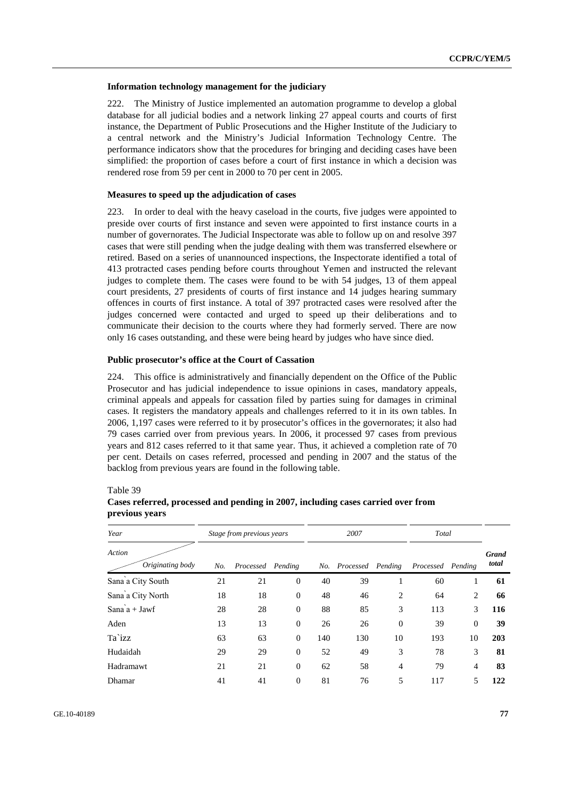#### **Information technology management for the judiciary**

222. The Ministry of Justice implemented an automation programme to develop a global database for all judicial bodies and a network linking 27 appeal courts and courts of first instance, the Department of Public Prosecutions and the Higher Institute of the Judiciary to a central network and the Ministry's Judicial Information Technology Centre. The performance indicators show that the procedures for bringing and deciding cases have been simplified: the proportion of cases before a court of first instance in which a decision was rendered rose from 59 per cent in 2000 to 70 per cent in 2005.

#### **Measures to speed up the adjudication of cases**

223. In order to deal with the heavy caseload in the courts, five judges were appointed to preside over courts of first instance and seven were appointed to first instance courts in a number of governorates. The Judicial Inspectorate was able to follow up on and resolve 397 cases that were still pending when the judge dealing with them was transferred elsewhere or retired. Based on a series of unannounced inspections, the Inspectorate identified a total of 413 protracted cases pending before courts throughout Yemen and instructed the relevant judges to complete them. The cases were found to be with 54 judges, 13 of them appeal court presidents, 27 presidents of courts of first instance and 14 judges hearing summary offences in courts of first instance. A total of 397 protracted cases were resolved after the judges concerned were contacted and urged to speed up their deliberations and to communicate their decision to the courts where they had formerly served. There are now only 16 cases outstanding, and these were being heard by judges who have since died.

# **Public prosecutor's office at the Court of Cassation**

224. This office is administratively and financially dependent on the Office of the Public Prosecutor and has judicial independence to issue opinions in cases, mandatory appeals, criminal appeals and appeals for cassation filed by parties suing for damages in criminal cases. It registers the mandatory appeals and challenges referred to it in its own tables. In 2006, 1,197 cases were referred to it by prosecutor's offices in the governorates; it also had 79 cases carried over from previous years. In 2006, it processed 97 cases from previous years and 812 cases referred to it that same year. Thus, it achieved a completion rate of 70 per cent. Details on cases referred, processed and pending in 2007 and the status of the backlog from previous years are found in the following table.

Table 39

| Year                       |     | Stage from previous years |                |     | 2007              |                | Total             |              |                       |
|----------------------------|-----|---------------------------|----------------|-----|-------------------|----------------|-------------------|--------------|-----------------------|
| Action<br>Originating body | No. | Processed Pending         |                | No. | Processed Pending |                | Processed Pending |              | <b>Grand</b><br>total |
| Sana a City South          | 21  | 21                        | $\overline{0}$ | 40  | 39                | 1              | 60                | 1            | 61                    |
| Sana a City North          | 18  | 18                        | $\overline{0}$ | 48  | 46                | 2              | 64                | 2            | 66                    |
| Sana $a + Jawf$            | 28  | 28                        | $\overline{0}$ | 88  | 85                | 3              | 113               | 3            | 116                   |
| Aden                       | 13  | 13                        | $\overline{0}$ | 26  | 26                | $\overline{0}$ | 39                | $\mathbf{0}$ | 39                    |
| Ta`izz                     | 63  | 63                        | $\overline{0}$ | 140 | 130               | 10             | 193               | 10           | 203                   |
| Hudaidah                   | 29  | 29                        | $\overline{0}$ | 52  | 49                | 3              | 78                | 3            | 81                    |
| Hadramawt                  | 21  | 21                        | $\overline{0}$ | 62  | 58                | $\overline{4}$ | 79                | 4            | 83                    |
| Dhamar                     | 41  | 41                        | $\overline{0}$ | 81  | 76                | 5              | 117               | 5            | 122                   |

# **Cases referred, processed and pending in 2007, including cases carried over from previous years**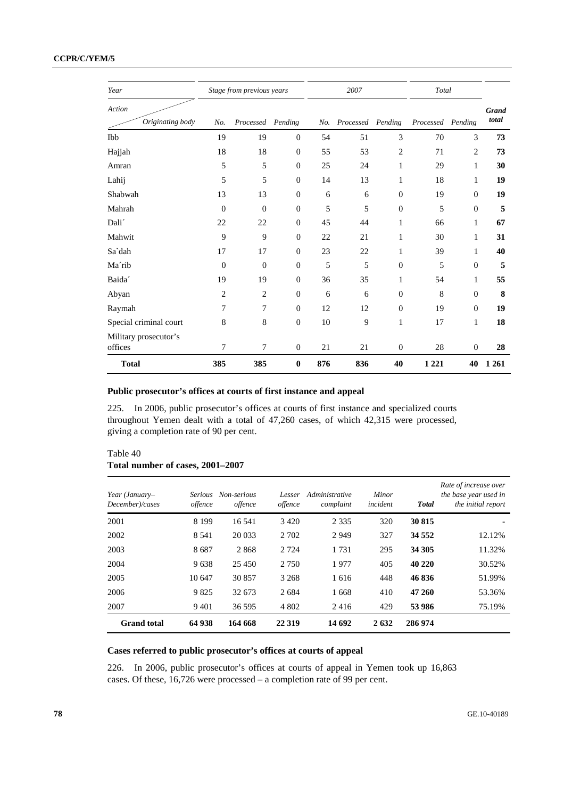| Year                             |                | Stage from previous years |                  |     | 2007              |                  | Total             |                |                       |
|----------------------------------|----------------|---------------------------|------------------|-----|-------------------|------------------|-------------------|----------------|-----------------------|
| Action<br>Originating body       | No.            | Processed Pending         |                  | No. | Processed Pending |                  | Processed Pending |                | <b>Grand</b><br>total |
| Ibb                              | 19             | 19                        | $\theta$         | 54  | 51                | 3                | 70                | 3              | 73                    |
| Hajjah                           | 18             | 18                        | $\overline{0}$   | 55  | 53                | $\overline{c}$   | 71                | $\overline{2}$ | 73                    |
| Amran                            | 5              | 5                         | $\theta$         | 25  | 24                | 1                | 29                | 1              | 30                    |
| Lahij                            | 5              | 5                         | $\boldsymbol{0}$ | 14  | 13                | $\mathbf{1}$     | 18                | $\mathbf{1}$   | 19                    |
| Shabwah                          | 13             | 13                        | $\theta$         | 6   | 6                 | $\boldsymbol{0}$ | 19                | $\theta$       | 19                    |
| Mahrah                           | $\overline{0}$ | $\overline{0}$            | $\theta$         | 5   | 5                 | $\theta$         | 5                 | $\mathbf{0}$   | 5                     |
| Dali <sup>'</sup>                | 22             | 22                        | $\boldsymbol{0}$ | 45  | 44                | 1                | 66                | 1              | 67                    |
| Mahwit                           | 9              | 9                         | $\boldsymbol{0}$ | 22  | 21                | $\mathbf{1}$     | 30                | $\mathbf{1}$   | 31                    |
| Sa`dah                           | 17             | 17                        | $\boldsymbol{0}$ | 23  | 22                | 1                | 39                | $\mathbf{1}$   | 40                    |
| Ma'rib                           | $\overline{0}$ | $\overline{0}$            | $\theta$         | 5   | 5                 | $\boldsymbol{0}$ | 5                 | $\theta$       | 5                     |
| Baida <sup>2</sup>               | 19             | 19                        | $\theta$         | 36  | 35                | 1                | 54                | 1              | 55                    |
| Abyan                            | $\overline{2}$ | $\overline{2}$            | $\boldsymbol{0}$ | 6   | 6                 | $\boldsymbol{0}$ | $\,8\,$           | $\overline{0}$ | 8                     |
| Raymah                           | 7              | 7                         | $\boldsymbol{0}$ | 12  | 12                | $\boldsymbol{0}$ | 19                | $\mathbf{0}$   | 19                    |
| Special criminal court           | 8              | 8                         | $\theta$         | 10  | 9                 | $\mathbf{1}$     | 17                | $\mathbf{1}$   | 18                    |
| Military prosecutor's<br>offices | 7              | $\overline{7}$            | $\boldsymbol{0}$ | 21  | 21                | $\boldsymbol{0}$ | 28                | $\mathbf{0}$   | 28                    |
| <b>Total</b>                     | 385            | 385                       | $\bf{0}$         | 876 | 836               | 40               | 1 2 2 1           | 40             | 1 2 6 1               |

# **Public prosecutor's offices at courts of first instance and appeal**

225. In 2006, public prosecutor's offices at courts of first instance and specialized courts throughout Yemen dealt with a total of 47,260 cases, of which 42,315 were processed, giving a completion rate of 90 per cent.

# Table 40 **Total number of cases, 2001–2007**

| Year (January-<br>December)/cases | <i>Serious</i><br>offence | Non-serious<br>offence | Lesser<br>offence | Administrative<br>complaint | Minor<br>incident | <b>Total</b> | Rate of increase over<br>the base year used in<br>the initial report |
|-----------------------------------|---------------------------|------------------------|-------------------|-----------------------------|-------------------|--------------|----------------------------------------------------------------------|
| 2001                              | 8 1 9 9                   | 16 541                 | 3 4 2 0           | 2 3 3 5                     | 320               | 30 815       |                                                                      |
| 2002                              | 8 5 4 1                   | 20 033                 | 2 7 0 2           | 2949                        | 327               | 34 5 52      | 12.12%                                                               |
| 2003                              | 8687                      | 2868                   | 2 7 2 4           | 1731                        | 295               | 34 30 5      | 11.32%                                                               |
| 2004                              | 9638                      | 25 450                 | 2 7 5 0           | 1977                        | 405               | 40 220       | 30.52%                                                               |
| 2005                              | 10 647                    | 30857                  | 3 2 6 8           | 1616                        | 448               | 46836        | 51.99%                                                               |
| 2006                              | 9825                      | 32 673                 | 2684              | 1668                        | 410               | 47 260       | 53.36%                                                               |
| 2007                              | 9 4 0 1                   | 36 595                 | 4 8 0 2           | 2416                        | 429               | 53 986       | 75.19%                                                               |
| <b>Grand</b> total                | 64 938                    | 164 668                | 22 3 19           | 14 692                      | 2632              | 286 974      |                                                                      |

# **Cases referred to public prosecutor's offices at courts of appeal**

226. In 2006, public prosecutor's offices at courts of appeal in Yemen took up 16,863 cases. Of these, 16,726 were processed – a completion rate of 99 per cent.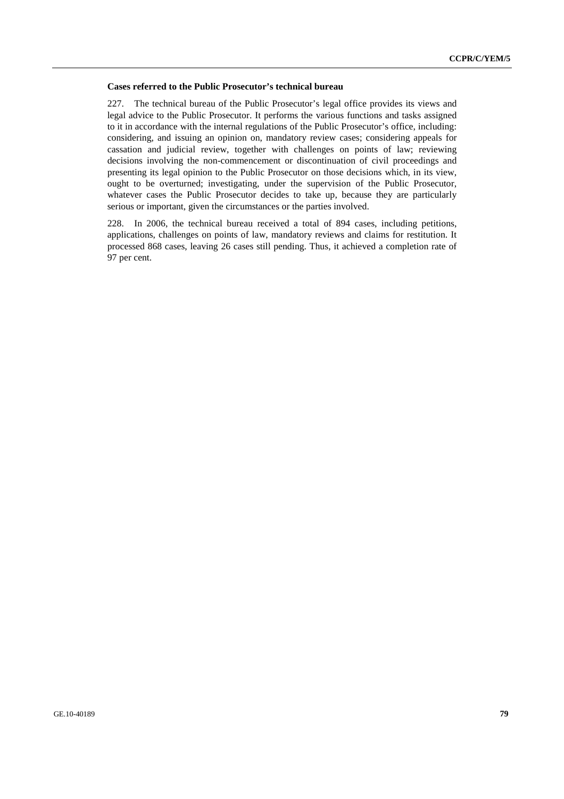#### **Cases referred to the Public Prosecutor's technical bureau**

227. The technical bureau of the Public Prosecutor's legal office provides its views and legal advice to the Public Prosecutor. It performs the various functions and tasks assigned to it in accordance with the internal regulations of the Public Prosecutor's office, including: considering, and issuing an opinion on, mandatory review cases; considering appeals for cassation and judicial review, together with challenges on points of law; reviewing decisions involving the non-commencement or discontinuation of civil proceedings and presenting its legal opinion to the Public Prosecutor on those decisions which, in its view, ought to be overturned; investigating, under the supervision of the Public Prosecutor, whatever cases the Public Prosecutor decides to take up, because they are particularly serious or important, given the circumstances or the parties involved.

228. In 2006, the technical bureau received a total of 894 cases, including petitions, applications, challenges on points of law, mandatory reviews and claims for restitution. It processed 868 cases, leaving 26 cases still pending. Thus, it achieved a completion rate of 97 per cent.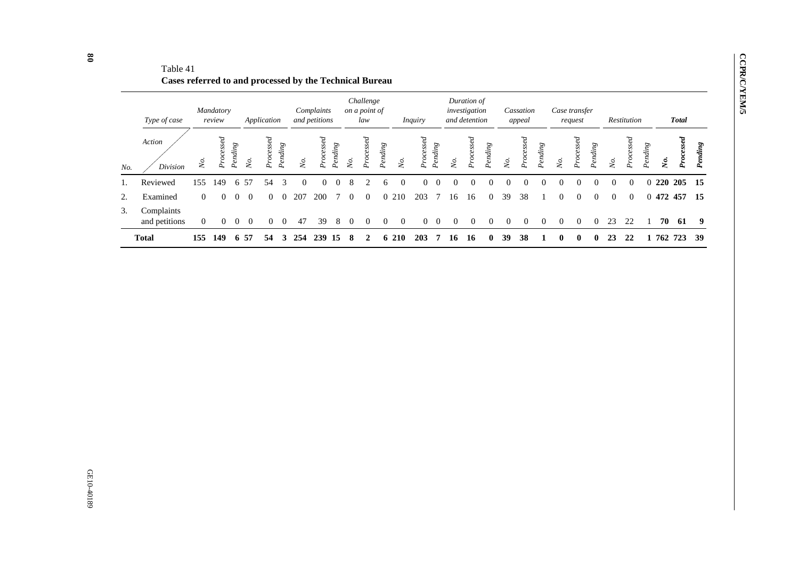|     | Type of case                |                | Mandatory<br>review     |          |     | Application       |         |                 | Complaints<br>and petitions |         |            | Challenge<br>on a point of<br>law |         |            | <i>Inquiry</i> |         |              | Duration of<br>investigation<br>and detention |              |          | Cassation<br>appeal |          |              | Case transfer<br>request             |          |          | Restitution      |          |     | <b>Total</b>            |         |
|-----|-----------------------------|----------------|-------------------------|----------|-----|-------------------|---------|-----------------|-----------------------------|---------|------------|-----------------------------------|---------|------------|----------------|---------|--------------|-----------------------------------------------|--------------|----------|---------------------|----------|--------------|--------------------------------------|----------|----------|------------------|----------|-----|-------------------------|---------|
| No. | Action<br>Division          | Ńо.            | $\it cessel$<br>$o_{r}$ | Pending  | Ş   | cesed<br>$P_{TO}$ | Pending | $\mathcal{N}_o$ | Processed                   | Pending | $\delta$ . | $p$ cessed                        | Pending | Ńо.        | $p_ {recssed}$ | Pending | Ş.           | $\it cessel$<br>Ó,                            | Pending      | Ş.       | Processed           | Pending  | Ńo.          | essed<br>0,<br>$\tilde{\phantom{a}}$ | Pending  | χò.      | $\sigma_{\rm r}$ | Pending  | Š.  | $\it cessel$<br>$\circ$ | Pending |
|     | Reviewed                    | l 55           | 149                     | 6        | 57  | 54                |         | 0               |                             |         | 8          |                                   |         |            |                |         |              |                                               |              |          |                     | 0        |              |                                      |          |          | $\Omega$         |          | 220 | 205                     | - 15    |
| 2.  | Examined                    | $\overline{0}$ | $\Omega$                | $\Omega$ | - 0 | $\Omega$          |         | 207             | 200                         |         | $\theta$   | $\Omega$                          |         | 0 210      | 203            |         | 16           | 16                                            | $\Omega$     | 39       | 38                  |          | $\theta$     | $\Omega$                             | $\Omega$ | $\Omega$ | $\overline{0}$   | $\Omega$ |     | 472 457                 | - 15    |
| 3.  | Complaints<br>and petitions | $\overline{0}$ | $\overline{0}$          | $\theta$ | - 0 | $\Omega$          |         | 47              | 39                          | 8       | 0          |                                   |         | $\Omega$   | 0              |         | $\mathbf{U}$ | $\theta$                                      | $\theta$     | $\Omega$ | $\Omega$            | $\Omega$ | $\Omega$     | $\theta$                             | $\Omega$ | 23       | 22               |          | 70  | 61                      | - 9     |
|     | <b>Total</b>                | 155            | 149                     | 6        | 57  | 54                | 3       | 254             | 239                         | 15      | 8          |                                   | 6.      | <b>210</b> | 203            |         | 16           | 16                                            | $\mathbf{0}$ | 39       | 38                  |          | $\mathbf{0}$ | $\mathbf 0$                          | 0        | 23       | 22               |          | 762 | 723                     | - 39    |

Table 41 **Cases referred to and processed by the Technical Bureau** 

**CCPR/C/YEM/5** 

**CCPR/C/YEM/5**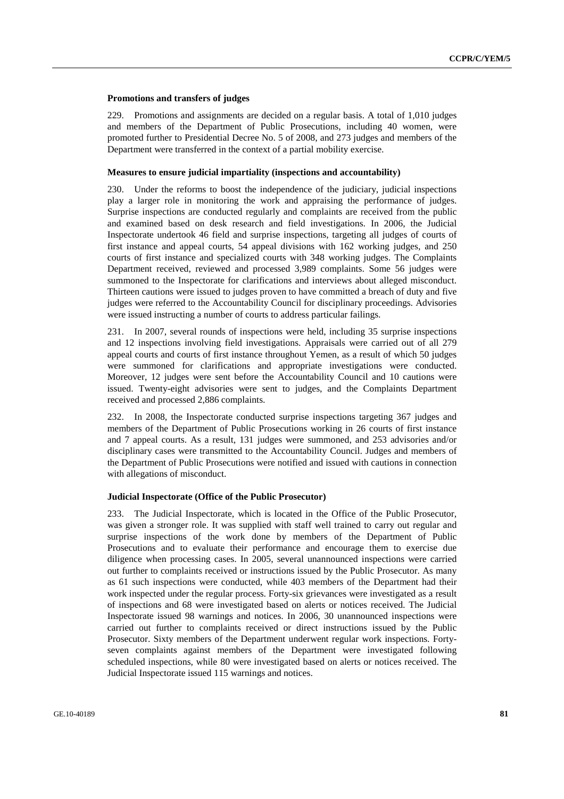#### **Promotions and transfers of judges**

229. Promotions and assignments are decided on a regular basis. A total of 1,010 judges and members of the Department of Public Prosecutions, including 40 women, were promoted further to Presidential Decree No. 5 of 2008, and 273 judges and members of the Department were transferred in the context of a partial mobility exercise.

#### **Measures to ensure judicial impartiality (inspections and accountability)**

230. Under the reforms to boost the independence of the judiciary, judicial inspections play a larger role in monitoring the work and appraising the performance of judges. Surprise inspections are conducted regularly and complaints are received from the public and examined based on desk research and field investigations. In 2006, the Judicial Inspectorate undertook 46 field and surprise inspections, targeting all judges of courts of first instance and appeal courts, 54 appeal divisions with 162 working judges, and 250 courts of first instance and specialized courts with 348 working judges. The Complaints Department received, reviewed and processed 3,989 complaints. Some 56 judges were summoned to the Inspectorate for clarifications and interviews about alleged misconduct. Thirteen cautions were issued to judges proven to have committed a breach of duty and five judges were referred to the Accountability Council for disciplinary proceedings. Advisories were issued instructing a number of courts to address particular failings.

231. In 2007, several rounds of inspections were held, including 35 surprise inspections and 12 inspections involving field investigations. Appraisals were carried out of all 279 appeal courts and courts of first instance throughout Yemen, as a result of which 50 judges were summoned for clarifications and appropriate investigations were conducted. Moreover, 12 judges were sent before the Accountability Council and 10 cautions were issued. Twenty-eight advisories were sent to judges, and the Complaints Department received and processed 2,886 complaints.

232. In 2008, the Inspectorate conducted surprise inspections targeting 367 judges and members of the Department of Public Prosecutions working in 26 courts of first instance and 7 appeal courts. As a result, 131 judges were summoned, and 253 advisories and/or disciplinary cases were transmitted to the Accountability Council. Judges and members of the Department of Public Prosecutions were notified and issued with cautions in connection with allegations of misconduct.

#### **Judicial Inspectorate (Office of the Public Prosecutor)**

233. The Judicial Inspectorate, which is located in the Office of the Public Prosecutor, was given a stronger role. It was supplied with staff well trained to carry out regular and surprise inspections of the work done by members of the Department of Public Prosecutions and to evaluate their performance and encourage them to exercise due diligence when processing cases. In 2005, several unannounced inspections were carried out further to complaints received or instructions issued by the Public Prosecutor. As many as 61 such inspections were conducted, while 403 members of the Department had their work inspected under the regular process. Forty-six grievances were investigated as a result of inspections and 68 were investigated based on alerts or notices received. The Judicial Inspectorate issued 98 warnings and notices. In 2006, 30 unannounced inspections were carried out further to complaints received or direct instructions issued by the Public Prosecutor. Sixty members of the Department underwent regular work inspections. Fortyseven complaints against members of the Department were investigated following scheduled inspections, while 80 were investigated based on alerts or notices received. The Judicial Inspectorate issued 115 warnings and notices.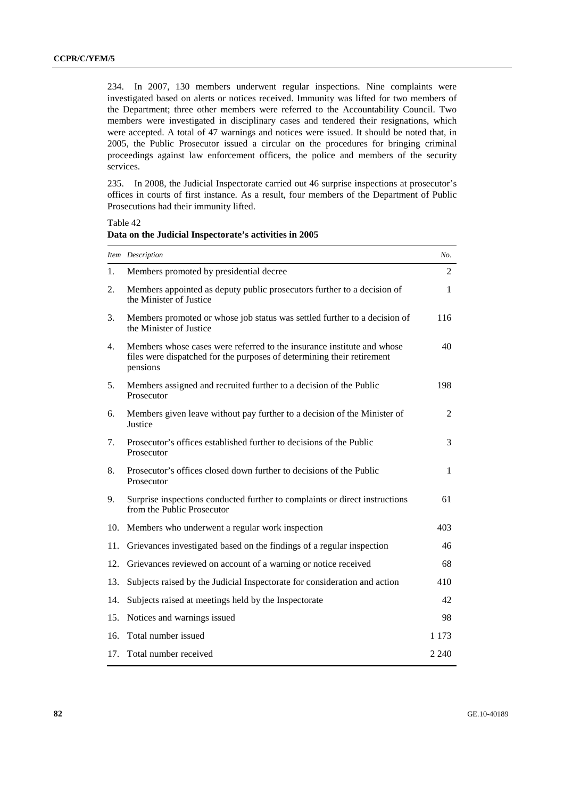234. In 2007, 130 members underwent regular inspections. Nine complaints were investigated based on alerts or notices received. Immunity was lifted for two members of the Department; three other members were referred to the Accountability Council. Two members were investigated in disciplinary cases and tendered their resignations, which were accepted. A total of 47 warnings and notices were issued. It should be noted that, in 2005, the Public Prosecutor issued a circular on the procedures for bringing criminal proceedings against law enforcement officers, the police and members of the security services.

235. In 2008, the Judicial Inspectorate carried out 46 surprise inspections at prosecutor's offices in courts of first instance. As a result, four members of the Department of Public Prosecutions had their immunity lifted.

Table 42 **Data on the Judicial Inspectorate's activities in 2005** 

|     | Item Description                                                                                                                                             | No.          |
|-----|--------------------------------------------------------------------------------------------------------------------------------------------------------------|--------------|
| 1.  | Members promoted by presidential decree                                                                                                                      | 2            |
| 2.  | Members appointed as deputy public prosecutors further to a decision of<br>the Minister of Justice                                                           | 1            |
| 3.  | Members promoted or whose job status was settled further to a decision of<br>the Minister of Justice                                                         | 116          |
| 4.  | Members whose cases were referred to the insurance institute and whose<br>files were dispatched for the purposes of determining their retirement<br>pensions | 40           |
| 5.  | Members assigned and recruited further to a decision of the Public<br>Prosecutor                                                                             | 198          |
| 6.  | Members given leave without pay further to a decision of the Minister of<br>Justice                                                                          | 2            |
| 7.  | Prosecutor's offices established further to decisions of the Public<br>Prosecutor                                                                            | 3            |
| 8.  | Prosecutor's offices closed down further to decisions of the Public<br>Prosecutor                                                                            | $\mathbf{1}$ |
| 9.  | Surprise inspections conducted further to complaints or direct instructions<br>from the Public Prosecutor                                                    | 61           |
| 10. | Members who underwent a regular work inspection                                                                                                              | 403          |
| 11. | Grievances investigated based on the findings of a regular inspection                                                                                        | 46           |
| 12. | Grievances reviewed on account of a warning or notice received                                                                                               | 68           |
| 13. | Subjects raised by the Judicial Inspectorate for consideration and action                                                                                    | 410          |
| 14. | Subjects raised at meetings held by the Inspectorate                                                                                                         | 42           |
| 15. | Notices and warnings issued                                                                                                                                  | 98           |
| 16. | Total number issued                                                                                                                                          | 1 1 7 3      |
| 17. | Total number received                                                                                                                                        | 2 2 4 0      |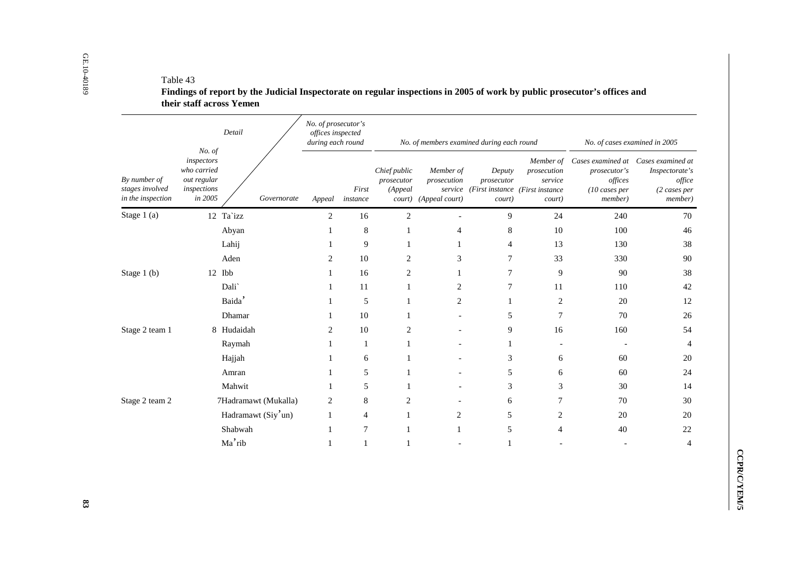|                                                      |                                                                                     | Detail               |             | No. of prosecutor's<br>offices inspected<br>during each round |                   |                                       |                                                   | No. of members examined during each round                                 |                                  | No. of cases examined in 2005                                                                                   |                                           |
|------------------------------------------------------|-------------------------------------------------------------------------------------|----------------------|-------------|---------------------------------------------------------------|-------------------|---------------------------------------|---------------------------------------------------|---------------------------------------------------------------------------|----------------------------------|-----------------------------------------------------------------------------------------------------------------|-------------------------------------------|
| By number of<br>stages involved<br>in the inspection | No. of<br>inspectors<br>who carried<br>out regular<br>inspections<br>$\it{in}$ 2005 |                      | Governorate | Appeal                                                        | First<br>instance | Chief public<br>prosecutor<br>(Appeal | Member of<br>prosecution<br>court) (Appeal court) | Deputy<br>prosecutor<br>service (First instance (First instance<br>court) | prosecution<br>service<br>court) | Member of Cases examined at Cases examined at<br>prosecutor's<br>offices<br>$(10 \text{ cases per})$<br>member) | Inspectorate's<br>(2 cases per<br>member) |
| Stage 1 (a)                                          |                                                                                     | 12 Ta`izz            |             | $\overline{c}$                                                | $16\,$            | $\sqrt{2}$                            |                                                   | 9                                                                         | 24                               | 240                                                                                                             |                                           |
|                                                      |                                                                                     | Abyan                |             | $\mathbf{1}$                                                  | $\,8$             | $\mathbf{1}$                          | $\overline{4}$                                    | $\,8\,$                                                                   | $10\,$                           | 100                                                                                                             |                                           |
|                                                      |                                                                                     | Lahij                |             | 1                                                             | 9                 | $\mathbf{1}$                          | $\mathbf{1}$                                      | $\overline{4}$                                                            | 13                               | 130                                                                                                             |                                           |
|                                                      |                                                                                     | Aden                 |             | $\overline{c}$                                                | $10\,$            | $\overline{c}$                        | 3                                                 | $\overline{7}$                                                            | 33                               | 330                                                                                                             |                                           |
| Stage 1 (b)                                          |                                                                                     | 12 Ibb               |             | 1                                                             | 16                | $\overline{c}$                        | $\mathbf{1}$                                      | $\overline{7}$                                                            | 9                                | 90                                                                                                              |                                           |
|                                                      |                                                                                     | Dali`                |             | 1                                                             | 11                | 1                                     | $\mathbf{2}$                                      | $\overline{7}$                                                            | 11                               | 110                                                                                                             |                                           |
|                                                      |                                                                                     | Baida'               |             | 1                                                             | 5                 | $\mathbf{1}$                          | $\mathbf{2}$                                      | $\mathbf{1}$                                                              | $\overline{2}$                   | 20                                                                                                              |                                           |
|                                                      |                                                                                     | Dhamar               |             | 1                                                             | $10\,$            | 1                                     |                                                   | 5                                                                         | $\overline{7}$                   | 70                                                                                                              |                                           |
| Stage 2 team 1                                       |                                                                                     | 8 Hudaidah           |             | $\overline{c}$                                                | $10\,$            | $\overline{c}$                        |                                                   | 9                                                                         | 16                               | 160                                                                                                             |                                           |
|                                                      |                                                                                     | Raymah               |             | $\mathbf{1}$                                                  | $\mathbf{1}$      | $\mathbf{1}$                          |                                                   | $\mathbf{1}$                                                              | $\overline{\phantom{a}}$         | $\overline{\phantom{a}}$                                                                                        |                                           |
|                                                      |                                                                                     | Hajjah               |             | 1                                                             | 6                 | $\mathbf{1}$                          |                                                   | 3                                                                         | 6                                | 60                                                                                                              |                                           |
|                                                      |                                                                                     | Amran                |             | 1                                                             | $\mathfrak{S}$    | $\mathbf{1}$                          |                                                   | 5                                                                         | 6                                | 60                                                                                                              |                                           |
|                                                      |                                                                                     | Mahwit               |             | 1                                                             | $\mathfrak{S}$    | $\mathbf{1}$                          |                                                   | 3                                                                         | $\sqrt{3}$                       | 30                                                                                                              |                                           |
| Stage 2 team 2                                       |                                                                                     | 7Hadramawt (Mukalla) |             | $\overline{2}$                                                | $8\,$             | $\overline{2}$                        |                                                   | 6                                                                         | $\tau$                           | 70                                                                                                              |                                           |
|                                                      |                                                                                     | Hadramawt (Siy'un)   |             | $\mathbf{1}$                                                  | $\overline{4}$    | $\mathbf{1}$                          | $\sqrt{2}$                                        | 5                                                                         | $\overline{c}$                   | 20                                                                                                              |                                           |
|                                                      |                                                                                     | Shabwah              |             | 1                                                             | $\tau$            | $\mathbf{1}$                          | $\mathbf{1}$                                      | 5                                                                         | 4                                | 40                                                                                                              |                                           |
|                                                      |                                                                                     | Ma'rib               |             | $\mathbf{1}$                                                  | $\mathbf 1$       | $\mathbf{1}$                          |                                                   | $\mathbf{1}$                                                              |                                  |                                                                                                                 |                                           |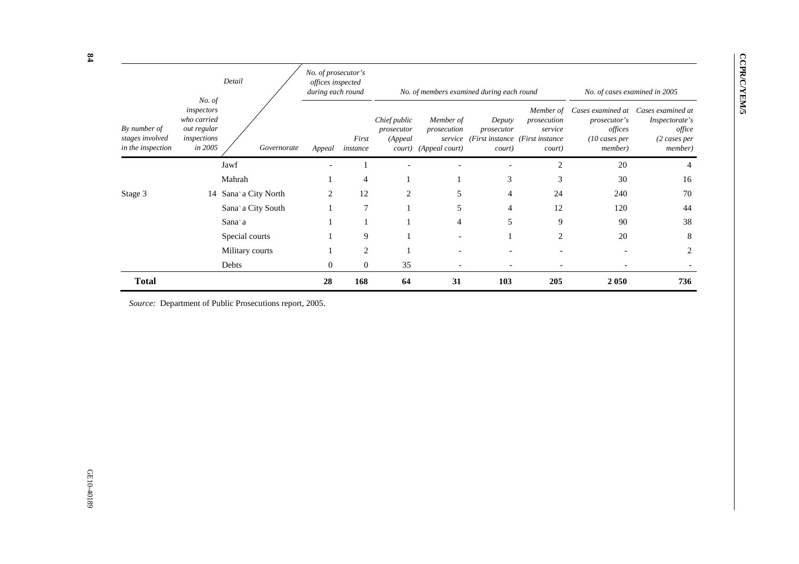|                                                      |                                                                              | Detail               | No. of prosecutor's<br>offices inspected<br>during each round |                   |                                                 | No. of members examined during each round             |                                |                                                                                   | No. of cases examined in 2005                                                               |                                                                                           |
|------------------------------------------------------|------------------------------------------------------------------------------|----------------------|---------------------------------------------------------------|-------------------|-------------------------------------------------|-------------------------------------------------------|--------------------------------|-----------------------------------------------------------------------------------|---------------------------------------------------------------------------------------------|-------------------------------------------------------------------------------------------|
| By number of<br>stages involved<br>in the inspection | No. of<br>inspectors<br>who carried<br>out regular<br>inspections<br>in 2005 | Governorate          | Appeal                                                        | First<br>instance | Chief public<br>prosecutor<br>(Appeal<br>court) | Member of<br>prosecution<br>service<br>(Appeal court) | Deputy<br>prosecutor<br>court) | Member of<br>prosecution<br>service<br>(First instance (First instance)<br>court) | Cases examined at<br>prosecutor's<br>offices<br>$(10 \text{ cases per})$<br><i>member</i> ) | Cases examined at<br>Inspectorate's<br>office<br>$(2 \; cases \; per)$<br><i>member</i> ) |
|                                                      |                                                                              | Jawf                 | $\overline{\phantom{0}}$                                      |                   |                                                 |                                                       |                                | $\overline{2}$                                                                    | 20                                                                                          | 4                                                                                         |
|                                                      |                                                                              | Mahrah               |                                                               | 4                 |                                                 |                                                       | 3                              | 3                                                                                 | 30                                                                                          | 16                                                                                        |
| Stage 3                                              |                                                                              | 14 Sana'a City North | $\overline{c}$                                                | 12                | 2                                               | 5                                                     | $\overline{4}$                 | 24                                                                                | 240                                                                                         | 70                                                                                        |
|                                                      |                                                                              | Sana'a City South    |                                                               |                   |                                                 | 5                                                     | $\overline{4}$                 | 12                                                                                | 120                                                                                         | 44                                                                                        |
|                                                      |                                                                              | Sana'a               |                                                               |                   |                                                 | 4                                                     | 5                              | 9                                                                                 | 90                                                                                          | 38                                                                                        |
|                                                      |                                                                              | Special courts       |                                                               | 9                 |                                                 |                                                       |                                | 2                                                                                 | 20                                                                                          | 8                                                                                         |
|                                                      |                                                                              | Military courts      |                                                               | 2                 |                                                 |                                                       |                                |                                                                                   | ٠                                                                                           | $\overline{c}$                                                                            |
|                                                      |                                                                              | Debts                | $\overline{0}$                                                | $\Omega$          | 35                                              |                                                       |                                |                                                                                   |                                                                                             |                                                                                           |
| <b>Total</b>                                         |                                                                              |                      | 28                                                            | 168               | 64                                              | 31                                                    | 103                            | 205                                                                               | 2 0 5 0                                                                                     | 736                                                                                       |

**CCPR/C/YEM/5** 

**CCPR/C/YEM/5** 

*Source:* Department of Public Prosecutions report, 2005.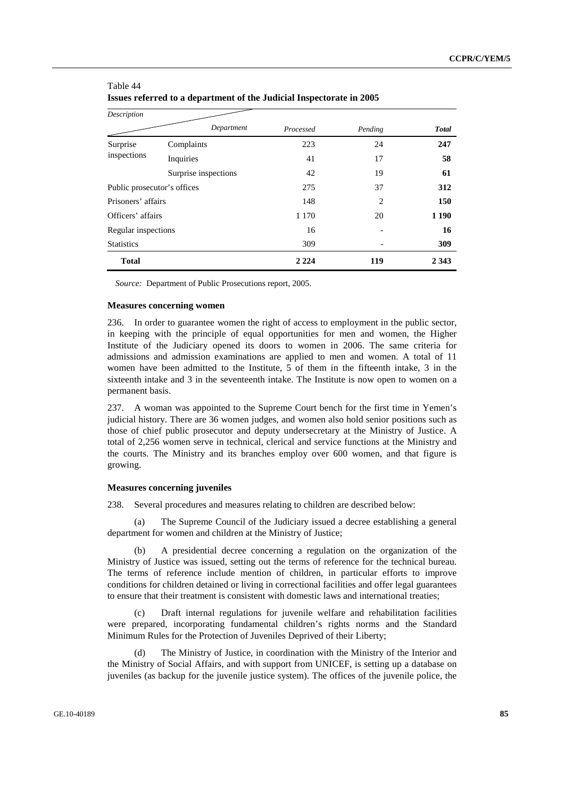| Description                 |                      |           |                |              |
|-----------------------------|----------------------|-----------|----------------|--------------|
|                             | Department           | Processed | Pending        | <b>Total</b> |
| Surprise                    | Complaints           | 223       | 24             | 247          |
| inspections                 | Inquiries            | 41        | 17             | 58           |
|                             | Surprise inspections | 42        | 19             | 61           |
| Public prosecutor's offices |                      | 275       | 37             | 312          |
| Prisoners' affairs          |                      | 148       | $\overline{2}$ | 150          |
| Officers' affairs           |                      | 1 1 7 0   | 20             | 1 1 9 0      |
| Regular inspections         |                      | 16        |                | 16           |
| <b>Statistics</b>           |                      | 309       |                | 309          |
| <b>Total</b>                |                      | 2 2 2 4   | 119            | 2 3 4 3      |

### Table 44 **Issues referred to a department of the Judicial Inspectorate in 2005**

*Source:* Department of Public Prosecutions report, 2005.

#### **Measures concerning women**

236. In order to guarantee women the right of access to employment in the public sector, in keeping with the principle of equal opportunities for men and women, the Higher Institute of the Judiciary opened its doors to women in 2006. The same criteria for admissions and admission examinations are applied to men and women. A total of 11 women have been admitted to the Institute, 5 of them in the fifteenth intake, 3 in the sixteenth intake and 3 in the seventeenth intake. The Institute is now open to women on a permanent basis.

237. A woman was appointed to the Supreme Court bench for the first time in Yemen's judicial history. There are 36 women judges, and women also hold senior positions such as those of chief public prosecutor and deputy undersecretary at the Ministry of Justice. A total of 2,256 women serve in technical, clerical and service functions at the Ministry and the courts. The Ministry and its branches employ over 600 women, and that figure is growing.

#### **Measures concerning juveniles**

238. Several procedures and measures relating to children are described below:

 (a) The Supreme Council of the Judiciary issued a decree establishing a general department for women and children at the Ministry of Justice;

 (b) A presidential decree concerning a regulation on the organization of the Ministry of Justice was issued, setting out the terms of reference for the technical bureau. The terms of reference include mention of children, in particular efforts to improve conditions for children detained or living in correctional facilities and offer legal guarantees to ensure that their treatment is consistent with domestic laws and international treaties;

 (c) Draft internal regulations for juvenile welfare and rehabilitation facilities were prepared, incorporating fundamental children's rights norms and the Standard Minimum Rules for the Protection of Juveniles Deprived of their Liberty;

 (d) The Ministry of Justice, in coordination with the Ministry of the Interior and the Ministry of Social Affairs, and with support from UNICEF, is setting up a database on juveniles (as backup for the juvenile justice system). The offices of the juvenile police, the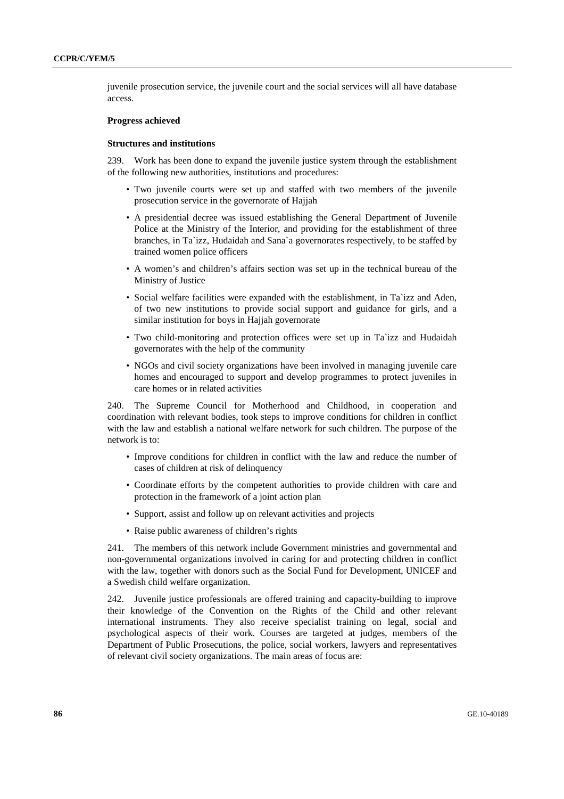juvenile prosecution service, the juvenile court and the social services will all have database access.

#### **Progress achieved**

#### **Structures and institutions**

239. Work has been done to expand the juvenile justice system through the establishment of the following new authorities, institutions and procedures:

- Two juvenile courts were set up and staffed with two members of the juvenile prosecution service in the governorate of Hajjah
- A presidential decree was issued establishing the General Department of Juvenile Police at the Ministry of the Interior, and providing for the establishment of three branches, in Ta`izz, Hudaidah and Sana`a governorates respectively, to be staffed by trained women police officers
- A women's and children's affairs section was set up in the technical bureau of the Ministry of Justice
- Social welfare facilities were expanded with the establishment, in Ta`izz and Aden, of two new institutions to provide social support and guidance for girls, and a similar institution for boys in Hajjah governorate
- Two child-monitoring and protection offices were set up in Ta`izz and Hudaidah governorates with the help of the community
- NGOs and civil society organizations have been involved in managing juvenile care homes and encouraged to support and develop programmes to protect juveniles in care homes or in related activities

240. The Supreme Council for Motherhood and Childhood, in cooperation and coordination with relevant bodies, took steps to improve conditions for children in conflict with the law and establish a national welfare network for such children. The purpose of the network is to:

- Improve conditions for children in conflict with the law and reduce the number of cases of children at risk of delinquency
- Coordinate efforts by the competent authorities to provide children with care and protection in the framework of a joint action plan
- Support, assist and follow up on relevant activities and projects
- Raise public awareness of children's rights

241. The members of this network include Government ministries and governmental and non-governmental organizations involved in caring for and protecting children in conflict with the law, together with donors such as the Social Fund for Development, UNICEF and a Swedish child welfare organization.

242. Juvenile justice professionals are offered training and capacity-building to improve their knowledge of the Convention on the Rights of the Child and other relevant international instruments. They also receive specialist training on legal, social and psychological aspects of their work. Courses are targeted at judges, members of the Department of Public Prosecutions, the police, social workers, lawyers and representatives of relevant civil society organizations. The main areas of focus are: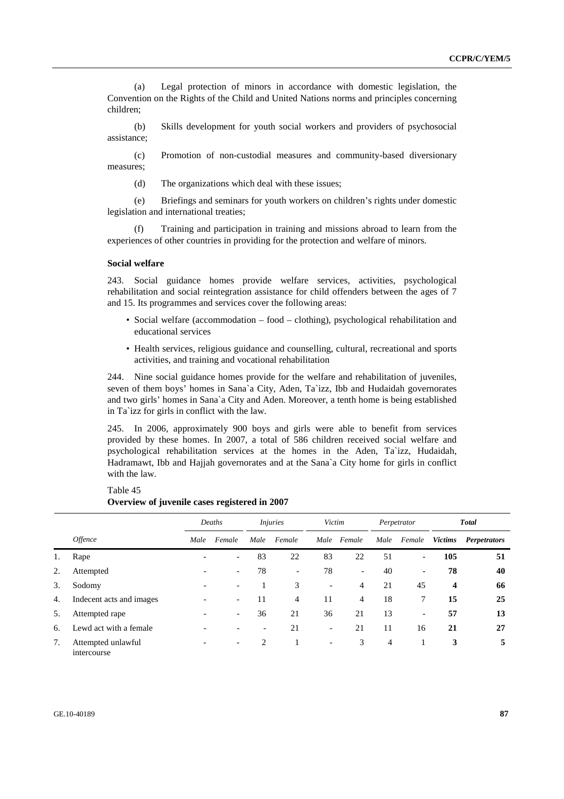(a) Legal protection of minors in accordance with domestic legislation, the Convention on the Rights of the Child and United Nations norms and principles concerning children;

 (b) Skills development for youth social workers and providers of psychosocial assistance;

 (c) Promotion of non-custodial measures and community-based diversionary measures;

(d) The organizations which deal with these issues;

 (e) Briefings and seminars for youth workers on children's rights under domestic legislation and international treaties;

 (f) Training and participation in training and missions abroad to learn from the experiences of other countries in providing for the protection and welfare of minors.

#### **Social welfare**

243. Social guidance homes provide welfare services, activities, psychological rehabilitation and social reintegration assistance for child offenders between the ages of 7 and 15. Its programmes and services cover the following areas:

- Social welfare (accommodation food clothing), psychological rehabilitation and educational services
- Health services, religious guidance and counselling, cultural, recreational and sports activities, and training and vocational rehabilitation

244. Nine social guidance homes provide for the welfare and rehabilitation of juveniles, seven of them boys' homes in Sana`a City, Aden, Ta`izz, Ibb and Hudaidah governorates and two girls' homes in Sana`a City and Aden. Moreover, a tenth home is being established in Ta`izz for girls in conflict with the law.

245. In 2006, approximately 900 boys and girls were able to benefit from services provided by these homes. In 2007, a total of 586 children received social welfare and psychological rehabilitation services at the homes in the Aden, Ta`izz, Hudaidah, Hadramawt, Ibb and Hajjah governorates and at the Sana`a City home for girls in conflict with the law.

|    |                                   |      | Deaths                   |                          | <i>Injuries</i>          |                          | Victim                   |      | Perpetrator              |                | <b>Total</b>        |  |  |
|----|-----------------------------------|------|--------------------------|--------------------------|--------------------------|--------------------------|--------------------------|------|--------------------------|----------------|---------------------|--|--|
|    | <i><b>Offence</b></i>             | Male | Female                   | Male                     | Female                   | Male                     | Female                   | Male | Female                   | <b>Victims</b> | <b>Perpetrators</b> |  |  |
| 1. | Rape                              |      | $\overline{\phantom{a}}$ | 83                       | 22                       | 83                       | 22                       | 51   | $\overline{\phantom{a}}$ | 105            | 51                  |  |  |
| 2. | Attempted                         |      | $\overline{\phantom{a}}$ | 78                       | $\overline{\phantom{a}}$ | 78                       | $\overline{\phantom{a}}$ | 40   | $\overline{\phantom{a}}$ | 78             | 40                  |  |  |
| 3. | Sodomy                            |      | $\overline{\phantom{a}}$ |                          | 3                        | $\overline{\phantom{0}}$ | 4                        | 21   | 45                       | 4              | 66                  |  |  |
| 4. | Indecent acts and images          |      | $\overline{\phantom{0}}$ | 11                       | 4                        | 11                       | 4                        | 18   | 7                        | 15             | 25                  |  |  |
| 5. | Attempted rape                    |      | $\overline{\phantom{a}}$ | 36                       | 21                       | 36                       | 21                       | 13   | $\overline{\phantom{a}}$ | 57             | 13                  |  |  |
| 6. | Lewd act with a female            |      | $\overline{\phantom{0}}$ | $\overline{\phantom{a}}$ | 21                       | $\overline{\phantom{a}}$ | 21                       | 11   | 16                       | 21             | 27                  |  |  |
| 7. | Attempted unlawful<br>intercourse |      | $\overline{\phantom{a}}$ | 2                        |                          | $\overline{\phantom{0}}$ | 3                        | 4    |                          | 3              | 5                   |  |  |

Table 45 **Overview of juvenile cases registered in 2007**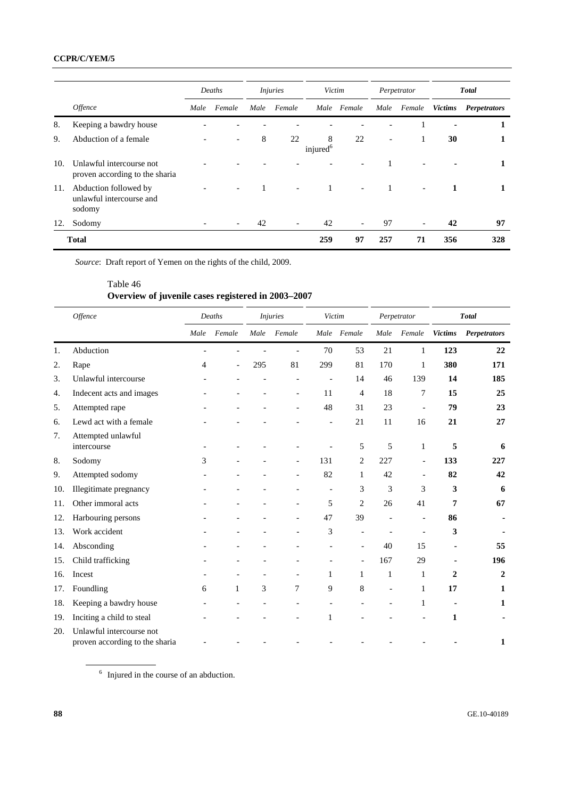# **CCPR/C/YEM/5**

|     |                                                             |      | Deaths                   |      | <i>Injuries</i>          |                           | Victim                   |      | Perpetrator              |                | <b>Total</b>        |  |
|-----|-------------------------------------------------------------|------|--------------------------|------|--------------------------|---------------------------|--------------------------|------|--------------------------|----------------|---------------------|--|
|     | <i><b>Offence</b></i>                                       | Male | Female                   | Male | Female                   |                           | Male Female              | Male | Female                   | <b>Victims</b> | <b>Perpetrators</b> |  |
| 8.  | Keeping a bawdry house                                      |      |                          |      |                          |                           |                          |      |                          |                |                     |  |
| 9.  | Abduction of a female                                       |      |                          | 8    | 22                       | 8<br>injured <sup>6</sup> | 22                       | ٠    |                          | 30             |                     |  |
| 10. | Unlawful intercourse not<br>proven according to the sharia  |      |                          |      |                          |                           |                          |      |                          |                |                     |  |
| 11. | Abduction followed by<br>unlawful intercourse and<br>sodomy |      | $\overline{\phantom{a}}$ |      | $\overline{\phantom{a}}$ | $\mathbf{1}$              | $\overline{\phantom{a}}$ |      | $\overline{\phantom{a}}$ | 1              |                     |  |
| 12. | Sodomy                                                      |      |                          | 42   |                          | 42                        | $\overline{\phantom{a}}$ | 97   | $\overline{\phantom{a}}$ | 42             | 97                  |  |
|     | <b>Total</b>                                                |      |                          |      |                          | 259                       | 97                       | 257  | 71                       | 356            | 328                 |  |

*Source*: Draft report of Yemen on the rights of the child, 2009.

# Table 46 **Overview of juvenile cases registered in 2003–2007**

|     | <b>Offence</b>                                             |      | Deaths                   |      | <i>Injuries</i> | Victim |                |      | Perpetrator              |                | <b>Total</b>        |
|-----|------------------------------------------------------------|------|--------------------------|------|-----------------|--------|----------------|------|--------------------------|----------------|---------------------|
|     |                                                            | Male | Female                   | Male | Female          |        | Male Female    | Male | Female                   | <b>Victims</b> | <b>Perpetrators</b> |
| 1.  | Abduction                                                  |      |                          |      |                 | 70     | 53             | 21   | 1                        | 123            | 22                  |
| 2.  | Rape                                                       | 4    | $\overline{\phantom{a}}$ | 295  | 81              | 299    | 81             | 170  | 1                        | 380            | 171                 |
| 3.  | Unlawful intercourse                                       |      |                          |      |                 |        | 14             | 46   | 139                      | 14             | 185                 |
| 4.  | Indecent acts and images                                   |      |                          |      |                 | 11     | $\overline{4}$ | 18   | 7                        | 15             | 25                  |
| 5.  | Attempted rape                                             |      |                          |      |                 | 48     | 31             | 23   | $\overline{\phantom{a}}$ | 79             | 23                  |
| 6.  | Lewd act with a female                                     |      |                          |      |                 |        | 21             | 11   | 16                       | 21             | 27                  |
| 7.  | Attempted unlawful<br>intercourse                          |      |                          |      |                 |        | 5              | 5    | 1                        | 5              | 6                   |
| 8.  | Sodomy                                                     | 3    |                          |      |                 | 131    | $\overline{2}$ | 227  |                          | 133            | 227                 |
| 9.  | Attempted sodomy                                           |      |                          |      |                 | 82     | 1              | 42   | $\overline{\phantom{a}}$ | 82             | 42                  |
| 10. | Illegitimate pregnancy                                     |      |                          |      |                 |        | 3              | 3    | 3                        | 3              | 6                   |
| 11. | Other immoral acts                                         |      |                          |      |                 | 5      | $\overline{2}$ | 26   | 41                       | 7              | 67                  |
| 12. | Harbouring persons                                         |      |                          |      |                 | 47     | 39             |      | $\blacksquare$           | 86             |                     |
| 13. | Work accident                                              |      |                          |      |                 | 3      |                |      |                          | 3              |                     |
| 14. | Absconding                                                 |      |                          |      |                 |        | ÷,             | 40   | 15                       |                | 55                  |
| 15. | Child trafficking                                          |      |                          |      |                 |        |                | 167  | 29                       |                | 196                 |
| 16. | Incest                                                     |      |                          |      |                 | 1      | 1              | 1    | 1                        | 2              | $\mathbf{2}$        |
| 17. | Foundling                                                  | 6    | $\mathbf{1}$             | 3    | 7               | 9      | 8              |      | 1                        | 17             | 1                   |
| 18. | Keeping a bawdry house                                     |      |                          |      |                 |        |                |      | 1                        |                | 1                   |
| 19. | Inciting a child to steal                                  |      |                          |      |                 | 1      |                |      |                          | 1              |                     |
| 20. | Unlawful intercourse not<br>proven according to the sharia |      |                          |      |                 |        |                |      |                          |                | 1                   |

<sup>6</sup> Injured in the course of an abduction.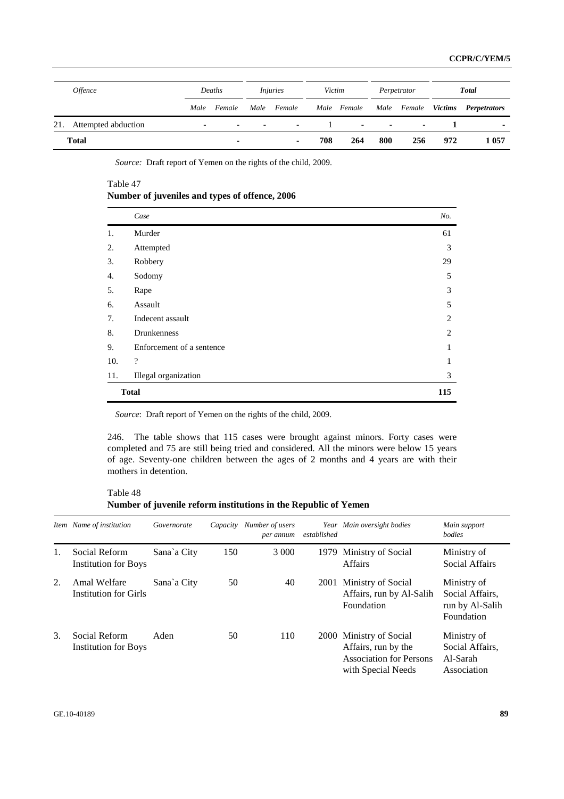| <i><b>Offence</b></i>   |                          | Deaths      |                      | <i>Injuries</i>           | Victim |     | Perpetrator             |                          | <b>Total</b> |                                  |  |
|-------------------------|--------------------------|-------------|----------------------|---------------------------|--------|-----|-------------------------|--------------------------|--------------|----------------------------------|--|
|                         |                          | Male Female |                      | Male Female - Male Female |        |     |                         |                          |              | Male Female Victims Perpetrators |  |
| 21. Attempted abduction | $\overline{\phantom{a}}$ | $\sim$      | <b>Service State</b> | $\overline{\phantom{a}}$  |        |     | <b>All Contract Ave</b> | $\overline{\phantom{a}}$ |              | $\blacksquare$                   |  |
| Total                   |                          | ۰.          |                      |                           | 708    | 264 | 800                     | 256                      | 972          | 1 057                            |  |

*Source:* Draft report of Yemen on the rights of the child, 2009.

Table 47

**Number of juveniles and types of offence, 2006** 

|     | Case                      | No. |
|-----|---------------------------|-----|
| 1.  | Murder                    | 61  |
| 2.  | Attempted                 | 3   |
| 3.  | Robbery                   | 29  |
| 4.  | Sodomy                    | 5   |
| 5.  | Rape                      | 3   |
| 6.  | Assault                   | 5   |
| 7.  | Indecent assault          | 2   |
| 8.  | Drunkenness               | 2   |
| 9.  | Enforcement of a sentence | 1   |
| 10. | $\overline{\cdot}$        | 1   |
| 11. | Illegal organization      | 3   |
|     | <b>Total</b>              | 115 |

*Source*: Draft report of Yemen on the rights of the child, 2009.

246. The table shows that 115 cases were brought against minors. Forty cases were completed and 75 are still being tried and considered. All the minors were below 15 years of age. Seventy-one children between the ages of 2 months and 4 years are with their mothers in detention.

Table 48 **Number of juvenile reform institutions in the Republic of Yemen** 

| Item | Name of institution                          | Governorate | Capacity | Number of users<br>per annum | established | Year Main oversight bodies                                                                             | Main support<br>bodies                                          |
|------|----------------------------------------------|-------------|----------|------------------------------|-------------|--------------------------------------------------------------------------------------------------------|-----------------------------------------------------------------|
| 1.   | Social Reform<br><b>Institution for Boys</b> | Sana`a City | 150      | 3 0 0 0                      |             | 1979 Ministry of Social<br><b>Affairs</b>                                                              | Ministry of<br>Social Affairs                                   |
| 2.   | Amal Welfare<br>Institution for Girls        | Sana`a City | 50       | 40                           |             | 2001 Ministry of Social<br>Affairs, run by Al-Salih<br>Foundation                                      | Ministry of<br>Social Affairs.<br>run by Al-Salih<br>Foundation |
| 3.   | Social Reform<br><b>Institution for Boys</b> | Aden        | 50       | 110                          |             | 2000 Ministry of Social<br>Affairs, run by the<br><b>Association for Persons</b><br>with Special Needs | Ministry of<br>Social Affairs,<br>Al-Sarah<br>Association       |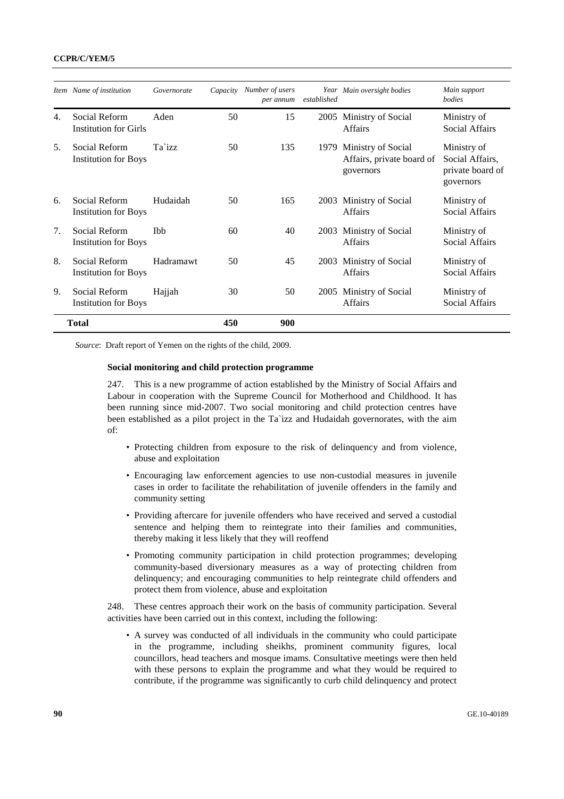### **CCPR/C/YEM/5**

|     | Item Name of institution                     | Governorate |     | Capacity Number of users<br>per annum | established | Year Main oversight bodies                                        | Main support<br><b>bodies</b>                                   |
|-----|----------------------------------------------|-------------|-----|---------------------------------------|-------------|-------------------------------------------------------------------|-----------------------------------------------------------------|
| 4.  | Social Reform<br>Institution for Girls       | Aden        | 50  | 15                                    | 2005        | Ministry of Social<br><b>Affairs</b>                              | Ministry of<br>Social Affairs                                   |
| .5. | Social Reform<br><b>Institution for Boys</b> | Ta`izz      | 50  | 135                                   |             | 1979 Ministry of Social<br>Affairs, private board of<br>governors | Ministry of<br>Social Affairs,<br>private board of<br>governors |
| 6.  | Social Reform<br><b>Institution for Boys</b> | Hudaidah    | 50  | 165                                   |             | 2003 Ministry of Social<br><b>Affairs</b>                         | Ministry of<br>Social Affairs                                   |
| 7.  | Social Reform<br><b>Institution for Boys</b> | <b>Ibb</b>  | 60  | 40                                    | 2003        | Ministry of Social<br><b>Affairs</b>                              | Ministry of<br>Social Affairs                                   |
| 8.  | Social Reform<br><b>Institution for Boys</b> | Hadramawt   | 50  | 45                                    |             | 2003 Ministry of Social<br><b>Affairs</b>                         | Ministry of<br>Social Affairs                                   |
| 9.  | Social Reform<br><b>Institution for Boys</b> | Hajjah      | 30  | 50                                    | 2005        | Ministry of Social<br><b>Affairs</b>                              | Ministry of<br><b>Social Affairs</b>                            |
|     | <b>Total</b>                                 |             | 450 | 900                                   |             |                                                                   |                                                                 |

*Source*: Draft report of Yemen on the rights of the child, 2009.

## **Social monitoring and child protection programme**

247. This is a new programme of action established by the Ministry of Social Affairs and Labour in cooperation with the Supreme Council for Motherhood and Childhood. It has been running since mid-2007. Two social monitoring and child protection centres have been established as a pilot project in the Ta`izz and Hudaidah governorates, with the aim of:

- Protecting children from exposure to the risk of delinquency and from violence, abuse and exploitation
- Encouraging law enforcement agencies to use non-custodial measures in juvenile cases in order to facilitate the rehabilitation of juvenile offenders in the family and community setting
- Providing aftercare for juvenile offenders who have received and served a custodial sentence and helping them to reintegrate into their families and communities, thereby making it less likely that they will reoffend
- Promoting community participation in child protection programmes; developing community-based diversionary measures as a way of protecting children from delinquency; and encouraging communities to help reintegrate child offenders and protect them from violence, abuse and exploitation

248. These centres approach their work on the basis of community participation. Several activities have been carried out in this context, including the following:

• A survey was conducted of all individuals in the community who could participate in the programme, including sheikhs, prominent community figures, local councillors, head teachers and mosque imams. Consultative meetings were then held with these persons to explain the programme and what they would be required to contribute, if the programme was significantly to curb child delinquency and protect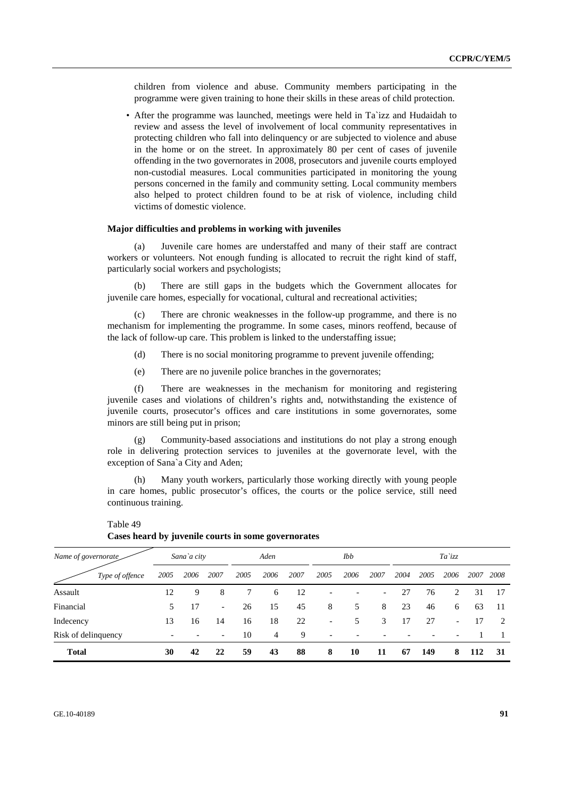children from violence and abuse. Community members participating in the programme were given training to hone their skills in these areas of child protection.

• After the programme was launched, meetings were held in Ta`izz and Hudaidah to review and assess the level of involvement of local community representatives in protecting children who fall into delinquency or are subjected to violence and abuse in the home or on the street. In approximately 80 per cent of cases of juvenile offending in the two governorates in 2008, prosecutors and juvenile courts employed non-custodial measures. Local communities participated in monitoring the young persons concerned in the family and community setting. Local community members also helped to protect children found to be at risk of violence, including child victims of domestic violence.

#### **Major difficulties and problems in working with juveniles**

 (a) Juvenile care homes are understaffed and many of their staff are contract workers or volunteers. Not enough funding is allocated to recruit the right kind of staff, particularly social workers and psychologists;

 (b) There are still gaps in the budgets which the Government allocates for juvenile care homes, especially for vocational, cultural and recreational activities;

 (c) There are chronic weaknesses in the follow-up programme, and there is no mechanism for implementing the programme. In some cases, minors reoffend, because of the lack of follow-up care. This problem is linked to the understaffing issue;

- (d) There is no social monitoring programme to prevent juvenile offending;
- (e) There are no juvenile police branches in the governorates;

 (f) There are weaknesses in the mechanism for monitoring and registering juvenile cases and violations of children's rights and, notwithstanding the existence of juvenile courts, prosecutor's offices and care institutions in some governorates, some minors are still being put in prison;

 (g) Community-based associations and institutions do not play a strong enough role in delivering protection services to juveniles at the governorate level, with the exception of Sana`a City and Aden;

 (h) Many youth workers, particularly those working directly with young people in care homes, public prosecutor's offices, the courts or the police service, still need continuous training.

| Name of governorate |      | Sana`a city |                          |      | Aden |      |                          | Ibb  |                          |      |      | Ta`izz                   |      |               |
|---------------------|------|-------------|--------------------------|------|------|------|--------------------------|------|--------------------------|------|------|--------------------------|------|---------------|
| Type of offence     | 2005 | 2006        | 2007                     | 2005 | 2006 | 2007 | 2005                     | 2006 | 2007                     | 2004 | 2005 | 2006                     | 2007 | 2008          |
| Assault             | 12   | 9           | 8                        |      | 6    | 12   | $\overline{\phantom{a}}$ |      | $\overline{\phantom{0}}$ | 27   | 76   | 2                        | 31   | 17            |
| Financial           | 5    | 17          | $\overline{\phantom{a}}$ | 26   | 15   | 45   | 8                        | 5    | 8                        | 23   | 46   | 6                        | 63   | -11           |
| Indecency           | 13   | 16          | 14                       | 16   | 18   | 22   | $\overline{\phantom{0}}$ | 5    | 3                        | 17   | 27   | $\overline{\phantom{a}}$ | 17   | $\mathcal{L}$ |
| Risk of delinquency |      |             |                          | 10   | 4    | 9    | $\overline{\phantom{a}}$ |      |                          |      |      |                          |      |               |
| <b>Total</b>        | 30   | 42          | 22                       | 59   | 43   | 88   | 8                        | 10   | 11                       | 67   | 149  | 8                        | 112  | 31            |

Table 49 **Cases heard by juvenile courts in some governorates**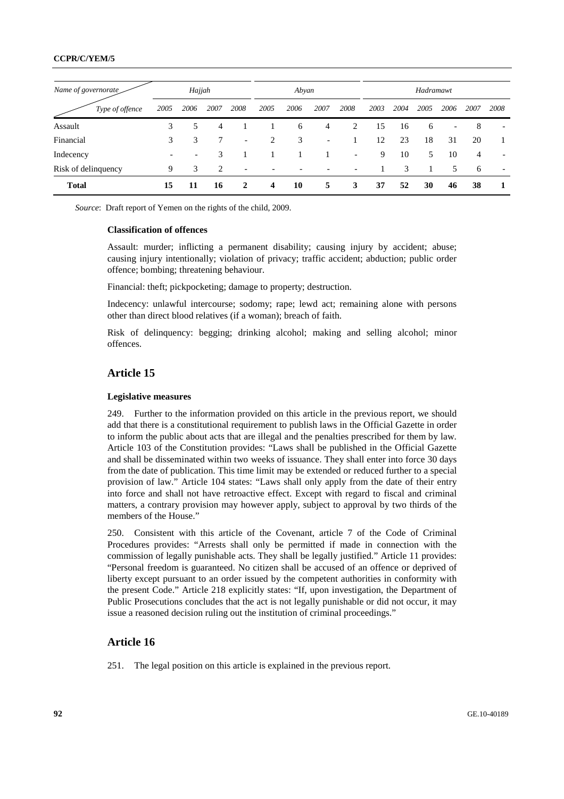## **CCPR/C/YEM/5**

| Name of governorate |      | Hajjah                   |      |                          |      | Abyan |                              |                          |      |      | Hadramawt |                          |      |                          |
|---------------------|------|--------------------------|------|--------------------------|------|-------|------------------------------|--------------------------|------|------|-----------|--------------------------|------|--------------------------|
| Type of offence     | 2005 | 2006                     | 2007 | 2008                     | 2005 | 2006  | 2007                         | 2008                     | 2003 | 2004 | 2005      | 2006                     | 2007 | 2008                     |
| Assault             | 3    |                          | 4    |                          |      | 6     | 4                            | 2                        | 15   | 16   | 6         | $\overline{\phantom{0}}$ | 8    | $\overline{\phantom{a}}$ |
| Financial           | 3    | 3                        |      | $\overline{\phantom{a}}$ | 2    | 3     | $\qquad \qquad \blacksquare$ |                          | 12   | 23   | 18        | 31                       | 20   |                          |
| Indecency           |      | $\overline{\phantom{0}}$ | 3    |                          |      |       |                              | $\overline{\phantom{a}}$ | 9    | 10   | 5         | 10                       | 4    |                          |
| Risk of delinquency | 9    | 3                        | 2    | $\overline{\phantom{a}}$ |      |       |                              | $\overline{\phantom{a}}$ |      | 3    |           | 5                        | 6    | $\overline{\phantom{a}}$ |
| <b>Total</b>        | 15   | 11                       | 16   | 2                        | 4    | 10    | 5                            | 3                        | 37   | 52   | 30        | 46                       | 38   |                          |

*Source*: Draft report of Yemen on the rights of the child, 2009.

#### **Classification of offences**

Assault: murder; inflicting a permanent disability; causing injury by accident; abuse; causing injury intentionally; violation of privacy; traffic accident; abduction; public order offence; bombing; threatening behaviour.

Financial: theft; pickpocketing; damage to property; destruction.

Indecency: unlawful intercourse; sodomy; rape; lewd act; remaining alone with persons other than direct blood relatives (if a woman); breach of faith.

Risk of delinquency: begging; drinking alcohol; making and selling alcohol; minor offences.

# **Article 15**

#### **Legislative measures**

249. Further to the information provided on this article in the previous report, we should add that there is a constitutional requirement to publish laws in the Official Gazette in order to inform the public about acts that are illegal and the penalties prescribed for them by law. Article 103 of the Constitution provides: "Laws shall be published in the Official Gazette and shall be disseminated within two weeks of issuance. They shall enter into force 30 days from the date of publication. This time limit may be extended or reduced further to a special provision of law." Article 104 states: "Laws shall only apply from the date of their entry into force and shall not have retroactive effect. Except with regard to fiscal and criminal matters, a contrary provision may however apply, subject to approval by two thirds of the members of the House."

250. Consistent with this article of the Covenant, article 7 of the Code of Criminal Procedures provides: "Arrests shall only be permitted if made in connection with the commission of legally punishable acts. They shall be legally justified." Article 11 provides: "Personal freedom is guaranteed. No citizen shall be accused of an offence or deprived of liberty except pursuant to an order issued by the competent authorities in conformity with the present Code." Article 218 explicitly states: "If, upon investigation, the Department of Public Prosecutions concludes that the act is not legally punishable or did not occur, it may issue a reasoned decision ruling out the institution of criminal proceedings."

# **Article 16**

251. The legal position on this article is explained in the previous report.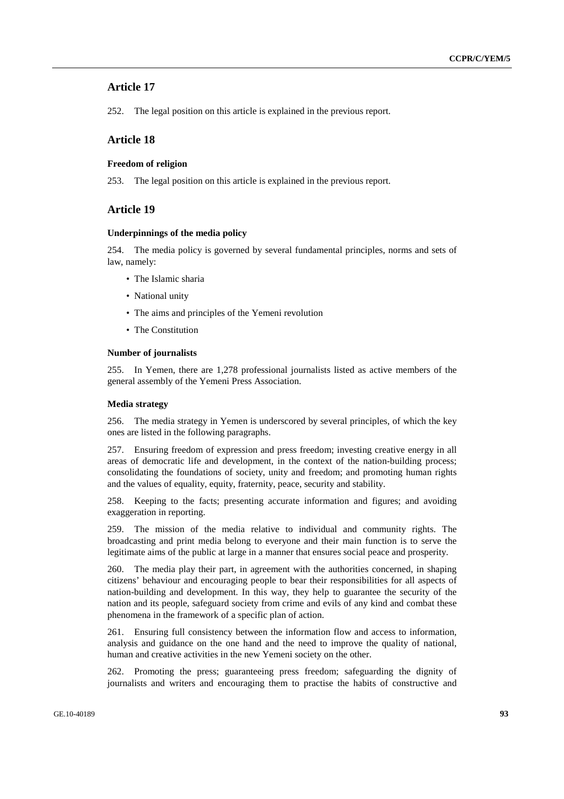# **Article 17**

252. The legal position on this article is explained in the previous report.

# **Article 18**

# **Freedom of religion**

253. The legal position on this article is explained in the previous report.

### **Article 19**

#### **Underpinnings of the media policy**

254. The media policy is governed by several fundamental principles, norms and sets of law, namely:

- The Islamic sharia
- National unity
- The aims and principles of the Yemeni revolution
- The Constitution

#### **Number of journalists**

255. In Yemen, there are 1,278 professional journalists listed as active members of the general assembly of the Yemeni Press Association.

#### **Media strategy**

256. The media strategy in Yemen is underscored by several principles, of which the key ones are listed in the following paragraphs.

257. Ensuring freedom of expression and press freedom; investing creative energy in all areas of democratic life and development, in the context of the nation-building process; consolidating the foundations of society, unity and freedom; and promoting human rights and the values of equality, equity, fraternity, peace, security and stability.

258. Keeping to the facts; presenting accurate information and figures; and avoiding exaggeration in reporting.

259. The mission of the media relative to individual and community rights. The broadcasting and print media belong to everyone and their main function is to serve the legitimate aims of the public at large in a manner that ensures social peace and prosperity.

260. The media play their part, in agreement with the authorities concerned, in shaping citizens' behaviour and encouraging people to bear their responsibilities for all aspects of nation-building and development. In this way, they help to guarantee the security of the nation and its people, safeguard society from crime and evils of any kind and combat these phenomena in the framework of a specific plan of action.

261. Ensuring full consistency between the information flow and access to information, analysis and guidance on the one hand and the need to improve the quality of national, human and creative activities in the new Yemeni society on the other.

262. Promoting the press; guaranteeing press freedom; safeguarding the dignity of journalists and writers and encouraging them to practise the habits of constructive and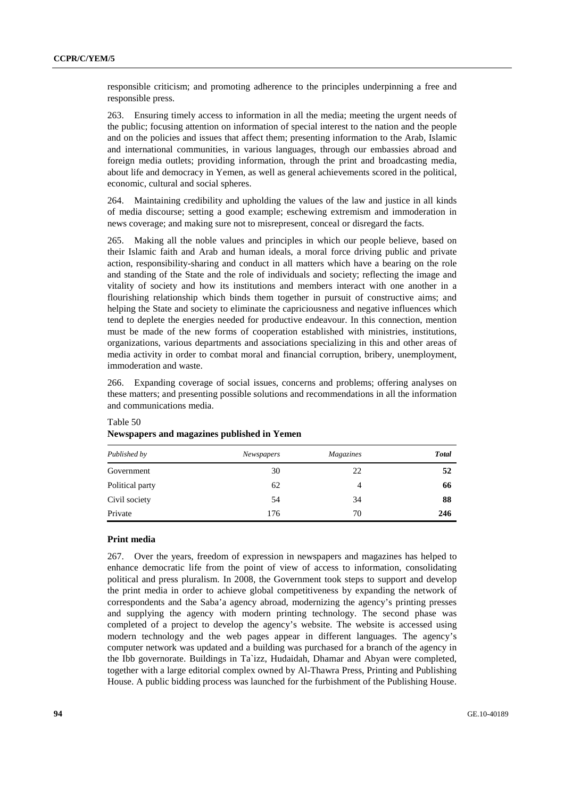responsible criticism; and promoting adherence to the principles underpinning a free and responsible press.

263. Ensuring timely access to information in all the media; meeting the urgent needs of the public; focusing attention on information of special interest to the nation and the people and on the policies and issues that affect them; presenting information to the Arab, Islamic and international communities, in various languages, through our embassies abroad and foreign media outlets; providing information, through the print and broadcasting media, about life and democracy in Yemen, as well as general achievements scored in the political, economic, cultural and social spheres.

264. Maintaining credibility and upholding the values of the law and justice in all kinds of media discourse; setting a good example; eschewing extremism and immoderation in news coverage; and making sure not to misrepresent, conceal or disregard the facts.

265. Making all the noble values and principles in which our people believe, based on their Islamic faith and Arab and human ideals, a moral force driving public and private action, responsibility-sharing and conduct in all matters which have a bearing on the role and standing of the State and the role of individuals and society; reflecting the image and vitality of society and how its institutions and members interact with one another in a flourishing relationship which binds them together in pursuit of constructive aims; and helping the State and society to eliminate the capriciousness and negative influences which tend to deplete the energies needed for productive endeavour. In this connection, mention must be made of the new forms of cooperation established with ministries, institutions, organizations, various departments and associations specializing in this and other areas of media activity in order to combat moral and financial corruption, bribery, unemployment, immoderation and waste.

266. Expanding coverage of social issues, concerns and problems; offering analyses on these matters; and presenting possible solutions and recommendations in all the information and communications media.

| Published by    | Newspapers | Magazines | <b>Total</b> |
|-----------------|------------|-----------|--------------|
| Government      | 30         | 22        | 52           |
| Political party | 62         | 4         | 66           |
| Civil society   | 54         | 34        | 88           |
| Private         | 176        | 70        | 246          |

# Table 50 **Newspapers and magazines published in Yemen**

### **Print media**

267. Over the years, freedom of expression in newspapers and magazines has helped to enhance democratic life from the point of view of access to information, consolidating political and press pluralism. In 2008, the Government took steps to support and develop the print media in order to achieve global competitiveness by expanding the network of correspondents and the Saba'a agency abroad, modernizing the agency's printing presses and supplying the agency with modern printing technology. The second phase was completed of a project to develop the agency's website. The website is accessed using modern technology and the web pages appear in different languages. The agency's computer network was updated and a building was purchased for a branch of the agency in the Ibb governorate. Buildings in Ta`izz, Hudaidah, Dhamar and Abyan were completed, together with a large editorial complex owned by Al-Thawra Press, Printing and Publishing House. A public bidding process was launched for the furbishment of the Publishing House.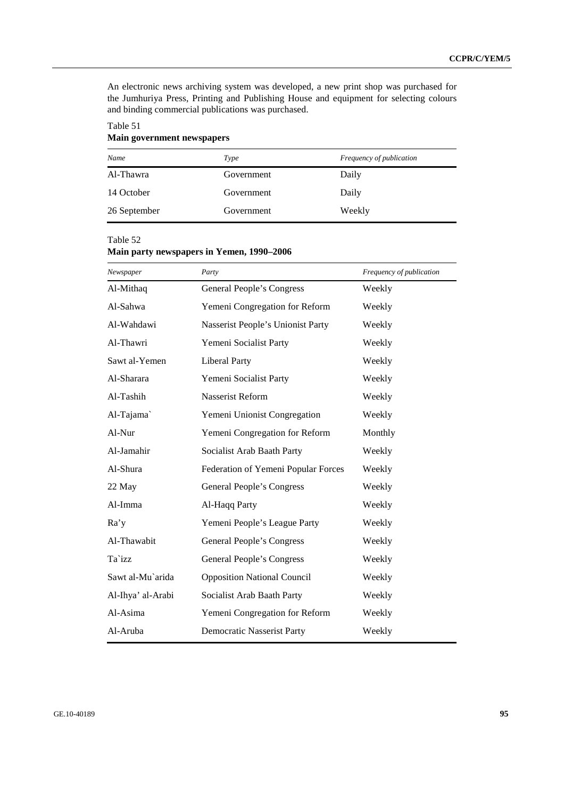An electronic news archiving system was developed, a new print shop was purchased for the Jumhuriya Press, Printing and Publishing House and equipment for selecting colours and binding commercial publications was purchased.

# Table 51 **Main government newspapers**

| Name         | Type       | <i>Frequency of publication</i> |
|--------------|------------|---------------------------------|
| Al-Thawra    | Government | Daily                           |
| 14 October   | Government | Daily                           |
| 26 September | Government | Weekly                          |

# Table 52

# **Main party newspapers in Yemen, 1990–2006**

| Newspaper         | Party                               | Frequency of publication |
|-------------------|-------------------------------------|--------------------------|
| Al-Mithaq         | General People's Congress           | Weekly                   |
| Al-Sahwa          | Yemeni Congregation for Reform      | Weekly                   |
| Al-Wahdawi        | Nasserist People's Unionist Party   | Weekly                   |
| Al-Thawri         | Yemeni Socialist Party              | Weekly                   |
| Sawt al-Yemen     | <b>Liberal Party</b>                | Weekly                   |
| Al-Sharara        | Yemeni Socialist Party              | Weekly                   |
| Al-Tashih         | Nasserist Reform                    | Weekly                   |
| Al-Tajama`        | Yemeni Unionist Congregation        | Weekly                   |
| Al-Nur            | Yemeni Congregation for Reform      | Monthly                  |
| Al-Jamahir        | Socialist Arab Baath Party          | Weekly                   |
| Al-Shura          | Federation of Yemeni Popular Forces | Weekly                   |
| 22 May            | General People's Congress           | Weekly                   |
| Al-Imma           | Al-Haqq Party                       | Weekly                   |
| Ra'y              | Yemeni People's League Party        | Weekly                   |
| Al-Thawabit       | General People's Congress           | Weekly                   |
| Ta`izz            | General People's Congress           | Weekly                   |
| Sawt al-Mu`arida  | <b>Opposition National Council</b>  | Weekly                   |
| Al-Ihya' al-Arabi | Socialist Arab Baath Party          | Weekly                   |
| Al-Asima          | Yemeni Congregation for Reform      | Weekly                   |
| Al-Aruba          | <b>Democratic Nasserist Party</b>   | Weekly                   |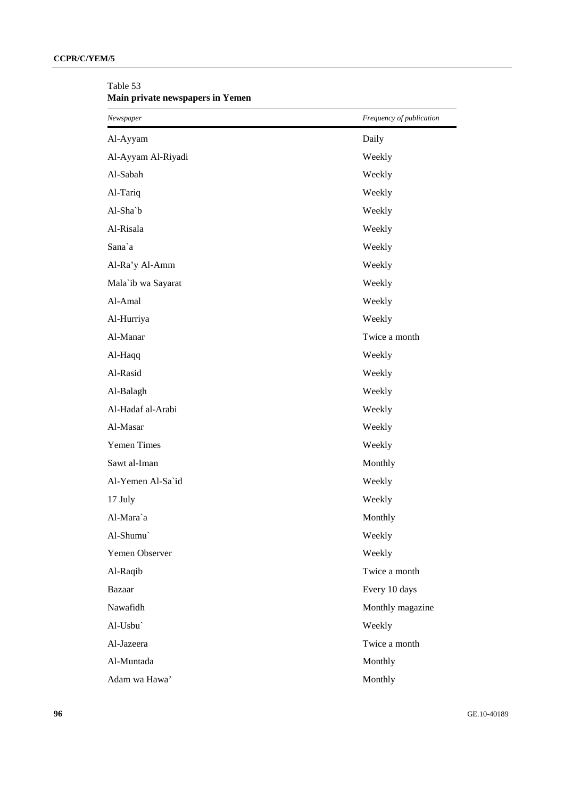| Newspaper          | Frequency of publication |
|--------------------|--------------------------|
| Al-Ayyam           | Daily                    |
| Al-Ayyam Al-Riyadi | Weekly                   |
| Al-Sabah           | Weekly                   |
| Al-Tariq           | Weekly                   |
| Al-Sha`b           | Weekly                   |
| Al-Risala          | Weekly                   |
| Sana`a             | Weekly                   |
| Al-Ra'y Al-Amm     | Weekly                   |
| Mala'ib wa Sayarat | Weekly                   |
| Al-Amal            | Weekly                   |
| Al-Hurriya         | Weekly                   |
| Al-Manar           | Twice a month            |
| Al-Haqq            | Weekly                   |
| Al-Rasid           | Weekly                   |
| Al-Balagh          | Weekly                   |
| Al-Hadaf al-Arabi  | Weekly                   |
| Al-Masar           | Weekly                   |
| <b>Yemen Times</b> | Weekly                   |
| Sawt al-Iman       | Monthly                  |
| Al-Yemen Al-Sa'id  | Weekly                   |
| 17 July            | Weekly                   |
| Al-Mara`a          | Monthly                  |
| Al-Shumu`          | Weekly                   |
| Yemen Observer     | Weekly                   |
| Al-Raqib           | Twice a month            |
| <b>Bazaar</b>      | Every 10 days            |
| Nawafidh           | Monthly magazine         |
| Al-Usbu`           | Weekly                   |
| Al-Jazeera         | Twice a month            |
| Al-Muntada         | Monthly                  |
| Adam wa Hawa'      | Monthly                  |

Table 53 **Main private newspapers in Yemen**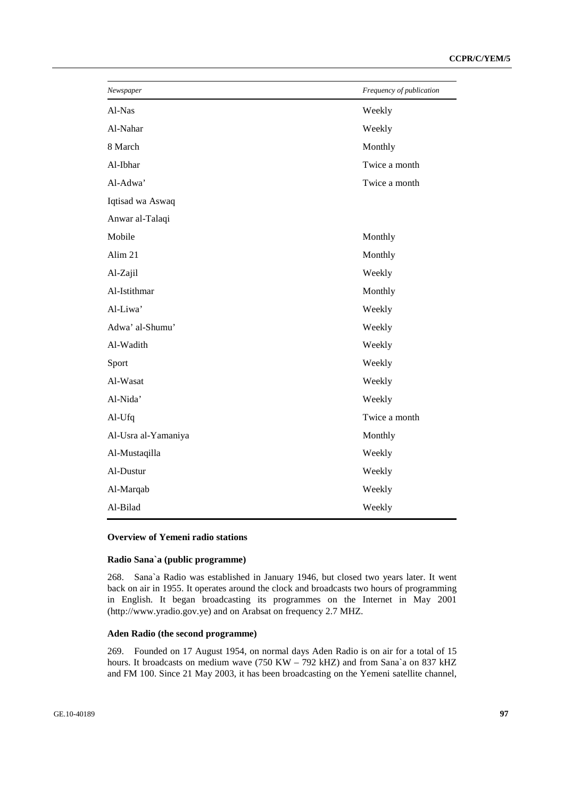| Newspaper           | Frequency of publication |
|---------------------|--------------------------|
| Al-Nas              | Weekly                   |
| Al-Nahar            | Weekly                   |
| 8 March             | Monthly                  |
| Al-Ibhar            | Twice a month            |
| Al-Adwa'            | Twice a month            |
| Iqtisad wa Aswaq    |                          |
| Anwar al-Talaqi     |                          |
| Mobile              | Monthly                  |
| Alim 21             | Monthly                  |
| Al-Zajil            | Weekly                   |
| Al-Istithmar        | Monthly                  |
| Al-Liwa'            | Weekly                   |
| Adwa' al-Shumu'     | Weekly                   |
| Al-Wadith           | Weekly                   |
| Sport               | Weekly                   |
| Al-Wasat            | Weekly                   |
| Al-Nida'            | Weekly                   |
| Al-Ufq              | Twice a month            |
| Al-Usra al-Yamaniya | Monthly                  |
| Al-Mustaqilla       | Weekly                   |
| Al-Dustur           | Weekly                   |
| Al-Marqab           | Weekly                   |
| Al-Bilad            | Weekly                   |

# **Overview of Yemeni radio stations**

# **Radio Sana`a (public programme)**

268. Sana`a Radio was established in January 1946, but closed two years later. It went back on air in 1955. It operates around the clock and broadcasts two hours of programming in English. It began broadcasting its programmes on the Internet in May 2001 (http://www.yradio.gov.ye) and on Arabsat on frequency 2.7 MHZ.

### **Aden Radio (the second programme)**

269. Founded on 17 August 1954, on normal days Aden Radio is on air for a total of 15 hours. It broadcasts on medium wave (750 KW – 792 kHZ) and from Sana`a on 837 kHZ and FM 100. Since 21 May 2003, it has been broadcasting on the Yemeni satellite channel,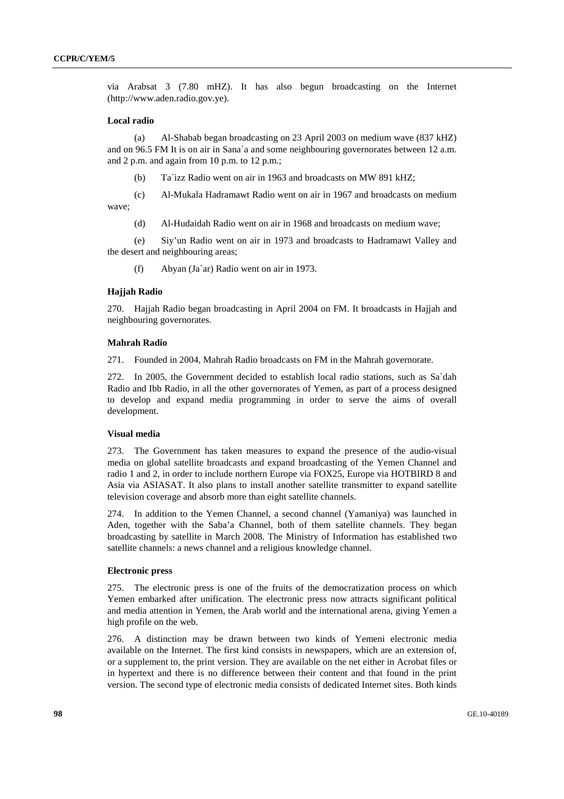via Arabsat 3 (7.80 mHZ). It has also begun broadcasting on the Internet (http://www.aden.radio.gov.ye).

### **Local radio**

 (a) Al-Shabab began broadcasting on 23 April 2003 on medium wave (837 kHZ) and on 96.5 FM It is on air in Sana`a and some neighbouring governorates between 12 a.m. and 2 p.m. and again from 10 p.m. to 12 p.m.;

(b) Ta`izz Radio went on air in 1963 and broadcasts on MW 891 kHZ;

(c) Al-Mukala Hadramawt Radio went on air in 1967 and broadcasts on medium

wave;

(d) Al-Hudaidah Radio went on air in 1968 and broadcasts on medium wave;

 (e) Siy'un Radio went on air in 1973 and broadcasts to Hadramawt Valley and the desert and neighbouring areas;

(f) Abyan (Ja`ar) Radio went on air in 1973.

### **Hajjah Radio**

270. Hajjah Radio began broadcasting in April 2004 on FM. It broadcasts in Hajjah and neighbouring governorates.

#### **Mahrah Radio**

271. Founded in 2004, Mahrah Radio broadcasts on FM in the Mahrah governorate.

272. In 2005, the Government decided to establish local radio stations, such as Sa`dah Radio and Ibb Radio, in all the other governorates of Yemen, as part of a process designed to develop and expand media programming in order to serve the aims of overall development.

#### **Visual media**

273. The Government has taken measures to expand the presence of the audio-visual media on global satellite broadcasts and expand broadcasting of the Yemen Channel and radio 1 and 2, in order to include northern Europe via FOX25, Europe via HOTBIRD 8 and Asia via ASIASAT. It also plans to install another satellite transmitter to expand satellite television coverage and absorb more than eight satellite channels.

274. In addition to the Yemen Channel, a second channel (Yamaniya) was launched in Aden, together with the Saba'a Channel, both of them satellite channels. They began broadcasting by satellite in March 2008. The Ministry of Information has established two satellite channels: a news channel and a religious knowledge channel.

#### **Electronic press**

275. The electronic press is one of the fruits of the democratization process on which Yemen embarked after unification. The electronic press now attracts significant political and media attention in Yemen, the Arab world and the international arena, giving Yemen a high profile on the web.

276. A distinction may be drawn between two kinds of Yemeni electronic media available on the Internet. The first kind consists in newspapers, which are an extension of, or a supplement to, the print version. They are available on the net either in Acrobat files or in hypertext and there is no difference between their content and that found in the print version. The second type of electronic media consists of dedicated Internet sites. Both kinds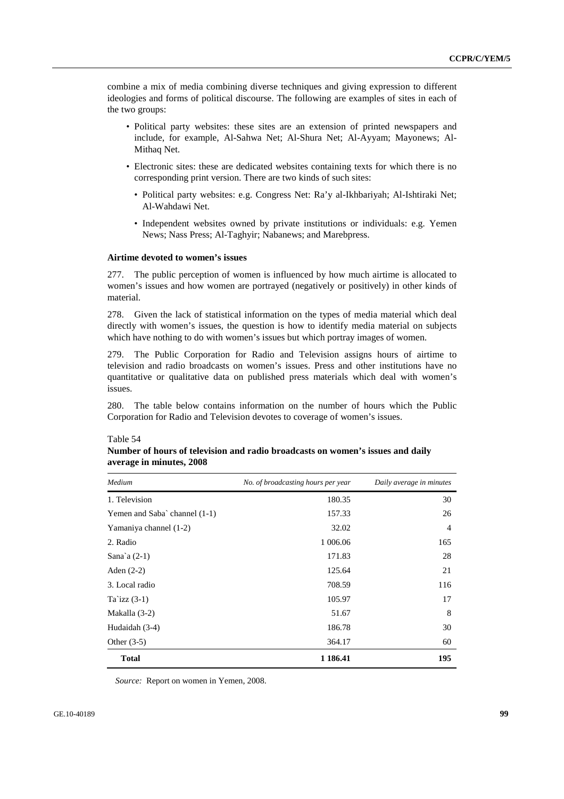combine a mix of media combining diverse techniques and giving expression to different ideologies and forms of political discourse. The following are examples of sites in each of the two groups:

- Political party websites: these sites are an extension of printed newspapers and include, for example, Al-Sahwa Net; Al-Shura Net; Al-Ayyam; Mayonews; Al-Mithaq Net.
- Electronic sites: these are dedicated websites containing texts for which there is no corresponding print version. There are two kinds of such sites:
	- Political party websites: e.g. Congress Net: Ra'y al-Ikhbariyah; Al-Ishtiraki Net; Al-Wahdawi Net.
	- Independent websites owned by private institutions or individuals: e.g. Yemen News; Nass Press; Al-Taghyir; Nabanews; and Marebpress.

#### **Airtime devoted to women's issues**

277. The public perception of women is influenced by how much airtime is allocated to women's issues and how women are portrayed (negatively or positively) in other kinds of material.

278. Given the lack of statistical information on the types of media material which deal directly with women's issues, the question is how to identify media material on subjects which have nothing to do with women's issues but which portray images of women.

279. The Public Corporation for Radio and Television assigns hours of airtime to television and radio broadcasts on women's issues. Press and other institutions have no quantitative or qualitative data on published press materials which deal with women's issues.

280. The table below contains information on the number of hours which the Public Corporation for Radio and Television devotes to coverage of women's issues.

#### Table 54

| Medium                        | No. of broadcasting hours per year | Daily average in minutes |
|-------------------------------|------------------------------------|--------------------------|
| 1. Television                 | 180.35                             | 30                       |
| Yemen and Saba` channel (1-1) | 157.33                             | 26                       |
| Yamaniya channel (1-2)        | 32.02                              | $\overline{4}$           |
| 2. Radio                      | 1 006.06                           | 165                      |
| Sana'a $(2-1)$                | 171.83                             | 28                       |
| Aden $(2-2)$                  | 125.64                             | 21                       |
| 3. Local radio                | 708.59                             | 116                      |
| Ta'izz $(3-1)$                | 105.97                             | 17                       |
| Makalla (3-2)                 | 51.67                              | 8                        |
| Hudaidah (3-4)                | 186.78                             | 30                       |
| Other $(3-5)$                 | 364.17                             | 60                       |
| <b>Total</b>                  | 1 186.41                           | 195                      |

**Number of hours of television and radio broadcasts on women's issues and daily average in minutes, 2008** 

*Source:* Report on women in Yemen, 2008.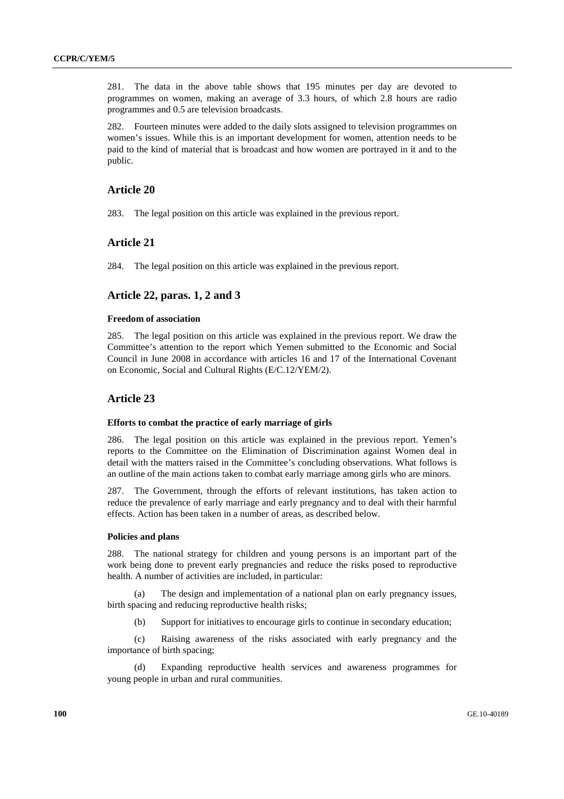281. The data in the above table shows that 195 minutes per day are devoted to programmes on women, making an average of 3.3 hours, of which 2.8 hours are radio programmes and 0.5 are television broadcasts.

282. Fourteen minutes were added to the daily slots assigned to television programmes on women's issues. While this is an important development for women, attention needs to be paid to the kind of material that is broadcast and how women are portrayed in it and to the public.

# **Article 20**

283. The legal position on this article was explained in the previous report.

# **Article 21**

284. The legal position on this article was explained in the previous report.

# **Article 22, paras. 1, 2 and 3**

#### **Freedom of association**

285. The legal position on this article was explained in the previous report. We draw the Committee's attention to the report which Yemen submitted to the Economic and Social Council in June 2008 in accordance with articles 16 and 17 of the International Covenant on Economic, Social and Cultural Rights (E/C.12/YEM/2).

# **Article 23**

#### **Efforts to combat the practice of early marriage of girls**

286. The legal position on this article was explained in the previous report. Yemen's reports to the Committee on the Elimination of Discrimination against Women deal in detail with the matters raised in the Committee's concluding observations. What follows is an outline of the main actions taken to combat early marriage among girls who are minors.

287. The Government, through the efforts of relevant institutions, has taken action to reduce the prevalence of early marriage and early pregnancy and to deal with their harmful effects. Action has been taken in a number of areas, as described below.

#### **Policies and plans**

288. The national strategy for children and young persons is an important part of the work being done to prevent early pregnancies and reduce the risks posed to reproductive health. A number of activities are included, in particular:

The design and implementation of a national plan on early pregnancy issues, birth spacing and reducing reproductive health risks;

(b) Support for initiatives to encourage girls to continue in secondary education;

 (c) Raising awareness of the risks associated with early pregnancy and the importance of birth spacing;

 (d) Expanding reproductive health services and awareness programmes for young people in urban and rural communities.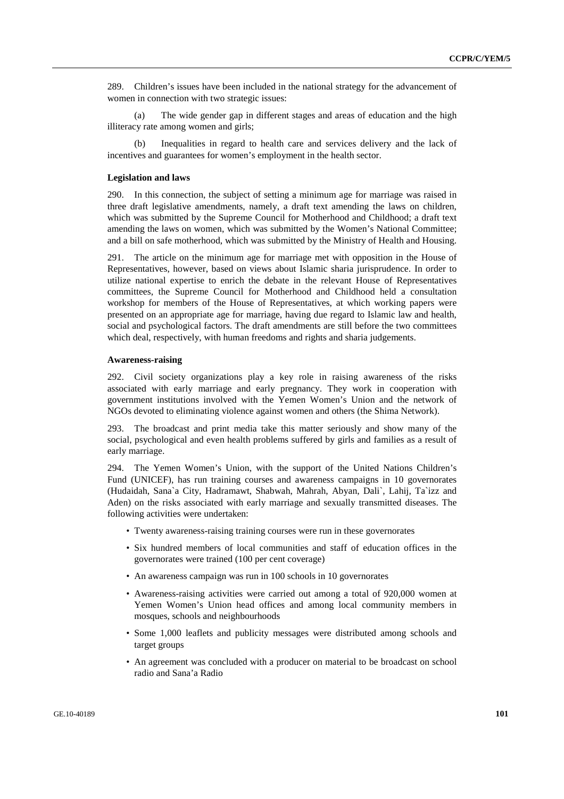289. Children's issues have been included in the national strategy for the advancement of women in connection with two strategic issues:

 (a) The wide gender gap in different stages and areas of education and the high illiteracy rate among women and girls;

Inequalities in regard to health care and services delivery and the lack of incentives and guarantees for women's employment in the health sector.

#### **Legislation and laws**

290. In this connection, the subject of setting a minimum age for marriage was raised in three draft legislative amendments, namely, a draft text amending the laws on children, which was submitted by the Supreme Council for Motherhood and Childhood; a draft text amending the laws on women, which was submitted by the Women's National Committee; and a bill on safe motherhood, which was submitted by the Ministry of Health and Housing.

291. The article on the minimum age for marriage met with opposition in the House of Representatives, however, based on views about Islamic sharia jurisprudence. In order to utilize national expertise to enrich the debate in the relevant House of Representatives committees, the Supreme Council for Motherhood and Childhood held a consultation workshop for members of the House of Representatives, at which working papers were presented on an appropriate age for marriage, having due regard to Islamic law and health, social and psychological factors. The draft amendments are still before the two committees which deal, respectively, with human freedoms and rights and sharia judgements.

#### **Awareness-raising**

292. Civil society organizations play a key role in raising awareness of the risks associated with early marriage and early pregnancy. They work in cooperation with government institutions involved with the Yemen Women's Union and the network of NGOs devoted to eliminating violence against women and others (the Shima Network).

293. The broadcast and print media take this matter seriously and show many of the social, psychological and even health problems suffered by girls and families as a result of early marriage.

294. The Yemen Women's Union, with the support of the United Nations Children's Fund (UNICEF), has run training courses and awareness campaigns in 10 governorates (Hudaidah, Sana`a City, Hadramawt, Shabwah, Mahrah, Abyan, Dali`, Lahij, Ta`izz and Aden) on the risks associated with early marriage and sexually transmitted diseases. The following activities were undertaken:

- Twenty awareness-raising training courses were run in these governorates
- Six hundred members of local communities and staff of education offices in the governorates were trained (100 per cent coverage)
- An awareness campaign was run in 100 schools in 10 governorates
- Awareness-raising activities were carried out among a total of 920,000 women at Yemen Women's Union head offices and among local community members in mosques, schools and neighbourhoods
- Some 1,000 leaflets and publicity messages were distributed among schools and target groups
- An agreement was concluded with a producer on material to be broadcast on school radio and Sana'a Radio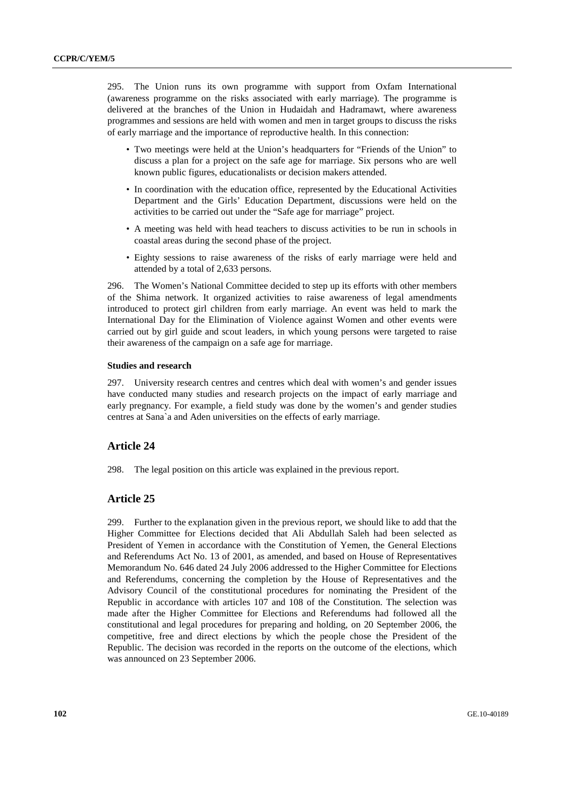295. The Union runs its own programme with support from Oxfam International (awareness programme on the risks associated with early marriage). The programme is delivered at the branches of the Union in Hudaidah and Hadramawt, where awareness programmes and sessions are held with women and men in target groups to discuss the risks of early marriage and the importance of reproductive health. In this connection:

- Two meetings were held at the Union's headquarters for "Friends of the Union" to discuss a plan for a project on the safe age for marriage. Six persons who are well known public figures, educationalists or decision makers attended.
- In coordination with the education office, represented by the Educational Activities Department and the Girls' Education Department, discussions were held on the activities to be carried out under the "Safe age for marriage" project.
- A meeting was held with head teachers to discuss activities to be run in schools in coastal areas during the second phase of the project.
- Eighty sessions to raise awareness of the risks of early marriage were held and attended by a total of 2,633 persons.

296. The Women's National Committee decided to step up its efforts with other members of the Shima network. It organized activities to raise awareness of legal amendments introduced to protect girl children from early marriage. An event was held to mark the International Day for the Elimination of Violence against Women and other events were carried out by girl guide and scout leaders, in which young persons were targeted to raise their awareness of the campaign on a safe age for marriage.

#### **Studies and research**

297. University research centres and centres which deal with women's and gender issues have conducted many studies and research projects on the impact of early marriage and early pregnancy. For example, a field study was done by the women's and gender studies centres at Sana`a and Aden universities on the effects of early marriage.

# **Article 24**

298. The legal position on this article was explained in the previous report.

# **Article 25**

299. Further to the explanation given in the previous report, we should like to add that the Higher Committee for Elections decided that Ali Abdullah Saleh had been selected as President of Yemen in accordance with the Constitution of Yemen, the General Elections and Referendums Act No. 13 of 2001, as amended, and based on House of Representatives Memorandum No. 646 dated 24 July 2006 addressed to the Higher Committee for Elections and Referendums, concerning the completion by the House of Representatives and the Advisory Council of the constitutional procedures for nominating the President of the Republic in accordance with articles 107 and 108 of the Constitution. The selection was made after the Higher Committee for Elections and Referendums had followed all the constitutional and legal procedures for preparing and holding, on 20 September 2006, the competitive, free and direct elections by which the people chose the President of the Republic. The decision was recorded in the reports on the outcome of the elections, which was announced on 23 September 2006.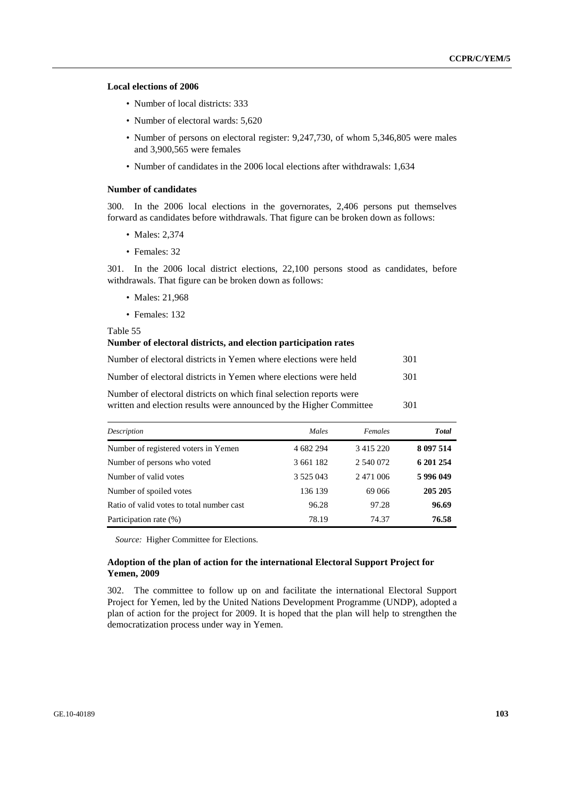#### **Local elections of 2006**

- Number of local districts: 333
- Number of electoral wards: 5,620
- Number of persons on electoral register: 9,247,730, of whom 5,346,805 were males and 3,900,565 were females
- Number of candidates in the 2006 local elections after withdrawals: 1.634

#### **Number of candidates**

300. In the 2006 local elections in the governorates, 2,406 persons put themselves forward as candidates before withdrawals. That figure can be broken down as follows:

- Males: 2,374
- Females: 32

301. In the 2006 local district elections, 22,100 persons stood as candidates, before withdrawals. That figure can be broken down as follows:

- Males: 21,968
- Females: 132

Table 55

#### **Number of electoral districts, and election participation rates**

| Number of electoral districts in Yemen where elections were held    | 301 |
|---------------------------------------------------------------------|-----|
| Number of electoral districts in Yemen where elections were held    | 301 |
| Number of electoral districts on which final selection reports were |     |

| written and election results were announced by the Higher Committee |  |  | 301 |
|---------------------------------------------------------------------|--|--|-----|

| Description                               | Males         | Females       | <b>Total</b> |
|-------------------------------------------|---------------|---------------|--------------|
| Number of registered voters in Yemen      | 4 682 294     | 3 4 1 5 2 2 0 | 8 097 514    |
| Number of persons who voted               | 3 661 182     | 2 540 072     | 6 201 254    |
| Number of valid votes                     | 3 5 2 5 0 4 3 | 2 471 006     | 5996049      |
| Number of spoiled votes                   | 136 139       | 69 066        | 205 205      |
| Ratio of valid votes to total number cast | 96.28         | 97.28         | 96.69        |
| Participation rate (%)                    | 78.19         | 74.37         | 76.58        |

*Source:* Higher Committee for Elections.

### **Adoption of the plan of action for the international Electoral Support Project for Yemen, 2009**

302. The committee to follow up on and facilitate the international Electoral Support Project for Yemen, led by the United Nations Development Programme (UNDP), adopted a plan of action for the project for 2009. It is hoped that the plan will help to strengthen the democratization process under way in Yemen.